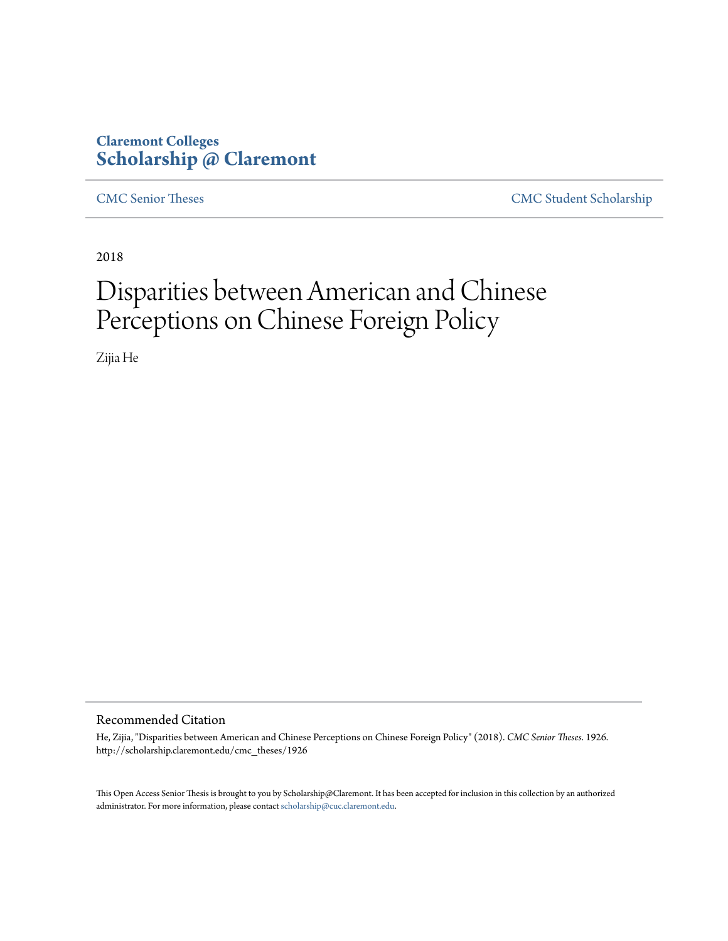# **Claremont Colleges [Scholarship @ Claremont](http://scholarship.claremont.edu)**

[CMC Senior Theses](http://scholarship.claremont.edu/cmc_theses) [CMC Student Scholarship](http://scholarship.claremont.edu/cmc_student)

2018

# Disparities between American and Chinese Perceptions on Chinese Foreign Policy

Zijia He

#### Recommended Citation

He, Zijia, "Disparities between American and Chinese Perceptions on Chinese Foreign Policy" (2018). *CMC Senior Theses*. 1926. http://scholarship.claremont.edu/cmc\_theses/1926

This Open Access Senior Thesis is brought to you by Scholarship@Claremont. It has been accepted for inclusion in this collection by an authorized administrator. For more information, please contact [scholarship@cuc.claremont.edu.](mailto:scholarship@cuc.claremont.edu)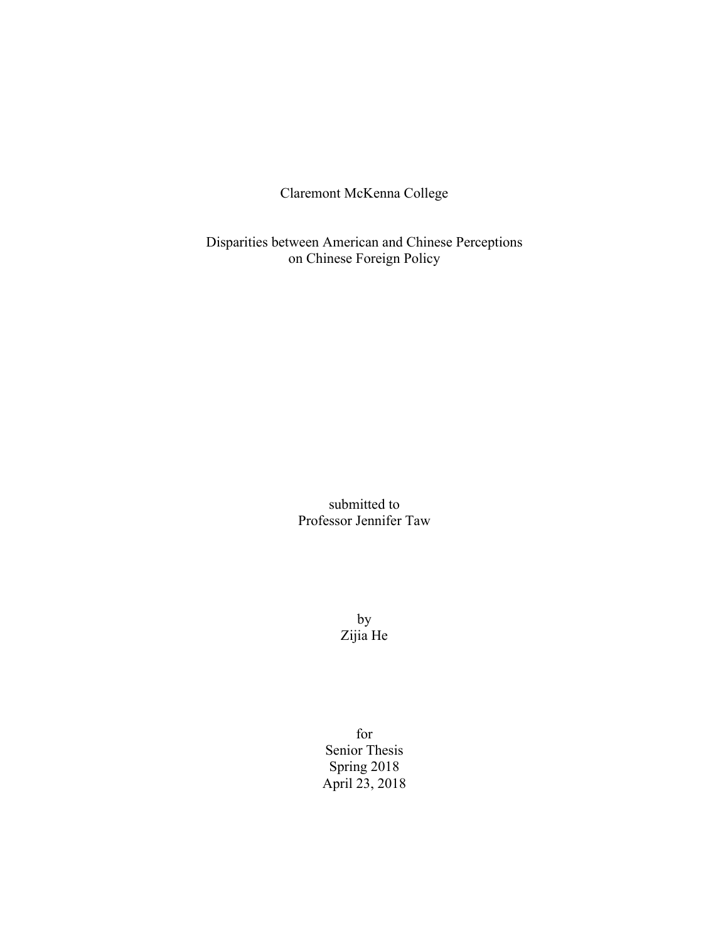Claremont McKenna College

Disparities between American and Chinese Perceptions on Chinese Foreign Policy

> submitted to Professor Jennifer Taw

> > by Zijia He

for Senior Thesis Spring 2018 April 23, 2018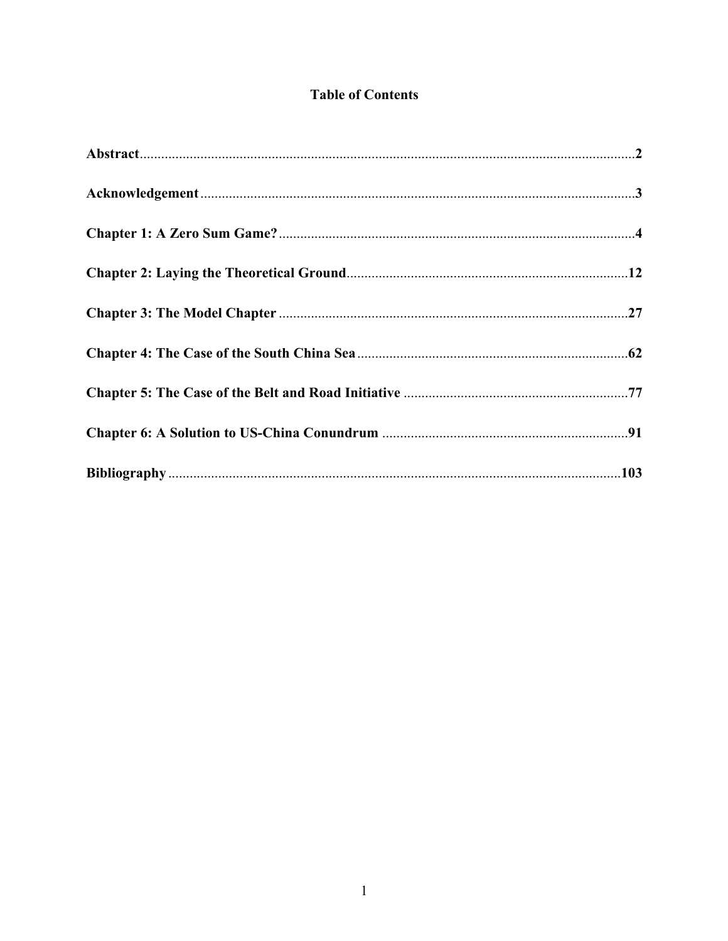# **Table of Contents**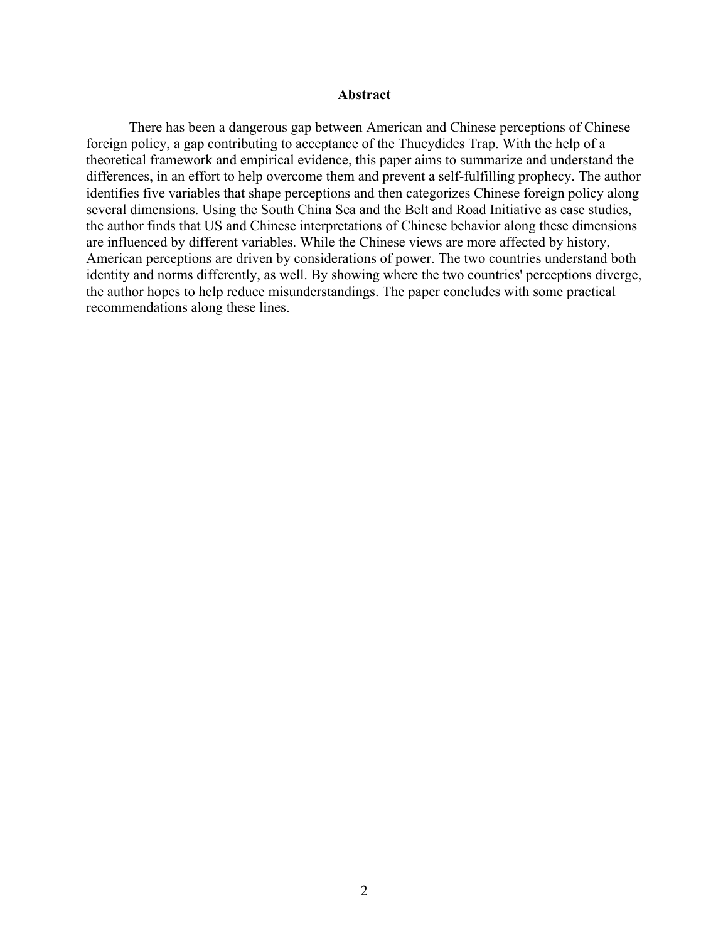### **Abstract**

There has been a dangerous gap between American and Chinese perceptions of Chinese foreign policy, a gap contributing to acceptance of the Thucydides Trap. With the help of a theoretical framework and empirical evidence, this paper aims to summarize and understand the differences, in an effort to help overcome them and prevent a self-fulfilling prophecy. The author identifies five variables that shape perceptions and then categorizes Chinese foreign policy along several dimensions. Using the South China Sea and the Belt and Road Initiative as case studies, the author finds that US and Chinese interpretations of Chinese behavior along these dimensions are influenced by different variables. While the Chinese views are more affected by history, American perceptions are driven by considerations of power. The two countries understand both identity and norms differently, as well. By showing where the two countries' perceptions diverge, the author hopes to help reduce misunderstandings. The paper concludes with some practical recommendations along these lines.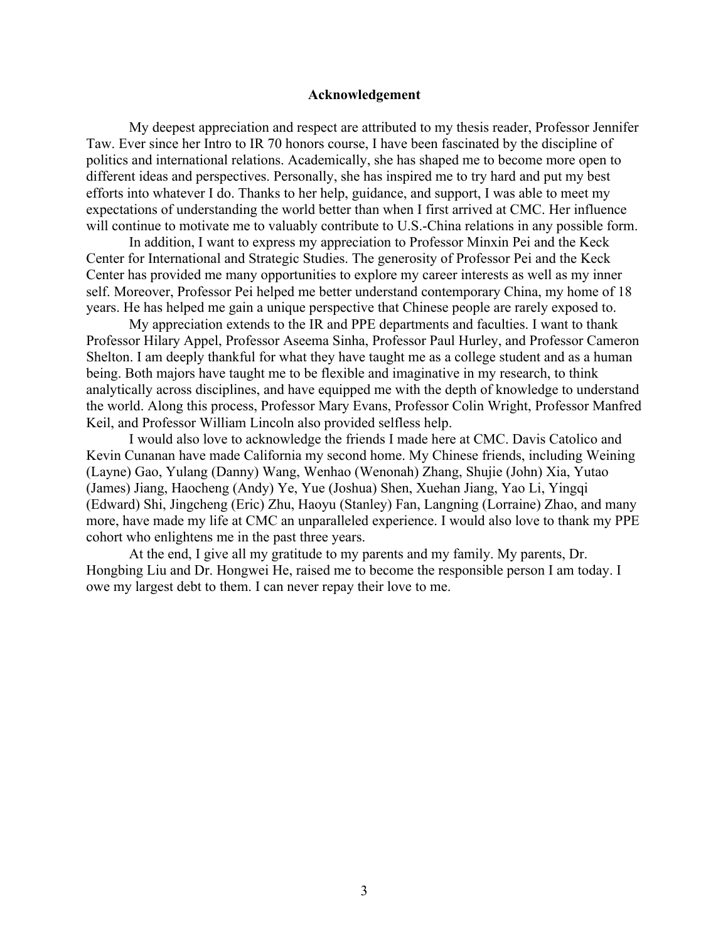### **Acknowledgement**

My deepest appreciation and respect are attributed to my thesis reader, Professor Jennifer Taw. Ever since her Intro to IR 70 honors course, I have been fascinated by the discipline of politics and international relations. Academically, she has shaped me to become more open to different ideas and perspectives. Personally, she has inspired me to try hard and put my best efforts into whatever I do. Thanks to her help, guidance, and support, I was able to meet my expectations of understanding the world better than when I first arrived at CMC. Her influence will continue to motivate me to valuably contribute to U.S.-China relations in any possible form.

In addition, I want to express my appreciation to Professor Minxin Pei and the Keck Center for International and Strategic Studies. The generosity of Professor Pei and the Keck Center has provided me many opportunities to explore my career interests as well as my inner self. Moreover, Professor Pei helped me better understand contemporary China, my home of 18 years. He has helped me gain a unique perspective that Chinese people are rarely exposed to.

My appreciation extends to the IR and PPE departments and faculties. I want to thank Professor Hilary Appel, Professor Aseema Sinha, Professor Paul Hurley, and Professor Cameron Shelton. I am deeply thankful for what they have taught me as a college student and as a human being. Both majors have taught me to be flexible and imaginative in my research, to think analytically across disciplines, and have equipped me with the depth of knowledge to understand the world. Along this process, Professor Mary Evans, Professor Colin Wright, Professor Manfred Keil, and Professor William Lincoln also provided selfless help.

I would also love to acknowledge the friends I made here at CMC. Davis Catolico and Kevin Cunanan have made California my second home. My Chinese friends, including Weining (Layne) Gao, Yulang (Danny) Wang, Wenhao (Wenonah) Zhang, Shujie (John) Xia, Yutao (James) Jiang, Haocheng (Andy) Ye, Yue (Joshua) Shen, Xuehan Jiang, Yao Li, Yingqi (Edward) Shi, Jingcheng (Eric) Zhu, Haoyu (Stanley) Fan, Langning (Lorraine) Zhao, and many more, have made my life at CMC an unparalleled experience. I would also love to thank my PPE cohort who enlightens me in the past three years.

At the end, I give all my gratitude to my parents and my family. My parents, Dr. Hongbing Liu and Dr. Hongwei He, raised me to become the responsible person I am today. I owe my largest debt to them. I can never repay their love to me.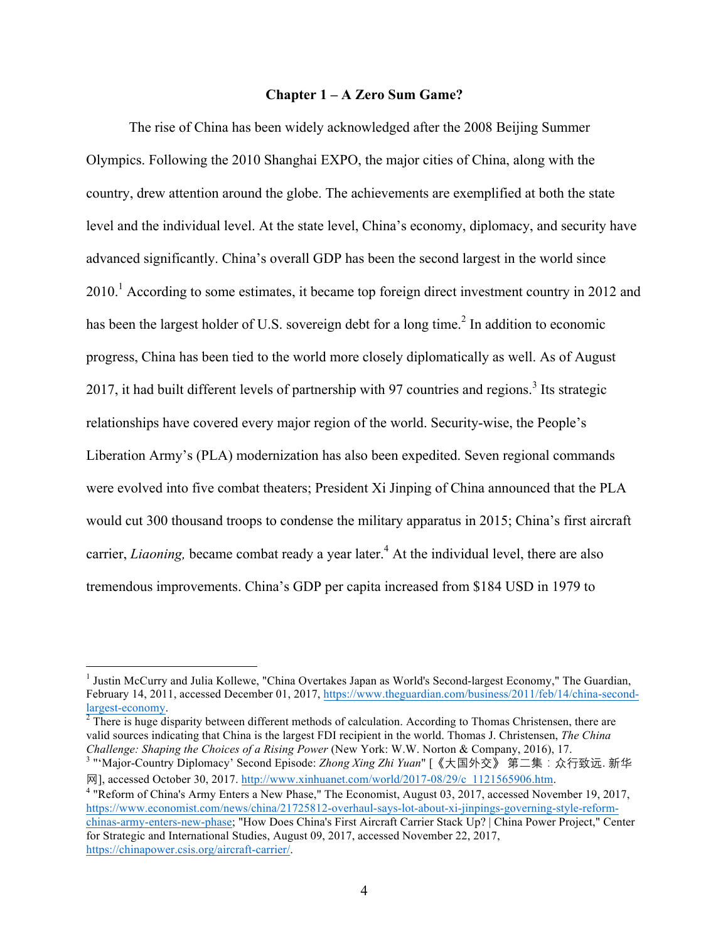## **Chapter 1 – A Zero Sum Game?**

The rise of China has been widely acknowledged after the 2008 Beijing Summer Olympics. Following the 2010 Shanghai EXPO, the major cities of China, along with the country, drew attention around the globe. The achievements are exemplified at both the state level and the individual level. At the state level, China's economy, diplomacy, and security have advanced significantly. China's overall GDP has been the second largest in the world since  $2010<sup>1</sup>$  According to some estimates, it became top foreign direct investment country in 2012 and has been the largest holder of U.S. sovereign debt for a long time.<sup>2</sup> In addition to economic progress, China has been tied to the world more closely diplomatically as well. As of August 2017, it had built different levels of partnership with 97 countries and regions.<sup>3</sup> Its strategic relationships have covered every major region of the world. Security-wise, the People's Liberation Army's (PLA) modernization has also been expedited. Seven regional commands were evolved into five combat theaters; President Xi Jinping of China announced that the PLA would cut 300 thousand troops to condense the military apparatus in 2015; China's first aircraft carrier, *Liaoning*, became combat ready a year later.<sup>4</sup> At the individual level, there are also tremendous improvements. China's GDP per capita increased from \$184 USD in 1979 to

valid sources indicating that China is the largest FDI recipient in the world. Thomas J. Christensen, *The China Challenge: Shaping the Choices of a Rising Power* (New York: W.W. Norton & Company, 2016), 17.

<sup>&</sup>lt;sup>1</sup> Justin McCurry and Julia Kollewe, "China Overtakes Japan as World's Second-largest Economy," The Guardian, February 14, 2011, accessed December 01, 2017, https://www.theguardian.com/business/2011/feb/14/china-second- $\frac{largest-economy.}{^{2}}$  There is huge disparity between different methods of calculation. According to Thomas Christensen, there are

<sup>3</sup> "'Major-Country Diplomacy' Second Episode: *Zhong Xing Zhi Yuan*" [《大国外交》 第二集:众行致远. 新华 网], accessed October 30, 2017. http://www.xinhuanet.com/world/2017-08/29/c\_1121565906.htm.

<sup>4</sup> "Reform of China's Army Enters a New Phase," The Economist, August 03, 2017, accessed November 19, 2017, https://www.economist.com/news/china/21725812-overhaul-says-lot-about-xi-jinpings-governing-style-reformchinas-army-enters-new-phase; "How Does China's First Aircraft Carrier Stack Up? | China Power Project," Center for Strategic and International Studies, August 09, 2017, accessed November 22, 2017, https://chinapower.csis.org/aircraft-carrier/.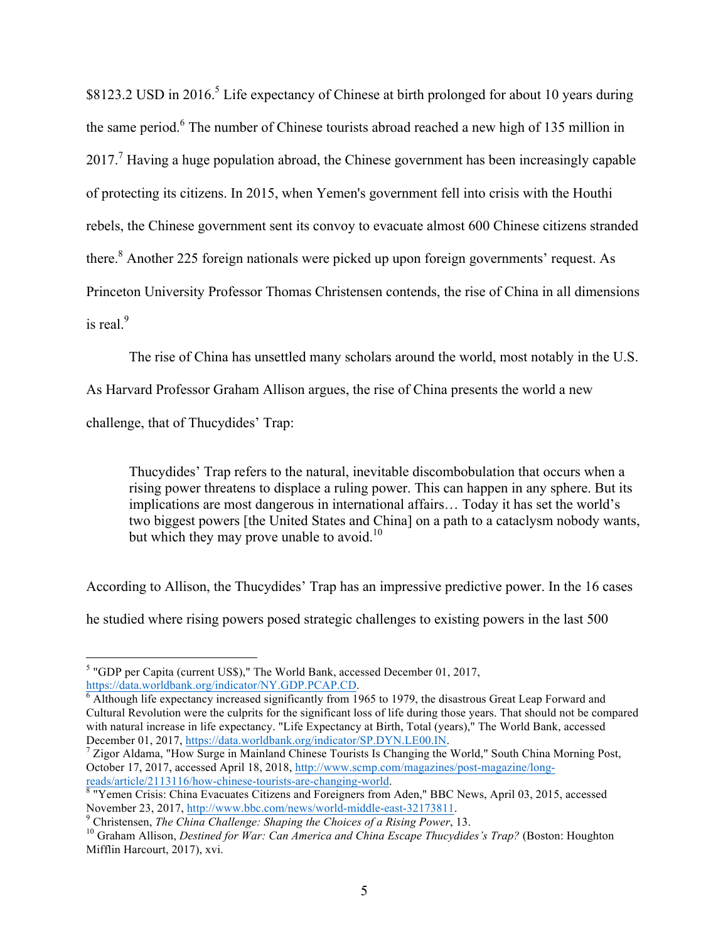\$8123.2 USD in 2016.<sup>5</sup> Life expectancy of Chinese at birth prolonged for about 10 years during the same period.<sup>6</sup> The number of Chinese tourists abroad reached a new high of 135 million in  $2017<sup>7</sup>$  Having a huge population abroad, the Chinese government has been increasingly capable of protecting its citizens. In 2015, when Yemen's government fell into crisis with the Houthi rebels, the Chinese government sent its convoy to evacuate almost 600 Chinese citizens stranded there.<sup>8</sup> Another 225 foreign nationals were picked up upon foreign governments' request. As Princeton University Professor Thomas Christensen contends, the rise of China in all dimensions is real $9$ 

The rise of China has unsettled many scholars around the world, most notably in the U.S.

As Harvard Professor Graham Allison argues, the rise of China presents the world a new

challenge, that of Thucydides' Trap:

Thucydides' Trap refers to the natural, inevitable discombobulation that occurs when a rising power threatens to displace a ruling power. This can happen in any sphere. But its implications are most dangerous in international affairs… Today it has set the world's two biggest powers [the United States and China] on a path to a cataclysm nobody wants, but which they may prove unable to avoid.<sup>10</sup>

According to Allison, the Thucydides' Trap has an impressive predictive power. In the 16 cases he studied where rising powers posed strategic challenges to existing powers in the last 500

<sup>&</sup>lt;sup>5</sup> "GDP per Capita (current US\$)," The World Bank, accessed December 01, 2017, https://data.worldbank.org/indicator/NY.GDP.PCAP.CD.

 $\frac{6}{9}$  Although life expectancy increased significantly from 1965 to 1979, the disastrous Great Leap Forward and Cultural Revolution were the culprits for the significant loss of life during those years. That should not be compared with natural increase in life expectancy. "Life Expectancy at Birth, Total (years)," The World Bank, accessed<br>December 01, 2017, https://data.worldbank.org/indicator/SP.DYN.LE00.IN.

<sup>&</sup>lt;sup>7</sup> Zigor Aldama, "How Surge in Mainland Chinese Tourists Is Changing the World," South China Morning Post, October 17, 2017, accessed April 18, 2018, http://www.scmp.com/magazines/post-magazine/long-reads/article/2113116/how-chinese-tourists-are-changing-world.

 $8$  "Yemen Crisis: China Evacuates Citizens and Foreigners from Aden," BBC News, April 03, 2015, accessed November 23, 2017, http://www.bbc.com/news/world-middle-east-32173811.<br><sup>9</sup> Christensen, *The China Challenge: Shaping the Choices of a Rising Power*, 13.<br><sup>10</sup> Graham Allison, *Destined for War: Can America and China Escape* 

Mifflin Harcourt, 2017), xvi.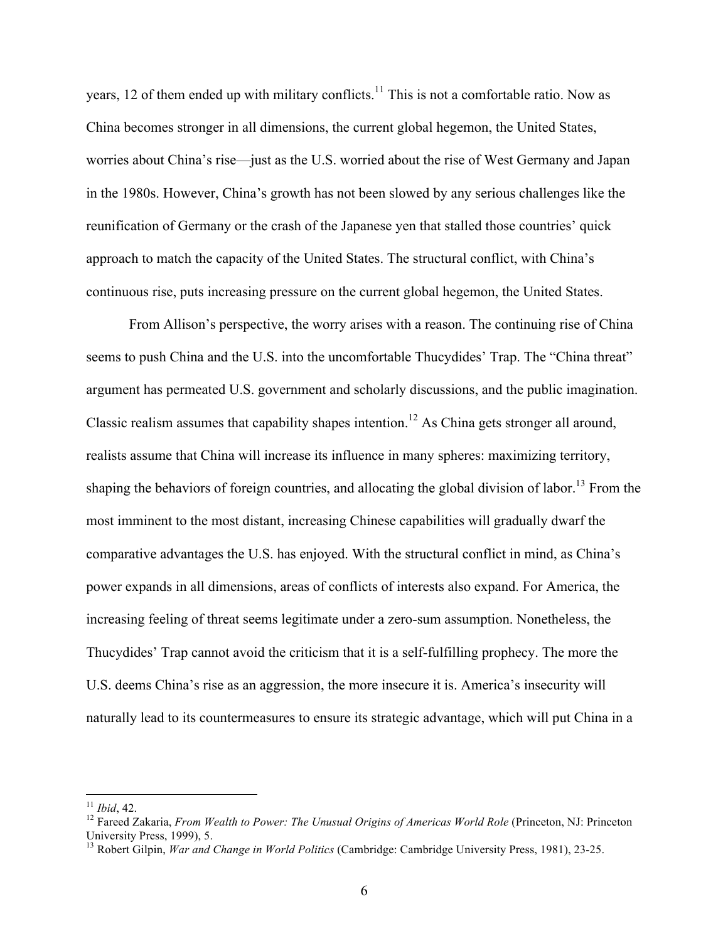years, 12 of them ended up with military conflicts.<sup>11</sup> This is not a comfortable ratio. Now as China becomes stronger in all dimensions, the current global hegemon, the United States, worries about China's rise—just as the U.S. worried about the rise of West Germany and Japan in the 1980s. However, China's growth has not been slowed by any serious challenges like the reunification of Germany or the crash of the Japanese yen that stalled those countries' quick approach to match the capacity of the United States. The structural conflict, with China's continuous rise, puts increasing pressure on the current global hegemon, the United States.

From Allison's perspective, the worry arises with a reason. The continuing rise of China seems to push China and the U.S. into the uncomfortable Thucydides' Trap. The "China threat" argument has permeated U.S. government and scholarly discussions, and the public imagination. Classic realism assumes that capability shapes intention.<sup>12</sup> As China gets stronger all around, realists assume that China will increase its influence in many spheres: maximizing territory, shaping the behaviors of foreign countries, and allocating the global division of labor.<sup>13</sup> From the most imminent to the most distant, increasing Chinese capabilities will gradually dwarf the comparative advantages the U.S. has enjoyed. With the structural conflict in mind, as China's power expands in all dimensions, areas of conflicts of interests also expand. For America, the increasing feeling of threat seems legitimate under a zero-sum assumption. Nonetheless, the Thucydides' Trap cannot avoid the criticism that it is a self-fulfilling prophecy. The more the U.S. deems China's rise as an aggression, the more insecure it is. America's insecurity will naturally lead to its countermeasures to ensure its strategic advantage, which will put China in a

<sup>&</sup>lt;sup>11</sup> *Ibid*, 42.<br><sup>12</sup> Fareed Zakaria, *From Wealth to Power: The Unusual Origins of Americas World Role* (Princeton, NJ: Princeton University Press, 1999), 5.

<sup>13</sup> Robert Gilpin, *War and Change in World Politics* (Cambridge: Cambridge University Press, 1981), 23-25.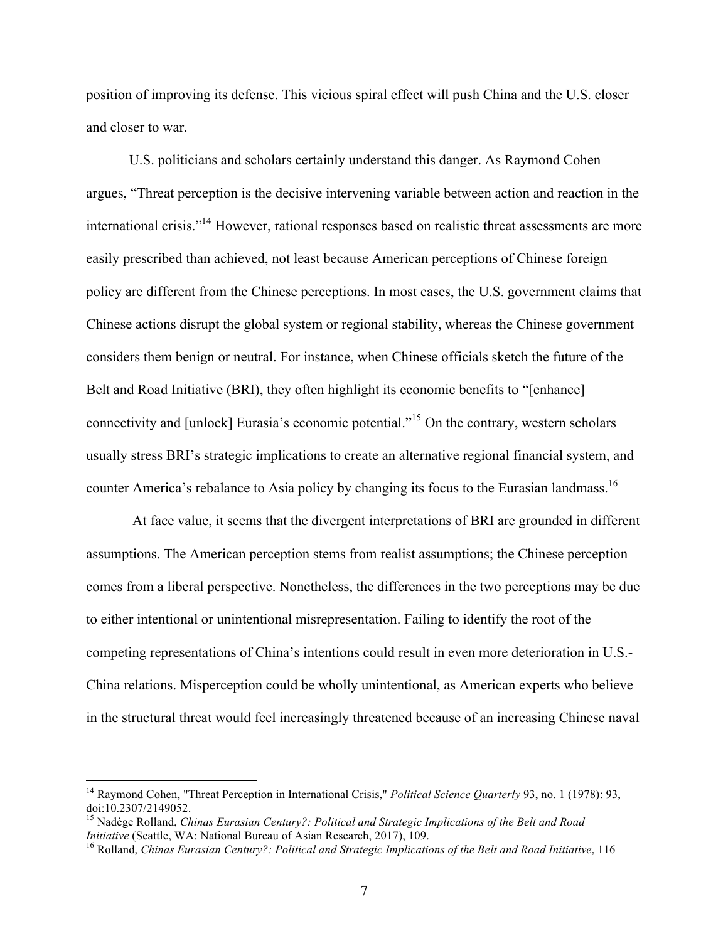position of improving its defense. This vicious spiral effect will push China and the U.S. closer and closer to war.

U.S. politicians and scholars certainly understand this danger. As Raymond Cohen argues, "Threat perception is the decisive intervening variable between action and reaction in the international crisis."14 However, rational responses based on realistic threat assessments are more easily prescribed than achieved, not least because American perceptions of Chinese foreign policy are different from the Chinese perceptions. In most cases, the U.S. government claims that Chinese actions disrupt the global system or regional stability, whereas the Chinese government considers them benign or neutral. For instance, when Chinese officials sketch the future of the Belt and Road Initiative (BRI), they often highlight its economic benefits to "[enhance] connectivity and [unlock] Eurasia's economic potential."15 On the contrary, western scholars usually stress BRI's strategic implications to create an alternative regional financial system, and counter America's rebalance to Asia policy by changing its focus to the Eurasian landmass.<sup>16</sup>

At face value, it seems that the divergent interpretations of BRI are grounded in different assumptions. The American perception stems from realist assumptions; the Chinese perception comes from a liberal perspective. Nonetheless, the differences in the two perceptions may be due to either intentional or unintentional misrepresentation. Failing to identify the root of the competing representations of China's intentions could result in even more deterioration in U.S.- China relations. Misperception could be wholly unintentional, as American experts who believe in the structural threat would feel increasingly threatened because of an increasing Chinese naval

 <sup>14</sup> Raymond Cohen, "Threat Perception in International Crisis," *Political Science Quarterly* 93, no. 1 (1978): 93, doi:10.2307/2149052.

<sup>15</sup> Nadège Rolland, *Chinas Eurasian Century?: Political and Strategic Implications of the Belt and Road Initiative* (Seattle, WA: National Bureau of Asian Research, 2017), 109.<br><sup>16</sup> Rolland, *Chinas Eurasian Century?: Political and Strategic Implications of the Belt and Road Initiative*, 116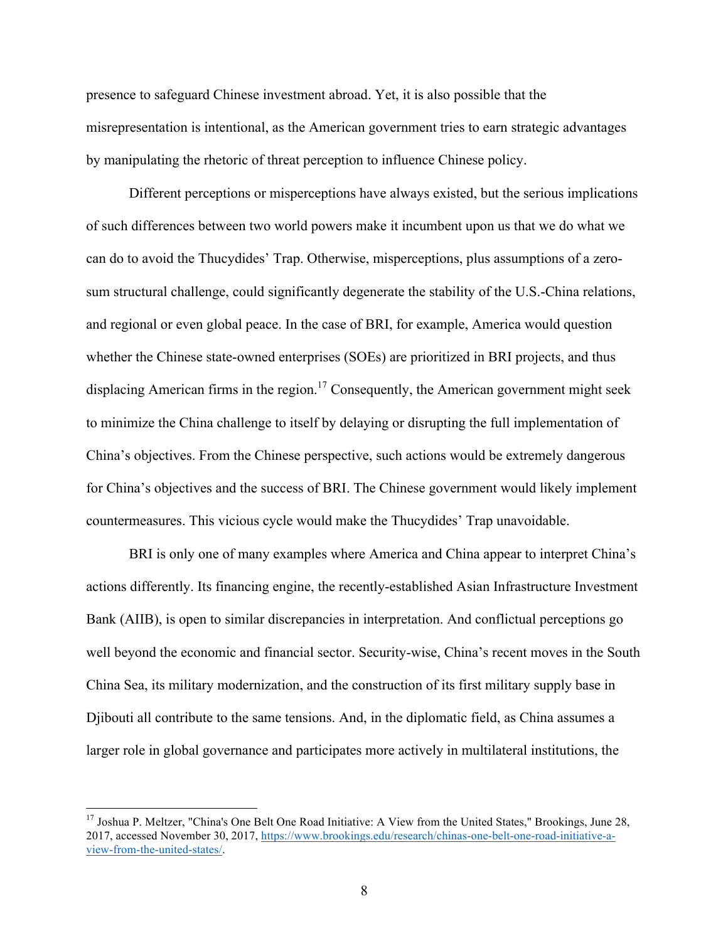presence to safeguard Chinese investment abroad. Yet, it is also possible that the misrepresentation is intentional, as the American government tries to earn strategic advantages by manipulating the rhetoric of threat perception to influence Chinese policy.

Different perceptions or misperceptions have always existed, but the serious implications of such differences between two world powers make it incumbent upon us that we do what we can do to avoid the Thucydides' Trap. Otherwise, misperceptions, plus assumptions of a zerosum structural challenge, could significantly degenerate the stability of the U.S.-China relations, and regional or even global peace. In the case of BRI, for example, America would question whether the Chinese state-owned enterprises (SOEs) are prioritized in BRI projects, and thus displacing American firms in the region.<sup>17</sup> Consequently, the American government might seek to minimize the China challenge to itself by delaying or disrupting the full implementation of China's objectives. From the Chinese perspective, such actions would be extremely dangerous for China's objectives and the success of BRI. The Chinese government would likely implement countermeasures. This vicious cycle would make the Thucydides' Trap unavoidable.

BRI is only one of many examples where America and China appear to interpret China's actions differently. Its financing engine, the recently-established Asian Infrastructure Investment Bank (AIIB), is open to similar discrepancies in interpretation. And conflictual perceptions go well beyond the economic and financial sector. Security-wise, China's recent moves in the South China Sea, its military modernization, and the construction of its first military supply base in Djibouti all contribute to the same tensions. And, in the diplomatic field, as China assumes a larger role in global governance and participates more actively in multilateral institutions, the

<sup>&</sup>lt;sup>17</sup> Joshua P. Meltzer, "China's One Belt One Road Initiative: A View from the United States," Brookings, June 28, 2017, accessed November 30, 2017, https://www.brookings.edu/research/chinas-one-belt-one-road-initiative-aview-from-the-united-states/.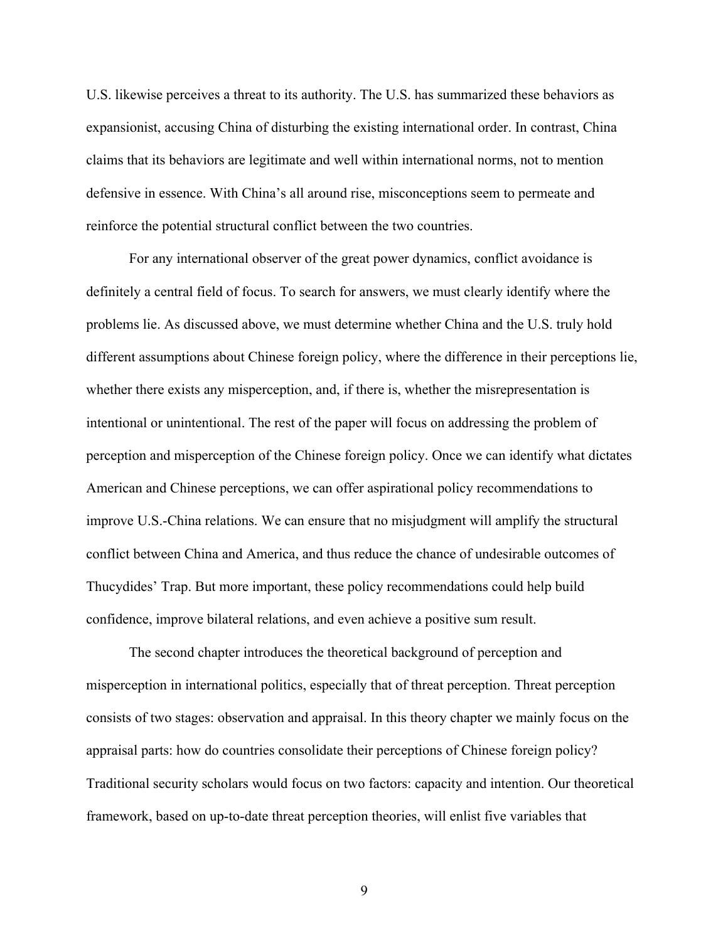U.S. likewise perceives a threat to its authority. The U.S. has summarized these behaviors as expansionist, accusing China of disturbing the existing international order. In contrast, China claims that its behaviors are legitimate and well within international norms, not to mention defensive in essence. With China's all around rise, misconceptions seem to permeate and reinforce the potential structural conflict between the two countries.

For any international observer of the great power dynamics, conflict avoidance is definitely a central field of focus. To search for answers, we must clearly identify where the problems lie. As discussed above, we must determine whether China and the U.S. truly hold different assumptions about Chinese foreign policy, where the difference in their perceptions lie, whether there exists any misperception, and, if there is, whether the misrepresentation is intentional or unintentional. The rest of the paper will focus on addressing the problem of perception and misperception of the Chinese foreign policy. Once we can identify what dictates American and Chinese perceptions, we can offer aspirational policy recommendations to improve U.S.-China relations. We can ensure that no misjudgment will amplify the structural conflict between China and America, and thus reduce the chance of undesirable outcomes of Thucydides' Trap. But more important, these policy recommendations could help build confidence, improve bilateral relations, and even achieve a positive sum result.

The second chapter introduces the theoretical background of perception and misperception in international politics, especially that of threat perception. Threat perception consists of two stages: observation and appraisal. In this theory chapter we mainly focus on the appraisal parts: how do countries consolidate their perceptions of Chinese foreign policy? Traditional security scholars would focus on two factors: capacity and intention. Our theoretical framework, based on up-to-date threat perception theories, will enlist five variables that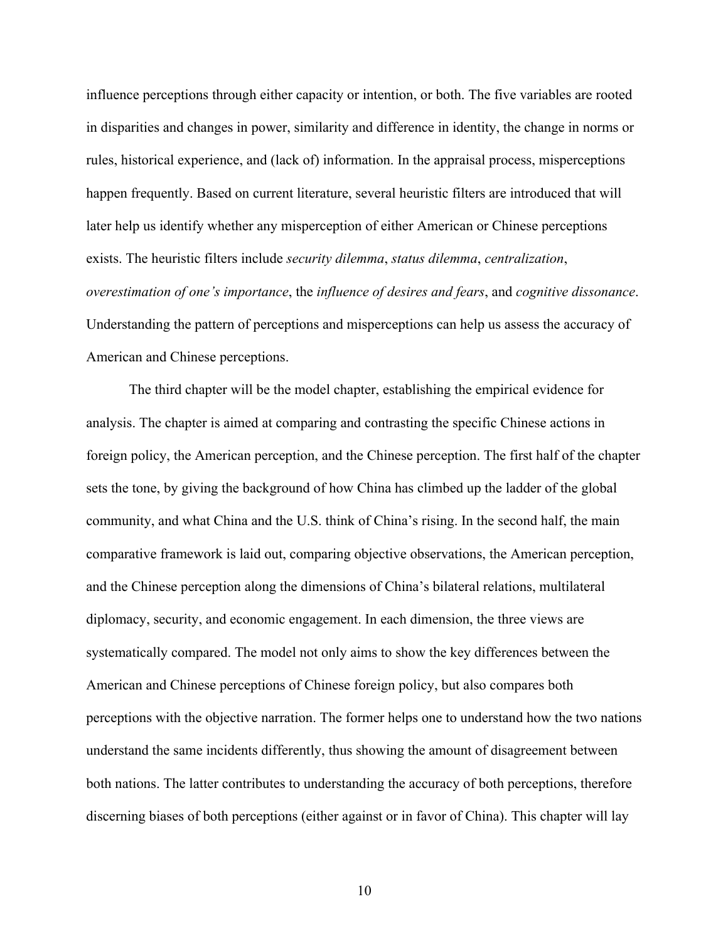influence perceptions through either capacity or intention, or both. The five variables are rooted in disparities and changes in power, similarity and difference in identity, the change in norms or rules, historical experience, and (lack of) information. In the appraisal process, misperceptions happen frequently. Based on current literature, several heuristic filters are introduced that will later help us identify whether any misperception of either American or Chinese perceptions exists. The heuristic filters include *security dilemma*, *status dilemma*, *centralization*, *overestimation of one's importance*, the *influence of desires and fears*, and *cognitive dissonance*. Understanding the pattern of perceptions and misperceptions can help us assess the accuracy of American and Chinese perceptions.

The third chapter will be the model chapter, establishing the empirical evidence for analysis. The chapter is aimed at comparing and contrasting the specific Chinese actions in foreign policy, the American perception, and the Chinese perception. The first half of the chapter sets the tone, by giving the background of how China has climbed up the ladder of the global community, and what China and the U.S. think of China's rising. In the second half, the main comparative framework is laid out, comparing objective observations, the American perception, and the Chinese perception along the dimensions of China's bilateral relations, multilateral diplomacy, security, and economic engagement. In each dimension, the three views are systematically compared. The model not only aims to show the key differences between the American and Chinese perceptions of Chinese foreign policy, but also compares both perceptions with the objective narration. The former helps one to understand how the two nations understand the same incidents differently, thus showing the amount of disagreement between both nations. The latter contributes to understanding the accuracy of both perceptions, therefore discerning biases of both perceptions (either against or in favor of China). This chapter will lay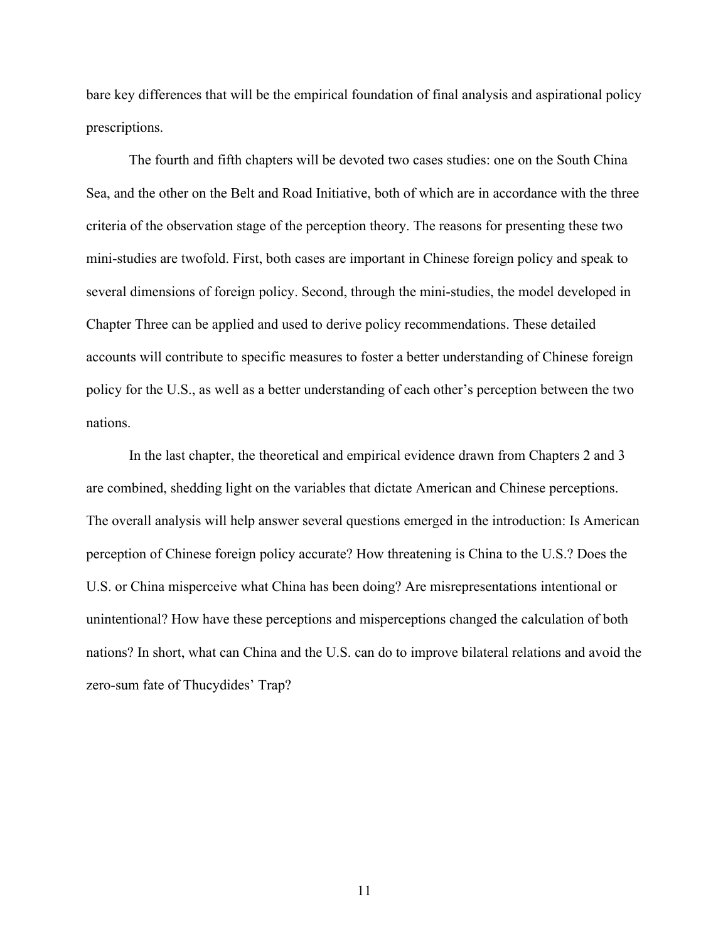bare key differences that will be the empirical foundation of final analysis and aspirational policy prescriptions.

The fourth and fifth chapters will be devoted two cases studies: one on the South China Sea, and the other on the Belt and Road Initiative, both of which are in accordance with the three criteria of the observation stage of the perception theory. The reasons for presenting these two mini-studies are twofold. First, both cases are important in Chinese foreign policy and speak to several dimensions of foreign policy. Second, through the mini-studies, the model developed in Chapter Three can be applied and used to derive policy recommendations. These detailed accounts will contribute to specific measures to foster a better understanding of Chinese foreign policy for the U.S., as well as a better understanding of each other's perception between the two nations.

In the last chapter, the theoretical and empirical evidence drawn from Chapters 2 and 3 are combined, shedding light on the variables that dictate American and Chinese perceptions. The overall analysis will help answer several questions emerged in the introduction: Is American perception of Chinese foreign policy accurate? How threatening is China to the U.S.? Does the U.S. or China misperceive what China has been doing? Are misrepresentations intentional or unintentional? How have these perceptions and misperceptions changed the calculation of both nations? In short, what can China and the U.S. can do to improve bilateral relations and avoid the zero-sum fate of Thucydides' Trap?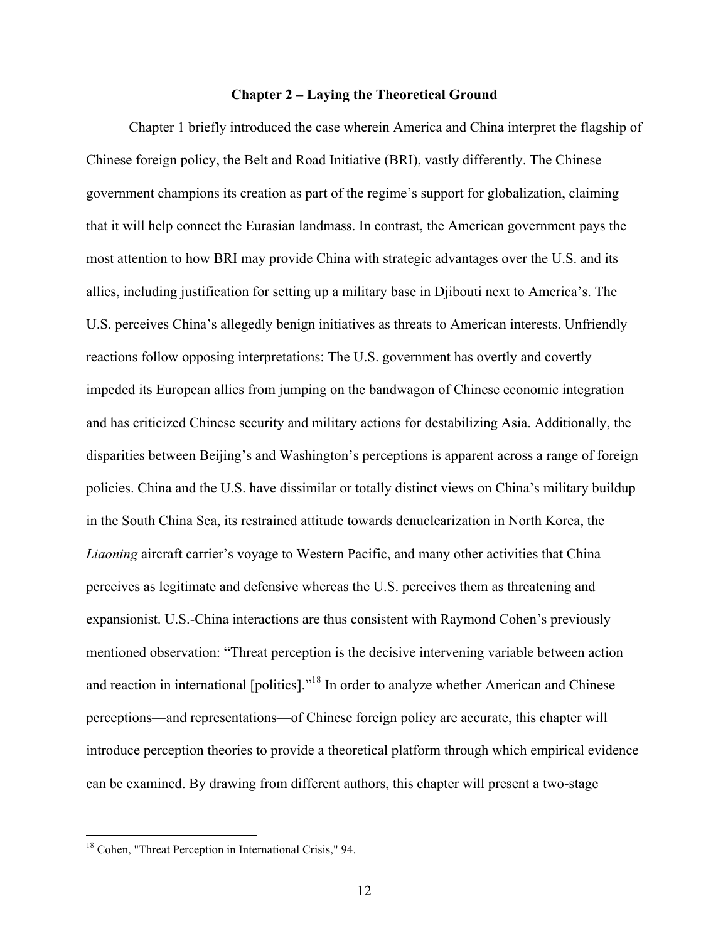## **Chapter 2 – Laying the Theoretical Ground**

Chapter 1 briefly introduced the case wherein America and China interpret the flagship of Chinese foreign policy, the Belt and Road Initiative (BRI), vastly differently. The Chinese government champions its creation as part of the regime's support for globalization, claiming that it will help connect the Eurasian landmass. In contrast, the American government pays the most attention to how BRI may provide China with strategic advantages over the U.S. and its allies, including justification for setting up a military base in Djibouti next to America's. The U.S. perceives China's allegedly benign initiatives as threats to American interests. Unfriendly reactions follow opposing interpretations: The U.S. government has overtly and covertly impeded its European allies from jumping on the bandwagon of Chinese economic integration and has criticized Chinese security and military actions for destabilizing Asia. Additionally, the disparities between Beijing's and Washington's perceptions is apparent across a range of foreign policies. China and the U.S. have dissimilar or totally distinct views on China's military buildup in the South China Sea, its restrained attitude towards denuclearization in North Korea, the *Liaoning* aircraft carrier's voyage to Western Pacific, and many other activities that China perceives as legitimate and defensive whereas the U.S. perceives them as threatening and expansionist. U.S.-China interactions are thus consistent with Raymond Cohen's previously mentioned observation: "Threat perception is the decisive intervening variable between action and reaction in international [politics]."<sup>18</sup> In order to analyze whether American and Chinese perceptions—and representations—of Chinese foreign policy are accurate, this chapter will introduce perception theories to provide a theoretical platform through which empirical evidence can be examined. By drawing from different authors, this chapter will present a two-stage

<sup>&</sup>lt;sup>18</sup> Cohen, "Threat Perception in International Crisis," 94.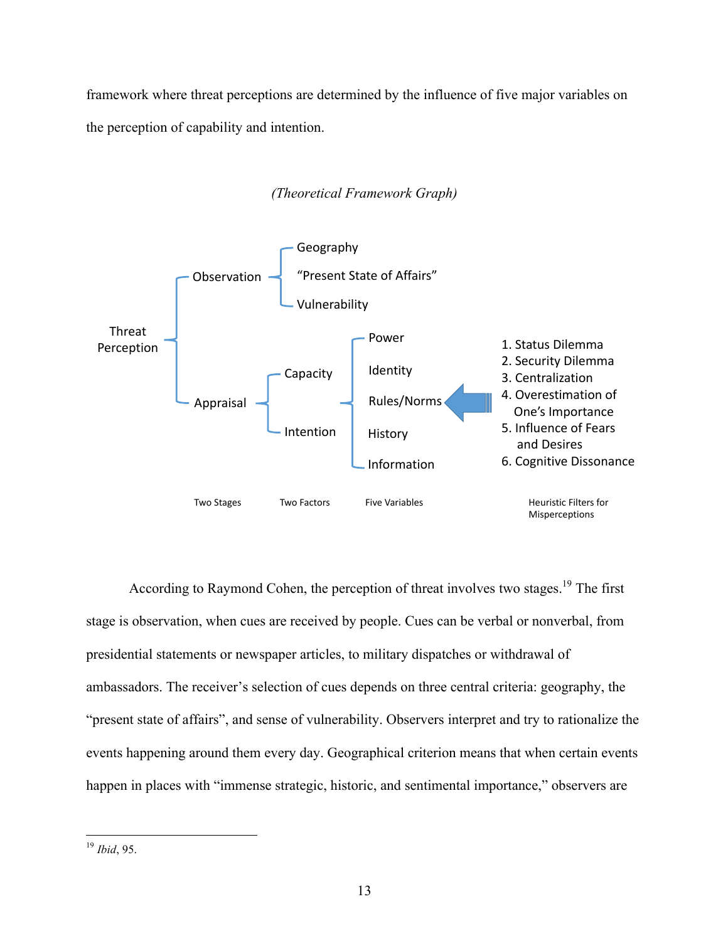framework where threat perceptions are determined by the influence of five major variables on the perception of capability and intention.



# *(Theoretical Framework Graph)*

According to Raymond Cohen, the perception of threat involves two stages.<sup>19</sup> The first stage is observation, when cues are received by people. Cues can be verbal or nonverbal, from presidential statements or newspaper articles, to military dispatches or withdrawal of ambassadors. The receiver's selection of cues depends on three central criteria: geography, the "present state of affairs", and sense of vulnerability. Observers interpret and try to rationalize the events happening around them every day. Geographical criterion means that when certain events happen in places with "immense strategic, historic, and sentimental importance," observers are

 <sup>19</sup> *Ibid*, 95.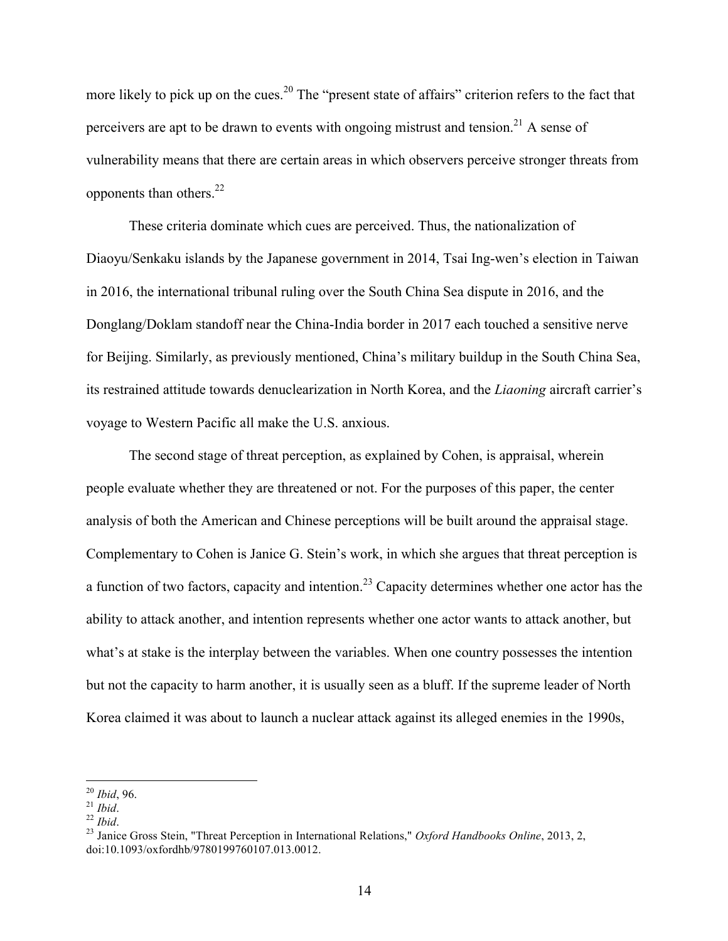more likely to pick up on the cues.<sup>20</sup> The "present state of affairs" criterion refers to the fact that perceivers are apt to be drawn to events with ongoing mistrust and tension.<sup>21</sup> A sense of vulnerability means that there are certain areas in which observers perceive stronger threats from opponents than others.<sup>22</sup>

These criteria dominate which cues are perceived. Thus, the nationalization of Diaoyu/Senkaku islands by the Japanese government in 2014, Tsai Ing-wen's election in Taiwan in 2016, the international tribunal ruling over the South China Sea dispute in 2016, and the Donglang/Doklam standoff near the China-India border in 2017 each touched a sensitive nerve for Beijing. Similarly, as previously mentioned, China's military buildup in the South China Sea, its restrained attitude towards denuclearization in North Korea, and the *Liaoning* aircraft carrier's voyage to Western Pacific all make the U.S. anxious.

The second stage of threat perception, as explained by Cohen, is appraisal, wherein people evaluate whether they are threatened or not. For the purposes of this paper, the center analysis of both the American and Chinese perceptions will be built around the appraisal stage. Complementary to Cohen is Janice G. Stein's work, in which she argues that threat perception is a function of two factors, capacity and intention.<sup>23</sup> Capacity determines whether one actor has the ability to attack another, and intention represents whether one actor wants to attack another, but what's at stake is the interplay between the variables. When one country possesses the intention but not the capacity to harm another, it is usually seen as a bluff. If the supreme leader of North Korea claimed it was about to launch a nuclear attack against its alleged enemies in the 1990s,

<sup>&</sup>lt;sup>20</sup> *Ibid*, 96.<br><sup>21</sup> *Ibid.*<br><sup>22</sup> *Ibid.* 23 *Ibid.* 23 Janice Gross Stein, "Threat Perception in International Relations," *Oxford Handbooks Online*, 2013, 2, doi:10.1093/oxfordhb/9780199760107.013.0012.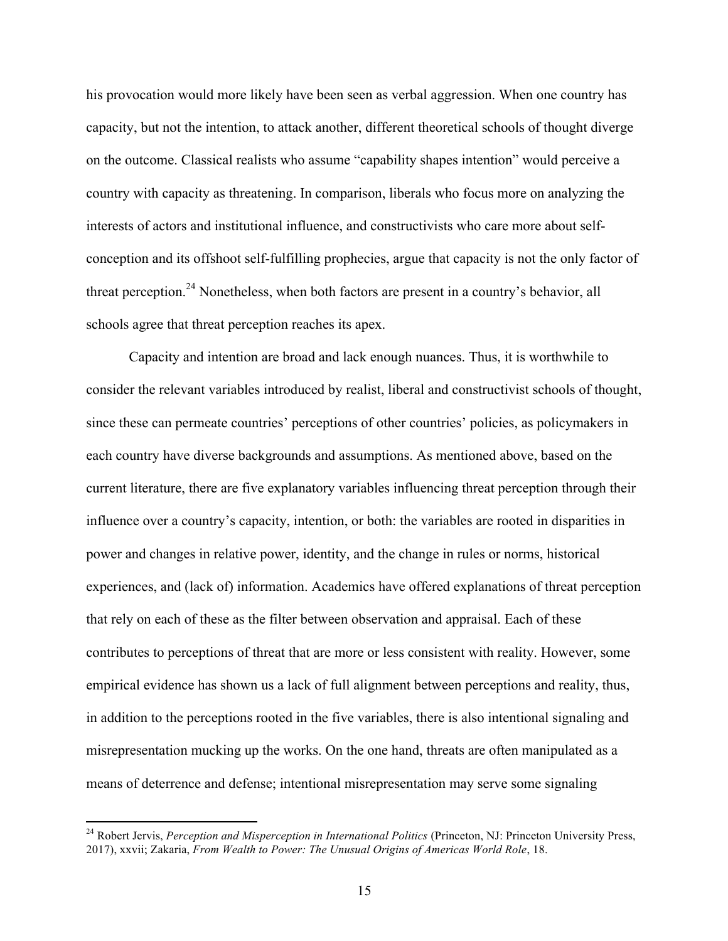his provocation would more likely have been seen as verbal aggression. When one country has capacity, but not the intention, to attack another, different theoretical schools of thought diverge on the outcome. Classical realists who assume "capability shapes intention" would perceive a country with capacity as threatening. In comparison, liberals who focus more on analyzing the interests of actors and institutional influence, and constructivists who care more about selfconception and its offshoot self-fulfilling prophecies, argue that capacity is not the only factor of threat perception.<sup>24</sup> Nonetheless, when both factors are present in a country's behavior, all schools agree that threat perception reaches its apex.

Capacity and intention are broad and lack enough nuances. Thus, it is worthwhile to consider the relevant variables introduced by realist, liberal and constructivist schools of thought, since these can permeate countries' perceptions of other countries' policies, as policymakers in each country have diverse backgrounds and assumptions. As mentioned above, based on the current literature, there are five explanatory variables influencing threat perception through their influence over a country's capacity, intention, or both: the variables are rooted in disparities in power and changes in relative power, identity, and the change in rules or norms, historical experiences, and (lack of) information. Academics have offered explanations of threat perception that rely on each of these as the filter between observation and appraisal. Each of these contributes to perceptions of threat that are more or less consistent with reality. However, some empirical evidence has shown us a lack of full alignment between perceptions and reality, thus, in addition to the perceptions rooted in the five variables, there is also intentional signaling and misrepresentation mucking up the works. On the one hand, threats are often manipulated as a means of deterrence and defense; intentional misrepresentation may serve some signaling

<sup>&</sup>lt;sup>24</sup> Robert Jervis, *Perception and Misperception in International Politics* (Princeton, NJ: Princeton University Press, 2017), xxvii; Zakaria, *From Wealth to Power: The Unusual Origins of Americas World Role*, 18.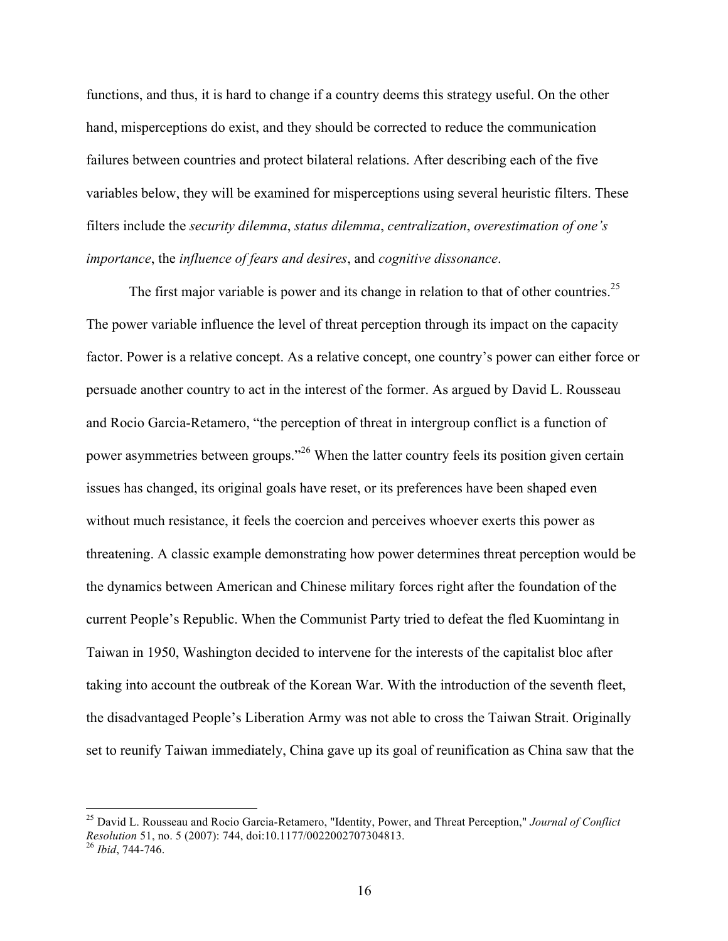functions, and thus, it is hard to change if a country deems this strategy useful. On the other hand, misperceptions do exist, and they should be corrected to reduce the communication failures between countries and protect bilateral relations. After describing each of the five variables below, they will be examined for misperceptions using several heuristic filters. These filters include the *security dilemma*, *status dilemma*, *centralization*, *overestimation of one's importance*, the *influence of fears and desires*, and *cognitive dissonance*.

The first major variable is power and its change in relation to that of other countries.<sup>25</sup> The power variable influence the level of threat perception through its impact on the capacity factor. Power is a relative concept. As a relative concept, one country's power can either force or persuade another country to act in the interest of the former. As argued by David L. Rousseau and Rocio Garcia-Retamero, "the perception of threat in intergroup conflict is a function of power asymmetries between groups."<sup>26</sup> When the latter country feels its position given certain issues has changed, its original goals have reset, or its preferences have been shaped even without much resistance, it feels the coercion and perceives whoever exerts this power as threatening. A classic example demonstrating how power determines threat perception would be the dynamics between American and Chinese military forces right after the foundation of the current People's Republic. When the Communist Party tried to defeat the fled Kuomintang in Taiwan in 1950, Washington decided to intervene for the interests of the capitalist bloc after taking into account the outbreak of the Korean War. With the introduction of the seventh fleet, the disadvantaged People's Liberation Army was not able to cross the Taiwan Strait. Originally set to reunify Taiwan immediately, China gave up its goal of reunification as China saw that the

 <sup>25</sup> David L. Rousseau and Rocio Garcia-Retamero, "Identity, Power, and Threat Perception," *Journal of Conflict Resolution* 51, no. 5 (2007): 744, doi:10.1177/0022002707304813. <sup>26</sup> *Ibid*, 744-746.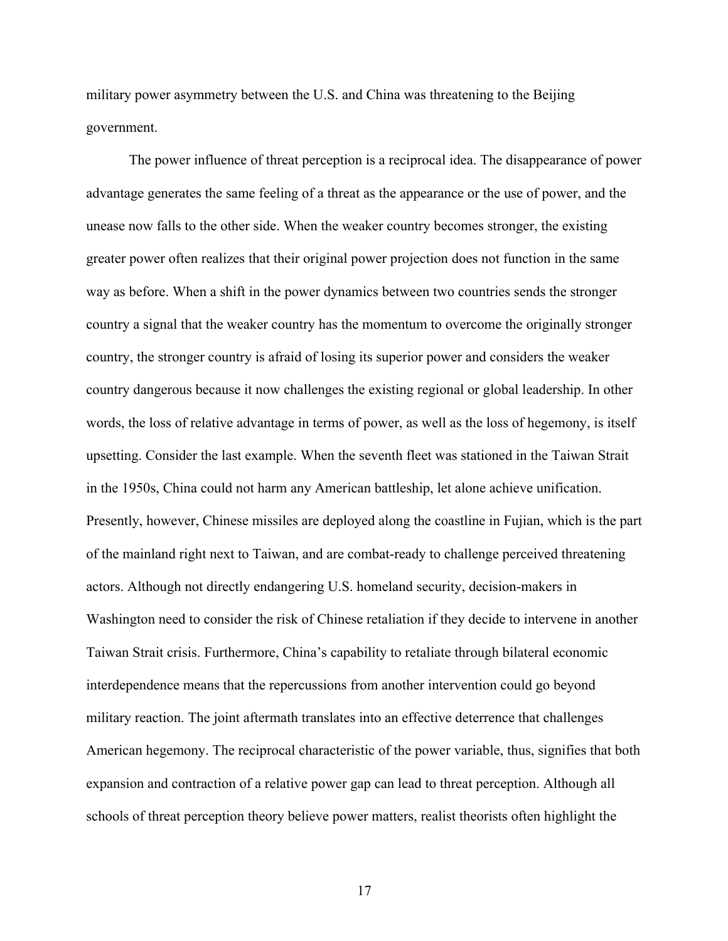military power asymmetry between the U.S. and China was threatening to the Beijing government.

The power influence of threat perception is a reciprocal idea. The disappearance of power advantage generates the same feeling of a threat as the appearance or the use of power, and the unease now falls to the other side. When the weaker country becomes stronger, the existing greater power often realizes that their original power projection does not function in the same way as before. When a shift in the power dynamics between two countries sends the stronger country a signal that the weaker country has the momentum to overcome the originally stronger country, the stronger country is afraid of losing its superior power and considers the weaker country dangerous because it now challenges the existing regional or global leadership. In other words, the loss of relative advantage in terms of power, as well as the loss of hegemony, is itself upsetting. Consider the last example. When the seventh fleet was stationed in the Taiwan Strait in the 1950s, China could not harm any American battleship, let alone achieve unification. Presently, however, Chinese missiles are deployed along the coastline in Fujian, which is the part of the mainland right next to Taiwan, and are combat-ready to challenge perceived threatening actors. Although not directly endangering U.S. homeland security, decision-makers in Washington need to consider the risk of Chinese retaliation if they decide to intervene in another Taiwan Strait crisis. Furthermore, China's capability to retaliate through bilateral economic interdependence means that the repercussions from another intervention could go beyond military reaction. The joint aftermath translates into an effective deterrence that challenges American hegemony. The reciprocal characteristic of the power variable, thus, signifies that both expansion and contraction of a relative power gap can lead to threat perception. Although all schools of threat perception theory believe power matters, realist theorists often highlight the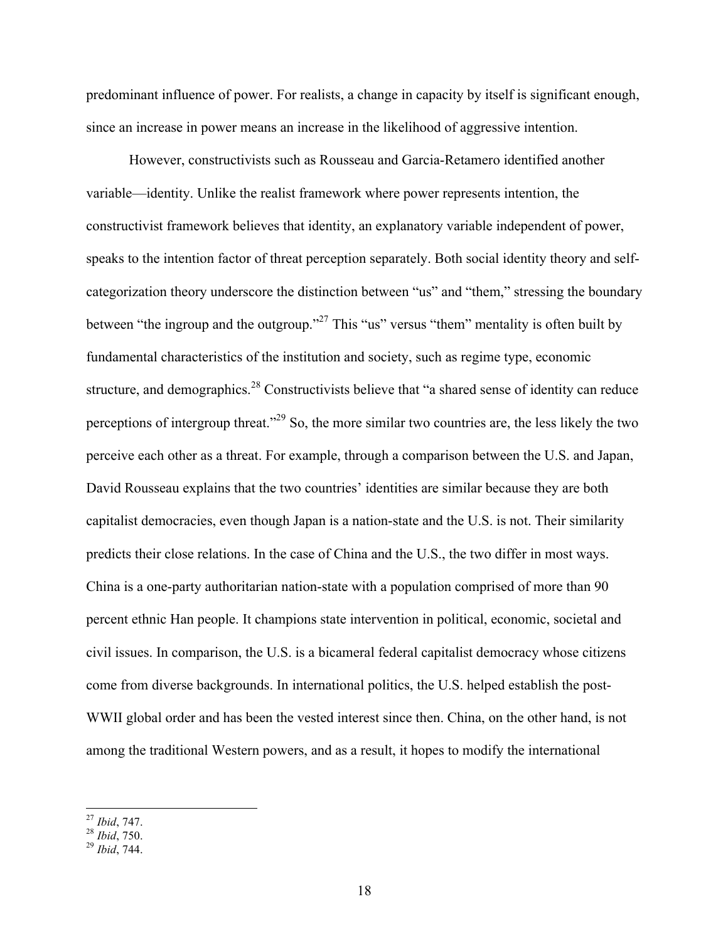predominant influence of power. For realists, a change in capacity by itself is significant enough, since an increase in power means an increase in the likelihood of aggressive intention.

However, constructivists such as Rousseau and Garcia-Retamero identified another variable—identity. Unlike the realist framework where power represents intention, the constructivist framework believes that identity, an explanatory variable independent of power, speaks to the intention factor of threat perception separately. Both social identity theory and selfcategorization theory underscore the distinction between "us" and "them," stressing the boundary between "the ingroup and the outgroup."27 This "us" versus "them" mentality is often built by fundamental characteristics of the institution and society, such as regime type, economic structure, and demographics.<sup>28</sup> Constructivists believe that "a shared sense of identity can reduce perceptions of intergroup threat."29 So, the more similar two countries are, the less likely the two perceive each other as a threat. For example, through a comparison between the U.S. and Japan, David Rousseau explains that the two countries' identities are similar because they are both capitalist democracies, even though Japan is a nation-state and the U.S. is not. Their similarity predicts their close relations. In the case of China and the U.S., the two differ in most ways. China is a one-party authoritarian nation-state with a population comprised of more than 90 percent ethnic Han people. It champions state intervention in political, economic, societal and civil issues. In comparison, the U.S. is a bicameral federal capitalist democracy whose citizens come from diverse backgrounds. In international politics, the U.S. helped establish the post-WWII global order and has been the vested interest since then. China, on the other hand, is not among the traditional Western powers, and as a result, it hopes to modify the international

 <sup>27</sup> *Ibid*, 747. <sup>28</sup> *Ibid*, 750. <sup>29</sup> *Ibid*, 744.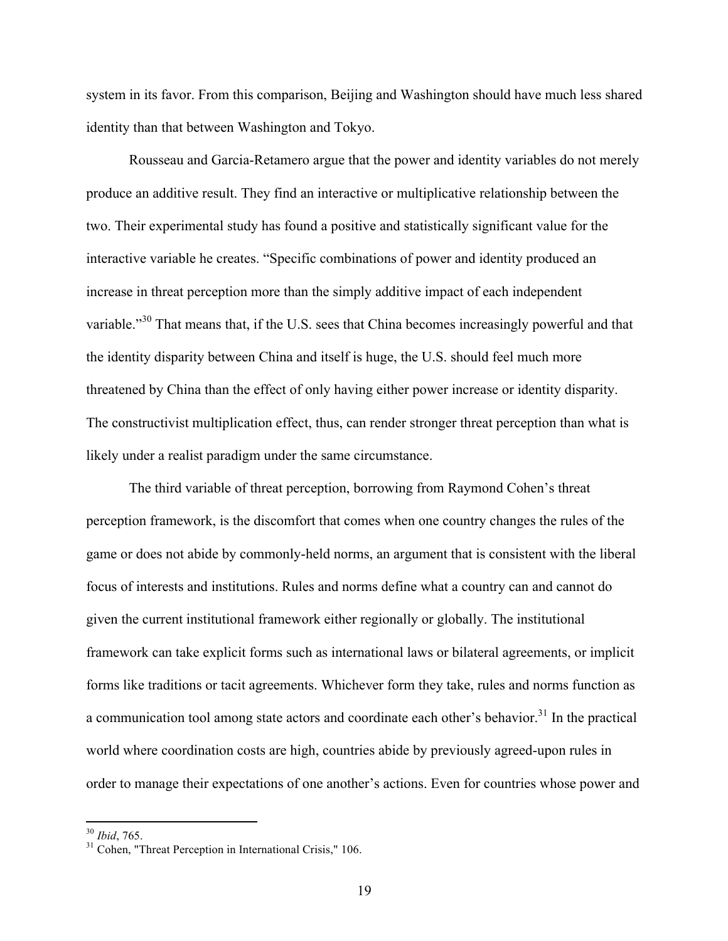system in its favor. From this comparison, Beijing and Washington should have much less shared identity than that between Washington and Tokyo.

Rousseau and Garcia-Retamero argue that the power and identity variables do not merely produce an additive result. They find an interactive or multiplicative relationship between the two. Their experimental study has found a positive and statistically significant value for the interactive variable he creates. "Specific combinations of power and identity produced an increase in threat perception more than the simply additive impact of each independent variable."<sup>30</sup> That means that, if the U.S. sees that China becomes increasingly powerful and that the identity disparity between China and itself is huge, the U.S. should feel much more threatened by China than the effect of only having either power increase or identity disparity. The constructivist multiplication effect, thus, can render stronger threat perception than what is likely under a realist paradigm under the same circumstance.

The third variable of threat perception, borrowing from Raymond Cohen's threat perception framework, is the discomfort that comes when one country changes the rules of the game or does not abide by commonly-held norms, an argument that is consistent with the liberal focus of interests and institutions. Rules and norms define what a country can and cannot do given the current institutional framework either regionally or globally. The institutional framework can take explicit forms such as international laws or bilateral agreements, or implicit forms like traditions or tacit agreements. Whichever form they take, rules and norms function as a communication tool among state actors and coordinate each other's behavior.<sup>31</sup> In the practical world where coordination costs are high, countries abide by previously agreed-upon rules in order to manage their expectations of one another's actions. Even for countries whose power and

<sup>&</sup>lt;sup>30</sup> *Ibid*, 765.<br><sup>31</sup> Cohen, "Threat Perception in International Crisis," 106.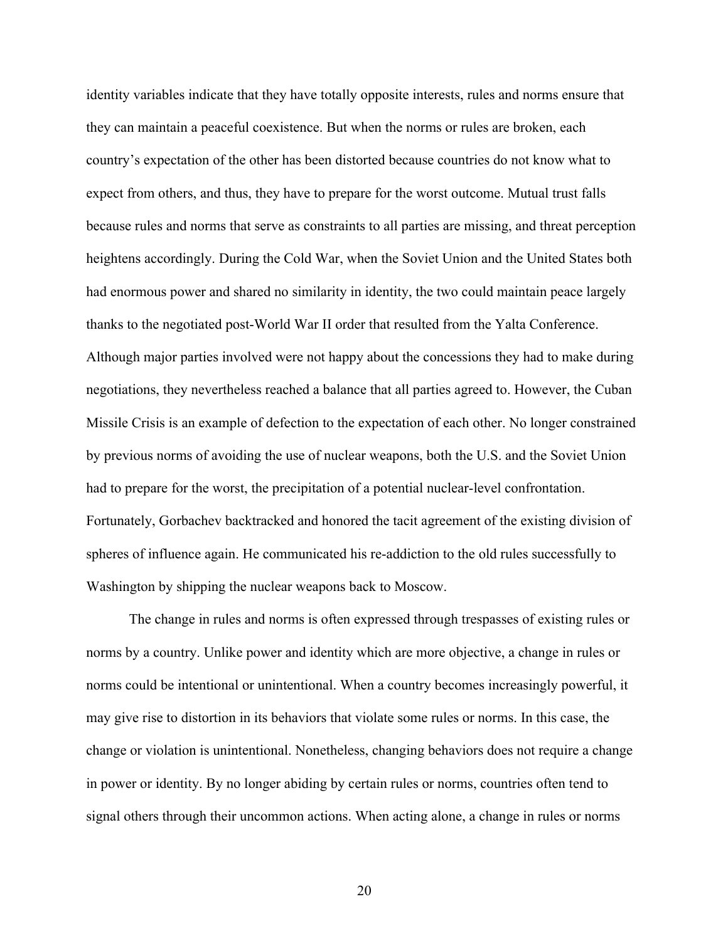identity variables indicate that they have totally opposite interests, rules and norms ensure that they can maintain a peaceful coexistence. But when the norms or rules are broken, each country's expectation of the other has been distorted because countries do not know what to expect from others, and thus, they have to prepare for the worst outcome. Mutual trust falls because rules and norms that serve as constraints to all parties are missing, and threat perception heightens accordingly. During the Cold War, when the Soviet Union and the United States both had enormous power and shared no similarity in identity, the two could maintain peace largely thanks to the negotiated post-World War II order that resulted from the Yalta Conference. Although major parties involved were not happy about the concessions they had to make during negotiations, they nevertheless reached a balance that all parties agreed to. However, the Cuban Missile Crisis is an example of defection to the expectation of each other. No longer constrained by previous norms of avoiding the use of nuclear weapons, both the U.S. and the Soviet Union had to prepare for the worst, the precipitation of a potential nuclear-level confrontation. Fortunately, Gorbachev backtracked and honored the tacit agreement of the existing division of spheres of influence again. He communicated his re-addiction to the old rules successfully to Washington by shipping the nuclear weapons back to Moscow.

The change in rules and norms is often expressed through trespasses of existing rules or norms by a country. Unlike power and identity which are more objective, a change in rules or norms could be intentional or unintentional. When a country becomes increasingly powerful, it may give rise to distortion in its behaviors that violate some rules or norms. In this case, the change or violation is unintentional. Nonetheless, changing behaviors does not require a change in power or identity. By no longer abiding by certain rules or norms, countries often tend to signal others through their uncommon actions. When acting alone, a change in rules or norms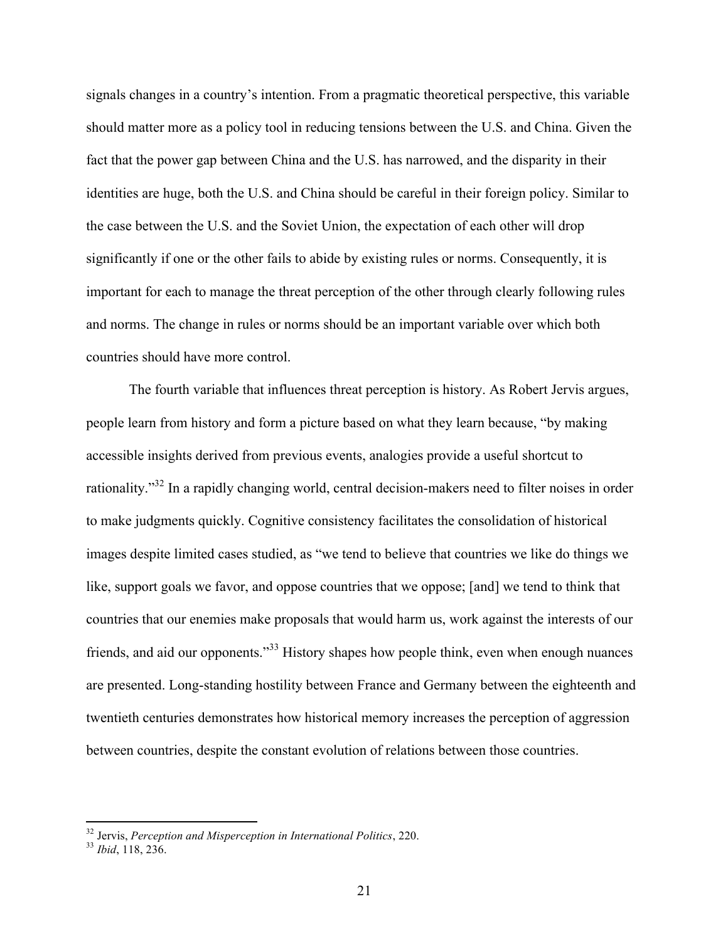signals changes in a country's intention. From a pragmatic theoretical perspective, this variable should matter more as a policy tool in reducing tensions between the U.S. and China. Given the fact that the power gap between China and the U.S. has narrowed, and the disparity in their identities are huge, both the U.S. and China should be careful in their foreign policy. Similar to the case between the U.S. and the Soviet Union, the expectation of each other will drop significantly if one or the other fails to abide by existing rules or norms. Consequently, it is important for each to manage the threat perception of the other through clearly following rules and norms. The change in rules or norms should be an important variable over which both countries should have more control.

The fourth variable that influences threat perception is history. As Robert Jervis argues, people learn from history and form a picture based on what they learn because, "by making accessible insights derived from previous events, analogies provide a useful shortcut to rationality."32 In a rapidly changing world, central decision-makers need to filter noises in order to make judgments quickly. Cognitive consistency facilitates the consolidation of historical images despite limited cases studied, as "we tend to believe that countries we like do things we like, support goals we favor, and oppose countries that we oppose; [and] we tend to think that countries that our enemies make proposals that would harm us, work against the interests of our friends, and aid our opponents."<sup>33</sup> History shapes how people think, even when enough nuances are presented. Long-standing hostility between France and Germany between the eighteenth and twentieth centuries demonstrates how historical memory increases the perception of aggression between countries, despite the constant evolution of relations between those countries.

 <sup>32</sup> Jervis, *Perception and Misperception in International Politics*, 220. <sup>33</sup> *Ibid*, 118, 236.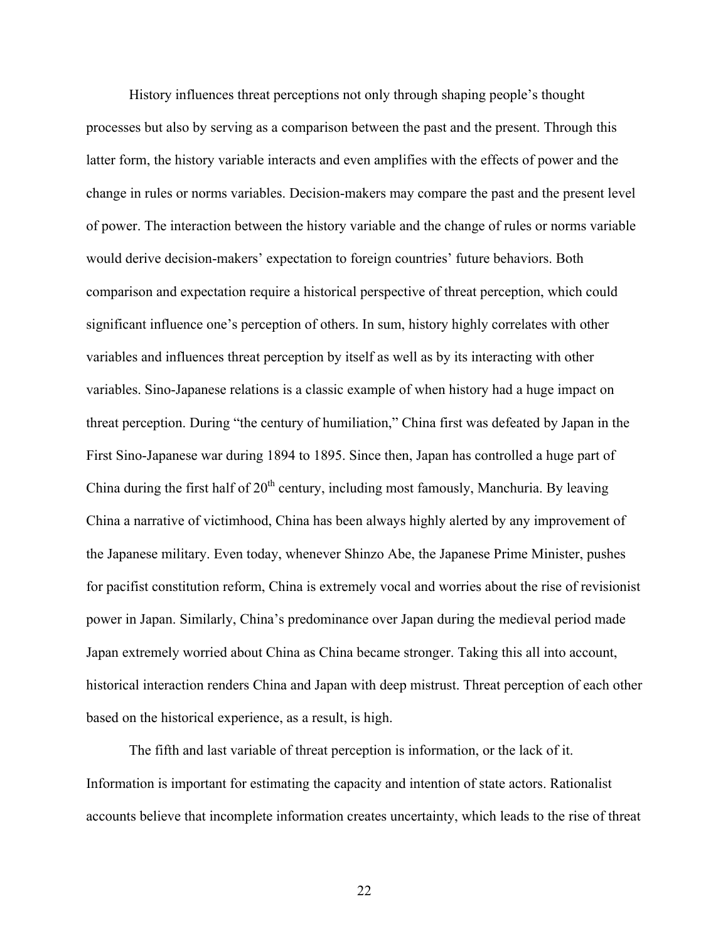History influences threat perceptions not only through shaping people's thought processes but also by serving as a comparison between the past and the present. Through this latter form, the history variable interacts and even amplifies with the effects of power and the change in rules or norms variables. Decision-makers may compare the past and the present level of power. The interaction between the history variable and the change of rules or norms variable would derive decision-makers' expectation to foreign countries' future behaviors. Both comparison and expectation require a historical perspective of threat perception, which could significant influence one's perception of others. In sum, history highly correlates with other variables and influences threat perception by itself as well as by its interacting with other variables. Sino-Japanese relations is a classic example of when history had a huge impact on threat perception. During "the century of humiliation," China first was defeated by Japan in the First Sino-Japanese war during 1894 to 1895. Since then, Japan has controlled a huge part of China during the first half of  $20<sup>th</sup>$  century, including most famously, Manchuria. By leaving China a narrative of victimhood, China has been always highly alerted by any improvement of the Japanese military. Even today, whenever Shinzo Abe, the Japanese Prime Minister, pushes for pacifist constitution reform, China is extremely vocal and worries about the rise of revisionist power in Japan. Similarly, China's predominance over Japan during the medieval period made Japan extremely worried about China as China became stronger. Taking this all into account, historical interaction renders China and Japan with deep mistrust. Threat perception of each other based on the historical experience, as a result, is high.

The fifth and last variable of threat perception is information, or the lack of it. Information is important for estimating the capacity and intention of state actors. Rationalist accounts believe that incomplete information creates uncertainty, which leads to the rise of threat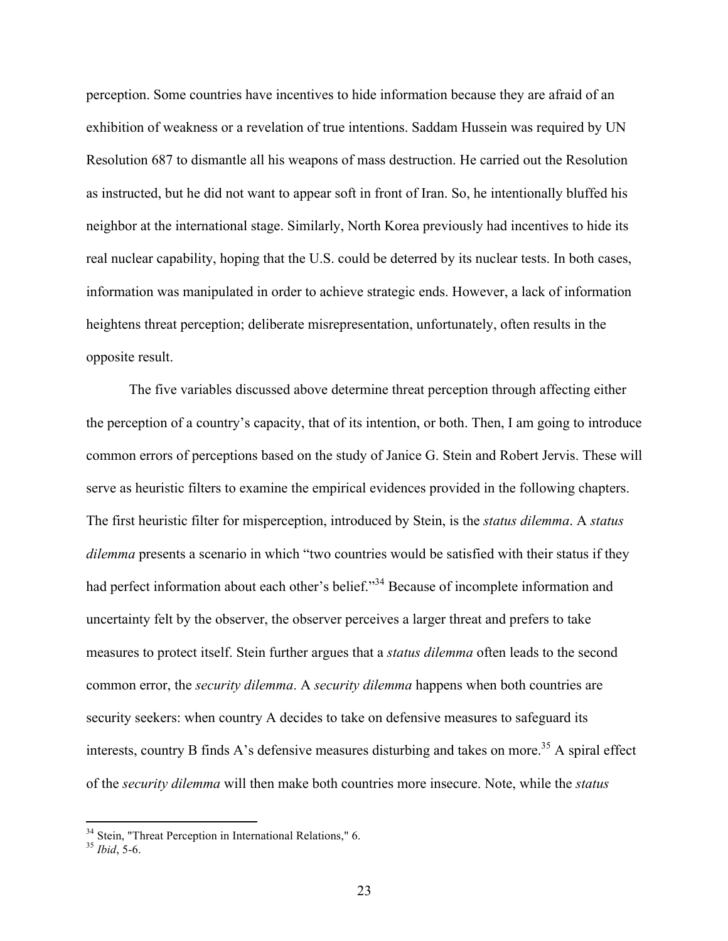perception. Some countries have incentives to hide information because they are afraid of an exhibition of weakness or a revelation of true intentions. Saddam Hussein was required by UN Resolution 687 to dismantle all his weapons of mass destruction. He carried out the Resolution as instructed, but he did not want to appear soft in front of Iran. So, he intentionally bluffed his neighbor at the international stage. Similarly, North Korea previously had incentives to hide its real nuclear capability, hoping that the U.S. could be deterred by its nuclear tests. In both cases, information was manipulated in order to achieve strategic ends. However, a lack of information heightens threat perception; deliberate misrepresentation, unfortunately, often results in the opposite result.

The five variables discussed above determine threat perception through affecting either the perception of a country's capacity, that of its intention, or both. Then, I am going to introduce common errors of perceptions based on the study of Janice G. Stein and Robert Jervis. These will serve as heuristic filters to examine the empirical evidences provided in the following chapters. The first heuristic filter for misperception, introduced by Stein, is the *status dilemma*. A *status dilemma* presents a scenario in which "two countries would be satisfied with their status if they had perfect information about each other's belief."<sup>34</sup> Because of incomplete information and uncertainty felt by the observer, the observer perceives a larger threat and prefers to take measures to protect itself. Stein further argues that a *status dilemma* often leads to the second common error, the *security dilemma*. A *security dilemma* happens when both countries are security seekers: when country A decides to take on defensive measures to safeguard its interests, country B finds A's defensive measures disturbing and takes on more.<sup>35</sup> A spiral effect of the *security dilemma* will then make both countries more insecure. Note, while the *status* 

 <sup>34</sup> Stein, "Threat Perception in International Relations," 6. <sup>35</sup> *Ibid*, 5-6.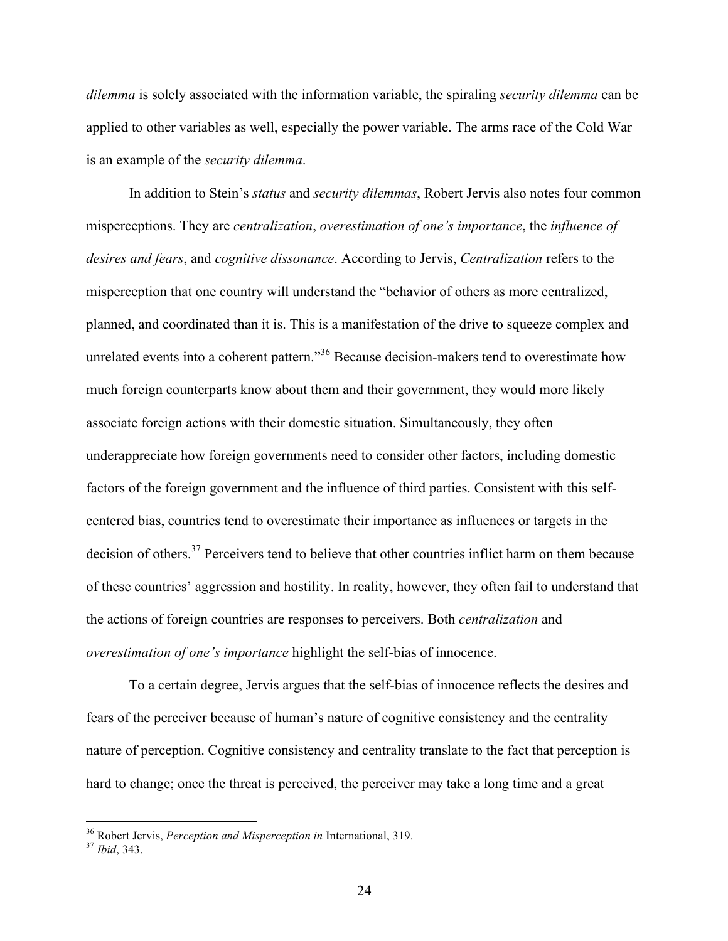*dilemma* is solely associated with the information variable, the spiraling *security dilemma* can be applied to other variables as well, especially the power variable. The arms race of the Cold War is an example of the *security dilemma*.

In addition to Stein's *status* and *security dilemmas*, Robert Jervis also notes four common misperceptions. They are *centralization*, *overestimation of one's importance*, the *influence of desires and fears*, and *cognitive dissonance*. According to Jervis, *Centralization* refers to the misperception that one country will understand the "behavior of others as more centralized, planned, and coordinated than it is. This is a manifestation of the drive to squeeze complex and unrelated events into a coherent pattern."<sup>36</sup> Because decision-makers tend to overestimate how much foreign counterparts know about them and their government, they would more likely associate foreign actions with their domestic situation. Simultaneously, they often underappreciate how foreign governments need to consider other factors, including domestic factors of the foreign government and the influence of third parties. Consistent with this selfcentered bias, countries tend to overestimate their importance as influences or targets in the decision of others.<sup>37</sup> Perceivers tend to believe that other countries inflict harm on them because of these countries' aggression and hostility. In reality, however, they often fail to understand that the actions of foreign countries are responses to perceivers. Both *centralization* and *overestimation of one's importance* highlight the self-bias of innocence.

To a certain degree, Jervis argues that the self-bias of innocence reflects the desires and fears of the perceiver because of human's nature of cognitive consistency and the centrality nature of perception. Cognitive consistency and centrality translate to the fact that perception is hard to change; once the threat is perceived, the perceiver may take a long time and a great

 <sup>36</sup> Robert Jervis, *Perception and Misperception in* International, 319. <sup>37</sup> *Ibid*, 343.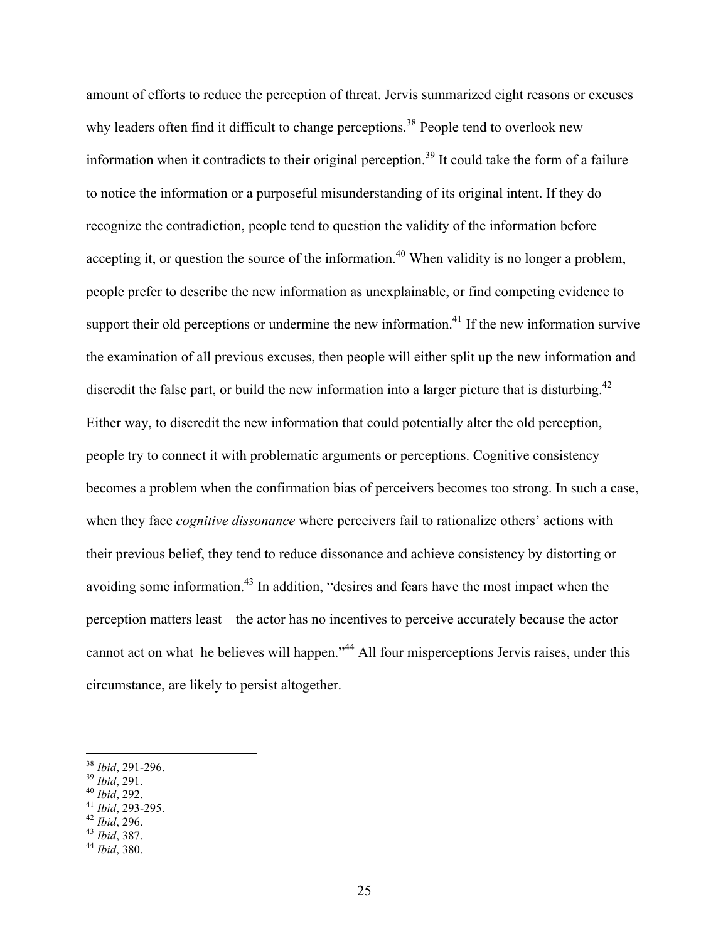amount of efforts to reduce the perception of threat. Jervis summarized eight reasons or excuses why leaders often find it difficult to change perceptions.<sup>38</sup> People tend to overlook new information when it contradicts to their original perception. <sup>39</sup> It could take the form of a failure to notice the information or a purposeful misunderstanding of its original intent. If they do recognize the contradiction, people tend to question the validity of the information before accepting it, or question the source of the information.<sup>40</sup> When validity is no longer a problem, people prefer to describe the new information as unexplainable, or find competing evidence to support their old perceptions or undermine the new information.<sup>41</sup> If the new information survive the examination of all previous excuses, then people will either split up the new information and discredit the false part, or build the new information into a larger picture that is disturbing.<sup>42</sup> Either way, to discredit the new information that could potentially alter the old perception, people try to connect it with problematic arguments or perceptions. Cognitive consistency becomes a problem when the confirmation bias of perceivers becomes too strong. In such a case, when they face *cognitive dissonance* where perceivers fail to rationalize others' actions with their previous belief, they tend to reduce dissonance and achieve consistency by distorting or avoiding some information.<sup>43</sup> In addition, "desires and fears have the most impact when the perception matters least—the actor has no incentives to perceive accurately because the actor cannot act on what he believes will happen."<sup>44</sup> All four misperceptions Jervis raises, under this circumstance, are likely to persist altogether.

- 
- 
- <sup>38</sup> *Ibid*, 291-296. <sup>39</sup> *Ibid*, 291. <sup>40</sup> *Ibid*, 292. <sup>41</sup> *Ibid*, 293-295. <sup>42</sup> *Ibid*, 296. <sup>43</sup> *Ibid*, 387. <sup>44</sup> *Ibid*, 380.
- 
-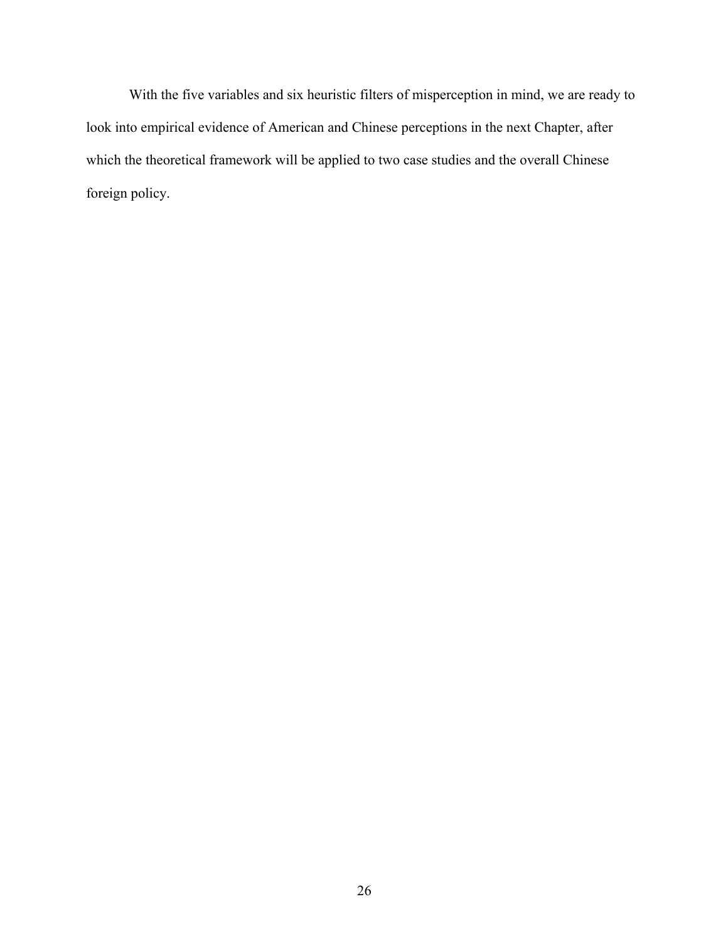With the five variables and six heuristic filters of misperception in mind, we are ready to look into empirical evidence of American and Chinese perceptions in the next Chapter, after which the theoretical framework will be applied to two case studies and the overall Chinese foreign policy.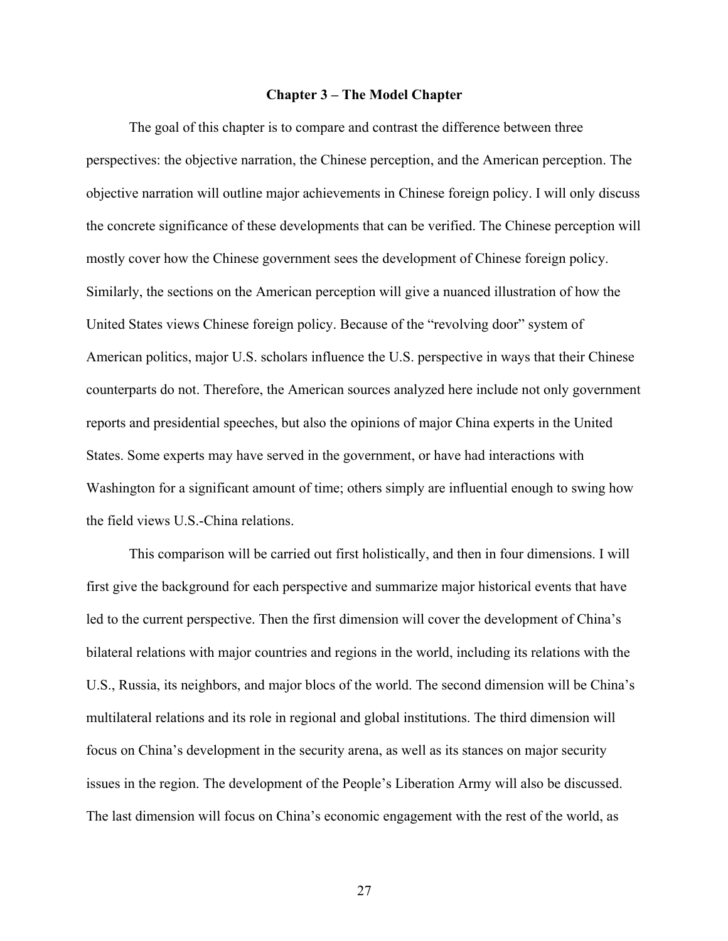### **Chapter 3 – The Model Chapter**

The goal of this chapter is to compare and contrast the difference between three perspectives: the objective narration, the Chinese perception, and the American perception. The objective narration will outline major achievements in Chinese foreign policy. I will only discuss the concrete significance of these developments that can be verified. The Chinese perception will mostly cover how the Chinese government sees the development of Chinese foreign policy. Similarly, the sections on the American perception will give a nuanced illustration of how the United States views Chinese foreign policy. Because of the "revolving door" system of American politics, major U.S. scholars influence the U.S. perspective in ways that their Chinese counterparts do not. Therefore, the American sources analyzed here include not only government reports and presidential speeches, but also the opinions of major China experts in the United States. Some experts may have served in the government, or have had interactions with Washington for a significant amount of time; others simply are influential enough to swing how the field views U.S.-China relations.

This comparison will be carried out first holistically, and then in four dimensions. I will first give the background for each perspective and summarize major historical events that have led to the current perspective. Then the first dimension will cover the development of China's bilateral relations with major countries and regions in the world, including its relations with the U.S., Russia, its neighbors, and major blocs of the world. The second dimension will be China's multilateral relations and its role in regional and global institutions. The third dimension will focus on China's development in the security arena, as well as its stances on major security issues in the region. The development of the People's Liberation Army will also be discussed. The last dimension will focus on China's economic engagement with the rest of the world, as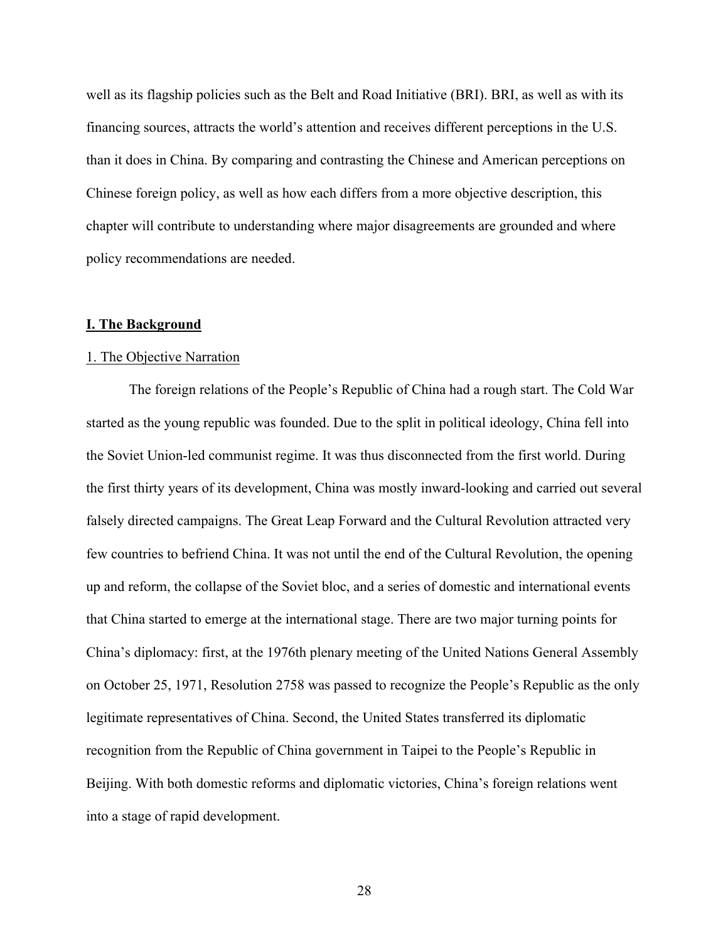well as its flagship policies such as the Belt and Road Initiative (BRI). BRI, as well as with its financing sources, attracts the world's attention and receives different perceptions in the U.S. than it does in China. By comparing and contrasting the Chinese and American perceptions on Chinese foreign policy, as well as how each differs from a more objective description, this chapter will contribute to understanding where major disagreements are grounded and where policy recommendations are needed.

#### **I. The Background**

# 1. The Objective Narration

The foreign relations of the People's Republic of China had a rough start. The Cold War started as the young republic was founded. Due to the split in political ideology, China fell into the Soviet Union-led communist regime. It was thus disconnected from the first world. During the first thirty years of its development, China was mostly inward-looking and carried out several falsely directed campaigns. The Great Leap Forward and the Cultural Revolution attracted very few countries to befriend China. It was not until the end of the Cultural Revolution, the opening up and reform, the collapse of the Soviet bloc, and a series of domestic and international events that China started to emerge at the international stage. There are two major turning points for China's diplomacy: first, at the 1976th plenary meeting of the United Nations General Assembly on October 25, 1971, Resolution 2758 was passed to recognize the People's Republic as the only legitimate representatives of China. Second, the United States transferred its diplomatic recognition from the Republic of China government in Taipei to the People's Republic in Beijing. With both domestic reforms and diplomatic victories, China's foreign relations went into a stage of rapid development.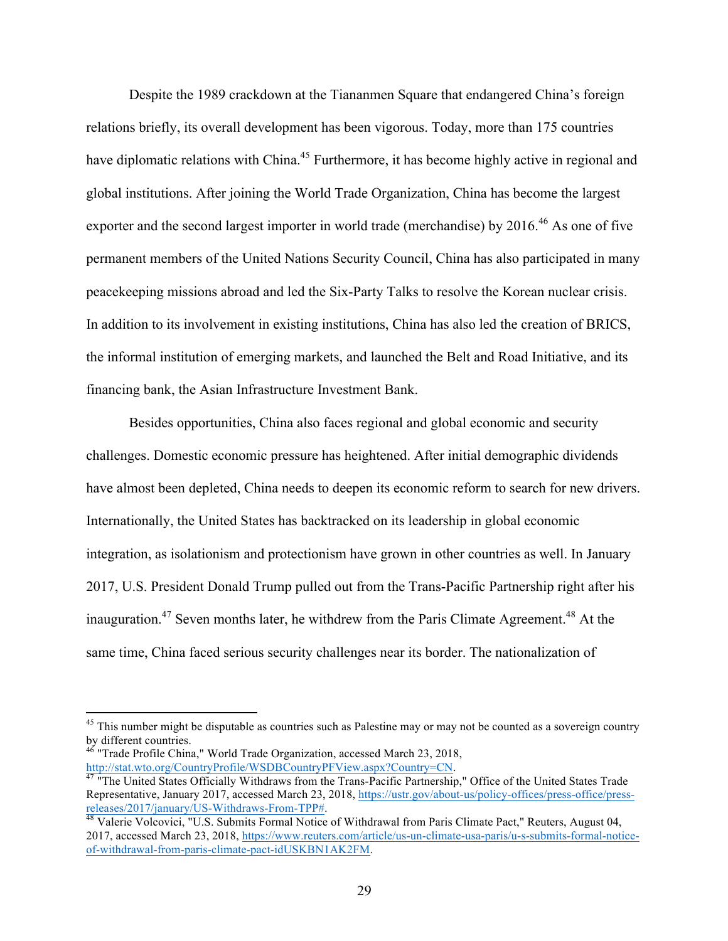Despite the 1989 crackdown at the Tiananmen Square that endangered China's foreign relations briefly, its overall development has been vigorous. Today, more than 175 countries have diplomatic relations with China.<sup>45</sup> Furthermore, it has become highly active in regional and global institutions. After joining the World Trade Organization, China has become the largest exporter and the second largest importer in world trade (merchandise) by 2016.<sup>46</sup> As one of five permanent members of the United Nations Security Council, China has also participated in many peacekeeping missions abroad and led the Six-Party Talks to resolve the Korean nuclear crisis. In addition to its involvement in existing institutions, China has also led the creation of BRICS, the informal institution of emerging markets, and launched the Belt and Road Initiative, and its financing bank, the Asian Infrastructure Investment Bank.

Besides opportunities, China also faces regional and global economic and security challenges. Domestic economic pressure has heightened. After initial demographic dividends have almost been depleted, China needs to deepen its economic reform to search for new drivers. Internationally, the United States has backtracked on its leadership in global economic integration, as isolationism and protectionism have grown in other countries as well. In January 2017, U.S. President Donald Trump pulled out from the Trans-Pacific Partnership right after his inauguration.<sup>47</sup> Seven months later, he withdrew from the Paris Climate Agreement.<sup>48</sup> At the same time, China faced serious security challenges near its border. The nationalization of

<sup>&</sup>lt;sup>45</sup> This number might be disputable as countries such as Palestine may or may not be counted as a sovereign country by different countries.

<sup>46</sup> "Trade Profile China," World Trade Organization, accessed March 23, 2018,

http://stat.wto.org/CountryProfile/WSDBCountryPFView.aspx?Country=CN.<br><sup>47</sup> "The United States Officially Withdraws from the Trans-Pacific Partnership," Office of the United States Trade Representative, January 2017, accessed March 23, 2018, https://ustr.gov/about-us/policy-offices/press-office/press-<br>releases/2017/january/US-Withdraws-From-TPP#.

<sup>&</sup>lt;sup>48</sup> Valerie Volcovici, "U.S. Submits Formal Notice of Withdrawal from Paris Climate Pact," Reuters, August 04, 2017, accessed March 23, 2018, https://www.reuters.com/article/us-un-climate-usa-paris/u-s-submits-formal-noticeof-withdrawal-from-paris-climate-pact-idUSKBN1AK2FM.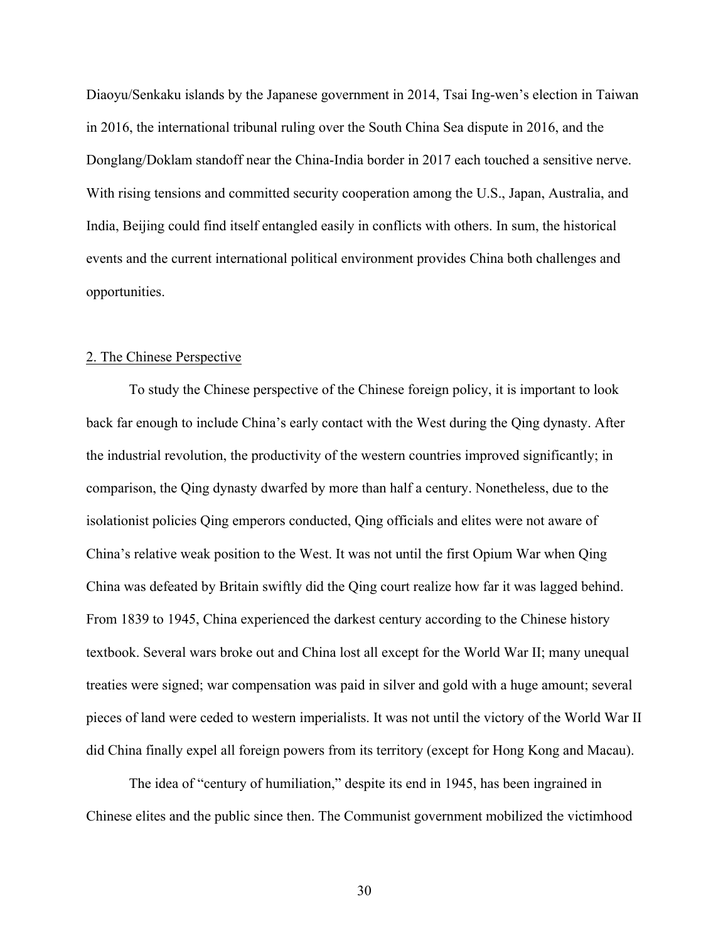Diaoyu/Senkaku islands by the Japanese government in 2014, Tsai Ing-wen's election in Taiwan in 2016, the international tribunal ruling over the South China Sea dispute in 2016, and the Donglang/Doklam standoff near the China-India border in 2017 each touched a sensitive nerve. With rising tensions and committed security cooperation among the U.S., Japan, Australia, and India, Beijing could find itself entangled easily in conflicts with others. In sum, the historical events and the current international political environment provides China both challenges and opportunities.

#### 2. The Chinese Perspective

To study the Chinese perspective of the Chinese foreign policy, it is important to look back far enough to include China's early contact with the West during the Qing dynasty. After the industrial revolution, the productivity of the western countries improved significantly; in comparison, the Qing dynasty dwarfed by more than half a century. Nonetheless, due to the isolationist policies Qing emperors conducted, Qing officials and elites were not aware of China's relative weak position to the West. It was not until the first Opium War when Qing China was defeated by Britain swiftly did the Qing court realize how far it was lagged behind. From 1839 to 1945, China experienced the darkest century according to the Chinese history textbook. Several wars broke out and China lost all except for the World War II; many unequal treaties were signed; war compensation was paid in silver and gold with a huge amount; several pieces of land were ceded to western imperialists. It was not until the victory of the World War II did China finally expel all foreign powers from its territory (except for Hong Kong and Macau).

The idea of "century of humiliation," despite its end in 1945, has been ingrained in Chinese elites and the public since then. The Communist government mobilized the victimhood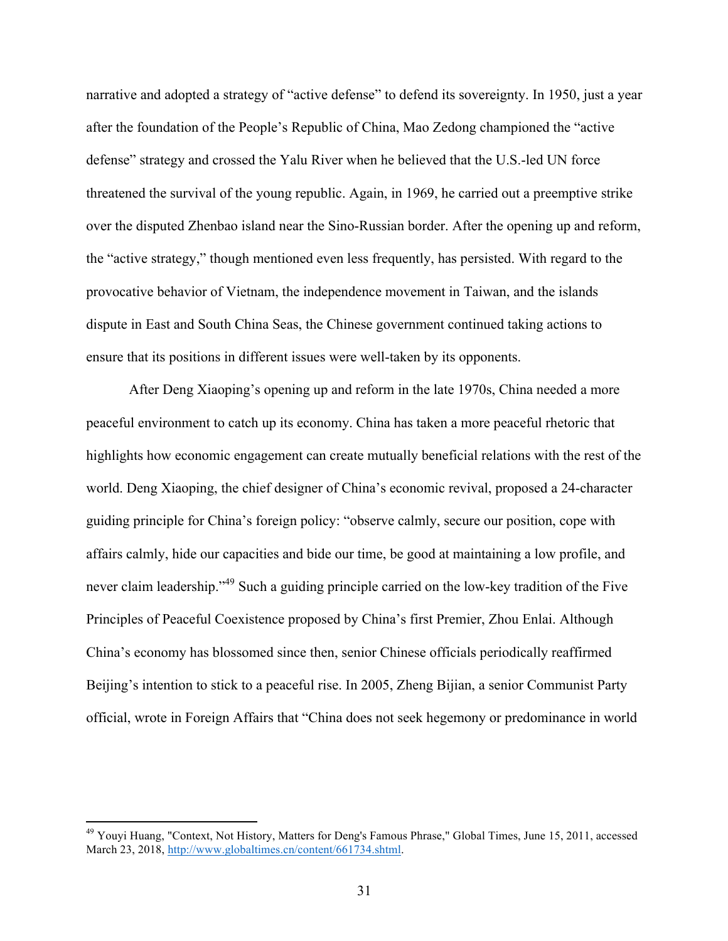narrative and adopted a strategy of "active defense" to defend its sovereignty. In 1950, just a year after the foundation of the People's Republic of China, Mao Zedong championed the "active defense" strategy and crossed the Yalu River when he believed that the U.S.-led UN force threatened the survival of the young republic. Again, in 1969, he carried out a preemptive strike over the disputed Zhenbao island near the Sino-Russian border. After the opening up and reform, the "active strategy," though mentioned even less frequently, has persisted. With regard to the provocative behavior of Vietnam, the independence movement in Taiwan, and the islands dispute in East and South China Seas, the Chinese government continued taking actions to ensure that its positions in different issues were well-taken by its opponents.

After Deng Xiaoping's opening up and reform in the late 1970s, China needed a more peaceful environment to catch up its economy. China has taken a more peaceful rhetoric that highlights how economic engagement can create mutually beneficial relations with the rest of the world. Deng Xiaoping, the chief designer of China's economic revival, proposed a 24-character guiding principle for China's foreign policy: "observe calmly, secure our position, cope with affairs calmly, hide our capacities and bide our time, be good at maintaining a low profile, and never claim leadership."<sup>49</sup> Such a guiding principle carried on the low-key tradition of the Five Principles of Peaceful Coexistence proposed by China's first Premier, Zhou Enlai. Although China's economy has blossomed since then, senior Chinese officials periodically reaffirmed Beijing's intention to stick to a peaceful rise. In 2005, Zheng Bijian, a senior Communist Party official, wrote in Foreign Affairs that "China does not seek hegemony or predominance in world

<sup>&</sup>lt;sup>49</sup> Youyi Huang, "Context, Not History, Matters for Deng's Famous Phrase," Global Times, June 15, 2011, accessed March 23, 2018, http://www.globaltimes.cn/content/661734.shtml.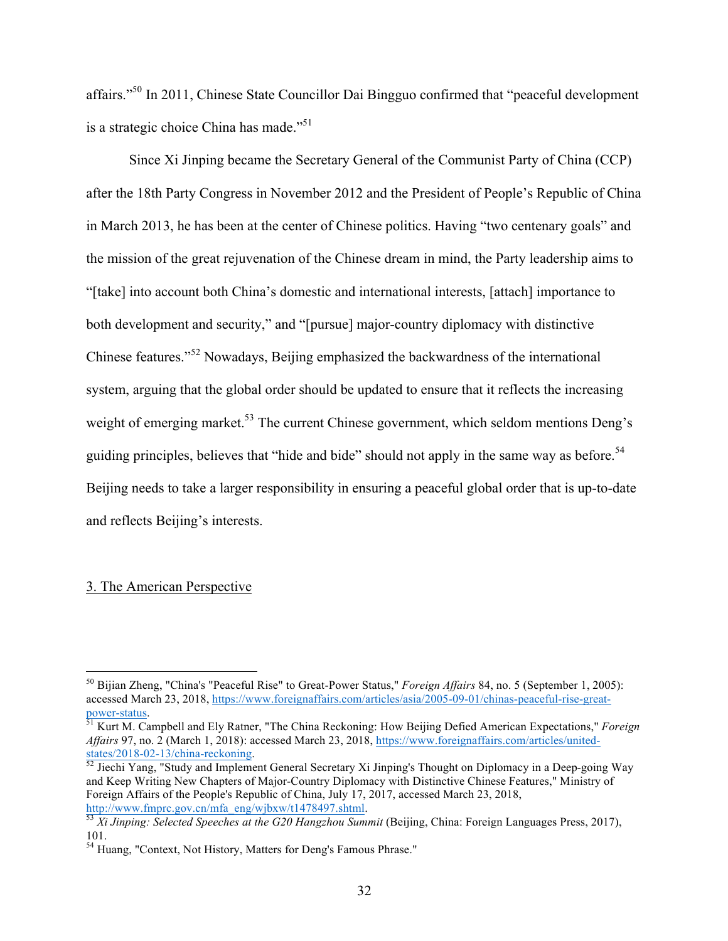affairs."50 In 2011, Chinese State Councillor Dai Bingguo confirmed that "peaceful development is a strategic choice China has made."<sup>51</sup>

Since Xi Jinping became the Secretary General of the Communist Party of China (CCP) after the 18th Party Congress in November 2012 and the President of People's Republic of China in March 2013, he has been at the center of Chinese politics. Having "two centenary goals" and the mission of the great rejuvenation of the Chinese dream in mind, the Party leadership aims to "[take] into account both China's domestic and international interests, [attach] importance to both development and security," and "[pursue] major-country diplomacy with distinctive Chinese features."<sup>52</sup> Nowadays, Beijing emphasized the backwardness of the international system, arguing that the global order should be updated to ensure that it reflects the increasing weight of emerging market.<sup>53</sup> The current Chinese government, which seldom mentions Deng's guiding principles, believes that "hide and bide" should not apply in the same way as before.<sup>54</sup> Beijing needs to take a larger responsibility in ensuring a peaceful global order that is up-to-date and reflects Beijing's interests.

# 3. The American Perspective

 <sup>50</sup> Bijian Zheng, "China's "Peaceful Rise" to Great-Power Status," *Foreign Affairs* 84, no. 5 (September 1, 2005): accessed March 23, 2018, https://www.foreignaffairs.com/articles/asia/2005-09-01/chinas-peaceful-rise-great-<br>power-status.

<sup>&</sup>lt;sup>51</sup> Kurt M. Campbell and Ely Ratner, "The China Reckoning: How Beijing Defied American Expectations," *Foreign Affairs* 97, no. 2 (March 1, 2018): accessed March 23, 2018, https://www.foreignaffairs.com/articles/unitedstates/2018-02-13/china-reckoning.<br><sup>52</sup> Jiechi Yang, "Study and Implement General Secretary Xi Jinping's Thought on Diplomacy in a Deep-going Way

and Keep Writing New Chapters of Major-Country Diplomacy with Distinctive Chinese Features," Ministry of Foreign Affairs of the People's Republic of China, July 17, 2017, accessed March 23, 2018, http://www.fmprc.gov.cn/mfa\_eng/wjbxw/t1478497.shtml. 53 *Xi Jinping: Selected Speeches at the G20 Hangzhou Summit* (Beijing, China: Foreign Languages Press, 2017),

<sup>101.</sup>

<sup>&</sup>lt;sup>54</sup> Huang, "Context, Not History, Matters for Deng's Famous Phrase."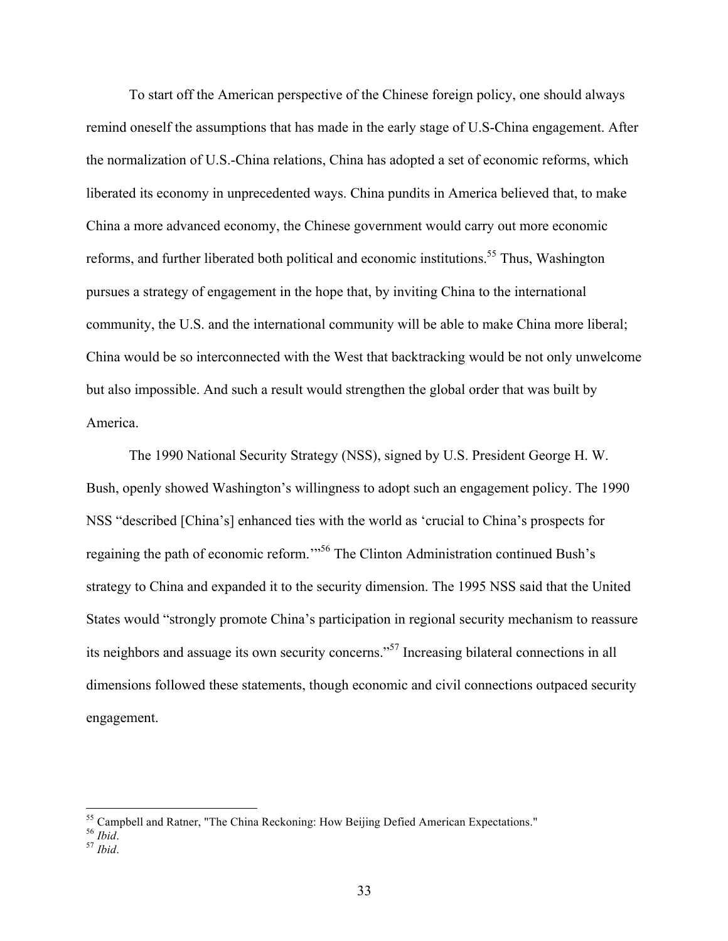To start off the American perspective of the Chinese foreign policy, one should always remind oneself the assumptions that has made in the early stage of U.S-China engagement. After the normalization of U.S.-China relations, China has adopted a set of economic reforms, which liberated its economy in unprecedented ways. China pundits in America believed that, to make China a more advanced economy, the Chinese government would carry out more economic reforms, and further liberated both political and economic institutions.<sup>55</sup> Thus, Washington pursues a strategy of engagement in the hope that, by inviting China to the international community, the U.S. and the international community will be able to make China more liberal; China would be so interconnected with the West that backtracking would be not only unwelcome but also impossible. And such a result would strengthen the global order that was built by America.

The 1990 National Security Strategy (NSS), signed by U.S. President George H. W. Bush, openly showed Washington's willingness to adopt such an engagement policy. The 1990 NSS "described [China's] enhanced ties with the world as 'crucial to China's prospects for regaining the path of economic reform.'"<sup>56</sup> The Clinton Administration continued Bush's strategy to China and expanded it to the security dimension. The 1995 NSS said that the United States would "strongly promote China's participation in regional security mechanism to reassure its neighbors and assuage its own security concerns."<sup>57</sup> Increasing bilateral connections in all dimensions followed these statements, though economic and civil connections outpaced security engagement.

 <sup>55</sup> Campbell and Ratner, "The China Reckoning: How Beijing Defied American Expectations." 56 *Ibid*. <sup>57</sup> *Ibid*.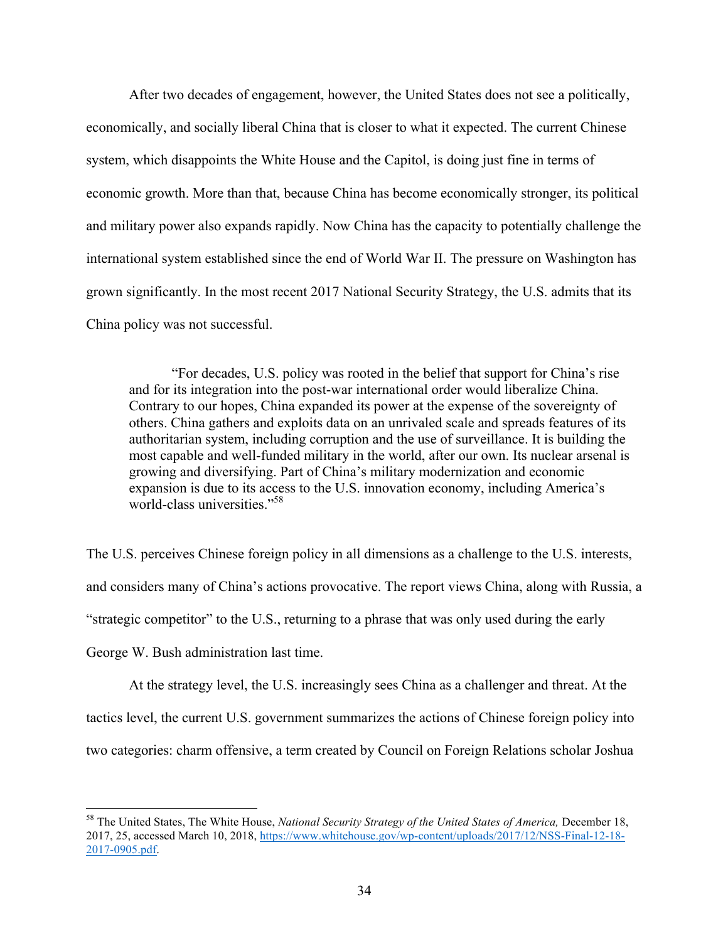After two decades of engagement, however, the United States does not see a politically, economically, and socially liberal China that is closer to what it expected. The current Chinese system, which disappoints the White House and the Capitol, is doing just fine in terms of economic growth. More than that, because China has become economically stronger, its political and military power also expands rapidly. Now China has the capacity to potentially challenge the international system established since the end of World War II. The pressure on Washington has grown significantly. In the most recent 2017 National Security Strategy, the U.S. admits that its China policy was not successful.

"For decades, U.S. policy was rooted in the belief that support for China's rise and for its integration into the post-war international order would liberalize China. Contrary to our hopes, China expanded its power at the expense of the sovereignty of others. China gathers and exploits data on an unrivaled scale and spreads features of its authoritarian system, including corruption and the use of surveillance. It is building the most capable and well-funded military in the world, after our own. Its nuclear arsenal is growing and diversifying. Part of China's military modernization and economic expansion is due to its access to the U.S. innovation economy, including America's world-class universities."58

The U.S. perceives Chinese foreign policy in all dimensions as a challenge to the U.S. interests, and considers many of China's actions provocative. The report views China, along with Russia, a "strategic competitor" to the U.S., returning to a phrase that was only used during the early George W. Bush administration last time.

At the strategy level, the U.S. increasingly sees China as a challenger and threat. At the tactics level, the current U.S. government summarizes the actions of Chinese foreign policy into two categories: charm offensive, a term created by Council on Foreign Relations scholar Joshua

 <sup>58</sup> The United States, The White House, *National Security Strategy of the United States of America,* December 18, 2017, 25, accessed March 10, 2018, https://www.whitehouse.gov/wp-content/uploads/2017/12/NSS-Final-12-18- 2017-0905.pdf.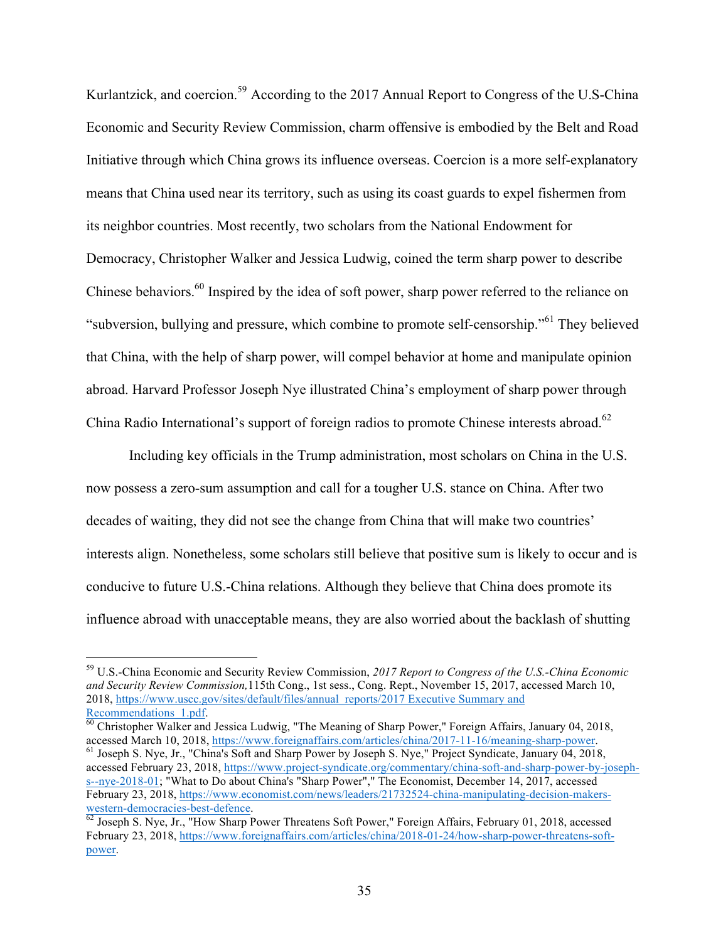Kurlantzick, and coercion.<sup>59</sup> According to the 2017 Annual Report to Congress of the U.S-China Economic and Security Review Commission, charm offensive is embodied by the Belt and Road Initiative through which China grows its influence overseas. Coercion is a more self-explanatory means that China used near its territory, such as using its coast guards to expel fishermen from its neighbor countries. Most recently, two scholars from the National Endowment for Democracy, Christopher Walker and Jessica Ludwig, coined the term sharp power to describe Chinese behaviors.<sup>60</sup> Inspired by the idea of soft power, sharp power referred to the reliance on "subversion, bullying and pressure, which combine to promote self-censorship."<sup>61</sup> They believed that China, with the help of sharp power, will compel behavior at home and manipulate opinion abroad. Harvard Professor Joseph Nye illustrated China's employment of sharp power through China Radio International's support of foreign radios to promote Chinese interests abroad.<sup>62</sup>

Including key officials in the Trump administration, most scholars on China in the U.S. now possess a zero-sum assumption and call for a tougher U.S. stance on China. After two decades of waiting, they did not see the change from China that will make two countries' interests align. Nonetheless, some scholars still believe that positive sum is likely to occur and is conducive to future U.S.-China relations. Although they believe that China does promote its influence abroad with unacceptable means, they are also worried about the backlash of shutting

 $\frac{1}{60}$  Christopher Walker and Jessica Ludwig, "The Meaning of Sharp Power," Foreign Affairs, January 04, 2018, accessed March 10, 2018, https://www.foreignaffairs.com/articles/china/2017-11-16/meaning-sharp-power.

 $61$  Joseph S. Nye, Jr., "China's Soft and Sharp Power by Joseph S. Nye," Project Syndicate, January 04, 2018, accessed February 23, 2018, https://www.project-syndicate.org/commentary/china-soft-and-sharp-power-by-josephs--nye-2018-01; "What to Do about China's "Sharp Power"," The Economist, December 14, 2017, accessed February 23, 2018, https://www.economist.com/news/leaders/21732524-china-manipulating-decision-makerswestern-democracies-best-defence.<br><sup>62</sup> Joseph S. Nye, Jr., "How Sharp Power Threatens Soft Power," Foreign Affairs, February 01, 2018, accessed

 <sup>59</sup> U.S.-China Economic and Security Review Commission, *2017 Report to Congress of the U.S.-China Economic and Security Review Commission,*115th Cong., 1st sess., Cong. Rept., November 15, 2017, accessed March 10, 2018, https://www.uscc.gov/sites/default/files/annual\_reports/2017 Executive Summary and Recommendations 1.pdf.

February 23, 2018, https://www.foreignaffairs.com/articles/china/2018-01-24/how-sharp-power-threatens-softpower.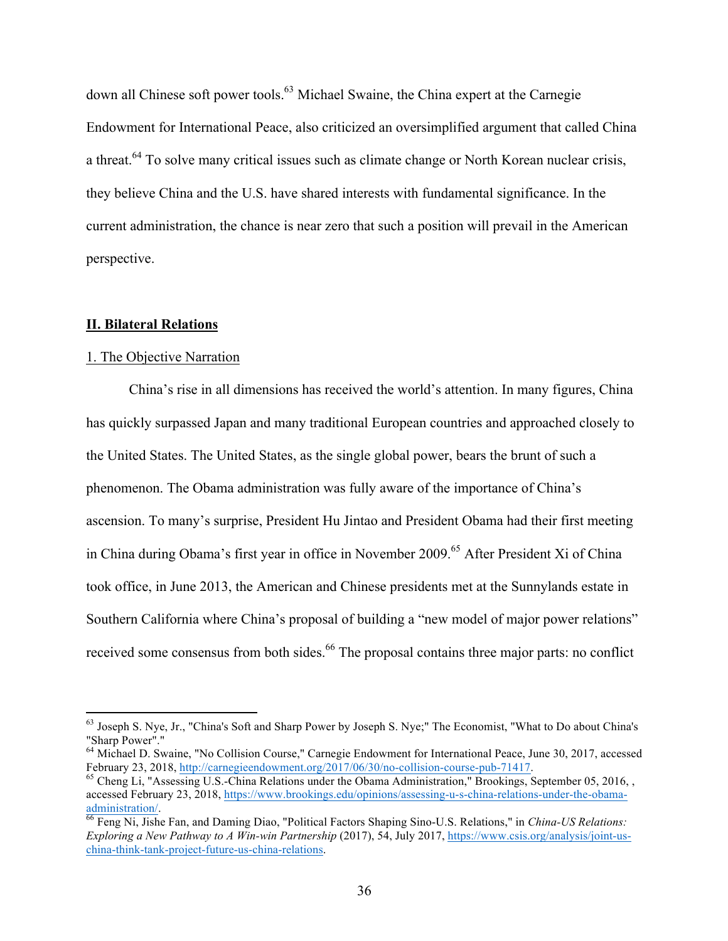down all Chinese soft power tools.<sup>63</sup> Michael Swaine, the China expert at the Carnegie Endowment for International Peace, also criticized an oversimplified argument that called China a threat.<sup>64</sup> To solve many critical issues such as climate change or North Korean nuclear crisis, they believe China and the U.S. have shared interests with fundamental significance. In the current administration, the chance is near zero that such a position will prevail in the American perspective.

## **II. Bilateral Relations**

#### 1. The Objective Narration

China's rise in all dimensions has received the world's attention. In many figures, China has quickly surpassed Japan and many traditional European countries and approached closely to the United States. The United States, as the single global power, bears the brunt of such a phenomenon. The Obama administration was fully aware of the importance of China's ascension. To many's surprise, President Hu Jintao and President Obama had their first meeting in China during Obama's first year in office in November 2009.<sup>65</sup> After President Xi of China took office, in June 2013, the American and Chinese presidents met at the Sunnylands estate in Southern California where China's proposal of building a "new model of major power relations" received some consensus from both sides.<sup>66</sup> The proposal contains three major parts: no conflict

<sup>&</sup>lt;sup>63</sup> Joseph S. Nye, Jr., "China's Soft and Sharp Power by Joseph S. Nye;" The Economist, "What to Do about China's "Sharp Power"."

 $^{64}$  Michael D. Swaine, "No Collision Course," Carnegie Endowment for International Peace, June 30, 2017, accessed February 23, 2018, http://carnegieendowment.org/2017/06/30/no-collision-course-pub-71417.

 $^{65}$  Cheng Li, "Assessing U.S.-China Relations under the Obama Administration." Brookings, September 05, 2016, , accessed February 23, 2018, https://www.brookings.edu/opinions/assessing-u-s-china-relations-under-the-obama-<br>administration/.

 $\overline{66}$  Feng Ni, Jishe Fan, and Daming Diao, "Political Factors Shaping Sino-U.S. Relations," in *China-US Relations: Exploring a New Pathway to A Win-win Partnership* (2017), 54, July 2017, https://www.csis.org/analysis/joint-uschina-think-tank-project-future-us-china-relations.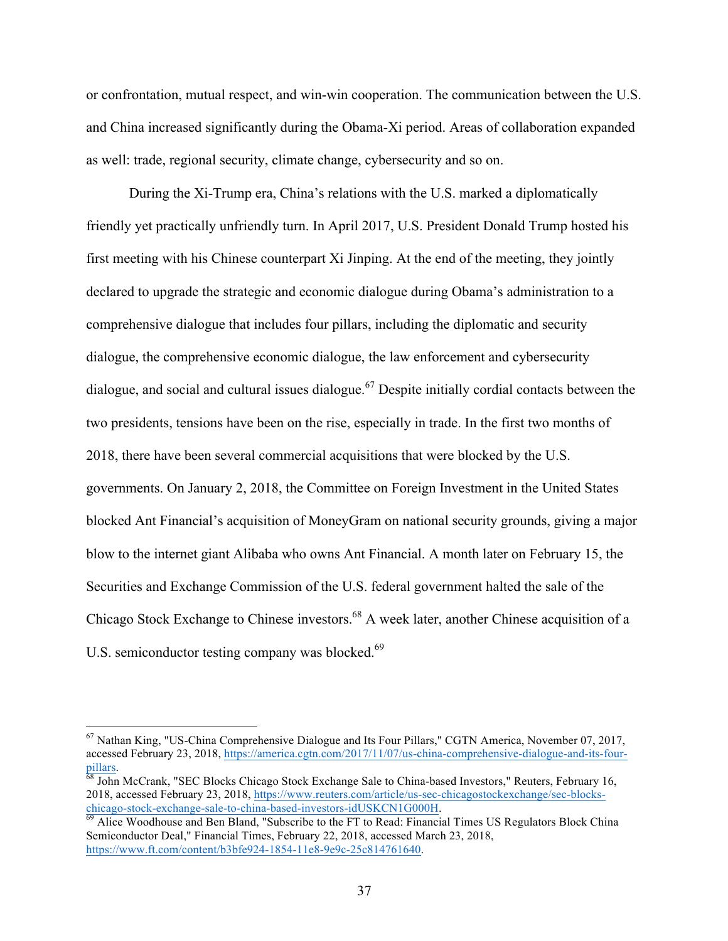or confrontation, mutual respect, and win-win cooperation. The communication between the U.S. and China increased significantly during the Obama-Xi period. Areas of collaboration expanded as well: trade, regional security, climate change, cybersecurity and so on.

During the Xi-Trump era, China's relations with the U.S. marked a diplomatically friendly yet practically unfriendly turn. In April 2017, U.S. President Donald Trump hosted his first meeting with his Chinese counterpart Xi Jinping. At the end of the meeting, they jointly declared to upgrade the strategic and economic dialogue during Obama's administration to a comprehensive dialogue that includes four pillars, including the diplomatic and security dialogue, the comprehensive economic dialogue, the law enforcement and cybersecurity dialogue, and social and cultural issues dialogue.<sup>67</sup> Despite initially cordial contacts between the two presidents, tensions have been on the rise, especially in trade. In the first two months of 2018, there have been several commercial acquisitions that were blocked by the U.S. governments. On January 2, 2018, the Committee on Foreign Investment in the United States blocked Ant Financial's acquisition of MoneyGram on national security grounds, giving a major blow to the internet giant Alibaba who owns Ant Financial. A month later on February 15, the Securities and Exchange Commission of the U.S. federal government halted the sale of the Chicago Stock Exchange to Chinese investors.<sup>68</sup> A week later, another Chinese acquisition of a U.S. semiconductor testing company was blocked.<sup>69</sup>

 <sup>67</sup> Nathan King, "US-China Comprehensive Dialogue and Its Four Pillars," CGTN America, November 07, 2017, accessed February 23, 2018, https://america.cgtn.com/2017/11/07/us-china-comprehensive-dialogue-and-its-fourpillars.<br><sup>68</sup> John McCrank, "SEC Blocks Chicago Stock Exchange Sale to China-based Investors," Reuters, February 16,

<sup>2018,</sup> accessed February 23, 2018, https://www.reuters.com/article/us-sec-chicagostockexchange/sec-blockschicago-stock-exchange-sale-to-china-based-investors-idUSKCN1G000H.<br><sup>69</sup> Alice Woodhouse and Ben Bland, "Subscribe to the FT to Read: Financial Times US Regulators Block China

Semiconductor Deal," Financial Times, February 22, 2018, accessed March 23, 2018, https://www.ft.com/content/b3bfe924-1854-11e8-9e9c-25c814761640.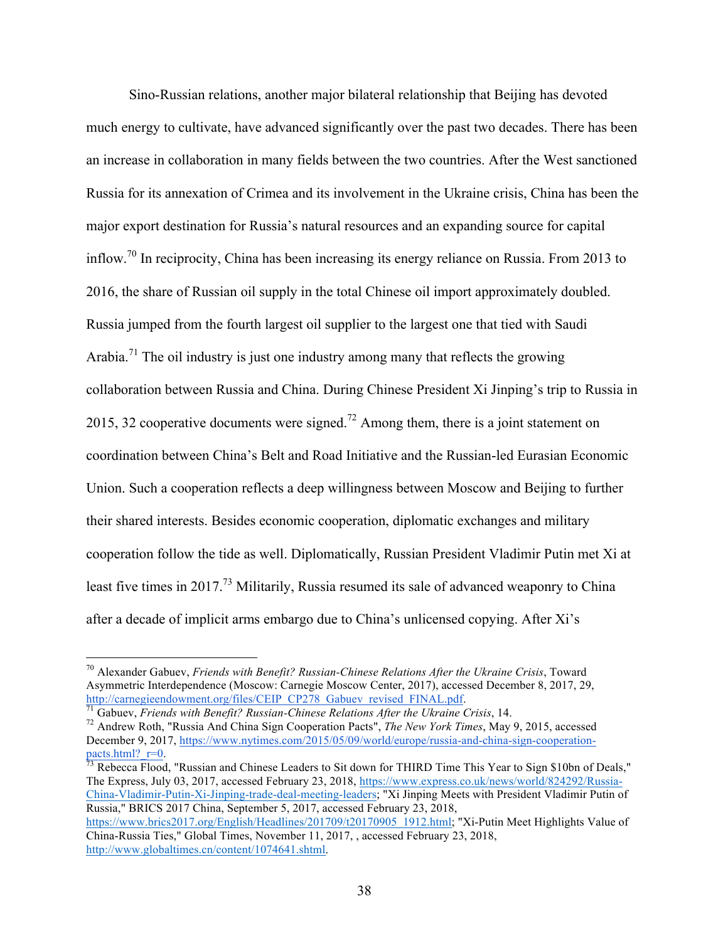Sino-Russian relations, another major bilateral relationship that Beijing has devoted much energy to cultivate, have advanced significantly over the past two decades. There has been an increase in collaboration in many fields between the two countries. After the West sanctioned Russia for its annexation of Crimea and its involvement in the Ukraine crisis, China has been the major export destination for Russia's natural resources and an expanding source for capital inflow.70 In reciprocity, China has been increasing its energy reliance on Russia. From 2013 to 2016, the share of Russian oil supply in the total Chinese oil import approximately doubled. Russia jumped from the fourth largest oil supplier to the largest one that tied with Saudi Arabia.<sup>71</sup> The oil industry is just one industry among many that reflects the growing collaboration between Russia and China. During Chinese President Xi Jinping's trip to Russia in 2015, 32 cooperative documents were signed.<sup>72</sup> Among them, there is a joint statement on coordination between China's Belt and Road Initiative and the Russian-led Eurasian Economic Union. Such a cooperation reflects a deep willingness between Moscow and Beijing to further their shared interests. Besides economic cooperation, diplomatic exchanges and military cooperation follow the tide as well. Diplomatically, Russian President Vladimir Putin met Xi at least five times in 2017.<sup>73</sup> Militarily, Russia resumed its sale of advanced weaponry to China after a decade of implicit arms embargo due to China's unlicensed copying. After Xi's

 $\frac{73}{12}$  Rebecca Flood, "Russian and Chinese Leaders to Sit down for THIRD Time This Year to Sign \$10bn of Deals," The Express, July 03, 2017, accessed February 23, 2018, https://www.express.co.uk/news/world/824292/Russia-China-Vladimir-Putin-Xi-Jinping-trade-deal-meeting-leaders; "Xi Jinping Meets with President Vladimir Putin of Russia," BRICS 2017 China, September 5, 2017, accessed February 23, 2018,

 <sup>70</sup> Alexander Gabuev, *Friends with Benefit? Russian-Chinese Relations After the Ukraine Crisis*, Toward Asymmetric Interdependence (Moscow: Carnegie Moscow Center, 2017), accessed December 8, 2017, 29, http://carnegieendowment.org/files/CEIP CP278 Gabuev revised FINAL.pdf.

 $\frac{71}{71}$  Gabuev, Friends with Benefit? Russian-Chinese Relations After the Ukraine Crisis, 14.<br><sup>72</sup> Andrew Roth, "Russia And China Sign Cooperation Pacts", *The New York Times*, May 9, 2015, accessed December 9, 2017, https://www.nytimes.com/2015/05/09/world/europe/russia-and-china-sign-cooperation-<br>pacts.html? r=0.

https://www.brics2017.org/English/Headlines/201709/t20170905\_1912.html; "Xi-Putin Meet Highlights Value of China-Russia Ties," Global Times, November 11, 2017, , accessed February 23, 2018, http://www.globaltimes.cn/content/1074641.shtml.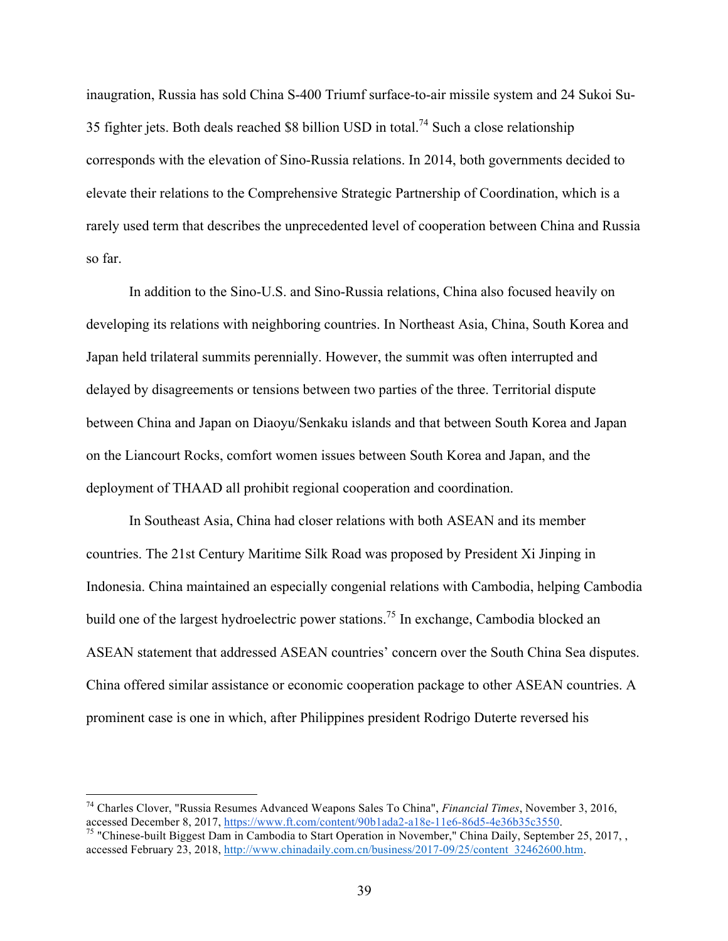inaugration, Russia has sold China S-400 Triumf surface-to-air missile system and 24 Sukoi Su-35 fighter jets. Both deals reached \$8 billion USD in total.<sup>74</sup> Such a close relationship corresponds with the elevation of Sino-Russia relations. In 2014, both governments decided to elevate their relations to the Comprehensive Strategic Partnership of Coordination, which is a rarely used term that describes the unprecedented level of cooperation between China and Russia so far.

In addition to the Sino-U.S. and Sino-Russia relations, China also focused heavily on developing its relations with neighboring countries. In Northeast Asia, China, South Korea and Japan held trilateral summits perennially. However, the summit was often interrupted and delayed by disagreements or tensions between two parties of the three. Territorial dispute between China and Japan on Diaoyu/Senkaku islands and that between South Korea and Japan on the Liancourt Rocks, comfort women issues between South Korea and Japan, and the deployment of THAAD all prohibit regional cooperation and coordination.

In Southeast Asia, China had closer relations with both ASEAN and its member countries. The 21st Century Maritime Silk Road was proposed by President Xi Jinping in Indonesia. China maintained an especially congenial relations with Cambodia, helping Cambodia build one of the largest hydroelectric power stations.<sup>75</sup> In exchange, Cambodia blocked an ASEAN statement that addressed ASEAN countries' concern over the South China Sea disputes. China offered similar assistance or economic cooperation package to other ASEAN countries. A prominent case is one in which, after Philippines president Rodrigo Duterte reversed his

 <sup>74</sup> Charles Clover, "Russia Resumes Advanced Weapons Sales To China", *Financial Times*, November 3, 2016, accessed December 8, 2017, https://www.ft.com/content/90b1ada2-a18e-11e6-86d5-4e36b35c3550.<br><sup>75</sup> "Chinese-built Biggest Dam in Cambodia to Start Operation in November," China Daily, September 25, 2017, , accessed February 23, 2018, http://www.chinadaily.com.cn/business/2017-09/25/content\_32462600.htm.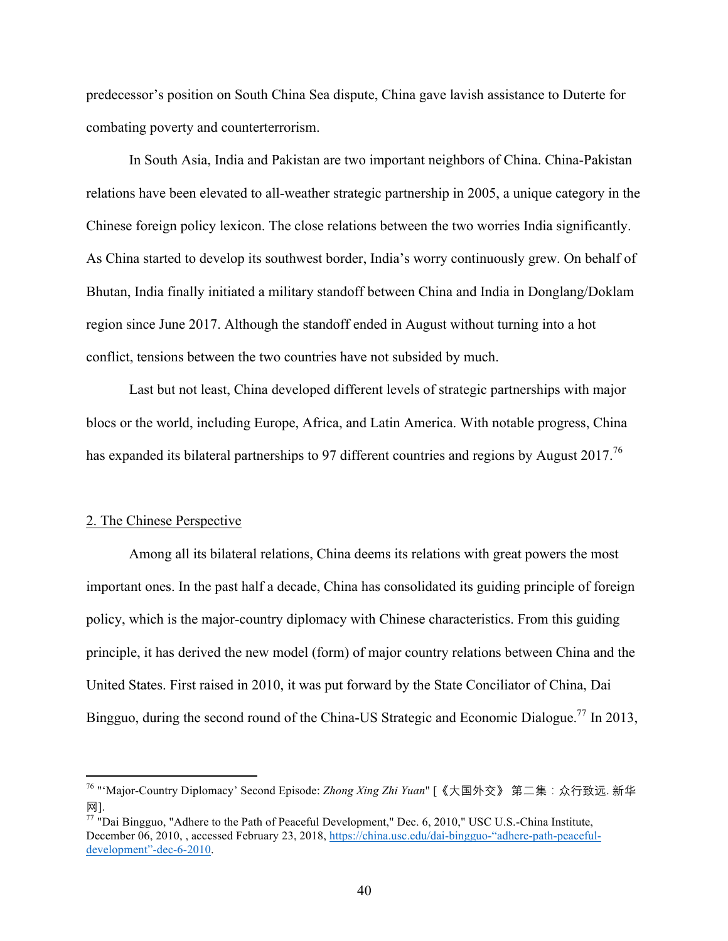predecessor's position on South China Sea dispute, China gave lavish assistance to Duterte for combating poverty and counterterrorism.

In South Asia, India and Pakistan are two important neighbors of China. China-Pakistan relations have been elevated to all-weather strategic partnership in 2005, a unique category in the Chinese foreign policy lexicon. The close relations between the two worries India significantly. As China started to develop its southwest border, India's worry continuously grew. On behalf of Bhutan, India finally initiated a military standoff between China and India in Donglang/Doklam region since June 2017. Although the standoff ended in August without turning into a hot conflict, tensions between the two countries have not subsided by much.

Last but not least, China developed different levels of strategic partnerships with major blocs or the world, including Europe, Africa, and Latin America. With notable progress, China has expanded its bilateral partnerships to 97 different countries and regions by August 2017.<sup>76</sup>

## 2. The Chinese Perspective

 

Among all its bilateral relations, China deems its relations with great powers the most important ones. In the past half a decade, China has consolidated its guiding principle of foreign policy, which is the major-country diplomacy with Chinese characteristics. From this guiding principle, it has derived the new model (form) of major country relations between China and the United States. First raised in 2010, it was put forward by the State Conciliator of China, Dai Bingguo, during the second round of the China-US Strategic and Economic Dialogue.<sup>77</sup> In 2013,

<sup>76</sup> "'Major-Country Diplomacy' Second Episode: *Zhong Xing Zhi Yuan*" [《大国外交》 第二集:众行致远. 新华 网].

<sup>77</sup> "Dai Bingguo, "Adhere to the Path of Peaceful Development," Dec. 6, 2010," USC U.S.-China Institute, December 06, 2010, , accessed February 23, 2018, https://china.usc.edu/dai-bingguo-"adhere-path-peacefuldevelopment"-dec-6-2010.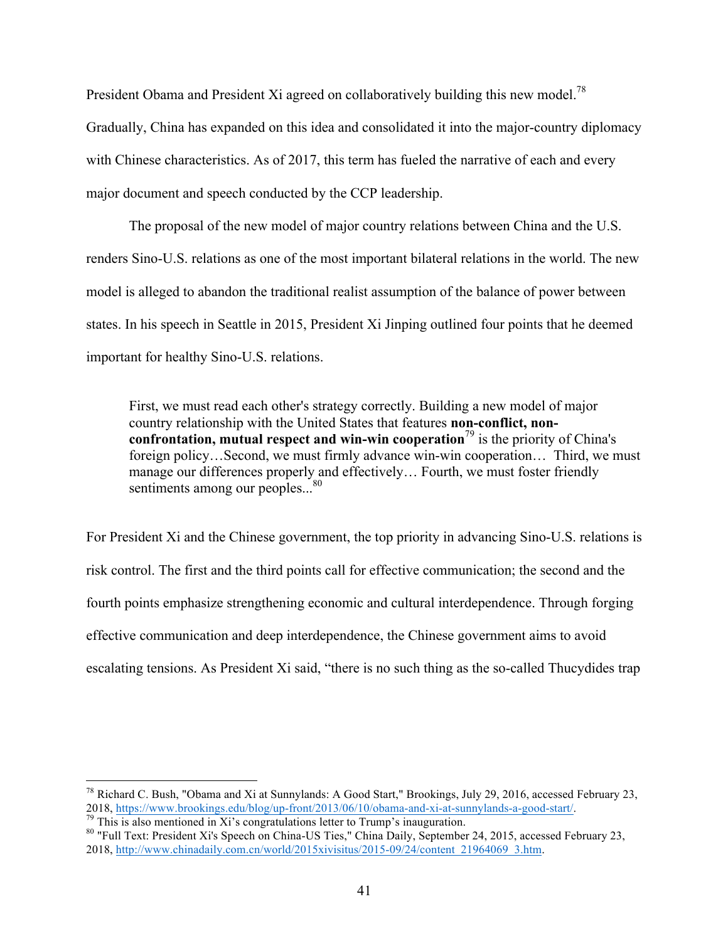President Obama and President Xi agreed on collaboratively building this new model.<sup>78</sup> Gradually, China has expanded on this idea and consolidated it into the major-country diplomacy with Chinese characteristics. As of 2017, this term has fueled the narrative of each and every major document and speech conducted by the CCP leadership.

The proposal of the new model of major country relations between China and the U.S. renders Sino-U.S. relations as one of the most important bilateral relations in the world. The new model is alleged to abandon the traditional realist assumption of the balance of power between states. In his speech in Seattle in 2015, President Xi Jinping outlined four points that he deemed important for healthy Sino-U.S. relations.

First, we must read each other's strategy correctly. Building a new model of major country relationship with the United States that features **non-conflict, nonconfrontation, mutual respect and win-win cooperation**<sup>79</sup> is the priority of China's foreign policy…Second, we must firmly advance win-win cooperation… Third, we must manage our differences properly and effectively… Fourth, we must foster friendly sentiments among our peoples...<sup>80</sup>

For President Xi and the Chinese government, the top priority in advancing Sino-U.S. relations is risk control. The first and the third points call for effective communication; the second and the fourth points emphasize strengthening economic and cultural interdependence. Through forging effective communication and deep interdependence, the Chinese government aims to avoid escalating tensions. As President Xi said, "there is no such thing as the so-called Thucydides trap

 <sup>78</sup> Richard C. Bush, "Obama and Xi at Sunnylands: A Good Start," Brookings, July 29, 2016, accessed February 23, 2018, https://www.brookings.edu/blog/up-front/2013/06/10/obama-and-xi-at-sunnylands-a-good-start/.<br><sup>79</sup> This is also mentioned in Xi's congratulations letter to Trump's inauguration.<br><sup>80</sup> "Full Text: President Xi's Speech

<sup>2018,</sup> http://www.chinadaily.com.cn/world/2015xivisitus/2015-09/24/content\_21964069\_3.htm.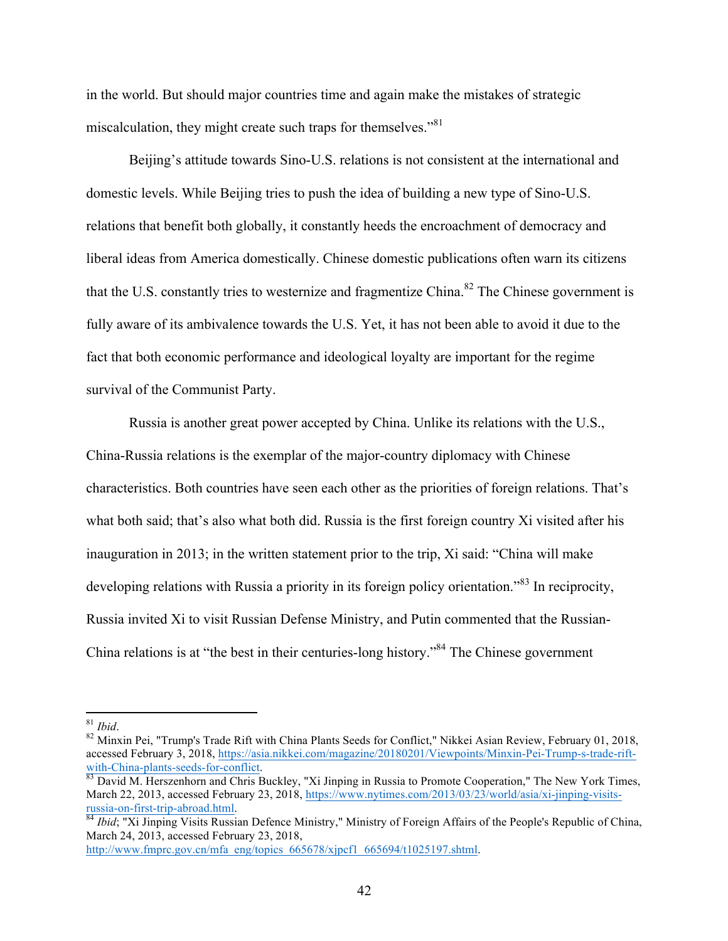in the world. But should major countries time and again make the mistakes of strategic miscalculation, they might create such traps for themselves."<sup>81</sup>

Beijing's attitude towards Sino-U.S. relations is not consistent at the international and domestic levels. While Beijing tries to push the idea of building a new type of Sino-U.S. relations that benefit both globally, it constantly heeds the encroachment of democracy and liberal ideas from America domestically. Chinese domestic publications often warn its citizens that the U.S. constantly tries to westernize and fragmentize China.<sup>82</sup> The Chinese government is fully aware of its ambivalence towards the U.S. Yet, it has not been able to avoid it due to the fact that both economic performance and ideological loyalty are important for the regime survival of the Communist Party.

Russia is another great power accepted by China. Unlike its relations with the U.S., China-Russia relations is the exemplar of the major-country diplomacy with Chinese characteristics. Both countries have seen each other as the priorities of foreign relations. That's what both said; that's also what both did. Russia is the first foreign country Xi visited after his inauguration in 2013; in the written statement prior to the trip, Xi said: "China will make developing relations with Russia a priority in its foreign policy orientation.<sup>83</sup> In reciprocity, Russia invited Xi to visit Russian Defense Ministry, and Putin commented that the Russian-China relations is at "the best in their centuries-long history."84 The Chinese government

http://www.fmprc.gov.cn/mfa\_eng/topics\_665678/xjpcf1\_665694/t1025197.shtml.

<sup>&</sup>lt;sup>81</sup> *Ibid.* 82 *Ibid.* 82 *Ibid.* 82 Minxin Pei. "Trump's Trade Rift with China Plants Seeds for Conflict," Nikkei Asian Review, February 01, 2018, accessed February 3, 2018, https://asia.nikkei.com/magazine/20180201/Viewpoints/Minxin-Pei-Trump-s-trade-riftwith-China-plants-seeds-for-conflict.<br><sup>83</sup> David M. Herszenhorn and Chris Buckley, "Xi Jinping in Russia to Promote Cooperation," The New York Times,

March 22, 2013, accessed February 23, 2018, https://www.nytimes.com/2013/03/23/world/asia/xi-jinping-visits-

russia-on-first-trip-abroad.html. 84 *Ibid*; "Xi Jinping Visits Russian Defence Ministry," Ministry of Foreign Affairs of the People's Republic of China, March 24, 2013, accessed February 23, 2018,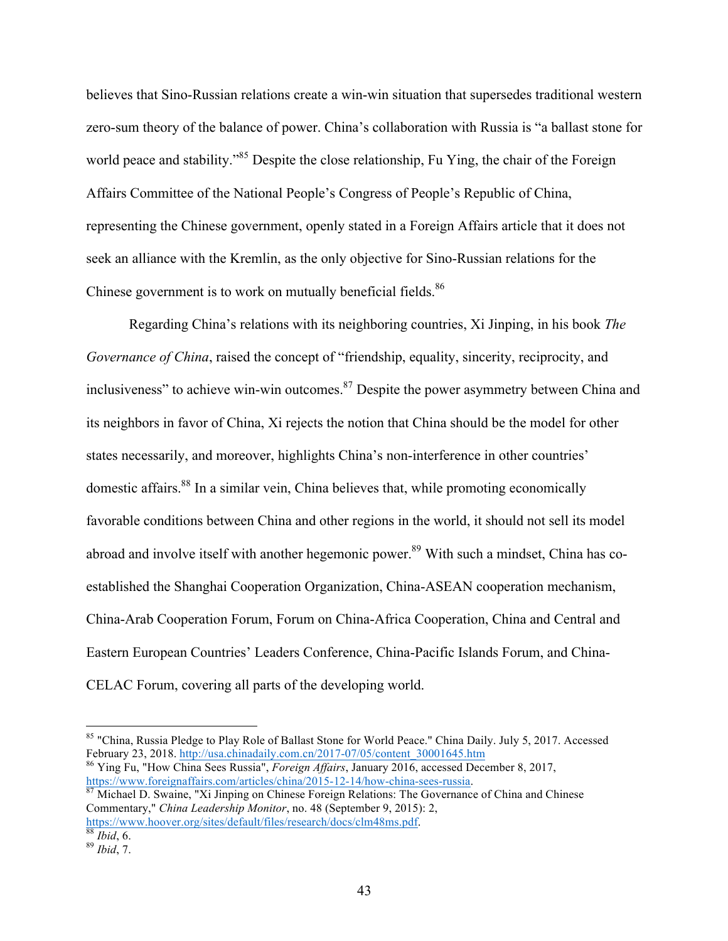believes that Sino-Russian relations create a win-win situation that supersedes traditional western zero-sum theory of the balance of power. China's collaboration with Russia is "a ballast stone for world peace and stability."<sup>85</sup> Despite the close relationship, Fu Ying, the chair of the Foreign Affairs Committee of the National People's Congress of People's Republic of China, representing the Chinese government, openly stated in a Foreign Affairs article that it does not seek an alliance with the Kremlin, as the only objective for Sino-Russian relations for the Chinese government is to work on mutually beneficial fields.<sup>86</sup>

Regarding China's relations with its neighboring countries, Xi Jinping, in his book *The Governance of China*, raised the concept of "friendship, equality, sincerity, reciprocity, and inclusiveness" to achieve win-win outcomes.<sup>87</sup> Despite the power asymmetry between China and its neighbors in favor of China, Xi rejects the notion that China should be the model for other states necessarily, and moreover, highlights China's non-interference in other countries' domestic affairs.<sup>88</sup> In a similar vein, China believes that, while promoting economically favorable conditions between China and other regions in the world, it should not sell its model abroad and involve itself with another hegemonic power.<sup>89</sup> With such a mindset, China has coestablished the Shanghai Cooperation Organization, China-ASEAN cooperation mechanism, China-Arab Cooperation Forum, Forum on China-Africa Cooperation, China and Central and Eastern European Countries' Leaders Conference, China-Pacific Islands Forum, and China-CELAC Forum, covering all parts of the developing world.

https://www.foreignaffairs.com/articles/china/2015-12-14/how-china-sees-russia. <sup>87</sup> Michael D. Swaine, "Xi Jinping on Chinese Foreign Relations: The Governance of China and Chinese

<sup>&</sup>lt;sup>85</sup> "China, Russia Pledge to Play Role of Ballast Stone for World Peace." China Daily. July 5, 2017. Accessed February 23, 2018. http://usa.chinadaily.com.cn/2017-07/05/content\_30001645.htm <sup>86</sup> Ying Fu, "How China Sees Russia", *Foreign Affairs*, January 2016, accessed December 8, 2017,

Commentary," *China Leadership Monitor*, no. 48 (September 9, 2015): 2, https://www.hoover.org/sites/default/files/research/docs/clm48ms.pdf. 88 *Ibid*, 6. <sup>89</sup> *Ibid*, 7.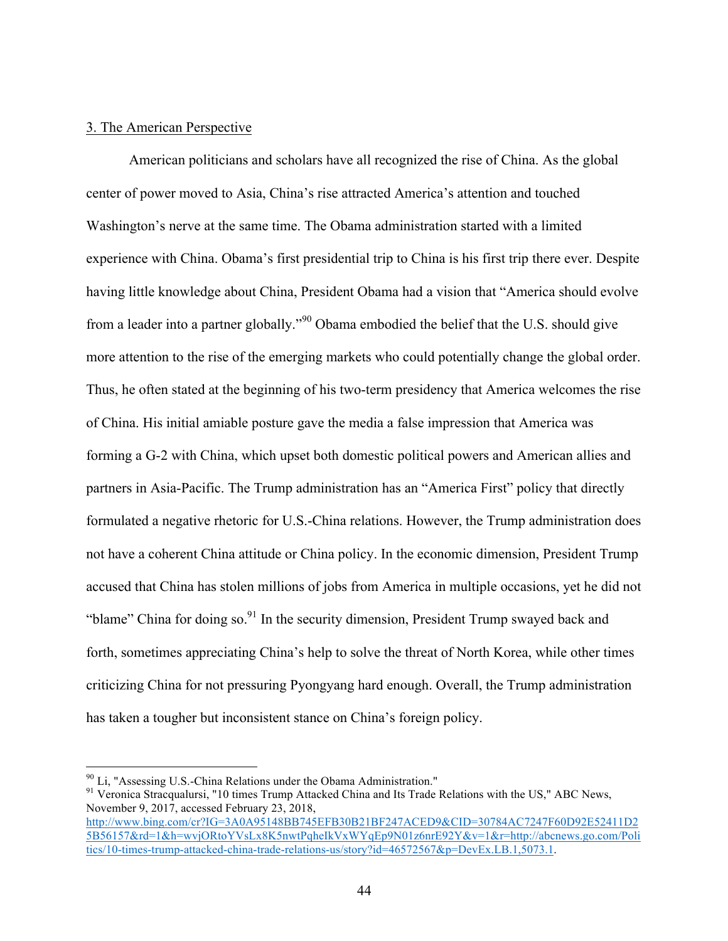## 3. The American Perspective

American politicians and scholars have all recognized the rise of China. As the global center of power moved to Asia, China's rise attracted America's attention and touched Washington's nerve at the same time. The Obama administration started with a limited experience with China. Obama's first presidential trip to China is his first trip there ever. Despite having little knowledge about China, President Obama had a vision that "America should evolve from a leader into a partner globally."<sup>90</sup> Obama embodied the belief that the U.S. should give more attention to the rise of the emerging markets who could potentially change the global order. Thus, he often stated at the beginning of his two-term presidency that America welcomes the rise of China. His initial amiable posture gave the media a false impression that America was forming a G-2 with China, which upset both domestic political powers and American allies and partners in Asia-Pacific. The Trump administration has an "America First" policy that directly formulated a negative rhetoric for U.S.-China relations. However, the Trump administration does not have a coherent China attitude or China policy. In the economic dimension, President Trump accused that China has stolen millions of jobs from America in multiple occasions, yet he did not "blame" China for doing so.<sup>91</sup> In the security dimension, President Trump swayed back and forth, sometimes appreciating China's help to solve the threat of North Korea, while other times criticizing China for not pressuring Pyongyang hard enough. Overall, the Trump administration has taken a tougher but inconsistent stance on China's foreign policy.

 

 $\frac{90}{91}$  Li, "Assessing U.S.-China Relations under the Obama Administration."<br><sup>91</sup> Veronica Stracqualursi, "10 times Trump Attacked China and Its Trade Relations with the US," ABC News, November 9, 2017, accessed February 23, 2018, http://www.bing.com/cr?IG=3A0A95148BB745EFB30B21BF247ACED9&CID=30784AC7247F60D92E52411D2

<sup>5</sup>B56157&rd=1&h=wvjORtoYVsLx8K5nwtPqheIkVxWYqEp9N01z6nrE92Y&v=1&r=http://abcnews.go.com/Poli tics/10-times-trump-attacked-china-trade-relations-us/story?id=46572567&p=DevEx.LB.1,5073.1.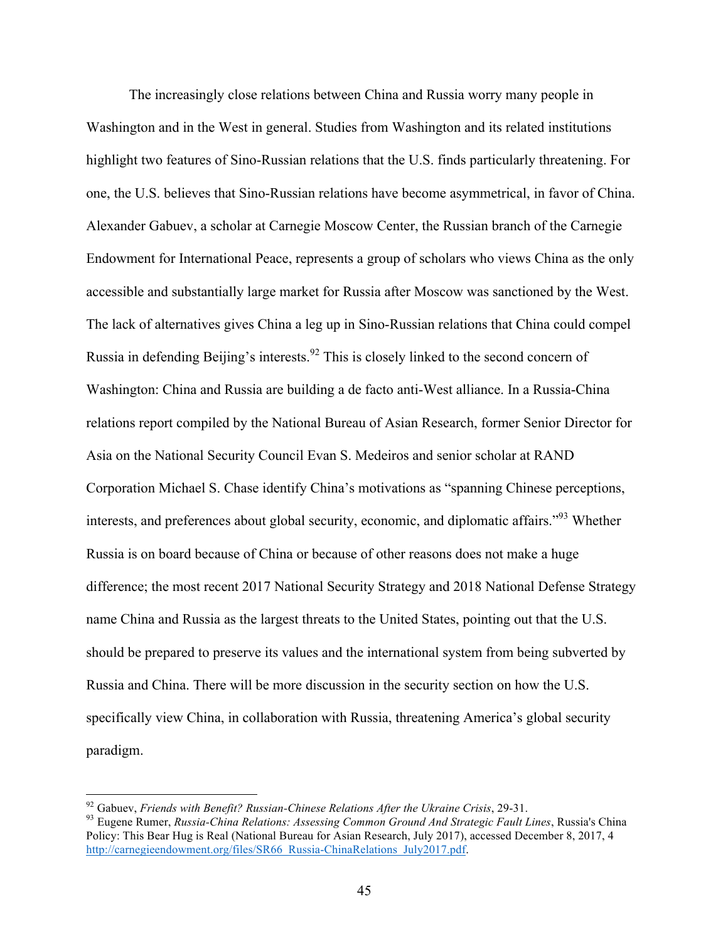The increasingly close relations between China and Russia worry many people in Washington and in the West in general. Studies from Washington and its related institutions highlight two features of Sino-Russian relations that the U.S. finds particularly threatening. For one, the U.S. believes that Sino-Russian relations have become asymmetrical, in favor of China. Alexander Gabuev, a scholar at Carnegie Moscow Center, the Russian branch of the Carnegie Endowment for International Peace, represents a group of scholars who views China as the only accessible and substantially large market for Russia after Moscow was sanctioned by the West. The lack of alternatives gives China a leg up in Sino-Russian relations that China could compel Russia in defending Beijing's interests.<sup>92</sup> This is closely linked to the second concern of Washington: China and Russia are building a de facto anti-West alliance. In a Russia-China relations report compiled by the National Bureau of Asian Research, former Senior Director for Asia on the National Security Council Evan S. Medeiros and senior scholar at RAND Corporation Michael S. Chase identify China's motivations as "spanning Chinese perceptions, interests, and preferences about global security, economic, and diplomatic affairs."93 Whether Russia is on board because of China or because of other reasons does not make a huge difference; the most recent 2017 National Security Strategy and 2018 National Defense Strategy name China and Russia as the largest threats to the United States, pointing out that the U.S. should be prepared to preserve its values and the international system from being subverted by Russia and China. There will be more discussion in the security section on how the U.S. specifically view China, in collaboration with Russia, threatening America's global security paradigm.

<sup>&</sup>lt;sup>92</sup> Gabuev, *Friends with Benefit? Russian-Chinese Relations After the Ukraine Crisis*, 29-31.<br><sup>93</sup> Eugene Rumer, *Russia-China Relations: Assessing Common Ground And Strategic Fault Lines*, Russia's China Policy: This Bear Hug is Real (National Bureau for Asian Research, July 2017), accessed December 8, 2017, 4 http://carnegieendowment.org/files/SR66\_Russia-ChinaRelations\_July2017.pdf.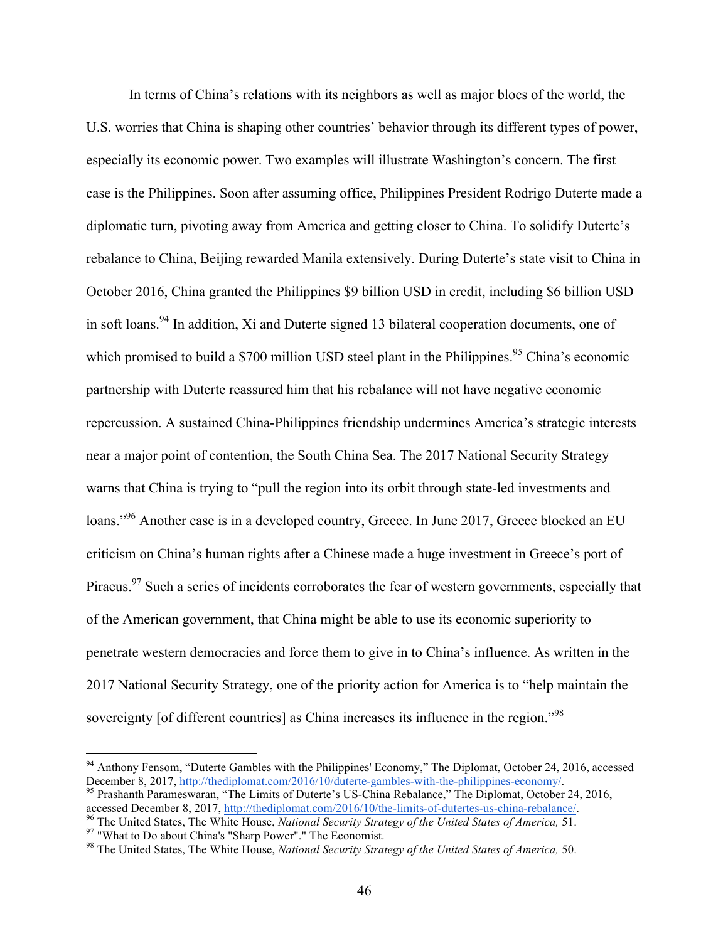In terms of China's relations with its neighbors as well as major blocs of the world, the U.S. worries that China is shaping other countries' behavior through its different types of power, especially its economic power. Two examples will illustrate Washington's concern. The first case is the Philippines. Soon after assuming office, Philippines President Rodrigo Duterte made a diplomatic turn, pivoting away from America and getting closer to China. To solidify Duterte's rebalance to China, Beijing rewarded Manila extensively. During Duterte's state visit to China in October 2016, China granted the Philippines \$9 billion USD in credit, including \$6 billion USD in soft loans.<sup>94</sup> In addition, Xi and Duterte signed 13 bilateral cooperation documents, one of which promised to build a  $$700$  million USD steel plant in the Philippines.<sup>95</sup> China's economic partnership with Duterte reassured him that his rebalance will not have negative economic repercussion. A sustained China-Philippines friendship undermines America's strategic interests near a major point of contention, the South China Sea. The 2017 National Security Strategy warns that China is trying to "pull the region into its orbit through state-led investments and loans."<sup>96</sup> Another case is in a developed country, Greece. In June 2017, Greece blocked an EU criticism on China's human rights after a Chinese made a huge investment in Greece's port of Piraeus.<sup>97</sup> Such a series of incidents corroborates the fear of western governments, especially that of the American government, that China might be able to use its economic superiority to penetrate western democracies and force them to give in to China's influence. As written in the 2017 National Security Strategy, one of the priority action for America is to "help maintain the sovereignty [of different countries] as China increases its influence in the region."<sup>98</sup>

<sup>&</sup>lt;sup>94</sup> Anthony Fensom, "Duterte Gambles with the Philippines' Economy," The Diplomat, October 24, 2016, accessed December 8, 2017, http://thediplomat.com/2016/10/duterte-gambles-with-the-philippines-economy/.<br><sup>95</sup> Prashanth Parameswaran, "The Limits of Duterte's US-China Rebalance," The Diplomat, October 24, 2016,

accessed December 8, 2017, <u>http://thediplomat.com/2016/10/the-limits-of-dutertes-us-china-rebalance/</u><br><sup>96</sup> The United States, The White House, *National Security Strategy of the United States of America*, 51.<br><sup>97</sup> "What t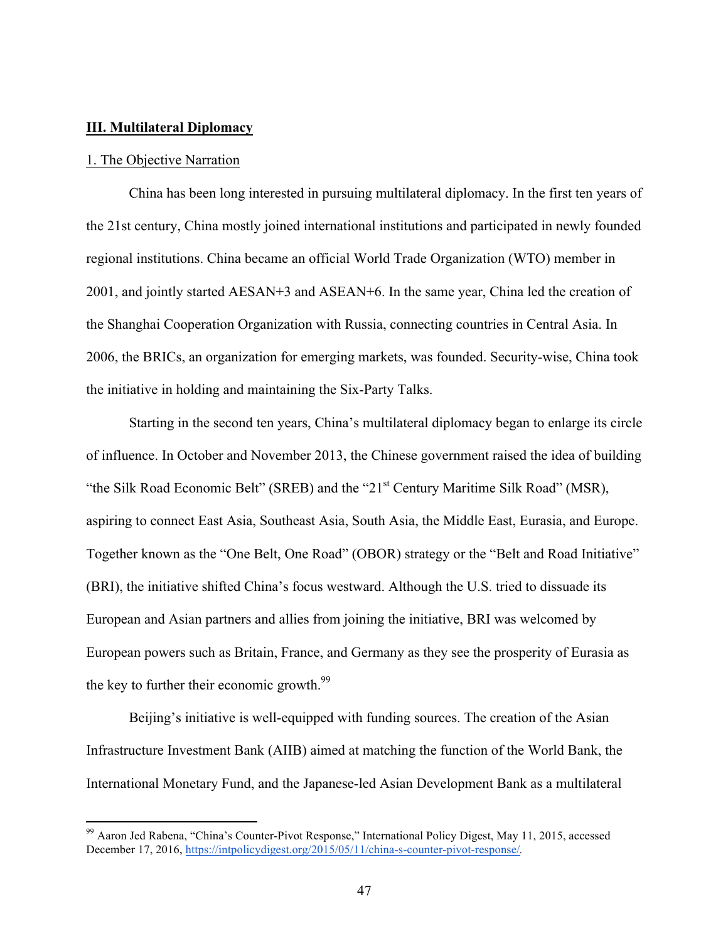## **III. Multilateral Diplomacy**

### 1. The Objective Narration

China has been long interested in pursuing multilateral diplomacy. In the first ten years of the 21st century, China mostly joined international institutions and participated in newly founded regional institutions. China became an official World Trade Organization (WTO) member in 2001, and jointly started AESAN+3 and ASEAN+6. In the same year, China led the creation of the Shanghai Cooperation Organization with Russia, connecting countries in Central Asia. In 2006, the BRICs, an organization for emerging markets, was founded. Security-wise, China took the initiative in holding and maintaining the Six-Party Talks.

Starting in the second ten years, China's multilateral diplomacy began to enlarge its circle of influence. In October and November 2013, the Chinese government raised the idea of building "the Silk Road Economic Belt" (SREB) and the "21<sup>st</sup> Century Maritime Silk Road" (MSR), aspiring to connect East Asia, Southeast Asia, South Asia, the Middle East, Eurasia, and Europe. Together known as the "One Belt, One Road" (OBOR) strategy or the "Belt and Road Initiative" (BRI), the initiative shifted China's focus westward. Although the U.S. tried to dissuade its European and Asian partners and allies from joining the initiative, BRI was welcomed by European powers such as Britain, France, and Germany as they see the prosperity of Eurasia as the key to further their economic growth.<sup>99</sup>

Beijing's initiative is well-equipped with funding sources. The creation of the Asian Infrastructure Investment Bank (AIIB) aimed at matching the function of the World Bank, the International Monetary Fund, and the Japanese-led Asian Development Bank as a multilateral

<sup>99</sup> Aaron Jed Rabena, "China's Counter-Pivot Response," International Policy Digest, May 11, 2015, accessed December 17, 2016, https://intpolicydigest.org/2015/05/11/china-s-counter-pivot-response/*.*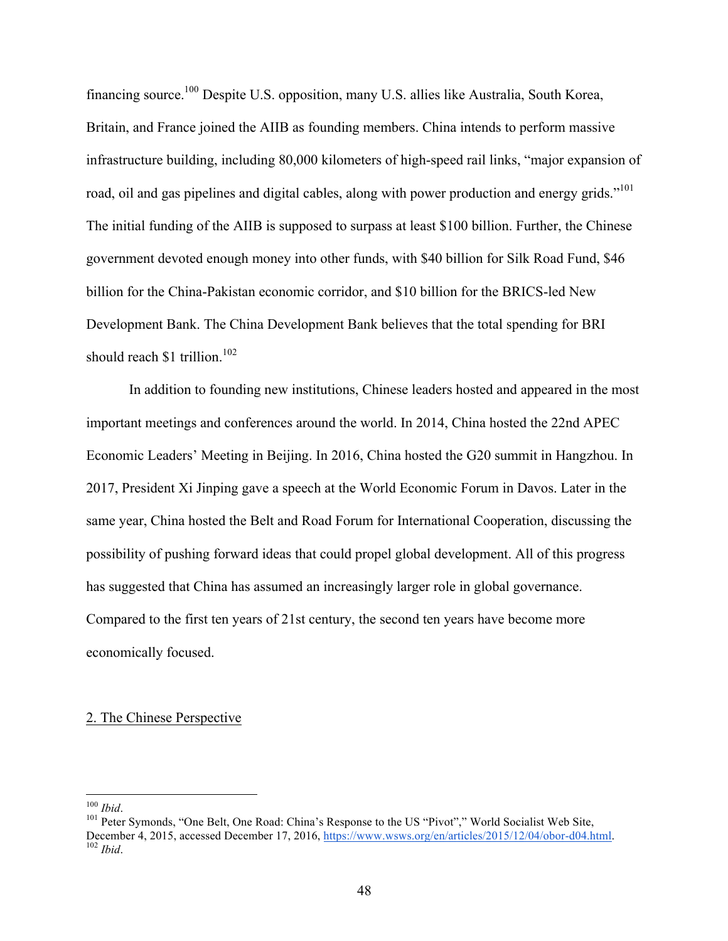financing source.100 Despite U.S. opposition, many U.S. allies like Australia, South Korea, Britain, and France joined the AIIB as founding members. China intends to perform massive infrastructure building, including 80,000 kilometers of high-speed rail links, "major expansion of road, oil and gas pipelines and digital cables, along with power production and energy grids."<sup>101</sup> The initial funding of the AIIB is supposed to surpass at least \$100 billion. Further, the Chinese government devoted enough money into other funds, with \$40 billion for Silk Road Fund, \$46 billion for the China-Pakistan economic corridor, and \$10 billion for the BRICS-led New Development Bank. The China Development Bank believes that the total spending for BRI should reach \$1 trillion.<sup>102</sup>

In addition to founding new institutions, Chinese leaders hosted and appeared in the most important meetings and conferences around the world. In 2014, China hosted the 22nd APEC Economic Leaders' Meeting in Beijing. In 2016, China hosted the G20 summit in Hangzhou. In 2017, President Xi Jinping gave a speech at the World Economic Forum in Davos. Later in the same year, China hosted the Belt and Road Forum for International Cooperation, discussing the possibility of pushing forward ideas that could propel global development. All of this progress has suggested that China has assumed an increasingly larger role in global governance. Compared to the first ten years of 21st century, the second ten years have become more economically focused.

## 2. The Chinese Perspective

<sup>&</sup>lt;sup>100</sup> *Ibid.* 101 *Poid*. <sup>100</sup> *Peter Symonds, "One Belt, One Road: China's Response to the US "Pivot"," World Socialist Web Site,* December 4, 2015, accessed December 17, 2016, https://www.wsws.org/en/articles/2015/12/04/obor-d04.html. <sup>102</sup> *Ibid*.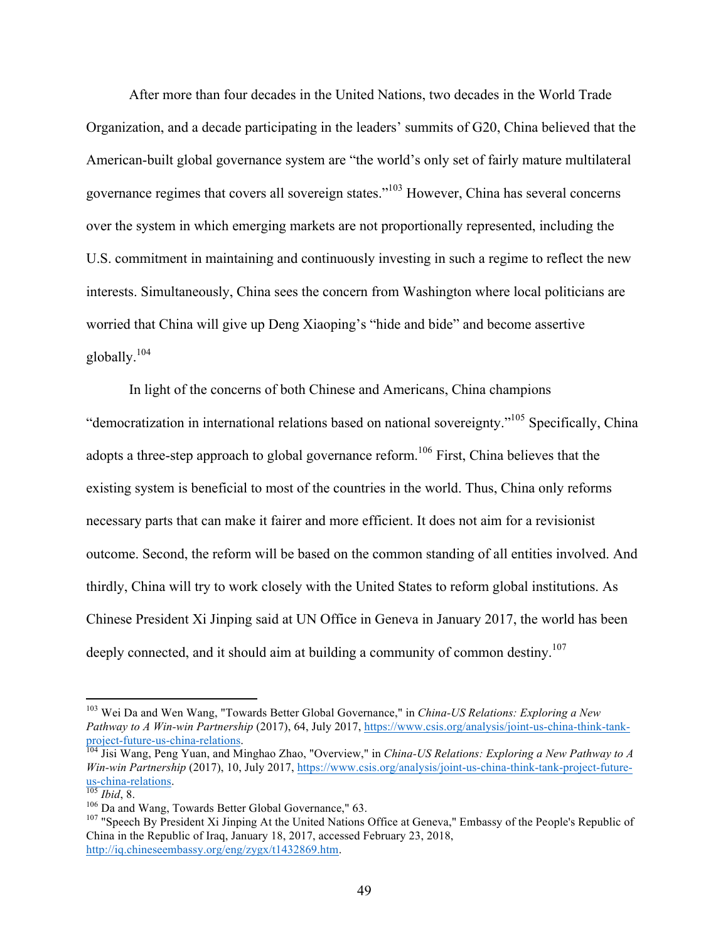After more than four decades in the United Nations, two decades in the World Trade Organization, and a decade participating in the leaders' summits of G20, China believed that the American-built global governance system are "the world's only set of fairly mature multilateral governance regimes that covers all sovereign states."103 However, China has several concerns over the system in which emerging markets are not proportionally represented, including the U.S. commitment in maintaining and continuously investing in such a regime to reflect the new interests. Simultaneously, China sees the concern from Washington where local politicians are worried that China will give up Deng Xiaoping's "hide and bide" and become assertive globally. $104$ 

In light of the concerns of both Chinese and Americans, China champions "democratization in international relations based on national sovereignty."105 Specifically, China adopts a three-step approach to global governance reform.<sup>106</sup> First, China believes that the existing system is beneficial to most of the countries in the world. Thus, China only reforms necessary parts that can make it fairer and more efficient. It does not aim for a revisionist outcome. Second, the reform will be based on the common standing of all entities involved. And thirdly, China will try to work closely with the United States to reform global institutions. As Chinese President Xi Jinping said at UN Office in Geneva in January 2017, the world has been deeply connected, and it should aim at building a community of common destiny.<sup>107</sup>

 <sup>103</sup> Wei Da and Wen Wang, "Towards Better Global Governance," in *China-US Relations: Exploring a New Pathway to A Win-win Partnership* (2017), 64, July 2017, https://www.csis.org/analysis/joint-us-china-think-tankproject-future-us-china-relations. <sup>104</sup> Jisi Wang, Peng Yuan, and Minghao Zhao, "Overview," in *China-US Relations: Exploring a New Pathway to A* 

*Win-win Partnership* (2017), 10, July 2017, https://www.csis.org/analysis/joint-us-china-think-tank-project-future-<br>us-china-relations.

I<sup>05</sup> *Ibid*, 8.<br><sup>106</sup> Da and Wang, Towards Better Global Governance," 63.<br><sup>107</sup> "Speech By President Xi Jinping At the United Nations Office at Geneva," Embassy of the People's Republic of China in the Republic of Iraq, January 18, 2017, accessed February 23, 2018, http://iq.chineseembassy.org/eng/zygx/t1432869.htm.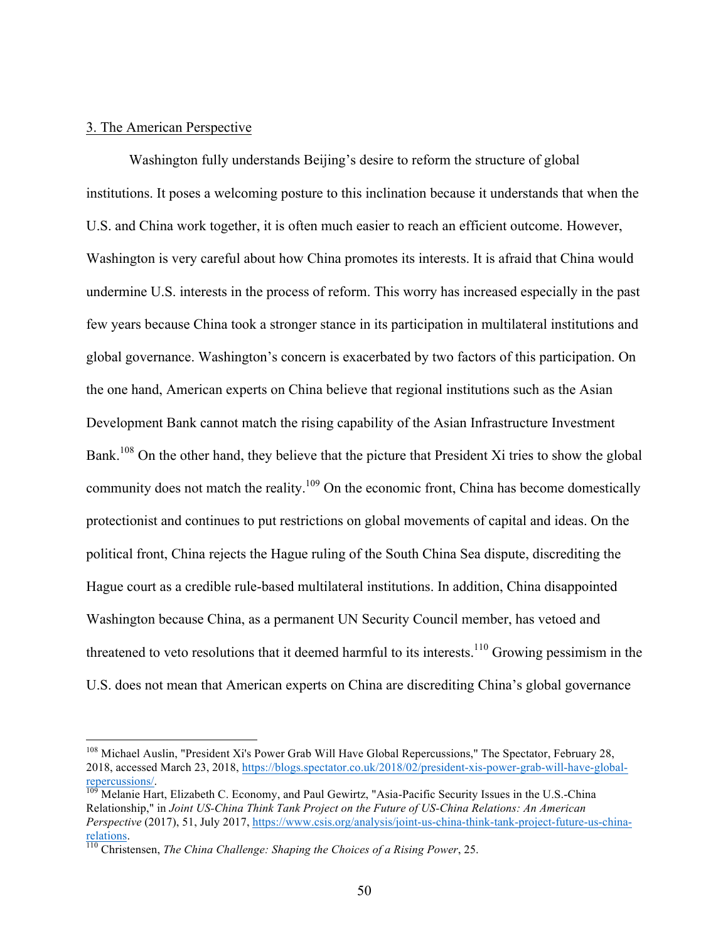## 3. The American Perspective

Washington fully understands Beijing's desire to reform the structure of global institutions. It poses a welcoming posture to this inclination because it understands that when the U.S. and China work together, it is often much easier to reach an efficient outcome. However, Washington is very careful about how China promotes its interests. It is afraid that China would undermine U.S. interests in the process of reform. This worry has increased especially in the past few years because China took a stronger stance in its participation in multilateral institutions and global governance. Washington's concern is exacerbated by two factors of this participation. On the one hand, American experts on China believe that regional institutions such as the Asian Development Bank cannot match the rising capability of the Asian Infrastructure Investment Bank.<sup>108</sup> On the other hand, they believe that the picture that President Xi tries to show the global community does not match the reality.<sup>109</sup> On the economic front, China has become domestically protectionist and continues to put restrictions on global movements of capital and ideas. On the political front, China rejects the Hague ruling of the South China Sea dispute, discrediting the Hague court as a credible rule-based multilateral institutions. In addition, China disappointed Washington because China, as a permanent UN Security Council member, has vetoed and threatened to veto resolutions that it deemed harmful to its interests.<sup>110</sup> Growing pessimism in the U.S. does not mean that American experts on China are discrediting China's global governance

<sup>&</sup>lt;sup>108</sup> Michael Auslin, "President Xi's Power Grab Will Have Global Repercussions," The Spectator, February 28, 2018, accessed March 23, 2018, https://blogs.spectator.co.uk/2018/02/president-xis-power-grab-will-have-globalrepercussions/.<br><sup>109</sup> Melanie Hart, Elizabeth C. Economy, and Paul Gewirtz, "Asia-Pacific Security Issues in the U.S.-China

Relationship," in *Joint US-China Think Tank Project on the Future of US-China Relations: An American Perspective* (2017), 51, July 2017, https://www.csis.org/analysis/joint-us-china-think-tank-project-future-us-chinarelations. <sup>110</sup> Christensen, *The China Challenge: Shaping the Choices of a Rising Power*, 25.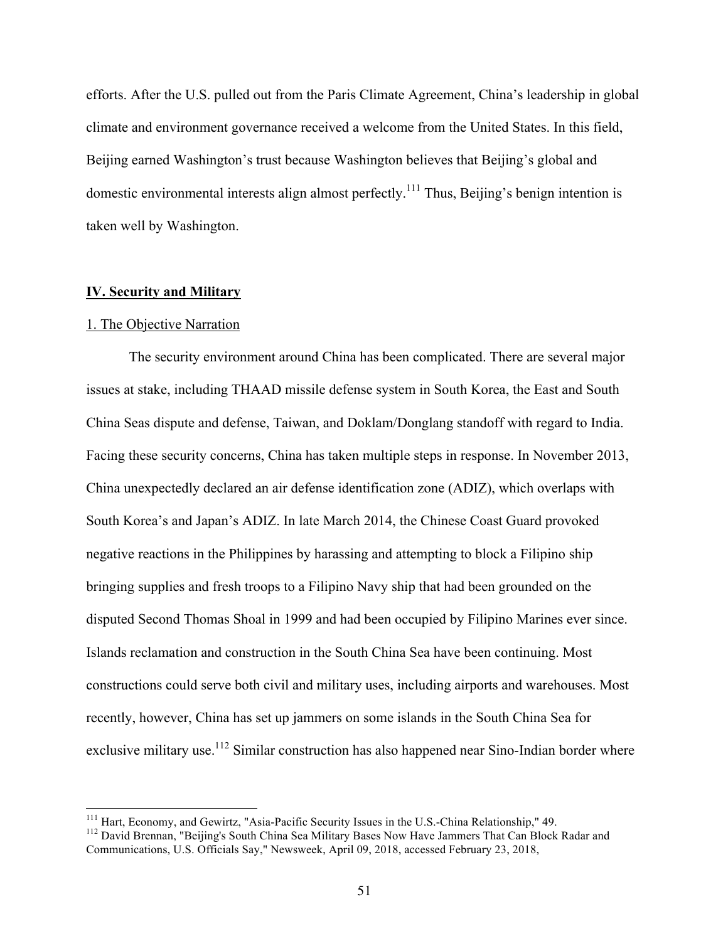efforts. After the U.S. pulled out from the Paris Climate Agreement, China's leadership in global climate and environment governance received a welcome from the United States. In this field, Beijing earned Washington's trust because Washington believes that Beijing's global and domestic environmental interests align almost perfectly.<sup>111</sup> Thus, Beijing's benign intention is taken well by Washington.

# **IV. Security and Military**

## 1. The Objective Narration

The security environment around China has been complicated. There are several major issues at stake, including THAAD missile defense system in South Korea, the East and South China Seas dispute and defense, Taiwan, and Doklam/Donglang standoff with regard to India. Facing these security concerns, China has taken multiple steps in response. In November 2013, China unexpectedly declared an air defense identification zone (ADIZ), which overlaps with South Korea's and Japan's ADIZ. In late March 2014, the Chinese Coast Guard provoked negative reactions in the Philippines by harassing and attempting to block a Filipino ship bringing supplies and fresh troops to a Filipino Navy ship that had been grounded on the disputed Second Thomas Shoal in 1999 and had been occupied by Filipino Marines ever since. Islands reclamation and construction in the South China Sea have been continuing. Most constructions could serve both civil and military uses, including airports and warehouses. Most recently, however, China has set up jammers on some islands in the South China Sea for exclusive military use.<sup>112</sup> Similar construction has also happened near Sino-Indian border where

<sup>&</sup>lt;sup>111</sup> Hart, Economy, and Gewirtz, "Asia-Pacific Security Issues in the U.S.-China Relationship," 49.<br><sup>112</sup> David Brennan, "Beijing's South China Sea Military Bases Now Have Jammers That Can Block Radar and Communications, U.S. Officials Say," Newsweek, April 09, 2018, accessed February 23, 2018,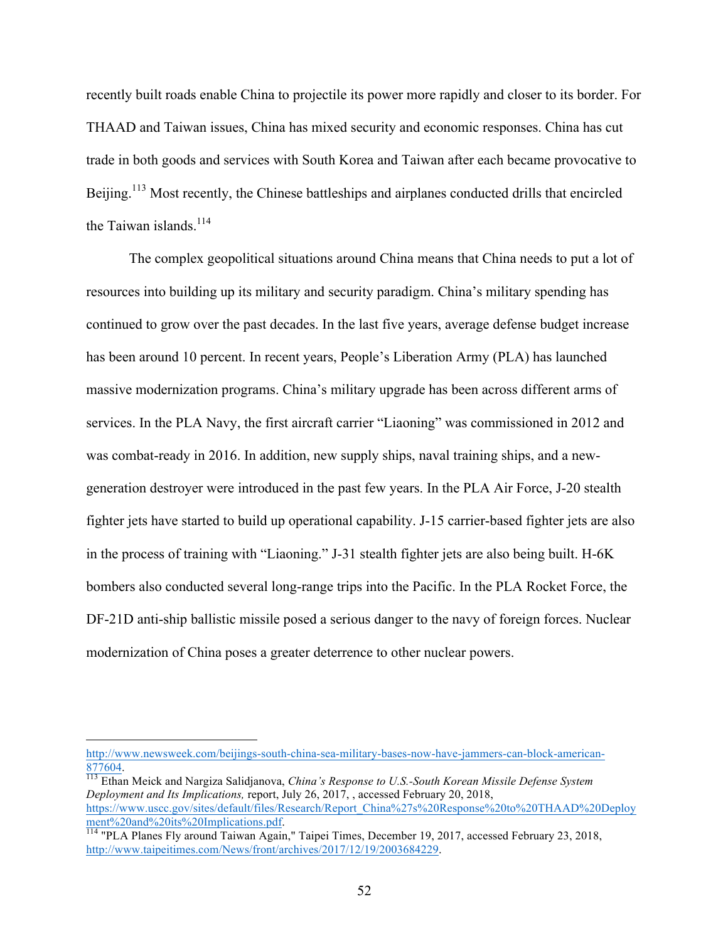recently built roads enable China to projectile its power more rapidly and closer to its border. For THAAD and Taiwan issues, China has mixed security and economic responses. China has cut trade in both goods and services with South Korea and Taiwan after each became provocative to Beijing.<sup>113</sup> Most recently, the Chinese battleships and airplanes conducted drills that encircled the Taiwan islands.<sup>114</sup>

The complex geopolitical situations around China means that China needs to put a lot of resources into building up its military and security paradigm. China's military spending has continued to grow over the past decades. In the last five years, average defense budget increase has been around 10 percent. In recent years, People's Liberation Army (PLA) has launched massive modernization programs. China's military upgrade has been across different arms of services. In the PLA Navy, the first aircraft carrier "Liaoning" was commissioned in 2012 and was combat-ready in 2016. In addition, new supply ships, naval training ships, and a newgeneration destroyer were introduced in the past few years. In the PLA Air Force, J-20 stealth fighter jets have started to build up operational capability. J-15 carrier-based fighter jets are also in the process of training with "Liaoning." J-31 stealth fighter jets are also being built. H-6K bombers also conducted several long-range trips into the Pacific. In the PLA Rocket Force, the DF-21D anti-ship ballistic missile posed a serious danger to the navy of foreign forces. Nuclear modernization of China poses a greater deterrence to other nuclear powers.

 

http://www.newsweek.com/beijings-south-china-sea-military-bases-now-have-jammers-can-block-american-877604. <sup>113</sup> Ethan Meick and Nargiza Salidjanova, *China's Response to U.S.-South Korean Missile Defense System* 

*Deployment and Its Implications,* report, July 26, 2017, , accessed February 20, 2018, https://www.uscc.gov/sites/default/files/Research/Report\_China%27s%20Response%20to%20THAAD%20Deploy<br>ment%20and%20its%20Implications.pdf.

ment *receive receive receives intermediations.* Pair Times, December 19, 2017, accessed February 23, 2018, 114 "PLA Planes Fly around Taiwan Again," Taipei Times, December 19, 2017, accessed February 23, 2018, http://www.taipeitimes.com/News/front/archives/2017/12/19/2003684229.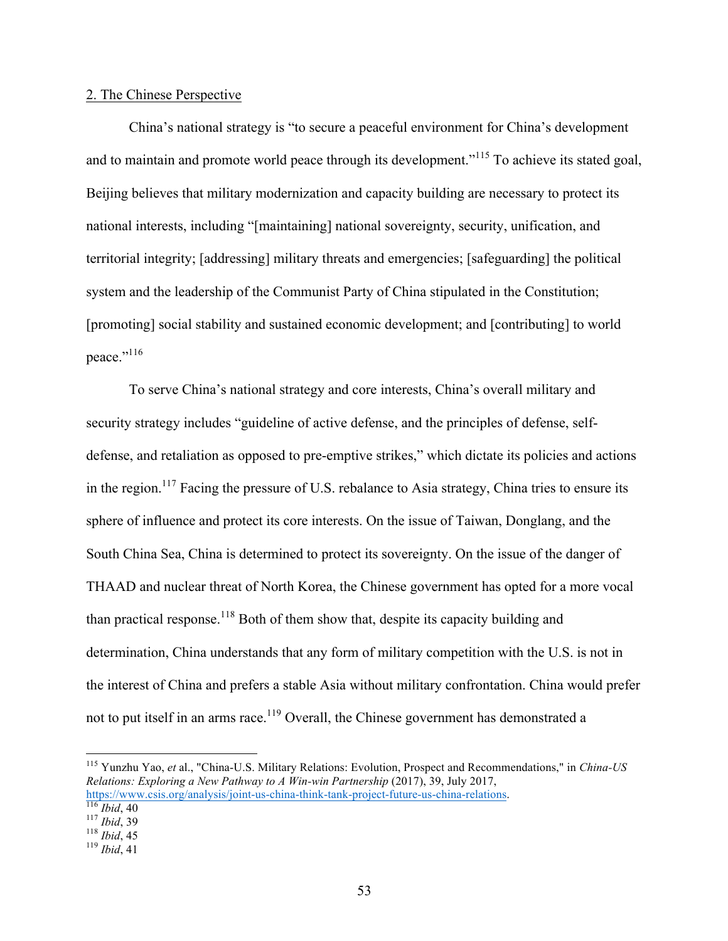## 2. The Chinese Perspective

China's national strategy is "to secure a peaceful environment for China's development and to maintain and promote world peace through its development."<sup>115</sup> To achieve its stated goal, Beijing believes that military modernization and capacity building are necessary to protect its national interests, including "[maintaining] national sovereignty, security, unification, and territorial integrity; [addressing] military threats and emergencies; [safeguarding] the political system and the leadership of the Communist Party of China stipulated in the Constitution; [promoting] social stability and sustained economic development; and [contributing] to world peace."116

To serve China's national strategy and core interests, China's overall military and security strategy includes "guideline of active defense, and the principles of defense, selfdefense, and retaliation as opposed to pre-emptive strikes," which dictate its policies and actions in the region.<sup>117</sup> Facing the pressure of U.S. rebalance to Asia strategy, China tries to ensure its sphere of influence and protect its core interests. On the issue of Taiwan, Donglang, and the South China Sea, China is determined to protect its sovereignty. On the issue of the danger of THAAD and nuclear threat of North Korea, the Chinese government has opted for a more vocal than practical response.<sup>118</sup> Both of them show that, despite its capacity building and determination, China understands that any form of military competition with the U.S. is not in the interest of China and prefers a stable Asia without military confrontation. China would prefer not to put itself in an arms race.<sup>119</sup> Overall, the Chinese government has demonstrated a

 <sup>115</sup> Yunzhu Yao, *et* al., "China-U.S. Military Relations: Evolution, Prospect and Recommendations," in *China-US Relations: Exploring a New Pathway to A Win-win Partnership* (2017), 39, July 2017, https://www.csis.org/analysis/joint-us-china-think-tank-project-future-us-china-relations.<br>
<sup>116</sup> *Ibid*, 40<br>
<sup>117</sup> *Ibid*, 39<br>
<sup>118</sup> *Ibid*, 45<br>
<sup>119</sup> *Ibid*, 41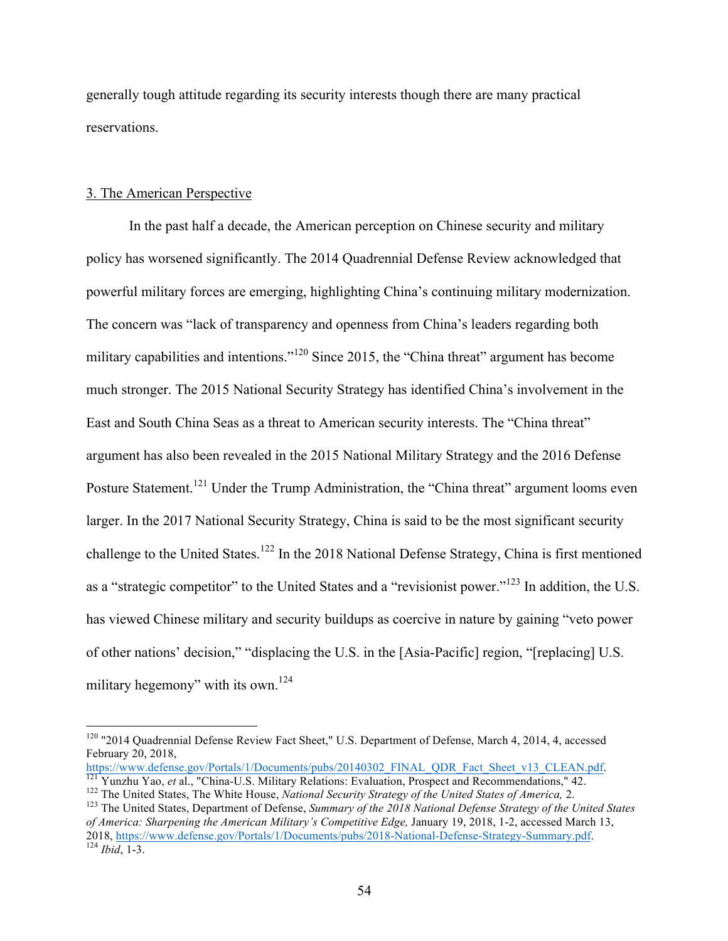generally tough attitude regarding its security interests though there are many practical reservations.

## 3. The American Perspective

In the past half a decade, the American perception on Chinese security and military policy has worsened significantly. The 2014 Quadrennial Defense Review acknowledged that powerful military forces are emerging, highlighting China's continuing military modernization. The concern was "lack of transparency and openness from China's leaders regarding both military capabilities and intentions."<sup>120</sup> Since 2015, the "China threat" argument has become much stronger. The 2015 National Security Strategy has identified China's involvement in the East and South China Seas as a threat to American security interests. The "China threat" argument has also been revealed in the 2015 National Military Strategy and the 2016 Defense Posture Statement.<sup>121</sup> Under the Trump Administration, the "China threat" argument looms even larger. In the 2017 National Security Strategy, China is said to be the most significant security challenge to the United States.<sup>122</sup> In the 2018 National Defense Strategy, China is first mentioned as a "strategic competitor" to the United States and a "revisionist power."<sup>123</sup> In addition, the U.S. has viewed Chinese military and security buildups as coercive in nature by gaining "veto power of other nations' decision," "displacing the U.S. in the [Asia-Pacific] region, "[replacing] U.S. military hegemony" with its own.<sup>124</sup>

<sup>&</sup>lt;sup>120</sup> "2014 Quadrennial Defense Review Fact Sheet," U.S. Department of Defense, March 4, 2014, 4, accessed February 20, 2018,

https://www.defense.gov/Portals/1/Documents/pubs/20140302\_FINAL\_QDR\_Fact\_Sheet\_v13\_CLEAN.pdf.<br><sup>121</sup> Yunzhu Yao, *et* al., "China-U.S. Military Relations: Evaluation, Prospect and Recommendations," 42.<br><sup>122</sup> The United Stat

*of America: Sharpening the American Military's Competitive Edge,* January 19, 2018, 1-2, accessed March 13, 2018, https://www.defense.gov/Portals/1/Documents/pubs/2018-National-Defense-Strategy-Summary.pdf. 124 *Ibid*, 1-3.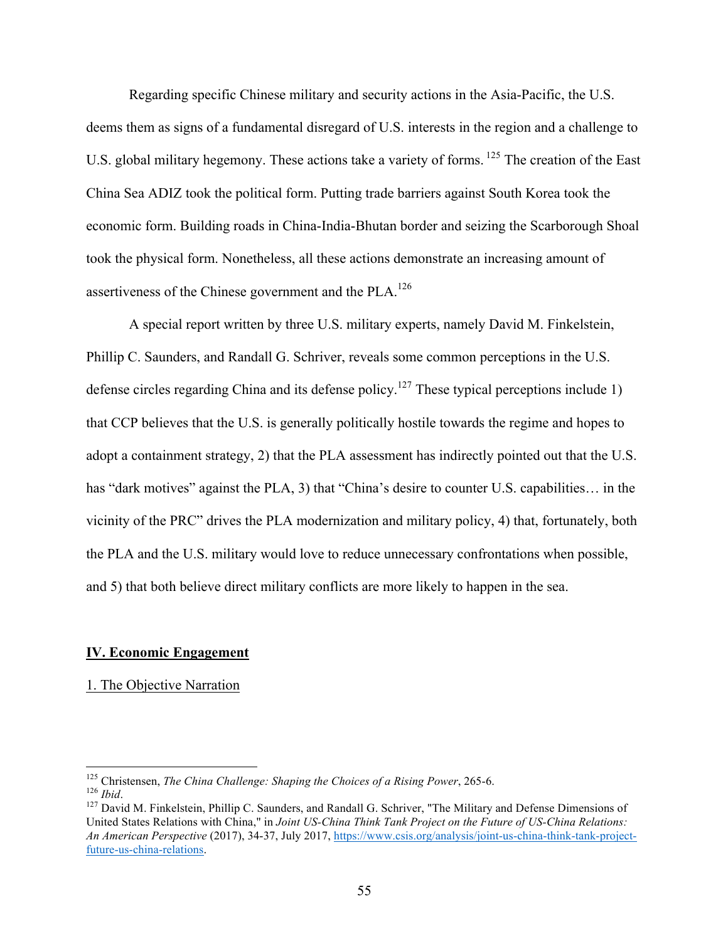Regarding specific Chinese military and security actions in the Asia-Pacific, the U.S. deems them as signs of a fundamental disregard of U.S. interests in the region and a challenge to U.S. global military hegemony. These actions take a variety of forms. <sup>125</sup> The creation of the East China Sea ADIZ took the political form. Putting trade barriers against South Korea took the economic form. Building roads in China-India-Bhutan border and seizing the Scarborough Shoal took the physical form. Nonetheless, all these actions demonstrate an increasing amount of assertiveness of the Chinese government and the PLA.<sup>126</sup>

A special report written by three U.S. military experts, namely David M. Finkelstein, Phillip C. Saunders, and Randall G. Schriver, reveals some common perceptions in the U.S. defense circles regarding China and its defense policy.<sup>127</sup> These typical perceptions include 1) that CCP believes that the U.S. is generally politically hostile towards the regime and hopes to adopt a containment strategy, 2) that the PLA assessment has indirectly pointed out that the U.S. has "dark motives" against the PLA, 3) that "China's desire to counter U.S. capabilities... in the vicinity of the PRC" drives the PLA modernization and military policy, 4) that, fortunately, both the PLA and the U.S. military would love to reduce unnecessary confrontations when possible, and 5) that both believe direct military conflicts are more likely to happen in the sea.

### **IV. Economic Engagement**

# 1. The Objective Narration

<sup>&</sup>lt;sup>125</sup> Christensen, *The China Challenge: Shaping the Choices of a Rising Power*, 265-6.

<sup>126</sup> *Ibid.* 125 *Ibid.* 127 David M. Finkelstein, Phillip C. Saunders, and Randall G. Schriver, "The Military and Defense Dimensions of <sup>127</sup> David M. Finkelstein, Phillip C. Saunders, and Randall G. Schriver, "The Militar United States Relations with China," in *Joint US-China Think Tank Project on the Future of US-China Relations: An American Perspective* (2017), 34-37, July 2017, https://www.csis.org/analysis/joint-us-china-think-tank-projectfuture-us-china-relations.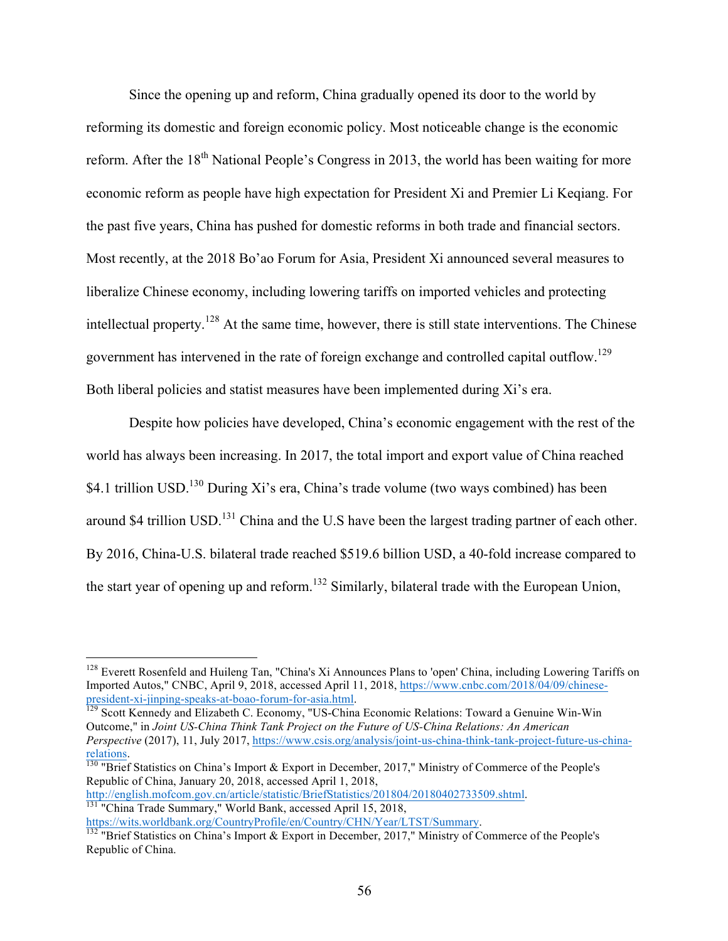Since the opening up and reform, China gradually opened its door to the world by reforming its domestic and foreign economic policy. Most noticeable change is the economic reform. After the 18<sup>th</sup> National People's Congress in 2013, the world has been waiting for more economic reform as people have high expectation for President Xi and Premier Li Keqiang. For the past five years, China has pushed for domestic reforms in both trade and financial sectors. Most recently, at the 2018 Bo'ao Forum for Asia, President Xi announced several measures to liberalize Chinese economy, including lowering tariffs on imported vehicles and protecting intellectual property.<sup>128</sup> At the same time, however, there is still state interventions. The Chinese government has intervened in the rate of foreign exchange and controlled capital outflow.129 Both liberal policies and statist measures have been implemented during Xi's era.

Despite how policies have developed, China's economic engagement with the rest of the world has always been increasing. In 2017, the total import and export value of China reached \$4.1 trillion USD.<sup>130</sup> During Xi's era, China's trade volume (two ways combined) has been around \$4 trillion USD.<sup>131</sup> China and the U.S have been the largest trading partner of each other. By 2016, China-U.S. bilateral trade reached \$519.6 billion USD, a 40-fold increase compared to the start year of opening up and reform.<sup>132</sup> Similarly, bilateral trade with the European Union,

Outcome," in *Joint US-China Think Tank Project on the Future of US-China Relations: An American Perspective* (2017), 11, July 2017, https://www.csis.org/analysis/joint-us-china-think-tank-project-future-us-chinarelations.<br><sup>130</sup> "Brief Statistics on China's Import & Export in December, 2017," Ministry of Commerce of the People's

Republic of China, January 20, 2018, accessed April 1, 2018,

http://english.mofcom.gov.cn/article/statistic/BriefStatistics/201804/20180402733509.shtml.<br><sup>131</sup> "China Trade Summary," World Bank, accessed April 15, 2018,

<sup>&</sup>lt;sup>128</sup> Everett Rosenfeld and Huileng Tan, "China's Xi Announces Plans to 'open' China, including Lowering Tariffs on Imported Autos," CNBC, April 9, 2018, accessed April 11, 2018, https://www.cnbc.com/2018/04/09/chinesepresident-xi-jinping-speaks-at-boao-forum-for-asia.html.<br><sup>129</sup> Scott Kennedy and Elizabeth C. Economy, "US-China Economic Relations: Toward a Genuine Win-Win

https://wits.worldbank.org/CountryProfile/en/Country/CHN/Year/LTST/Summary.<br><sup>132</sup> "Brief Statistics on China's Import & Export in December, 2017," Ministry of Commerce of the People's Republic of China.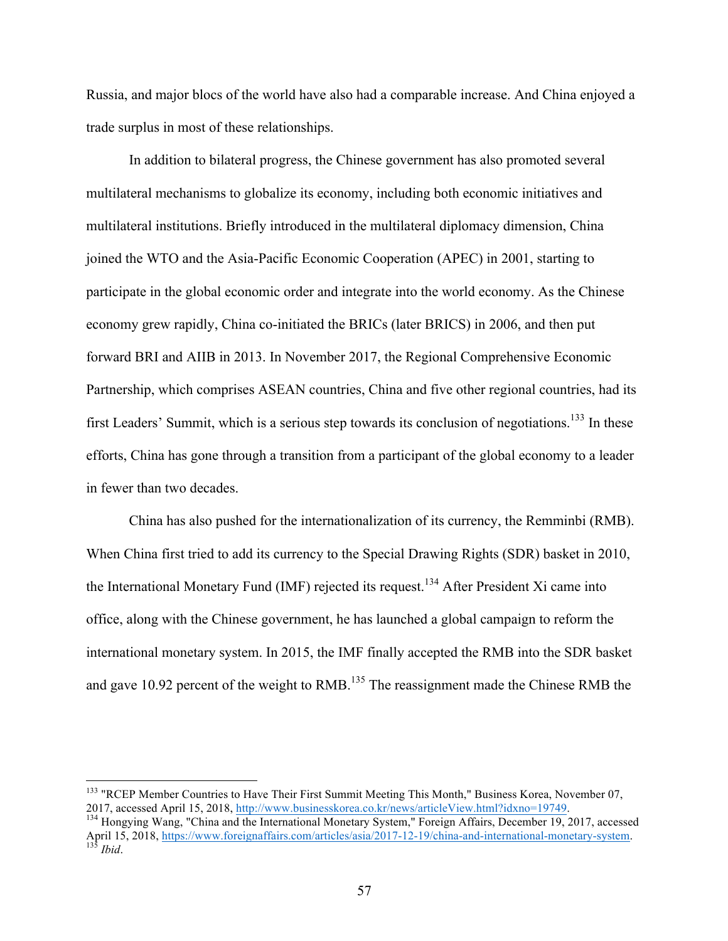Russia, and major blocs of the world have also had a comparable increase. And China enjoyed a trade surplus in most of these relationships.

In addition to bilateral progress, the Chinese government has also promoted several multilateral mechanisms to globalize its economy, including both economic initiatives and multilateral institutions. Briefly introduced in the multilateral diplomacy dimension, China joined the WTO and the Asia-Pacific Economic Cooperation (APEC) in 2001, starting to participate in the global economic order and integrate into the world economy. As the Chinese economy grew rapidly, China co-initiated the BRICs (later BRICS) in 2006, and then put forward BRI and AIIB in 2013. In November 2017, the Regional Comprehensive Economic Partnership, which comprises ASEAN countries, China and five other regional countries, had its first Leaders' Summit, which is a serious step towards its conclusion of negotiations.<sup>133</sup> In these efforts, China has gone through a transition from a participant of the global economy to a leader in fewer than two decades.

China has also pushed for the internationalization of its currency, the Remminbi (RMB). When China first tried to add its currency to the Special Drawing Rights (SDR) basket in 2010, the International Monetary Fund (IMF) rejected its request.<sup>134</sup> After President Xi came into office, along with the Chinese government, he has launched a global campaign to reform the international monetary system. In 2015, the IMF finally accepted the RMB into the SDR basket and gave 10.92 percent of the weight to RMB.<sup>135</sup> The reassignment made the Chinese RMB the

<sup>&</sup>lt;sup>133</sup> "RCEP Member Countries to Have Their First Summit Meeting This Month," Business Korea, November 07, 2017, accessed April 15, 2018, http://www.businesskorea.co.kr/news/articleView.html?idxno=19749.<br><sup>134</sup> Hongying Wang, "China and the International Monetary System," Foreign Affairs, December 19, 2017, accessed

April 15, 2018, https://www.foreignaffairs.com/articles/asia/2017-12-19/china-and-international-monetary-system. <sup>135</sup> *Ibid.*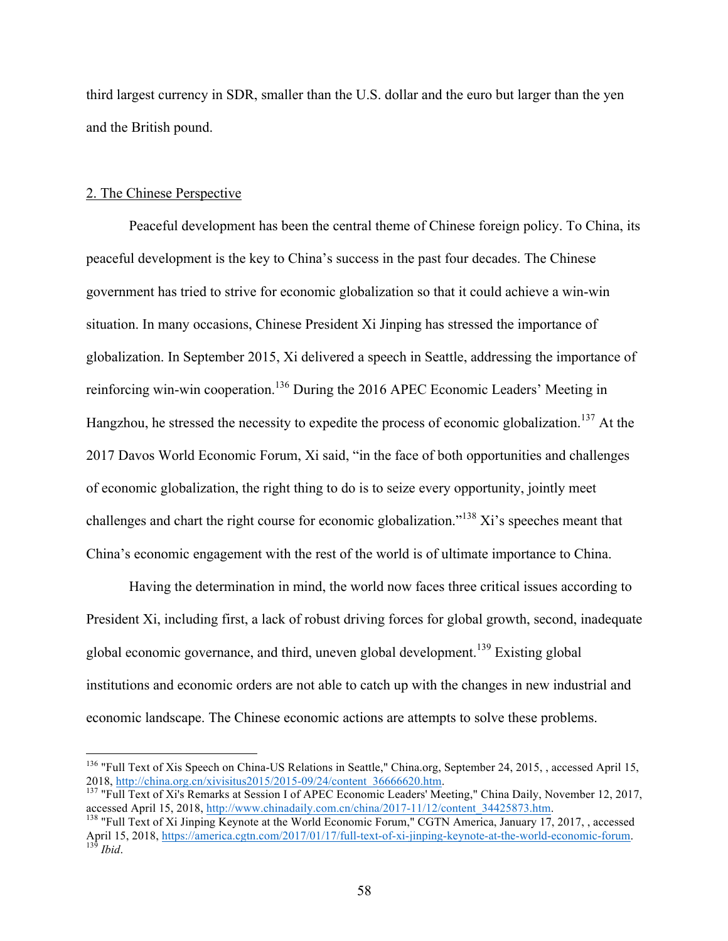third largest currency in SDR, smaller than the U.S. dollar and the euro but larger than the yen and the British pound.

## 2. The Chinese Perspective

Peaceful development has been the central theme of Chinese foreign policy. To China, its peaceful development is the key to China's success in the past four decades. The Chinese government has tried to strive for economic globalization so that it could achieve a win-win situation. In many occasions, Chinese President Xi Jinping has stressed the importance of globalization. In September 2015, Xi delivered a speech in Seattle, addressing the importance of reinforcing win-win cooperation.<sup>136</sup> During the 2016 APEC Economic Leaders' Meeting in Hangzhou, he stressed the necessity to expedite the process of economic globalization.<sup>137</sup> At the 2017 Davos World Economic Forum, Xi said, "in the face of both opportunities and challenges of economic globalization, the right thing to do is to seize every opportunity, jointly meet challenges and chart the right course for economic globalization."<sup>138</sup> Xi's speeches meant that China's economic engagement with the rest of the world is of ultimate importance to China.

Having the determination in mind, the world now faces three critical issues according to President Xi, including first, a lack of robust driving forces for global growth, second, inadequate global economic governance, and third, uneven global development.<sup>139</sup> Existing global institutions and economic orders are not able to catch up with the changes in new industrial and economic landscape. The Chinese economic actions are attempts to solve these problems.

<sup>&</sup>lt;sup>136</sup> "Full Text of Xis Speech on China-US Relations in Seattle," China.org, September 24, 2015, , accessed April 15, 2018, http://china.org.cn/xivisitus2015/2015-09/24/content 36666620.htm.

<sup>&</sup>lt;sup>137</sup> "Full Text of Xi's Remarks at Session I of APEC Economic Leaders' Meeting," China Daily, November 12, 2017, accessed April 15, 2018, http://www.chinadaily.com.cn/china/2017-11/12/content 34425873.htm. 138 "Full Text of Xi Jinping Keynote at the World Economic Forum," CGTN America, January 17, 2017, , accessed

April 15, 2018, https://america.cgtn.com/2017/01/17/full-text-of-xi-jinping-keynote-at-the-world-economic-forum. <sup>139</sup> *Ibid*.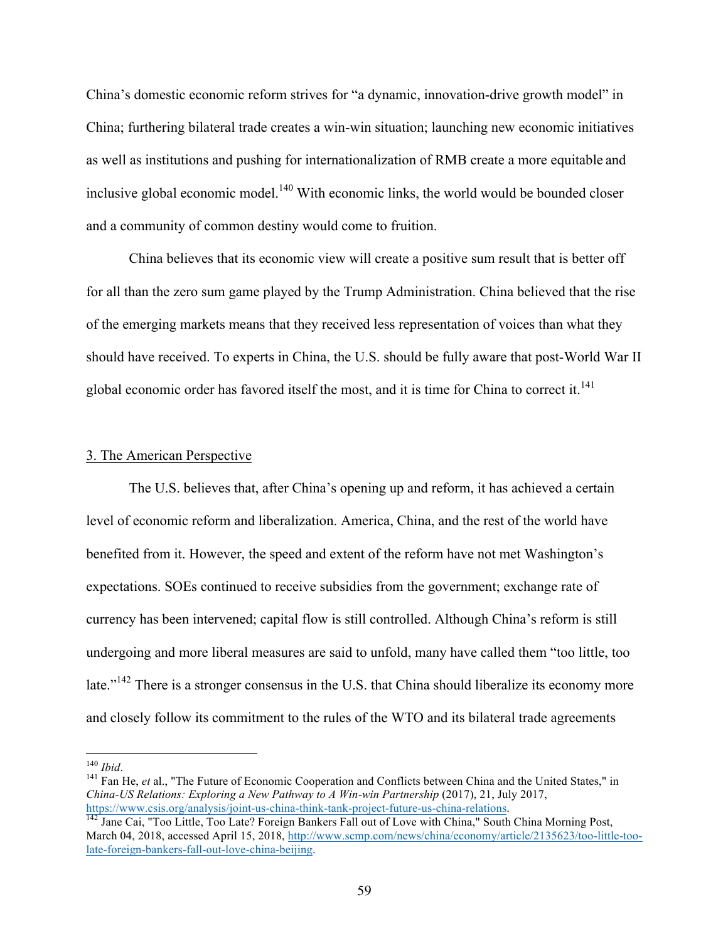China's domestic economic reform strives for "a dynamic, innovation-drive growth model" in China; furthering bilateral trade creates a win-win situation; launching new economic initiatives as well as institutions and pushing for internationalization of RMB create a more equitable and inclusive global economic model.<sup>140</sup> With economic links, the world would be bounded closer and a community of common destiny would come to fruition.

China believes that its economic view will create a positive sum result that is better off for all than the zero sum game played by the Trump Administration. China believed that the rise of the emerging markets means that they received less representation of voices than what they should have received. To experts in China, the U.S. should be fully aware that post-World War II global economic order has favored itself the most, and it is time for China to correct it.<sup>141</sup>

## 3. The American Perspective

The U.S. believes that, after China's opening up and reform, it has achieved a certain level of economic reform and liberalization. America, China, and the rest of the world have benefited from it. However, the speed and extent of the reform have not met Washington's expectations. SOEs continued to receive subsidies from the government; exchange rate of currency has been intervened; capital flow is still controlled. Although China's reform is still undergoing and more liberal measures are said to unfold, many have called them "too little, too late."<sup>142</sup> There is a stronger consensus in the U.S. that China should liberalize its economy more and closely follow its commitment to the rules of the WTO and its bilateral trade agreements

<sup>&</sup>lt;sup>140</sup> *Ibid*.<br><sup>141</sup> Fan He, *et* al., "The Future of Economic Cooperation and Conflicts between China and the United States," in *China-US Relations: Exploring a New Pathway to A Win-win Partnership* (2017), 21, July 2017, https://www.csis.org/analysis/joint-us-china-think-tank-project-future-us-china-relations.<br><sup>142</sup> Jane Cai, "Too Little, Too Late? Foreign Bankers Fall out of Love with China," South China Morning Post,

March 04, 2018, accessed April 15, 2018, http://www.scmp.com/news/china/economy/article/2135623/too-little-toolate-foreign-bankers-fall-out-love-china-beijing.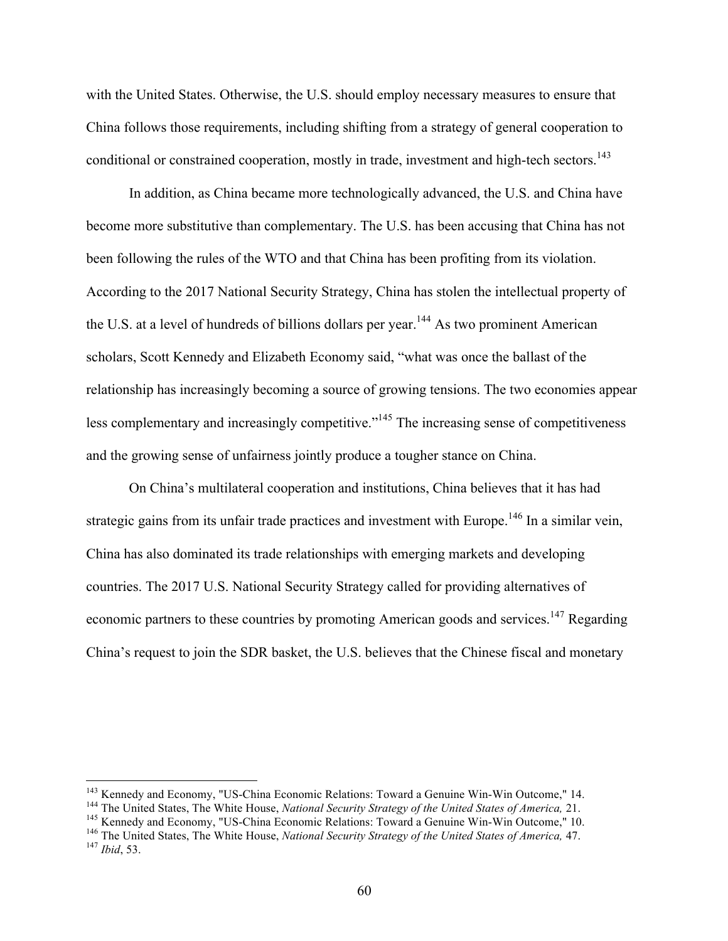with the United States. Otherwise, the U.S. should employ necessary measures to ensure that China follows those requirements, including shifting from a strategy of general cooperation to conditional or constrained cooperation, mostly in trade, investment and high-tech sectors.<sup>143</sup>

In addition, as China became more technologically advanced, the U.S. and China have become more substitutive than complementary. The U.S. has been accusing that China has not been following the rules of the WTO and that China has been profiting from its violation. According to the 2017 National Security Strategy, China has stolen the intellectual property of the U.S. at a level of hundreds of billions dollars per year.<sup>144</sup> As two prominent American scholars, Scott Kennedy and Elizabeth Economy said, "what was once the ballast of the relationship has increasingly becoming a source of growing tensions. The two economies appear less complementary and increasingly competitive."<sup>145</sup> The increasing sense of competitiveness and the growing sense of unfairness jointly produce a tougher stance on China.

On China's multilateral cooperation and institutions, China believes that it has had strategic gains from its unfair trade practices and investment with Europe.<sup>146</sup> In a similar vein, China has also dominated its trade relationships with emerging markets and developing countries. The 2017 U.S. National Security Strategy called for providing alternatives of economic partners to these countries by promoting American goods and services.<sup>147</sup> Regarding China's request to join the SDR basket, the U.S. believes that the Chinese fiscal and monetary

<sup>&</sup>lt;sup>143</sup> Kennedy and Economy, "US-China Economic Relations: Toward a Genuine Win-Win Outcome," 14.<br><sup>144</sup> The United States, The White House, *National Security Strategy of the United States of America*, 21.<br><sup>145</sup> Kennedy and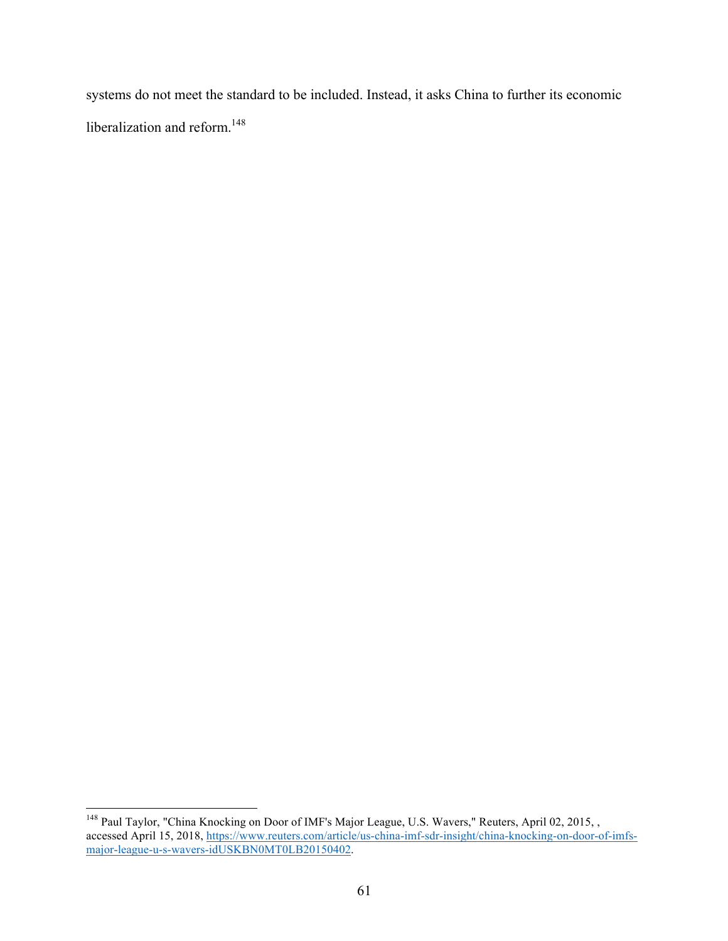systems do not meet the standard to be included. Instead, it asks China to further its economic liberalization and reform.<sup>148</sup>

<sup>&</sup>lt;sup>148</sup> Paul Taylor, "China Knocking on Door of IMF's Major League, U.S. Wavers," Reuters, April 02, 2015, , accessed April 15, 2018, https://www.reuters.com/article/us-china-imf-sdr-insight/china-knocking-on-door-of-imfsmajor-league-u-s-wavers-idUSKBN0MT0LB20150402.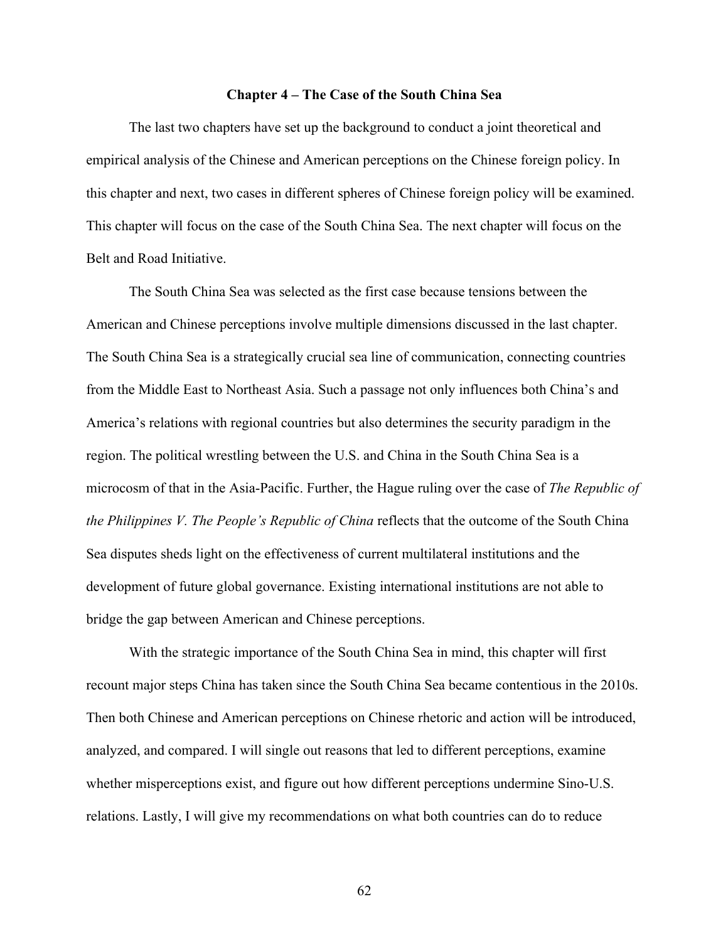#### **Chapter 4 – The Case of the South China Sea**

The last two chapters have set up the background to conduct a joint theoretical and empirical analysis of the Chinese and American perceptions on the Chinese foreign policy. In this chapter and next, two cases in different spheres of Chinese foreign policy will be examined. This chapter will focus on the case of the South China Sea. The next chapter will focus on the Belt and Road Initiative.

The South China Sea was selected as the first case because tensions between the American and Chinese perceptions involve multiple dimensions discussed in the last chapter. The South China Sea is a strategically crucial sea line of communication, connecting countries from the Middle East to Northeast Asia. Such a passage not only influences both China's and America's relations with regional countries but also determines the security paradigm in the region. The political wrestling between the U.S. and China in the South China Sea is a microcosm of that in the Asia-Pacific. Further, the Hague ruling over the case of *The Republic of the Philippines V. The People's Republic of China* reflects that the outcome of the South China Sea disputes sheds light on the effectiveness of current multilateral institutions and the development of future global governance. Existing international institutions are not able to bridge the gap between American and Chinese perceptions.

With the strategic importance of the South China Sea in mind, this chapter will first recount major steps China has taken since the South China Sea became contentious in the 2010s. Then both Chinese and American perceptions on Chinese rhetoric and action will be introduced, analyzed, and compared. I will single out reasons that led to different perceptions, examine whether misperceptions exist, and figure out how different perceptions undermine Sino-U.S. relations. Lastly, I will give my recommendations on what both countries can do to reduce

62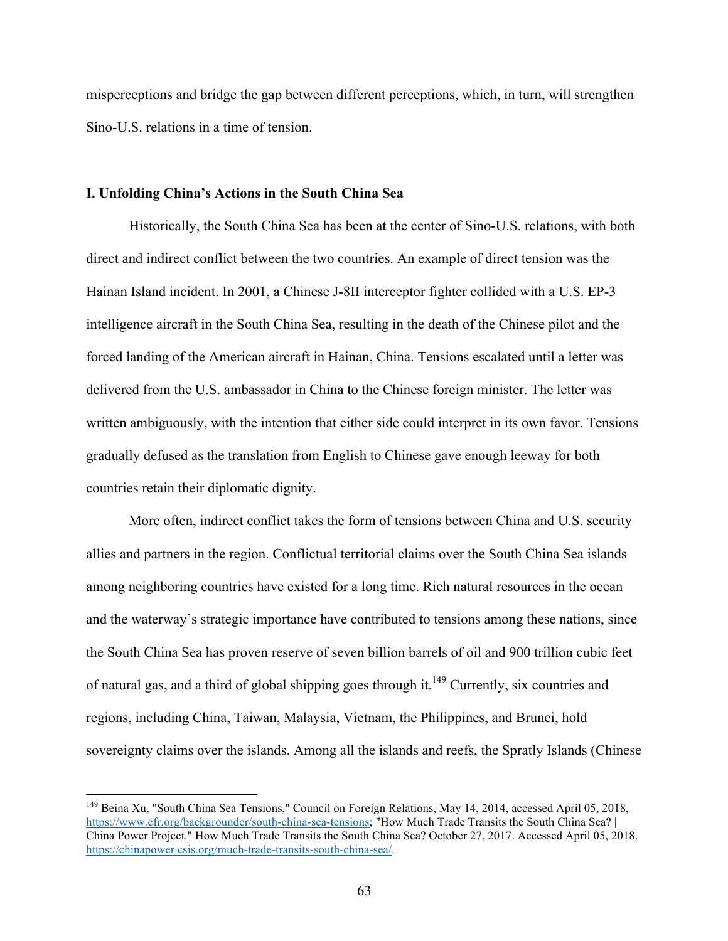misperceptions and bridge the gap between different perceptions, which, in turn, will strengthen Sino-U.S. relations in a time of tension.

## **I. Unfolding China's Actions in the South China Sea**

Historically, the South China Sea has been at the center of Sino-U.S. relations, with both direct and indirect conflict between the two countries. An example of direct tension was the Hainan Island incident. In 2001, a Chinese J-8II interceptor fighter collided with a U.S. EP-3 intelligence aircraft in the South China Sea, resulting in the death of the Chinese pilot and the forced landing of the American aircraft in Hainan, China. Tensions escalated until a letter was delivered from the U.S. ambassador in China to the Chinese foreign minister. The letter was written ambiguously, with the intention that either side could interpret in its own favor. Tensions gradually defused as the translation from English to Chinese gave enough leeway for both countries retain their diplomatic dignity.

More often, indirect conflict takes the form of tensions between China and U.S. security allies and partners in the region. Conflictual territorial claims over the South China Sea islands among neighboring countries have existed for a long time. Rich natural resources in the ocean and the waterway's strategic importance have contributed to tensions among these nations, since the South China Sea has proven reserve of seven billion barrels of oil and 900 trillion cubic feet of natural gas, and a third of global shipping goes through it.<sup>149</sup> Currently, six countries and regions, including China, Taiwan, Malaysia, Vietnam, the Philippines, and Brunei, hold sovereignty claims over the islands. Among all the islands and reefs, the Spratly Islands (Chinese

<sup>&</sup>lt;sup>149</sup> Beina Xu, "South China Sea Tensions," Council on Foreign Relations, May 14, 2014, accessed April 05, 2018, https://www.cfr.org/backgrounder/south-china-sea-tensions; "How Much Trade Transits the South China Sea? | China Power Project." How Much Trade Transits the South China Sea? October 27, 2017. Accessed April 05, 2018. https://chinapower.csis.org/much-trade-transits-south-china-sea/.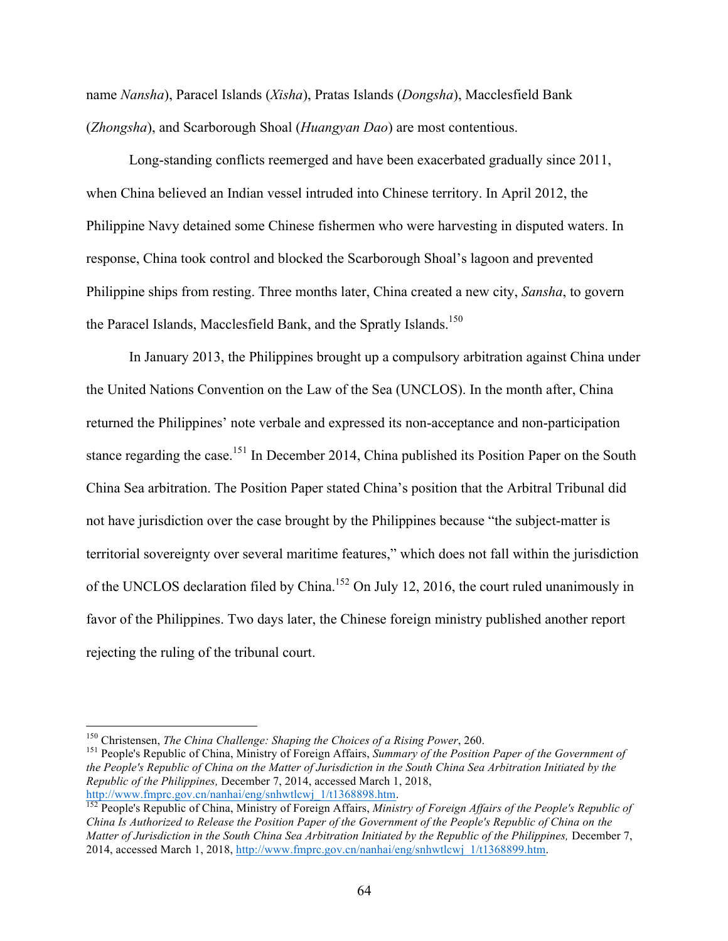name *Nansha*), Paracel Islands (*Xisha*), Pratas Islands (*Dongsha*), Macclesfield Bank (*Zhongsha*), and Scarborough Shoal (*Huangyan Dao*) are most contentious.

Long-standing conflicts reemerged and have been exacerbated gradually since 2011, when China believed an Indian vessel intruded into Chinese territory. In April 2012, the Philippine Navy detained some Chinese fishermen who were harvesting in disputed waters. In response, China took control and blocked the Scarborough Shoal's lagoon and prevented Philippine ships from resting. Three months later, China created a new city, *Sansha*, to govern the Paracel Islands, Macclesfield Bank, and the Spratly Islands.<sup>150</sup>

In January 2013, the Philippines brought up a compulsory arbitration against China under the United Nations Convention on the Law of the Sea (UNCLOS). In the month after, China returned the Philippines' note verbale and expressed its non-acceptance and non-participation stance regarding the case.<sup>151</sup> In December 2014, China published its Position Paper on the South China Sea arbitration. The Position Paper stated China's position that the Arbitral Tribunal did not have jurisdiction over the case brought by the Philippines because "the subject-matter is territorial sovereignty over several maritime features," which does not fall within the jurisdiction of the UNCLOS declaration filed by China.<sup>152</sup> On July 12, 2016, the court ruled unanimously in favor of the Philippines. Two days later, the Chinese foreign ministry published another report rejecting the ruling of the tribunal court.

<sup>&</sup>lt;sup>150</sup> Christensen, *The China Challenge: Shaping the Choices of a Rising Power*, 260.<br><sup>151</sup> People's Republic of China, Ministry of Foreign Affairs, *Summary of the Position Paper of the Government of the People's Republic of China on the Matter of Jurisdiction in the South China Sea Arbitration Initiated by the Republic of the Philippines,* December 7, 2014, accessed March 1, 2018,

<sup>&</sup>lt;sup>152</sup> People's Republic of China, Ministry of Foreign Affairs, *Ministry of Foreign Affairs of the People's Republic of China Is Authorized to Release the Position Paper of the Government of the People's Republic of China on the Matter of Jurisdiction in the South China Sea Arbitration Initiated by the Republic of the Philippines,* December 7, 2014, accessed March 1, 2018, http://www.fmprc.gov.cn/nanhai/eng/snhwtlcwj\_1/t1368899.htm.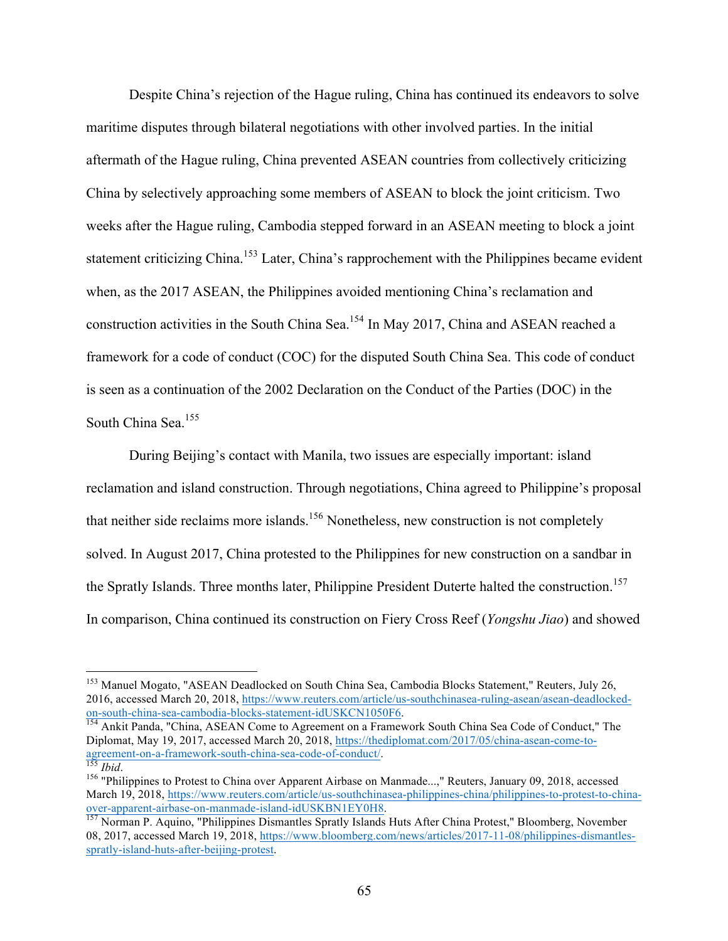Despite China's rejection of the Hague ruling, China has continued its endeavors to solve maritime disputes through bilateral negotiations with other involved parties. In the initial aftermath of the Hague ruling, China prevented ASEAN countries from collectively criticizing China by selectively approaching some members of ASEAN to block the joint criticism. Two weeks after the Hague ruling, Cambodia stepped forward in an ASEAN meeting to block a joint statement criticizing China.<sup>153</sup> Later, China's rapprochement with the Philippines became evident when, as the 2017 ASEAN, the Philippines avoided mentioning China's reclamation and construction activities in the South China Sea.154 In May 2017, China and ASEAN reached a framework for a code of conduct (COC) for the disputed South China Sea. This code of conduct is seen as a continuation of the 2002 Declaration on the Conduct of the Parties (DOC) in the South China Sea.<sup>155</sup>

During Beijing's contact with Manila, two issues are especially important: island reclamation and island construction. Through negotiations, China agreed to Philippine's proposal that neither side reclaims more islands.<sup>156</sup> Nonetheless, new construction is not completely solved. In August 2017, China protested to the Philippines for new construction on a sandbar in the Spratly Islands. Three months later, Philippine President Duterte halted the construction.<sup>157</sup> In comparison, China continued its construction on Fiery Cross Reef (*Yongshu Jiao*) and showed

<sup>&</sup>lt;sup>153</sup> Manuel Mogato, "ASEAN Deadlocked on South China Sea, Cambodia Blocks Statement," Reuters, July 26, 2016, accessed March 20, 2018, https://www.reuters.com/article/us-southchinasea-ruling-asean/asean-deadlocked-<br>on-south-china-sea-cambodia-blocks-statement-idUSKCN1050F6.

<sup>&</sup>lt;sup>154</sup> Ankit Panda, "China, ASEAN Come to Agreement on a Framework South China Sea Code of Conduct," The Diplomat, May 19, 2017, accessed March 20, 2018, https://thediplomat.com/2017/05/china-asean-come-to-<br>agreement-on-a-framework-south-china-sea-code-of-conduct/.<br><sup>155</sup>*Ibid.* 

<sup>&</sup>lt;sup>156</sup> "Philippines to Protest to China over Apparent Airbase on Manmade...," Reuters, January 09, 2018, accessed March 19, 2018, https://www.reuters.com/article/us-southchinasea-philippines-china/philippines-to-protest-to-chinaover-apparent-airbase-on-manmade-island-idUSKBN1EY0H8.<br><sup>157</sup> Norman P. Aquino, "Philippines Dismantles Spratly Islands Huts After China Protest," Bloomberg, November

<sup>08, 2017,</sup> accessed March 19, 2018, https://www.bloomberg.com/news/articles/2017-11-08/philippines-dismantlesspratly-island-huts-after-beijing-protest.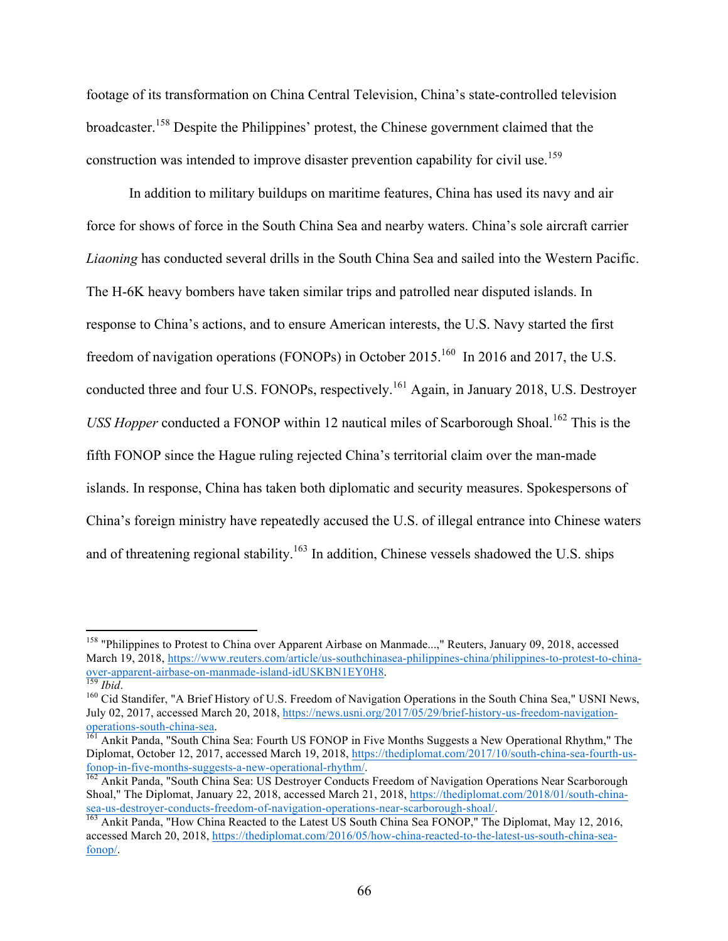footage of its transformation on China Central Television, China's state-controlled television broadcaster.<sup>158</sup> Despite the Philippines' protest, the Chinese government claimed that the construction was intended to improve disaster prevention capability for civil use.<sup>159</sup>

In addition to military buildups on maritime features, China has used its navy and air force for shows of force in the South China Sea and nearby waters. China's sole aircraft carrier *Liaoning* has conducted several drills in the South China Sea and sailed into the Western Pacific. The H-6K heavy bombers have taken similar trips and patrolled near disputed islands. In response to China's actions, and to ensure American interests, the U.S. Navy started the first freedom of navigation operations (FONOPs) in October 2015.<sup>160</sup> In 2016 and 2017, the U.S. conducted three and four U.S. FONOPs, respectively.<sup>161</sup> Again, in January 2018, U.S. Destroyer *USS Hopper* conducted a FONOP within 12 nautical miles of Scarborough Shoal.<sup>162</sup> This is the fifth FONOP since the Hague ruling rejected China's territorial claim over the man-made islands. In response, China has taken both diplomatic and security measures. Spokespersons of China's foreign ministry have repeatedly accused the U.S. of illegal entrance into Chinese waters and of threatening regional stability.<sup>163</sup> In addition, Chinese vessels shadowed the U.S. ships

<sup>&</sup>lt;sup>158</sup> "Philippines to Protest to China over Apparent Airbase on Manmade...," Reuters, January 09, 2018, accessed March 19, 2018, https://www.reuters.com/article/us-southchinasea-philippines-china/philippines-to-protest-to-china-<br>over-apparent-airbase-on-manmade-island-idUSKBN1EY0H8.<br><sup>159</sup> Ibid.

<sup>&</sup>lt;sup>160</sup> Cid Standifer, "A Brief History of U.S. Freedom of Navigation Operations in the South China Sea," USNI News, July 02, 2017, accessed March 20, 2018, https://news.usni.org/2017/05/29/brief-history-us-freedom-navigationoperations-south-china-sea.<br><sup>161</sup> Ankit Panda, "South China Sea: Fourth US FONOP in Five Months Suggests a New Operational Rhythm," The

Diplomat, October 12, 2017, accessed March 19, 2018, https://thediplomat.com/2017/10/south-china-sea-fourth-usfonop-in-five-months-suggests-a-new-operational-rhythm/.<br><sup>162</sup> Ankit Panda, "South China Sea: US Destroyer Conducts Freedom of Navigation Operations Near Scarborough

Shoal," The Diplomat, January 22, 2018, accessed March 21, 2018, https://thediplomat.com/2018/01/south-chinasea-us-destroyer-conducts-freedom-of-navigation-operations-near-scarborough-shoal/.<br><sup>163</sup> Ankit Panda, "How China Reacted to the Latest US South China Sea FONOP," The Diplomat, May 12, 2016,

accessed March 20, 2018, https://thediplomat.com/2016/05/how-china-reacted-to-the-latest-us-south-china-seafonop/.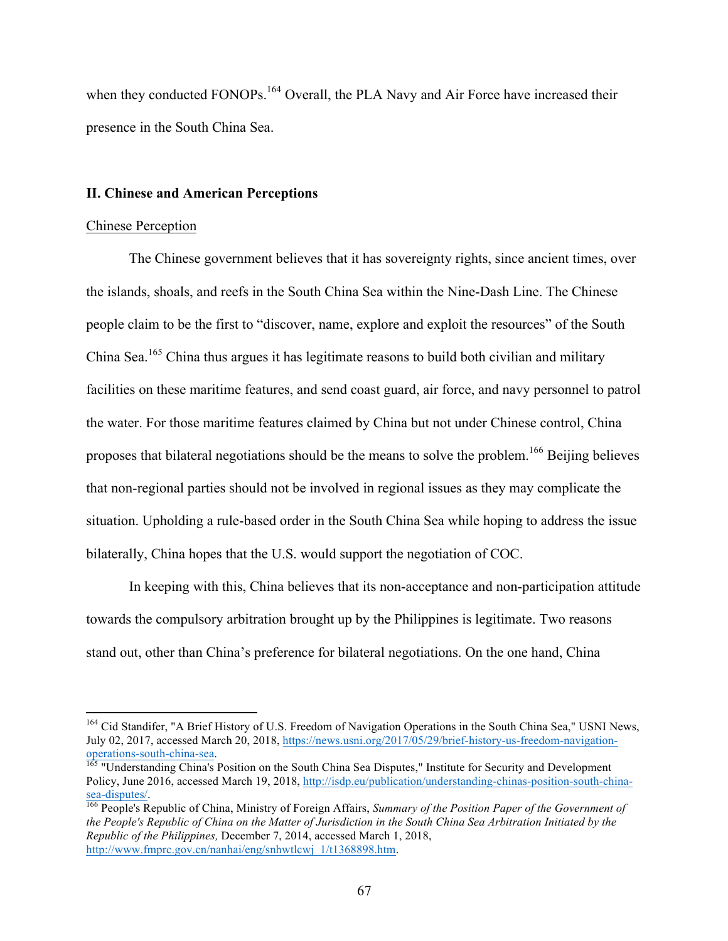when they conducted FONOPs.<sup>164</sup> Overall, the PLA Navy and Air Force have increased their presence in the South China Sea.

## **II. Chinese and American Perceptions**

#### Chinese Perception

The Chinese government believes that it has sovereignty rights, since ancient times, over the islands, shoals, and reefs in the South China Sea within the Nine-Dash Line. The Chinese people claim to be the first to "discover, name, explore and exploit the resources" of the South China Sea.<sup>165</sup> China thus argues it has legitimate reasons to build both civilian and military facilities on these maritime features, and send coast guard, air force, and navy personnel to patrol the water. For those maritime features claimed by China but not under Chinese control, China proposes that bilateral negotiations should be the means to solve the problem.<sup>166</sup> Beijing believes that non-regional parties should not be involved in regional issues as they may complicate the situation. Upholding a rule-based order in the South China Sea while hoping to address the issue bilaterally, China hopes that the U.S. would support the negotiation of COC.

In keeping with this, China believes that its non-acceptance and non-participation attitude towards the compulsory arbitration brought up by the Philippines is legitimate. Two reasons stand out, other than China's preference for bilateral negotiations. On the one hand, China

<sup>&</sup>lt;sup>164</sup> Cid Standifer, "A Brief History of U.S. Freedom of Navigation Operations in the South China Sea," USNI News, July 02, 2017, accessed March 20, 2018, https://news.usni.org/2017/05/29/brief-history-us-freedom-navigation-<br>operations-south-china-sea.

<sup>&</sup>lt;sup>165</sup> "Understanding China's Position on the South China Sea Disputes," Institute for Security and Development Policy, June 2016, accessed March 19, 2018, http://isdp.eu/publication/understanding-chinas-position-south-chinasea-disputes/. 166 People's Republic of China, Ministry of Foreign Affairs, *Summary of the Position Paper of the Government of* 

*the People's Republic of China on the Matter of Jurisdiction in the South China Sea Arbitration Initiated by the Republic of the Philippines,* December 7, 2014, accessed March 1, 2018, http://www.fmprc.gov.cn/nanhai/eng/snhwtlcwj\_1/t1368898.htm.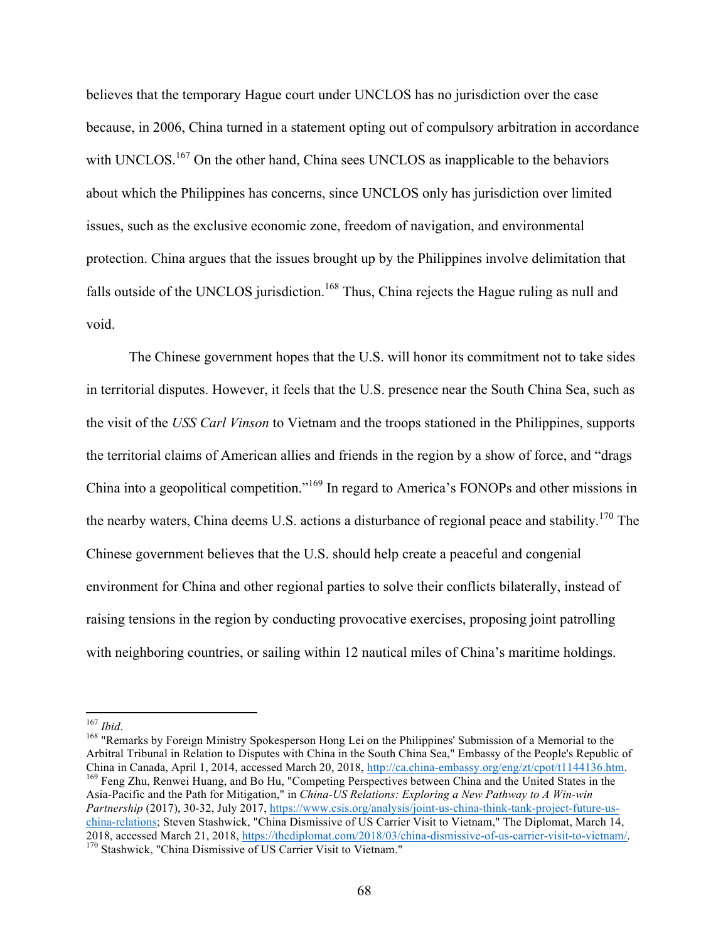believes that the temporary Hague court under UNCLOS has no jurisdiction over the case because, in 2006, China turned in a statement opting out of compulsory arbitration in accordance with UNCLOS.<sup>167</sup> On the other hand, China sees UNCLOS as inapplicable to the behaviors about which the Philippines has concerns, since UNCLOS only has jurisdiction over limited issues, such as the exclusive economic zone, freedom of navigation, and environmental protection. China argues that the issues brought up by the Philippines involve delimitation that falls outside of the UNCLOS jurisdiction.<sup>168</sup> Thus, China rejects the Hague ruling as null and void.

The Chinese government hopes that the U.S. will honor its commitment not to take sides in territorial disputes. However, it feels that the U.S. presence near the South China Sea, such as the visit of the *USS Carl Vinson* to Vietnam and the troops stationed in the Philippines, supports the territorial claims of American allies and friends in the region by a show of force, and "drags China into a geopolitical competition."<sup>169</sup> In regard to America's FONOPs and other missions in the nearby waters, China deems U.S. actions a disturbance of regional peace and stability.<sup>170</sup> The Chinese government believes that the U.S. should help create a peaceful and congenial environment for China and other regional parties to solve their conflicts bilaterally, instead of raising tensions in the region by conducting provocative exercises, proposing joint patrolling with neighboring countries, or sailing within 12 nautical miles of China's maritime holdings.

china-relations; Steven Stashwick, "China Dismissive of US Carrier Visit to Vietnam," The Diplomat, March 14, 2018, accessed March 21, 2018, https://thediplomat.com/2018/03/china-dismissive-of-us-carrier-visit-to-vietnam/. 170 Stashwick, "China Dismissive of US Carrier Visit to Vietnam."

<sup>&</sup>lt;sup>167</sup> *Ibid.*<br><sup>168</sup> "Remarks by Foreign Ministry Spokesperson Hong Lei on the Philippines' Submission of a Memorial to the Arbitral Tribunal in Relation to Disputes with China in the South China Sea," Embassy of the People's Republic of China in Canada, April 1, 2014, accessed March 20, 2018, http://ca.china-embassy.org/eng/zt/cpot/t1144136.htm. 169 Feng Zhu, Renwei Huang, and Bo Hu, "Competing Perspectives between China and the United States in the Asia-Pacific and the Path for Mitigation," in *China-US Relations: Exploring a New Pathway to A Win-win Partnership* (2017), 30-32, July 2017, https://www.csis.org/analysis/joint-us-china-think-tank-project-future-us-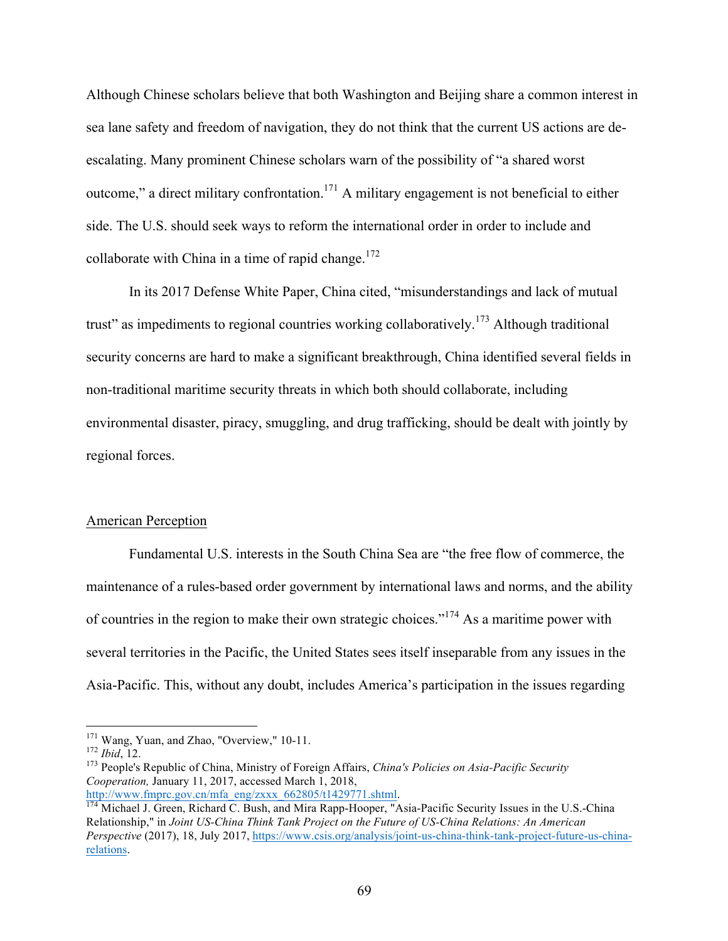Although Chinese scholars believe that both Washington and Beijing share a common interest in sea lane safety and freedom of navigation, they do not think that the current US actions are deescalating. Many prominent Chinese scholars warn of the possibility of "a shared worst outcome," a direct military confrontation.<sup>171</sup> A military engagement is not beneficial to either side. The U.S. should seek ways to reform the international order in order to include and collaborate with China in a time of rapid change.<sup>172</sup>

In its 2017 Defense White Paper, China cited, "misunderstandings and lack of mutual trust" as impediments to regional countries working collaboratively.<sup>173</sup> Although traditional security concerns are hard to make a significant breakthrough, China identified several fields in non-traditional maritime security threats in which both should collaborate, including environmental disaster, piracy, smuggling, and drug trafficking, should be dealt with jointly by regional forces.

## American Perception

Fundamental U.S. interests in the South China Sea are "the free flow of commerce, the maintenance of a rules-based order government by international laws and norms, and the ability of countries in the region to make their own strategic choices."<sup>174</sup> As a maritime power with several territories in the Pacific, the United States sees itself inseparable from any issues in the Asia-Pacific. This, without any doubt, includes America's participation in the issues regarding

<sup>&</sup>lt;sup>171</sup> Wang, Yuan, and Zhao, "Overview," 10-11.<br><sup>172</sup> *Ibid*, 12.<br><sup>173</sup> People's Republic of China, Ministry of Foreign Affairs, *China's Policies on Asia-Pacific Security Cooperation,* January 11, 2017, accessed March 1, 2018,

http://www.fmprc.gov.cn/mfa\_eng/zxxx\_662805/t1429771.shtml.<br><sup>174</sup> Michael J. Green, Richard C. Bush, and Mira Rapp-Hooper, "Asia-Pacific Security Issues in the U.S.-China Relationship," in *Joint US-China Think Tank Project on the Future of US-China Relations: An American Perspective* (2017), 18, July 2017, https://www.csis.org/analysis/joint-us-china-think-tank-project-future-us-chinarelations.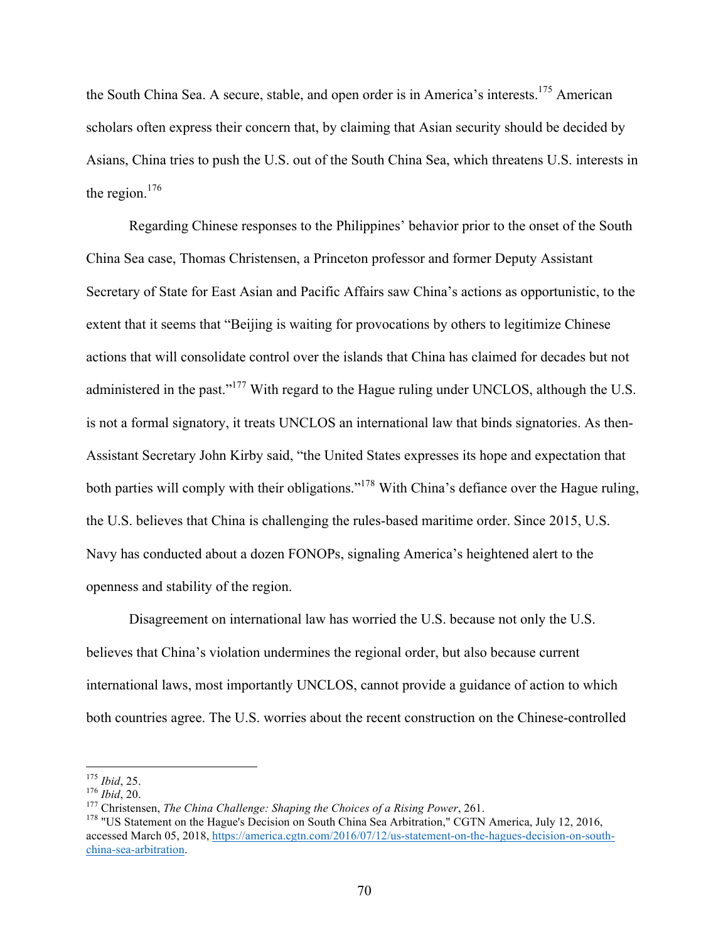the South China Sea. A secure, stable, and open order is in America's interests.<sup>175</sup> American scholars often express their concern that, by claiming that Asian security should be decided by Asians, China tries to push the U.S. out of the South China Sea, which threatens U.S. interests in the region. $176$ 

Regarding Chinese responses to the Philippines' behavior prior to the onset of the South China Sea case, Thomas Christensen, a Princeton professor and former Deputy Assistant Secretary of State for East Asian and Pacific Affairs saw China's actions as opportunistic, to the extent that it seems that "Beijing is waiting for provocations by others to legitimize Chinese actions that will consolidate control over the islands that China has claimed for decades but not administered in the past."<sup>177</sup> With regard to the Hague ruling under UNCLOS, although the U.S. is not a formal signatory, it treats UNCLOS an international law that binds signatories. As then-Assistant Secretary John Kirby said, "the United States expresses its hope and expectation that both parties will comply with their obligations."<sup>178</sup> With China's defiance over the Hague ruling, the U.S. believes that China is challenging the rules-based maritime order. Since 2015, U.S. Navy has conducted about a dozen FONOPs, signaling America's heightened alert to the openness and stability of the region.

Disagreement on international law has worried the U.S. because not only the U.S. believes that China's violation undermines the regional order, but also because current international laws, most importantly UNCLOS, cannot provide a guidance of action to which both countries agree. The U.S. worries about the recent construction on the Chinese-controlled

<sup>&</sup>lt;sup>175</sup> Ibid, 25.<br><sup>176</sup> Ibid, 20.<br><sup>177</sup> Christensen, *The China Challenge: Shaping the Choices of a Rising Power*, 261.<br><sup>178</sup> "US Statement on the Hague's Decision on South China Sea Arbitration," CGTN America, July 12, 2016 accessed March 05, 2018, https://america.cgtn.com/2016/07/12/us-statement-on-the-hagues-decision-on-southchina-sea-arbitration.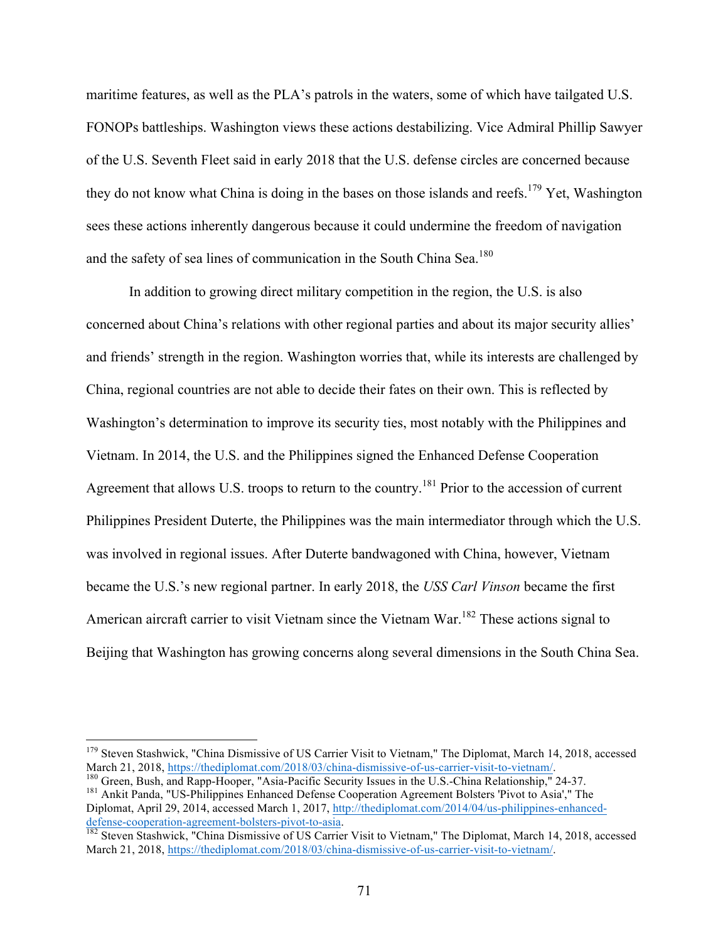maritime features, as well as the PLA's patrols in the waters, some of which have tailgated U.S. FONOPs battleships. Washington views these actions destabilizing. Vice Admiral Phillip Sawyer of the U.S. Seventh Fleet said in early 2018 that the U.S. defense circles are concerned because they do not know what China is doing in the bases on those islands and reefs.<sup>179</sup> Yet, Washington sees these actions inherently dangerous because it could undermine the freedom of navigation and the safety of sea lines of communication in the South China Sea.<sup>180</sup>

In addition to growing direct military competition in the region, the U.S. is also concerned about China's relations with other regional parties and about its major security allies' and friends' strength in the region. Washington worries that, while its interests are challenged by China, regional countries are not able to decide their fates on their own. This is reflected by Washington's determination to improve its security ties, most notably with the Philippines and Vietnam. In 2014, the U.S. and the Philippines signed the Enhanced Defense Cooperation Agreement that allows U.S. troops to return to the country.<sup>181</sup> Prior to the accession of current Philippines President Duterte, the Philippines was the main intermediator through which the U.S. was involved in regional issues. After Duterte bandwagoned with China, however, Vietnam became the U.S.'s new regional partner. In early 2018, the *USS Carl Vinson* became the first American aircraft carrier to visit Vietnam since the Vietnam War.<sup>182</sup> These actions signal to Beijing that Washington has growing concerns along several dimensions in the South China Sea.

<sup>&</sup>lt;sup>179</sup> Steven Stashwick, "China Dismissive of US Carrier Visit to Vietnam," The Diplomat, March 14, 2018, accessed March 21, 2018, https://thediplomat.com/2018/03/china-dismissive-of-us-carrier-visit-to-vietnam/.

<sup>&</sup>lt;sup>180</sup> Green, Bush, and Rapp-Hooper, "Asia-Pacific Security Issues in the U.S.-China Relationship," 24-37.<br><sup>181</sup> Ankit Panda, "US-Philippines Enhanced Defense Cooperation Agreement Bolsters 'Pivot to Asia'," The Diplomat, April 29, 2014, accessed March 1, 2017, http://thediplomat.com/2014/04/us-philippines-enhanced-

defense-cooperation-agreement-bolsters-pivot-to-asia.<br><sup>182</sup> Steven Stashwick, "China Dismissive of US Carrier Visit to Vietnam," The Diplomat, March 14, 2018, accessed

March 21, 2018, https://thediplomat.com/2018/03/china-dismissive-of-us-carrier-visit-to-vietnam/.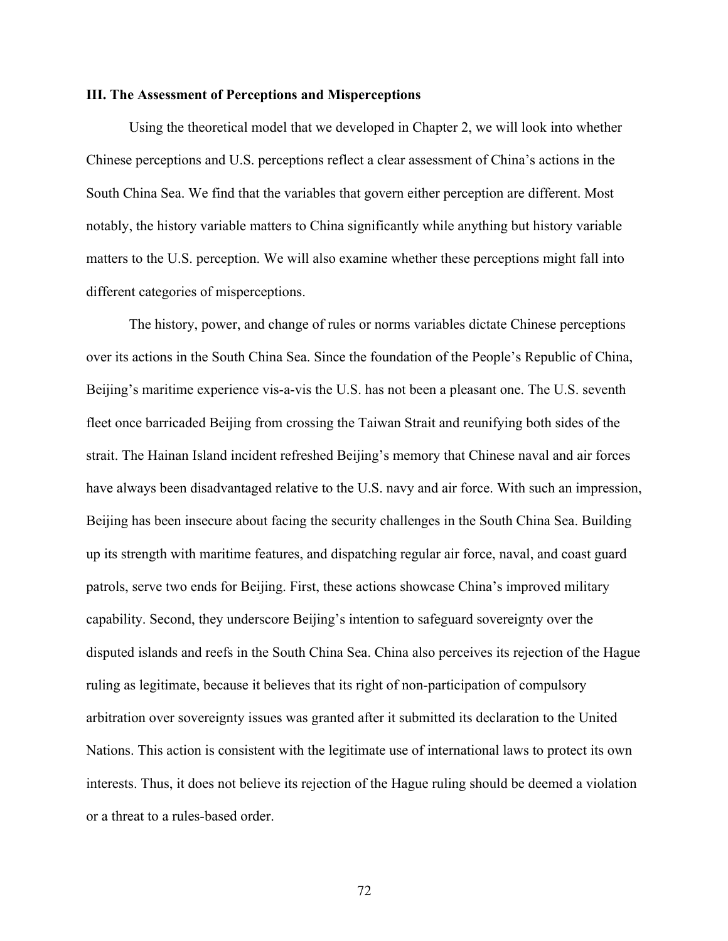## **III. The Assessment of Perceptions and Misperceptions**

Using the theoretical model that we developed in Chapter 2, we will look into whether Chinese perceptions and U.S. perceptions reflect a clear assessment of China's actions in the South China Sea. We find that the variables that govern either perception are different. Most notably, the history variable matters to China significantly while anything but history variable matters to the U.S. perception. We will also examine whether these perceptions might fall into different categories of misperceptions.

The history, power, and change of rules or norms variables dictate Chinese perceptions over its actions in the South China Sea. Since the foundation of the People's Republic of China, Beijing's maritime experience vis-a-vis the U.S. has not been a pleasant one. The U.S. seventh fleet once barricaded Beijing from crossing the Taiwan Strait and reunifying both sides of the strait. The Hainan Island incident refreshed Beijing's memory that Chinese naval and air forces have always been disadvantaged relative to the U.S. navy and air force. With such an impression, Beijing has been insecure about facing the security challenges in the South China Sea. Building up its strength with maritime features, and dispatching regular air force, naval, and coast guard patrols, serve two ends for Beijing. First, these actions showcase China's improved military capability. Second, they underscore Beijing's intention to safeguard sovereignty over the disputed islands and reefs in the South China Sea. China also perceives its rejection of the Hague ruling as legitimate, because it believes that its right of non-participation of compulsory arbitration over sovereignty issues was granted after it submitted its declaration to the United Nations. This action is consistent with the legitimate use of international laws to protect its own interests. Thus, it does not believe its rejection of the Hague ruling should be deemed a violation or a threat to a rules-based order.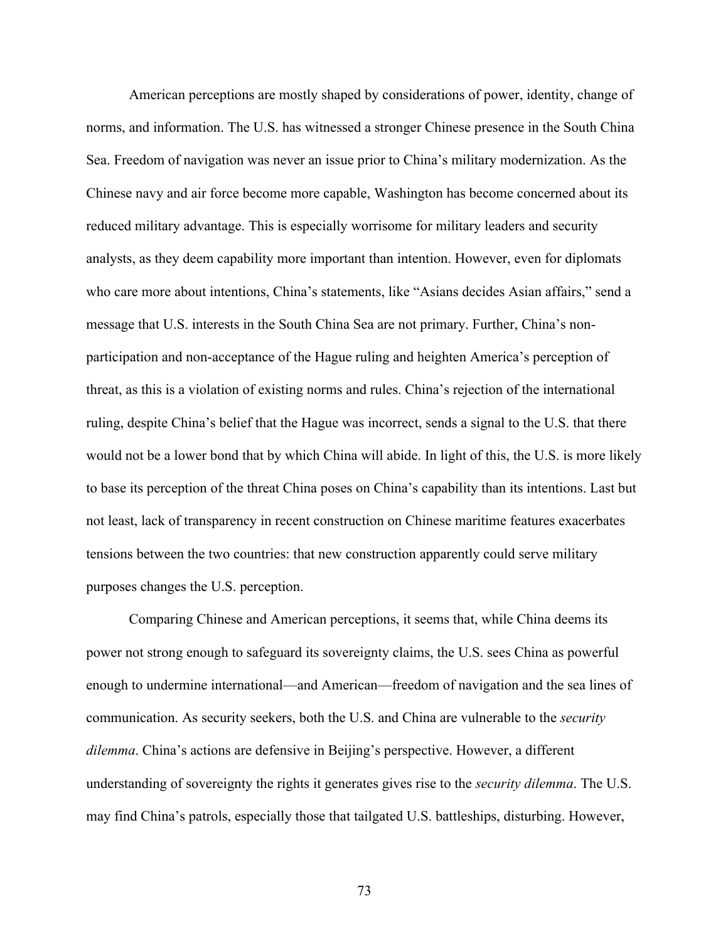American perceptions are mostly shaped by considerations of power, identity, change of norms, and information. The U.S. has witnessed a stronger Chinese presence in the South China Sea. Freedom of navigation was never an issue prior to China's military modernization. As the Chinese navy and air force become more capable, Washington has become concerned about its reduced military advantage. This is especially worrisome for military leaders and security analysts, as they deem capability more important than intention. However, even for diplomats who care more about intentions, China's statements, like "Asians decides Asian affairs," send a message that U.S. interests in the South China Sea are not primary. Further, China's nonparticipation and non-acceptance of the Hague ruling and heighten America's perception of threat, as this is a violation of existing norms and rules. China's rejection of the international ruling, despite China's belief that the Hague was incorrect, sends a signal to the U.S. that there would not be a lower bond that by which China will abide. In light of this, the U.S. is more likely to base its perception of the threat China poses on China's capability than its intentions. Last but not least, lack of transparency in recent construction on Chinese maritime features exacerbates tensions between the two countries: that new construction apparently could serve military purposes changes the U.S. perception.

Comparing Chinese and American perceptions, it seems that, while China deems its power not strong enough to safeguard its sovereignty claims, the U.S. sees China as powerful enough to undermine international—and American—freedom of navigation and the sea lines of communication. As security seekers, both the U.S. and China are vulnerable to the *security dilemma*. China's actions are defensive in Beijing's perspective. However, a different understanding of sovereignty the rights it generates gives rise to the *security dilemma*. The U.S. may find China's patrols, especially those that tailgated U.S. battleships, disturbing. However,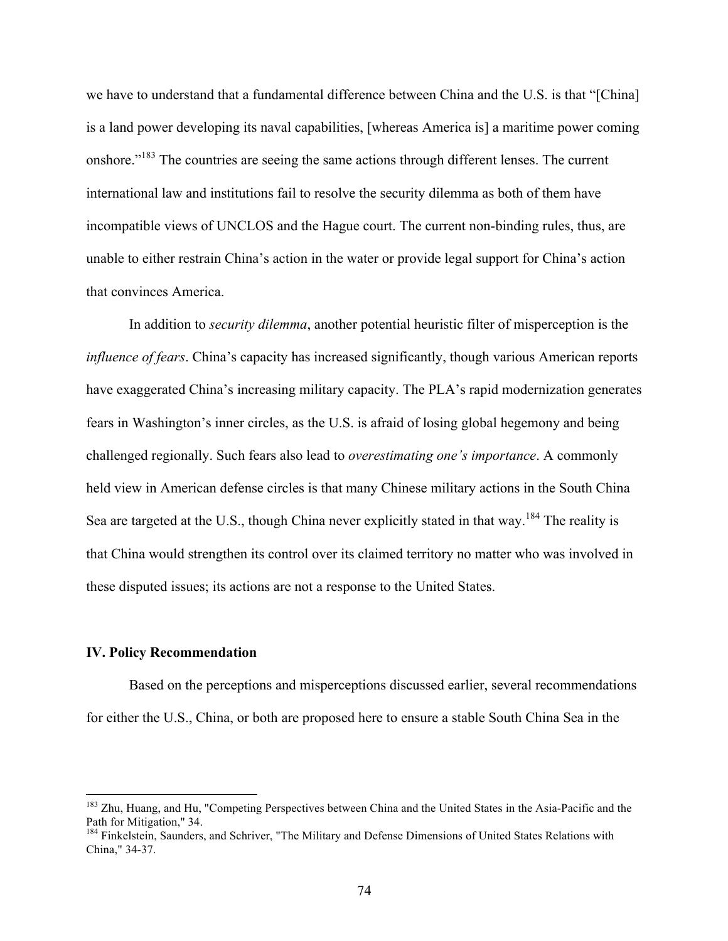we have to understand that a fundamental difference between China and the U.S. is that "[China] is a land power developing its naval capabilities, [whereas America is] a maritime power coming onshore."<sup>183</sup> The countries are seeing the same actions through different lenses. The current international law and institutions fail to resolve the security dilemma as both of them have incompatible views of UNCLOS and the Hague court. The current non-binding rules, thus, are unable to either restrain China's action in the water or provide legal support for China's action that convinces America.

In addition to *security dilemma*, another potential heuristic filter of misperception is the *influence of fears*. China's capacity has increased significantly, though various American reports have exaggerated China's increasing military capacity. The PLA's rapid modernization generates fears in Washington's inner circles, as the U.S. is afraid of losing global hegemony and being challenged regionally. Such fears also lead to *overestimating one's importance*. A commonly held view in American defense circles is that many Chinese military actions in the South China Sea are targeted at the U.S., though China never explicitly stated in that way.<sup>184</sup> The reality is that China would strengthen its control over its claimed territory no matter who was involved in these disputed issues; its actions are not a response to the United States.

# **IV. Policy Recommendation**

Based on the perceptions and misperceptions discussed earlier, several recommendations for either the U.S., China, or both are proposed here to ensure a stable South China Sea in the

<sup>&</sup>lt;sup>183</sup> Zhu, Huang, and Hu, "Competing Perspectives between China and the United States in the Asia-Pacific and the Path for Mitigation," 34.<br><sup>184</sup> Finkelstein, Saunders, and Schriver, "The Military and Defense Dimensions of United States Relations with

China," 34-37.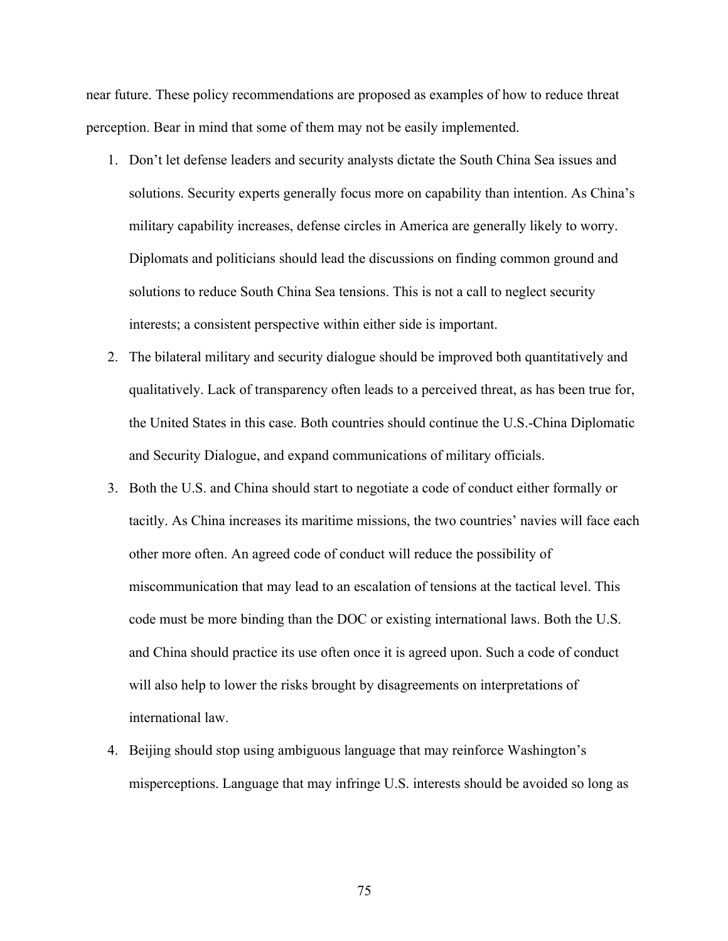near future. These policy recommendations are proposed as examples of how to reduce threat perception. Bear in mind that some of them may not be easily implemented.

- 1. Don't let defense leaders and security analysts dictate the South China Sea issues and solutions. Security experts generally focus more on capability than intention. As China's military capability increases, defense circles in America are generally likely to worry. Diplomats and politicians should lead the discussions on finding common ground and solutions to reduce South China Sea tensions. This is not a call to neglect security interests; a consistent perspective within either side is important.
- 2. The bilateral military and security dialogue should be improved both quantitatively and qualitatively. Lack of transparency often leads to a perceived threat, as has been true for, the United States in this case. Both countries should continue the U.S.-China Diplomatic and Security Dialogue, and expand communications of military officials.
- 3. Both the U.S. and China should start to negotiate a code of conduct either formally or tacitly. As China increases its maritime missions, the two countries' navies will face each other more often. An agreed code of conduct will reduce the possibility of miscommunication that may lead to an escalation of tensions at the tactical level. This code must be more binding than the DOC or existing international laws. Both the U.S. and China should practice its use often once it is agreed upon. Such a code of conduct will also help to lower the risks brought by disagreements on interpretations of international law.
- 4. Beijing should stop using ambiguous language that may reinforce Washington's misperceptions. Language that may infringe U.S. interests should be avoided so long as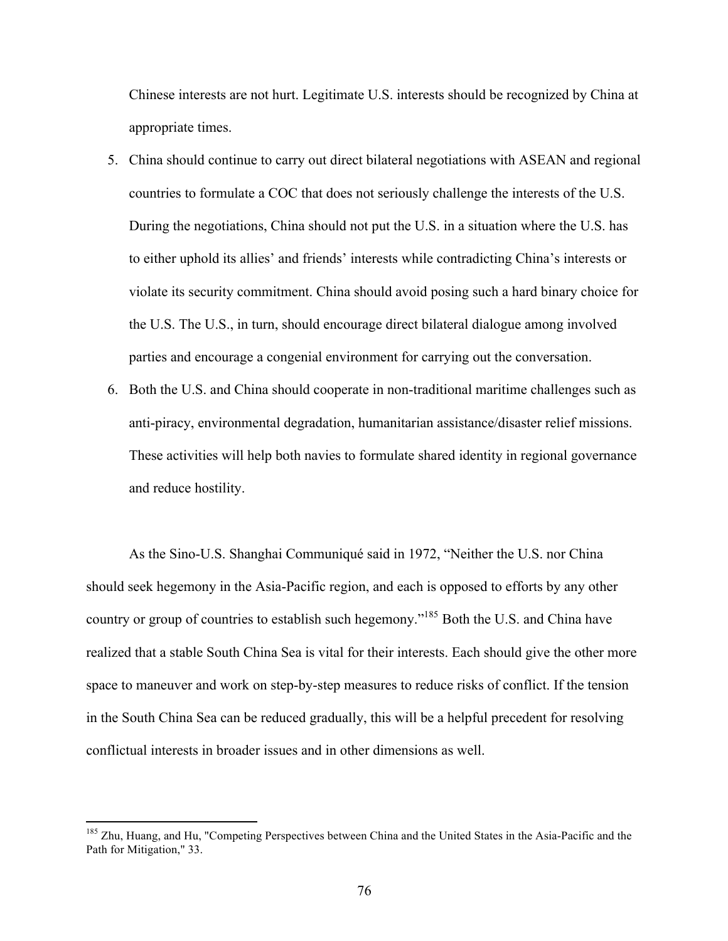Chinese interests are not hurt. Legitimate U.S. interests should be recognized by China at appropriate times.

- 5. China should continue to carry out direct bilateral negotiations with ASEAN and regional countries to formulate a COC that does not seriously challenge the interests of the U.S. During the negotiations, China should not put the U.S. in a situation where the U.S. has to either uphold its allies' and friends' interests while contradicting China's interests or violate its security commitment. China should avoid posing such a hard binary choice for the U.S. The U.S., in turn, should encourage direct bilateral dialogue among involved parties and encourage a congenial environment for carrying out the conversation.
- 6. Both the U.S. and China should cooperate in non-traditional maritime challenges such as anti-piracy, environmental degradation, humanitarian assistance/disaster relief missions. These activities will help both navies to formulate shared identity in regional governance and reduce hostility.

As the Sino-U.S. Shanghai Communiqué said in 1972, "Neither the U.S. nor China should seek hegemony in the Asia-Pacific region, and each is opposed to efforts by any other country or group of countries to establish such hegemony."<sup>185</sup> Both the U.S. and China have realized that a stable South China Sea is vital for their interests. Each should give the other more space to maneuver and work on step-by-step measures to reduce risks of conflict. If the tension in the South China Sea can be reduced gradually, this will be a helpful precedent for resolving conflictual interests in broader issues and in other dimensions as well.

<sup>&</sup>lt;sup>185</sup> Zhu, Huang, and Hu, "Competing Perspectives between China and the United States in the Asia-Pacific and the Path for Mitigation," 33.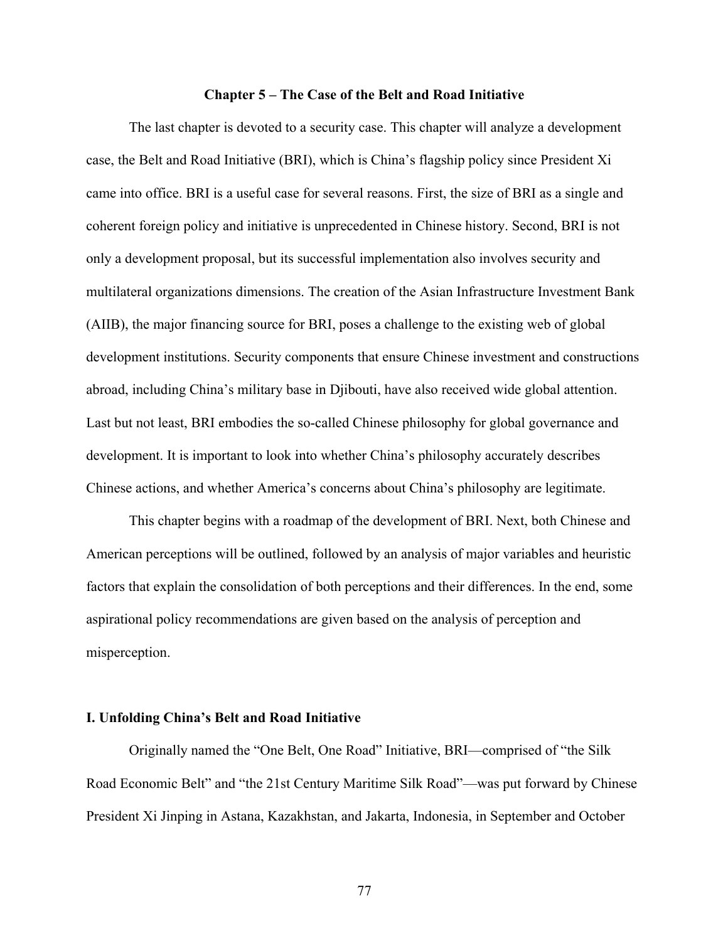#### **Chapter 5 – The Case of the Belt and Road Initiative**

The last chapter is devoted to a security case. This chapter will analyze a development case, the Belt and Road Initiative (BRI), which is China's flagship policy since President Xi came into office. BRI is a useful case for several reasons. First, the size of BRI as a single and coherent foreign policy and initiative is unprecedented in Chinese history. Second, BRI is not only a development proposal, but its successful implementation also involves security and multilateral organizations dimensions. The creation of the Asian Infrastructure Investment Bank (AIIB), the major financing source for BRI, poses a challenge to the existing web of global development institutions. Security components that ensure Chinese investment and constructions abroad, including China's military base in Djibouti, have also received wide global attention. Last but not least, BRI embodies the so-called Chinese philosophy for global governance and development. It is important to look into whether China's philosophy accurately describes Chinese actions, and whether America's concerns about China's philosophy are legitimate.

This chapter begins with a roadmap of the development of BRI. Next, both Chinese and American perceptions will be outlined, followed by an analysis of major variables and heuristic factors that explain the consolidation of both perceptions and their differences. In the end, some aspirational policy recommendations are given based on the analysis of perception and misperception.

## **I. Unfolding China's Belt and Road Initiative**

Originally named the "One Belt, One Road" Initiative, BRI—comprised of "the Silk Road Economic Belt" and "the 21st Century Maritime Silk Road"—was put forward by Chinese President Xi Jinping in Astana, Kazakhstan, and Jakarta, Indonesia, in September and October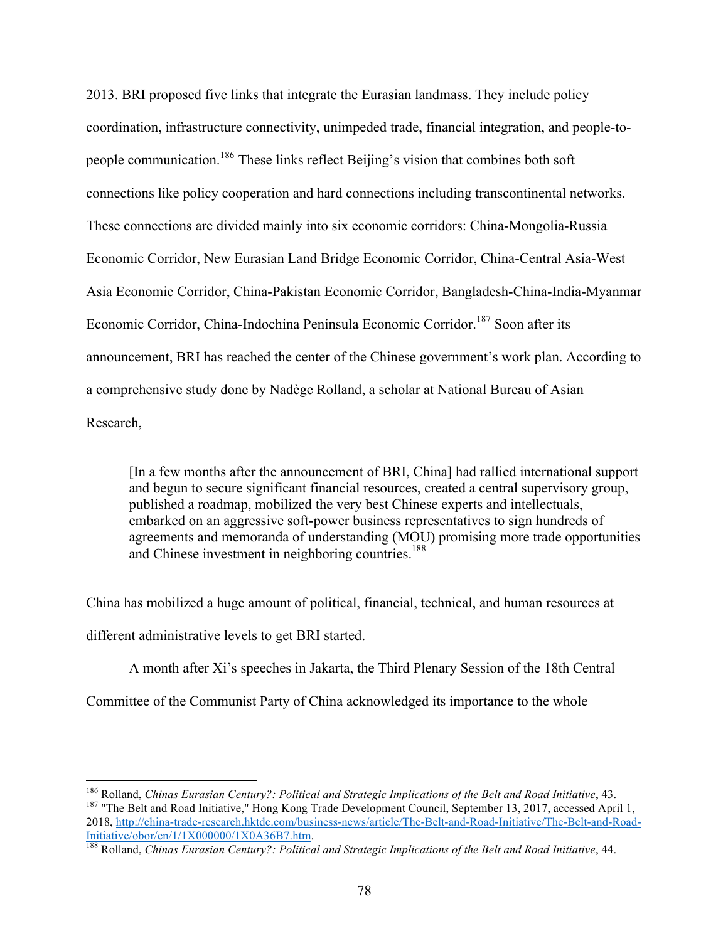2013. BRI proposed five links that integrate the Eurasian landmass. They include policy coordination, infrastructure connectivity, unimpeded trade, financial integration, and people-topeople communication.186 These links reflect Beijing's vision that combines both soft connections like policy cooperation and hard connections including transcontinental networks. These connections are divided mainly into six economic corridors: China-Mongolia-Russia Economic Corridor, New Eurasian Land Bridge Economic Corridor, China-Central Asia-West Asia Economic Corridor, China-Pakistan Economic Corridor, Bangladesh-China-India-Myanmar Economic Corridor, China-Indochina Peninsula Economic Corridor.<sup>187</sup> Soon after its announcement, BRI has reached the center of the Chinese government's work plan. According to a comprehensive study done by Nadège Rolland, a scholar at National Bureau of Asian Research,

[In a few months after the announcement of BRI, China] had rallied international support and begun to secure significant financial resources, created a central supervisory group, published a roadmap, mobilized the very best Chinese experts and intellectuals, embarked on an aggressive soft-power business representatives to sign hundreds of agreements and memoranda of understanding (MOU) promising more trade opportunities and Chinese investment in neighboring countries.<sup>188</sup>

China has mobilized a huge amount of political, financial, technical, and human resources at different administrative levels to get BRI started.

A month after Xi's speeches in Jakarta, the Third Plenary Session of the 18th Central

Committee of the Communist Party of China acknowledged its importance to the whole

<sup>&</sup>lt;sup>186</sup> Rolland, *Chinas Eurasian Century?: Political and Strategic Implications of the Belt and Road Initiative*, 43.<br><sup>187</sup> "The Belt and Road Initiative," Hong Kong Trade Development Council, September 13, 2017, accessed 2018, http://china-trade-research.hktdc.com/business-news/article/The-Belt-and-Road-Initiative/The-Belt-and-Road-Initiative/Obor/en/1/1X000000/1X0A36B7.htm.

<sup>&</sup>lt;sup>188</sup> Rolland, *Chinas Eurasian Century?: Political and Strategic Implications of the Belt and Road Initiative*, 44.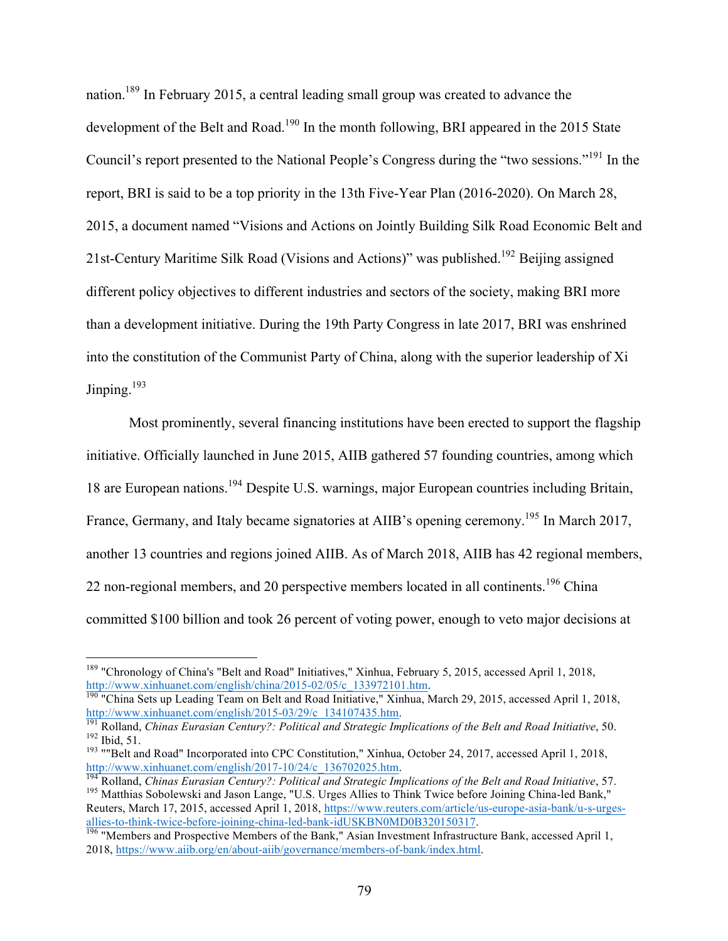nation.189 In February 2015, a central leading small group was created to advance the development of the Belt and Road.<sup>190</sup> In the month following, BRI appeared in the 2015 State Council's report presented to the National People's Congress during the "two sessions."<sup>191</sup> In the report, BRI is said to be a top priority in the 13th Five-Year Plan (2016-2020). On March 28, 2015, a document named "Visions and Actions on Jointly Building Silk Road Economic Belt and 21st-Century Maritime Silk Road (Visions and Actions)" was published.<sup>192</sup> Beijing assigned different policy objectives to different industries and sectors of the society, making BRI more than a development initiative. During the 19th Party Congress in late 2017, BRI was enshrined into the constitution of the Communist Party of China, along with the superior leadership of Xi Jinping.<sup>193</sup>

Most prominently, several financing institutions have been erected to support the flagship initiative. Officially launched in June 2015, AIIB gathered 57 founding countries, among which 18 are European nations.194 Despite U.S. warnings, major European countries including Britain, France, Germany, and Italy became signatories at AIIB's opening ceremony.<sup>195</sup> In March 2017, another 13 countries and regions joined AIIB. As of March 2018, AIIB has 42 regional members, 22 non-regional members, and 20 perspective members located in all continents.<sup>196</sup> China committed \$100 billion and took 26 percent of voting power, enough to veto major decisions at

 <sup>189</sup> "Chronology of China's "Belt and Road" Initiatives," Xinhua, February 5, 2015, accessed April 1, 2018,

http://www.xinhuanet.com/english/china/2015-02/05/c\_133972101.htm. 190 "China Sets up Leading Team on Belt and Road Initiative," Xinhua, March 29, 2015, accessed April 1, 2018, http://www.xinhuanet.com/english/2015-03/29/c

<sup>&</sup>lt;sup>191</sup> Rolland, *Chinas Eurasian Century?: Political and Strategic Implications of the Belt and Road Initiative, 50.*<br><sup>192</sup> Ibid, 51.<br><sup>193</sup> ""Belt and Road" Incorporated into CPC Constitution," Xinhua, October 24, 2017, ac

http://www.xinhuanet.com/english/2017-10/24/c\_136702025.htm.<br><sup>194</sup> Rolland, *Chinas Eurasian Century?: Political and Strategic Implications of the Belt and Road Initiative, 57.*<br><sup>195</sup> Matthias Sobolewski and Jason Lange, "

Reuters, March 17, 2015, accessed April 1, 2018, https://www.reuters.com/article/us-europe-asia-bank/u-s-urgesallies-to-think-twice-before-joining-china-led-bank-idUSKBN0MD0B320150317.<br><sup>196</sup> "Members and Prospective Members of the Bank," Asian Investment Infrastructure Bank, accessed April 1,

<sup>2018,</sup> https://www.aiib.org/en/about-aiib/governance/members-of-bank/index.html.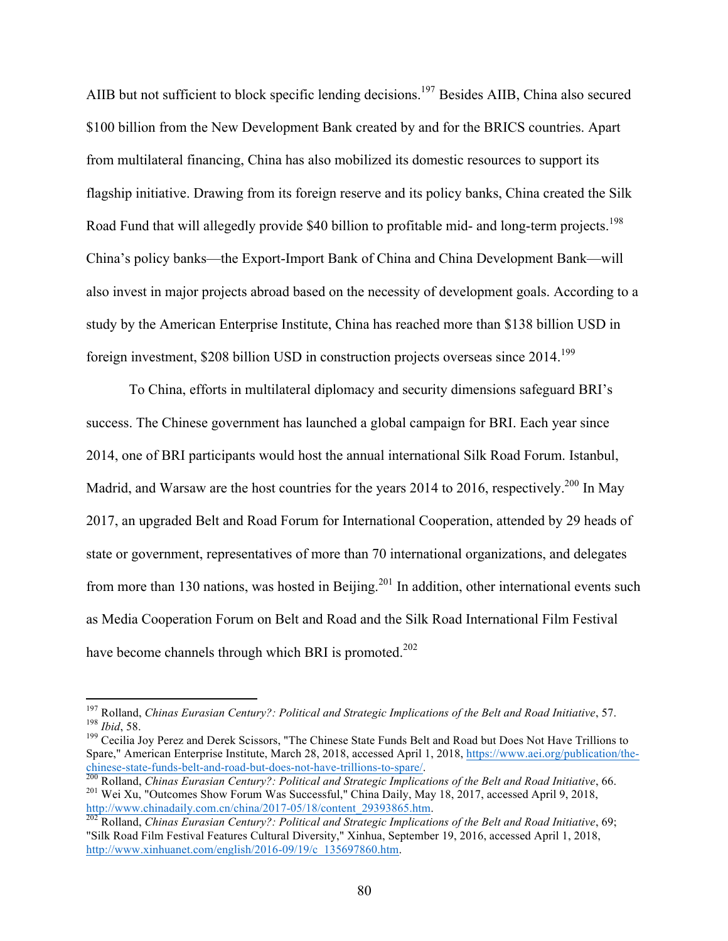AIIB but not sufficient to block specific lending decisions.<sup>197</sup> Besides AIIB, China also secured \$100 billion from the New Development Bank created by and for the BRICS countries. Apart from multilateral financing, China has also mobilized its domestic resources to support its flagship initiative. Drawing from its foreign reserve and its policy banks, China created the Silk Road Fund that will allegedly provide \$40 billion to profitable mid- and long-term projects.<sup>198</sup> China's policy banks—the Export-Import Bank of China and China Development Bank—will also invest in major projects abroad based on the necessity of development goals. According to a study by the American Enterprise Institute, China has reached more than \$138 billion USD in foreign investment,  $$208$  billion USD in construction projects overseas since  $2014$ <sup>199</sup>

To China, efforts in multilateral diplomacy and security dimensions safeguard BRI's success. The Chinese government has launched a global campaign for BRI. Each year since 2014, one of BRI participants would host the annual international Silk Road Forum. Istanbul, Madrid, and Warsaw are the host countries for the years 2014 to 2016, respectively.<sup>200</sup> In May 2017, an upgraded Belt and Road Forum for International Cooperation, attended by 29 heads of state or government, representatives of more than 70 international organizations, and delegates from more than 130 nations, was hosted in Beijing.<sup>201</sup> In addition, other international events such as Media Cooperation Forum on Belt and Road and the Silk Road International Film Festival have become channels through which BRI is promoted.<sup>202</sup>

<sup>&</sup>lt;sup>197</sup> Rolland, *Chinas Eurasian Century?: Political and Strategic Implications of the Belt and Road Initiative, 57.<br><sup>198</sup> <i>Ibid*, 58.<br><sup>199</sup> Cecilia Joy Perez and Derek Scissors, "The Chinese State Funds Belt and Road but

Spare," American Enterprise Institute, March 28, 2018, accessed April 1, 2018, https://www.aei.org/publication/the-

chinese-state-funds-belt-and-road-but-does-not-have-trillions-to-spare/.<br><sup>200</sup> Rolland, *Chinas Eurasian Century?: Political and Strategic Implications of the Belt and Road Initiative*, 66.<br><sup>201</sup> Wei Xu, "Outcomes Show For http://www.chinadaily.com.cn/china/2017-05/18/content\_29393865.htm.<br><sup>202</sup> Rolland, *Chinas Eurasian Century?: Political and Strategic Implications of the Belt and Road Initiative*, 69;

<sup>&</sup>quot;Silk Road Film Festival Features Cultural Diversity," Xinhua, September 19, 2016, accessed April 1, 2018, http://www.xinhuanet.com/english/2016-09/19/c\_135697860.htm.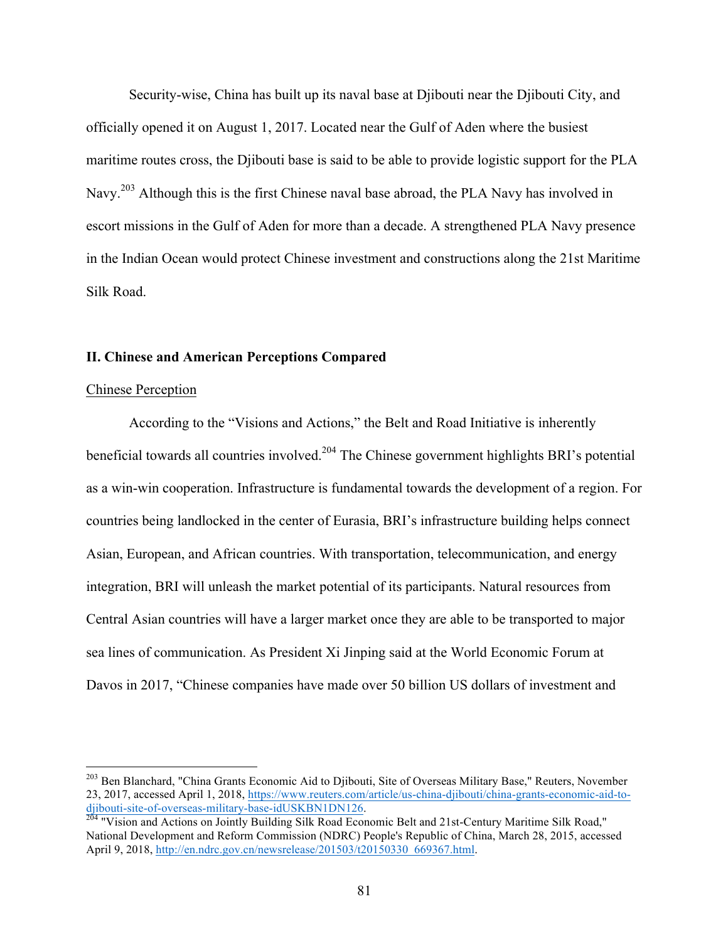Security-wise, China has built up its naval base at Djibouti near the Djibouti City, and officially opened it on August 1, 2017. Located near the Gulf of Aden where the busiest maritime routes cross, the Djibouti base is said to be able to provide logistic support for the PLA Navy.<sup>203</sup> Although this is the first Chinese naval base abroad, the PLA Navy has involved in escort missions in the Gulf of Aden for more than a decade. A strengthened PLA Navy presence in the Indian Ocean would protect Chinese investment and constructions along the 21st Maritime Silk Road.

## **II. Chinese and American Perceptions Compared**

#### Chinese Perception

 

According to the "Visions and Actions," the Belt and Road Initiative is inherently beneficial towards all countries involved.<sup>204</sup> The Chinese government highlights BRI's potential as a win-win cooperation. Infrastructure is fundamental towards the development of a region. For countries being landlocked in the center of Eurasia, BRI's infrastructure building helps connect Asian, European, and African countries. With transportation, telecommunication, and energy integration, BRI will unleash the market potential of its participants. Natural resources from Central Asian countries will have a larger market once they are able to be transported to major sea lines of communication. As President Xi Jinping said at the World Economic Forum at Davos in 2017, "Chinese companies have made over 50 billion US dollars of investment and

<sup>&</sup>lt;sup>203</sup> Ben Blanchard, "China Grants Economic Aid to Diibouti, Site of Overseas Military Base," Reuters, November 23, 2017, accessed April 1, 2018, https://www.reuters.com/article/us-china-djibouti/china-grants-economic-aid-todjibouti-site-of-overseas-military-base-idUSKBN1DN126.<br><sup>204</sup> "Vision and Actions on Jointly Building Silk Road Economic Belt and 21st-Century Maritime Silk Road,"

National Development and Reform Commission (NDRC) People's Republic of China, March 28, 2015, accessed April 9, 2018, http://en.ndrc.gov.cn/newsrelease/201503/t20150330\_669367.html.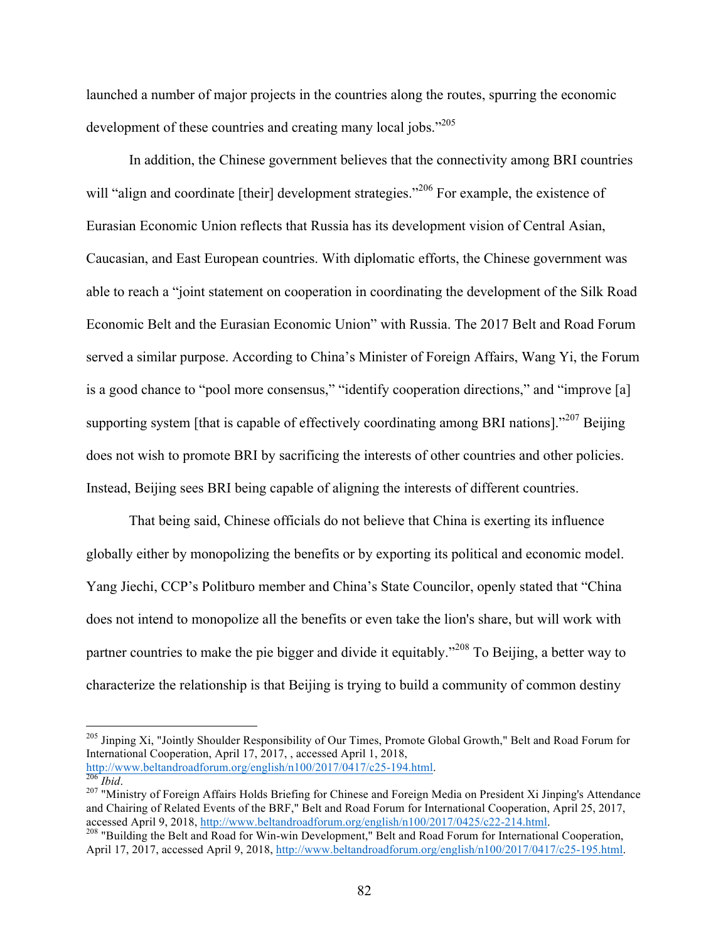launched a number of major projects in the countries along the routes, spurring the economic development of these countries and creating many local jobs."<sup>205</sup>

In addition, the Chinese government believes that the connectivity among BRI countries will "align and coordinate [their] development strategies."<sup>206</sup> For example, the existence of Eurasian Economic Union reflects that Russia has its development vision of Central Asian, Caucasian, and East European countries. With diplomatic efforts, the Chinese government was able to reach a "joint statement on cooperation in coordinating the development of the Silk Road Economic Belt and the Eurasian Economic Union" with Russia. The 2017 Belt and Road Forum served a similar purpose. According to China's Minister of Foreign Affairs, Wang Yi, the Forum is a good chance to "pool more consensus," "identify cooperation directions," and "improve [a] supporting system [that is capable of effectively coordinating among BRI nations]."<sup>207</sup> Beijing does not wish to promote BRI by sacrificing the interests of other countries and other policies. Instead, Beijing sees BRI being capable of aligning the interests of different countries.

That being said, Chinese officials do not believe that China is exerting its influence globally either by monopolizing the benefits or by exporting its political and economic model. Yang Jiechi, CCP's Politburo member and China's State Councilor, openly stated that "China does not intend to monopolize all the benefits or even take the lion's share, but will work with partner countries to make the pie bigger and divide it equitably."<sup>208</sup> To Beijing, a better way to characterize the relationship is that Beijing is trying to build a community of common destiny

<sup>205</sup> Jinping Xi, "Jointly Shoulder Responsibility of Our Times, Promote Global Growth," Belt and Road Forum for International Cooperation, April 17, 2017, , accessed April 1, 2018, http://www.beltandroadforum.org/english/n100/2017/0417/c25-194.html.<br><sup>206</sup> *Ibid.* 207 "Ministry of Foreign Affairs Holds Briefing for Chinese and Foreign Media on President Xi Jinping's Attendance

and Chairing of Related Events of the BRF," Belt and Road Forum for International Cooperation, April 25, 2017, accessed April 9, 2018, http://www.beltandroadforum.org/english/n100/2017/0425/c22-214.html.

accessed April 9, 2018, http://www.beltandromagnetary. Belt and Road Forum for International Cooperation, April 17, 2017, accessed April 9, 2018, http://www.beltandroadforum.org/english/n100/2017/0417/c25-195.html.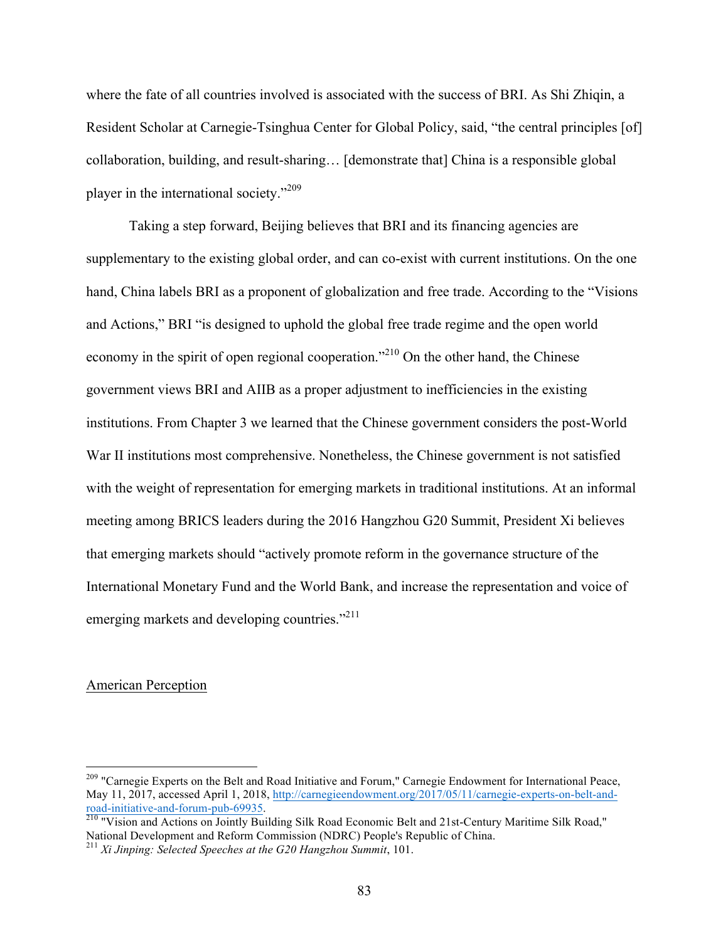where the fate of all countries involved is associated with the success of BRI. As Shi Zhiqin, a Resident Scholar at Carnegie-Tsinghua Center for Global Policy, said, "the central principles [of] collaboration, building, and result-sharing… [demonstrate that] China is a responsible global player in the international society."<sup>209</sup>

Taking a step forward, Beijing believes that BRI and its financing agencies are supplementary to the existing global order, and can co-exist with current institutions. On the one hand, China labels BRI as a proponent of globalization and free trade. According to the "Visions and Actions," BRI "is designed to uphold the global free trade regime and the open world economy in the spirit of open regional cooperation."<sup>210</sup> On the other hand, the Chinese government views BRI and AIIB as a proper adjustment to inefficiencies in the existing institutions. From Chapter 3 we learned that the Chinese government considers the post-World War II institutions most comprehensive. Nonetheless, the Chinese government is not satisfied with the weight of representation for emerging markets in traditional institutions. At an informal meeting among BRICS leaders during the 2016 Hangzhou G20 Summit, President Xi believes that emerging markets should "actively promote reform in the governance structure of the International Monetary Fund and the World Bank, and increase the representation and voice of emerging markets and developing countries."<sup>211</sup>

## American Perception

<sup>&</sup>lt;sup>209</sup> "Carnegie Experts on the Belt and Road Initiative and Forum," Carnegie Endowment for International Peace, May 11, 2017, accessed April 1, 2018, http://carnegieendowment.org/2017/05/11/carnegie-experts-on-belt-androad-initiative-and-forum-pub-69935. 210 "Vision and Actions on Jointly Building Silk Road Economic Belt and 21st-Century Maritime Silk Road,"

National Development and Reform Commission (NDRC) People's Republic of China.

<sup>211</sup> *Xi Jinping: Selected Speeches at the G20 Hangzhou Summit*, 101.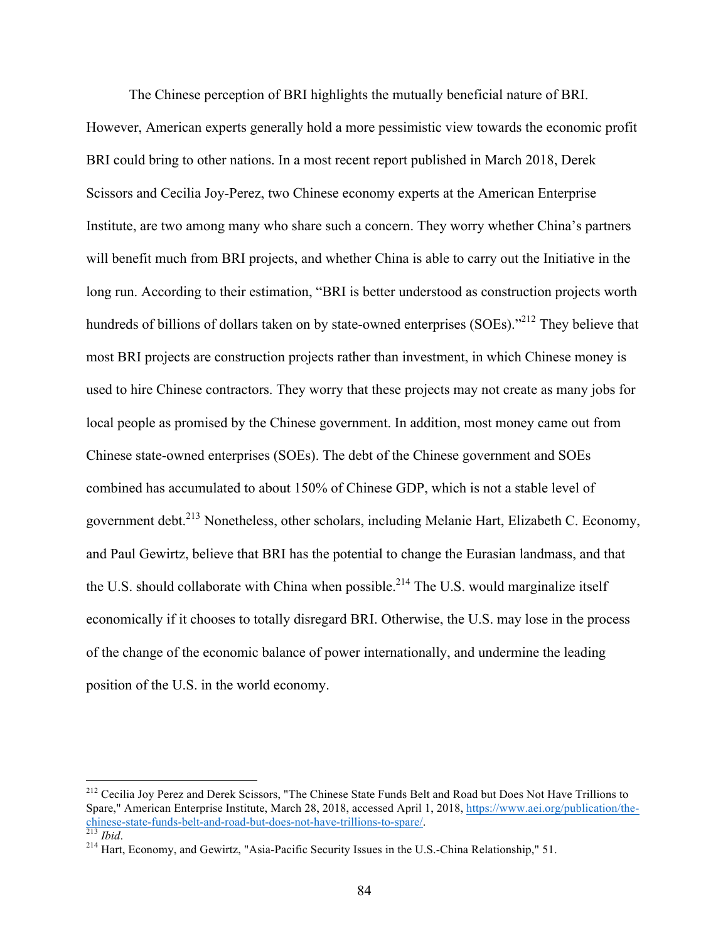The Chinese perception of BRI highlights the mutually beneficial nature of BRI. However, American experts generally hold a more pessimistic view towards the economic profit BRI could bring to other nations. In a most recent report published in March 2018, Derek Scissors and Cecilia Joy-Perez, two Chinese economy experts at the American Enterprise Institute, are two among many who share such a concern. They worry whether China's partners will benefit much from BRI projects, and whether China is able to carry out the Initiative in the long run. According to their estimation, "BRI is better understood as construction projects worth hundreds of billions of dollars taken on by state-owned enterprises (SOEs)."<sup>212</sup> They believe that most BRI projects are construction projects rather than investment, in which Chinese money is used to hire Chinese contractors. They worry that these projects may not create as many jobs for local people as promised by the Chinese government. In addition, most money came out from Chinese state-owned enterprises (SOEs). The debt of the Chinese government and SOEs combined has accumulated to about 150% of Chinese GDP, which is not a stable level of government debt.<sup>213</sup> Nonetheless, other scholars, including Melanie Hart, Elizabeth C. Economy, and Paul Gewirtz, believe that BRI has the potential to change the Eurasian landmass, and that the U.S. should collaborate with China when possible.<sup>214</sup> The U.S. would marginalize itself economically if it chooses to totally disregard BRI. Otherwise, the U.S. may lose in the process of the change of the economic balance of power internationally, and undermine the leading position of the U.S. in the world economy.

<sup>&</sup>lt;sup>212</sup> Cecilia Joy Perez and Derek Scissors, "The Chinese State Funds Belt and Road but Does Not Have Trillions to Spare," American Enterprise Institute, March 28, 2018, accessed April 1, 2018, https://www.aei.org/publication/thechinese-state-funds-belt-and-road-but-does-not-have-trillions-to-spare/.<br><sup>213</sup> *Ibid.* 214 Hart, Economy, and Gewirtz, "Asia-Pacific Security Issues in the U.S.-China Relationship," 51.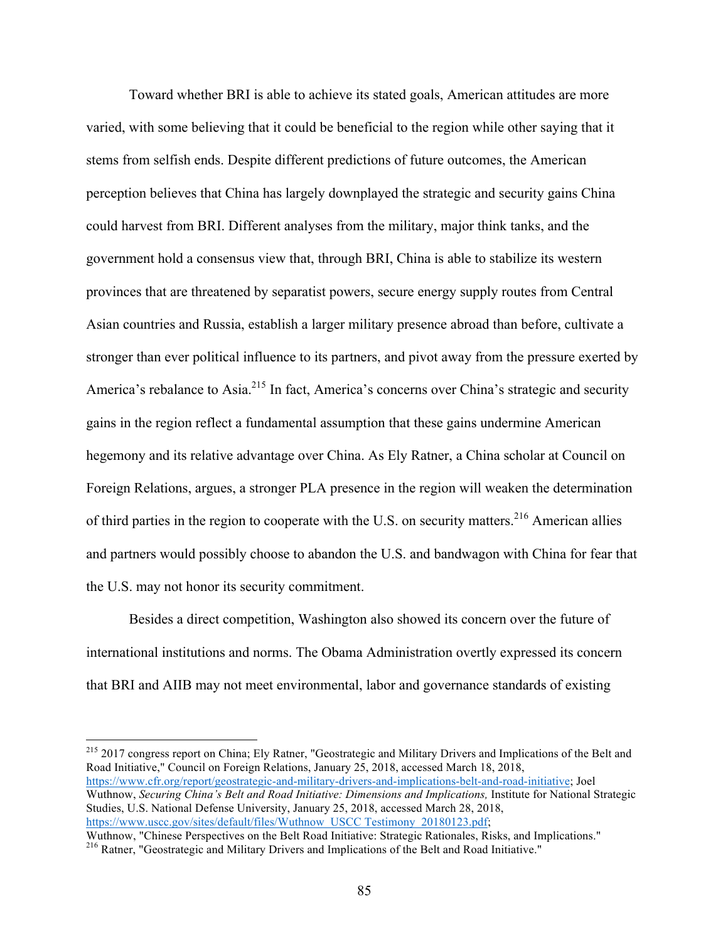Toward whether BRI is able to achieve its stated goals, American attitudes are more varied, with some believing that it could be beneficial to the region while other saying that it stems from selfish ends. Despite different predictions of future outcomes, the American perception believes that China has largely downplayed the strategic and security gains China could harvest from BRI. Different analyses from the military, major think tanks, and the government hold a consensus view that, through BRI, China is able to stabilize its western provinces that are threatened by separatist powers, secure energy supply routes from Central Asian countries and Russia, establish a larger military presence abroad than before, cultivate a stronger than ever political influence to its partners, and pivot away from the pressure exerted by America's rebalance to Asia.<sup>215</sup> In fact, America's concerns over China's strategic and security gains in the region reflect a fundamental assumption that these gains undermine American hegemony and its relative advantage over China. As Ely Ratner, a China scholar at Council on Foreign Relations, argues, a stronger PLA presence in the region will weaken the determination of third parties in the region to cooperate with the U.S. on security matters.<sup>216</sup> American allies and partners would possibly choose to abandon the U.S. and bandwagon with China for fear that the U.S. may not honor its security commitment.

Besides a direct competition, Washington also showed its concern over the future of international institutions and norms. The Obama Administration overtly expressed its concern that BRI and AIIB may not meet environmental, labor and governance standards of existing

<sup>215</sup> 2017 congress report on China; Ely Ratner, "Geostrategic and Military Drivers and Implications of the Belt and Road Initiative," Council on Foreign Relations, January 25, 2018, accessed March 18, 2018, https://www.cfr.org/report/geostrategic-and-military-drivers-and-implications-belt-and-road-initiative; Joel Wuthnow, *Securing China's Belt and Road Initiative: Dimensions and Implications,* Institute for National Strategic Studies, U.S. National Defense University, January 25, 2018, accessed March 28, 2018, https://www.uscc.gov/sites/default/files/Wuthnow\_USCC Testimony\_20180123.pdf;

Wuthnow, "Chinese Perspectives on the Belt Road Initiative: Strategic Rationales, Risks, and Implications." <sup>216</sup> Ratner, "Geostrategic and Military Drivers and Implications of the Belt and Road Initiative."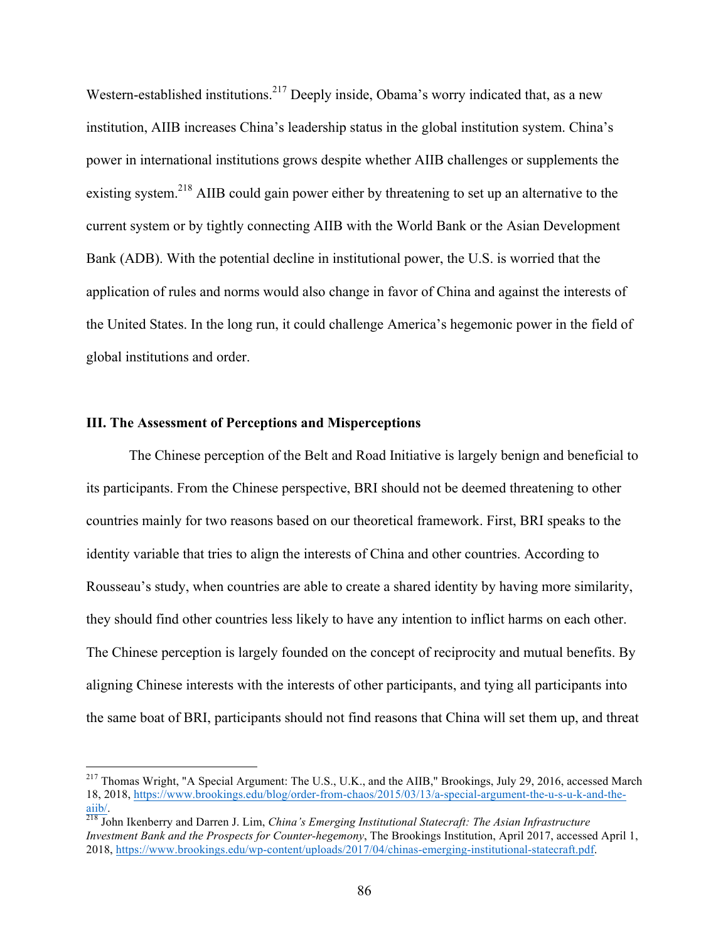Western-established institutions.<sup>217</sup> Deeply inside, Obama's worry indicated that, as a new institution, AIIB increases China's leadership status in the global institution system. China's power in international institutions grows despite whether AIIB challenges or supplements the existing system.<sup>218</sup> AIIB could gain power either by threatening to set up an alternative to the current system or by tightly connecting AIIB with the World Bank or the Asian Development Bank (ADB). With the potential decline in institutional power, the U.S. is worried that the application of rules and norms would also change in favor of China and against the interests of the United States. In the long run, it could challenge America's hegemonic power in the field of global institutions and order.

## **III. The Assessment of Perceptions and Misperceptions**

 

The Chinese perception of the Belt and Road Initiative is largely benign and beneficial to its participants. From the Chinese perspective, BRI should not be deemed threatening to other countries mainly for two reasons based on our theoretical framework. First, BRI speaks to the identity variable that tries to align the interests of China and other countries. According to Rousseau's study, when countries are able to create a shared identity by having more similarity, they should find other countries less likely to have any intention to inflict harms on each other. The Chinese perception is largely founded on the concept of reciprocity and mutual benefits. By aligning Chinese interests with the interests of other participants, and tying all participants into the same boat of BRI, participants should not find reasons that China will set them up, and threat

<sup>&</sup>lt;sup>217</sup> Thomas Wright, "A Special Argument: The U.S., U.K., and the AIIB," Brookings, July 29, 2016, accessed March 18, 2018, https://www.brookings.edu/blog/order-from-chaos/2015/03/13/a-special-argument-the-u-s-u-k-and-the-

aiib/.<br><sup>218</sup> John Ikenberry and Darren J. Lim, *China's Emerging Institutional Statecraft: The Asian Infrastructure Investment Bank and the Prospects for Counter-hegemony*, The Brookings Institution, April 2017, accessed April 1, 2018, https://www.brookings.edu/wp-content/uploads/2017/04/chinas-emerging-institutional-statecraft.pdf.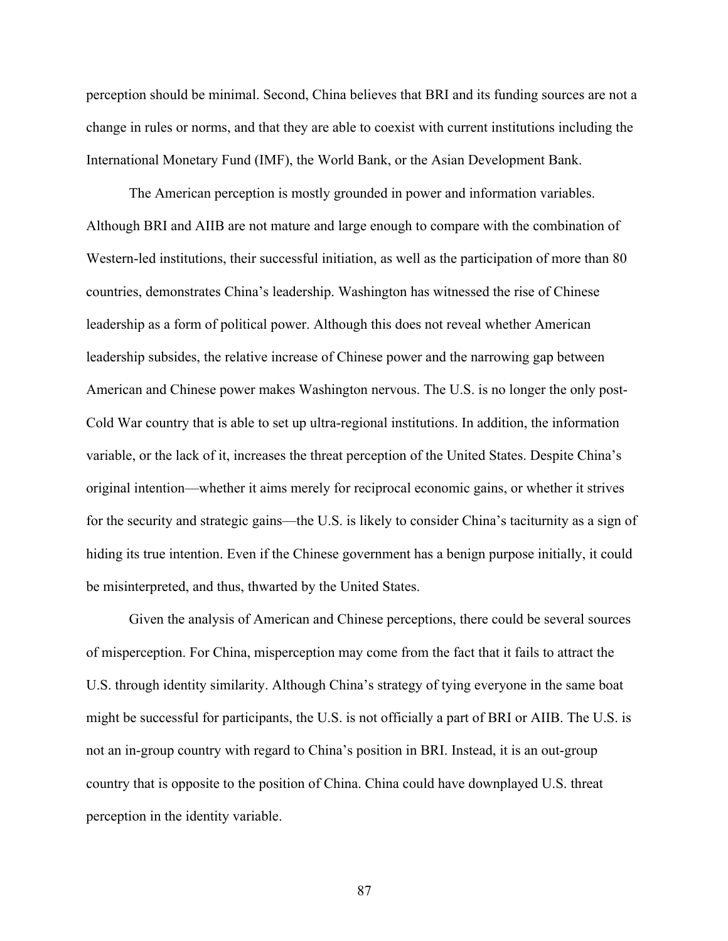perception should be minimal. Second, China believes that BRI and its funding sources are not a change in rules or norms, and that they are able to coexist with current institutions including the International Monetary Fund (IMF), the World Bank, or the Asian Development Bank.

The American perception is mostly grounded in power and information variables. Although BRI and AIIB are not mature and large enough to compare with the combination of Western-led institutions, their successful initiation, as well as the participation of more than 80 countries, demonstrates China's leadership. Washington has witnessed the rise of Chinese leadership as a form of political power. Although this does not reveal whether American leadership subsides, the relative increase of Chinese power and the narrowing gap between American and Chinese power makes Washington nervous. The U.S. is no longer the only post-Cold War country that is able to set up ultra-regional institutions. In addition, the information variable, or the lack of it, increases the threat perception of the United States. Despite China's original intention—whether it aims merely for reciprocal economic gains, or whether it strives for the security and strategic gains—the U.S. is likely to consider China's taciturnity as a sign of hiding its true intention. Even if the Chinese government has a benign purpose initially, it could be misinterpreted, and thus, thwarted by the United States.

Given the analysis of American and Chinese perceptions, there could be several sources of misperception. For China, misperception may come from the fact that it fails to attract the U.S. through identity similarity. Although China's strategy of tying everyone in the same boat might be successful for participants, the U.S. is not officially a part of BRI or AIIB. The U.S. is not an in-group country with regard to China's position in BRI. Instead, it is an out-group country that is opposite to the position of China. China could have downplayed U.S. threat perception in the identity variable.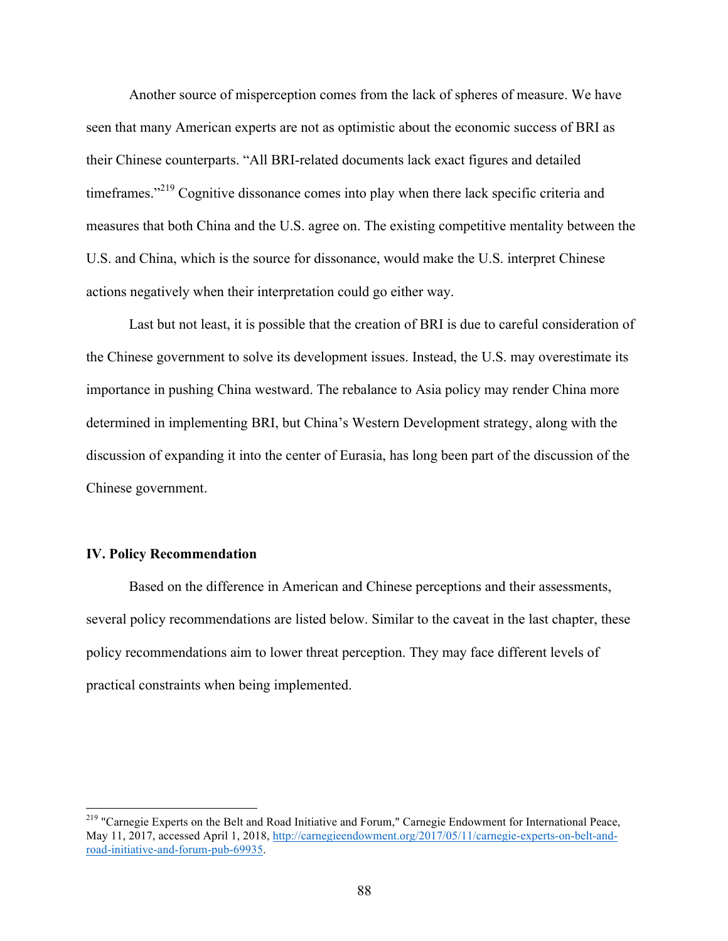Another source of misperception comes from the lack of spheres of measure. We have seen that many American experts are not as optimistic about the economic success of BRI as their Chinese counterparts. "All BRI-related documents lack exact figures and detailed timeframes."<sup>219</sup> Cognitive dissonance comes into play when there lack specific criteria and measures that both China and the U.S. agree on. The existing competitive mentality between the U.S. and China, which is the source for dissonance, would make the U.S. interpret Chinese actions negatively when their interpretation could go either way.

Last but not least, it is possible that the creation of BRI is due to careful consideration of the Chinese government to solve its development issues. Instead, the U.S. may overestimate its importance in pushing China westward. The rebalance to Asia policy may render China more determined in implementing BRI, but China's Western Development strategy, along with the discussion of expanding it into the center of Eurasia, has long been part of the discussion of the Chinese government.

## **IV. Policy Recommendation**

Based on the difference in American and Chinese perceptions and their assessments, several policy recommendations are listed below. Similar to the caveat in the last chapter, these policy recommendations aim to lower threat perception. They may face different levels of practical constraints when being implemented.

<sup>&</sup>lt;sup>219</sup> "Carnegie Experts on the Belt and Road Initiative and Forum," Carnegie Endowment for International Peace, May 11, 2017, accessed April 1, 2018, http://carnegieendowment.org/2017/05/11/carnegie-experts-on-belt-androad-initiative-and-forum-pub-69935.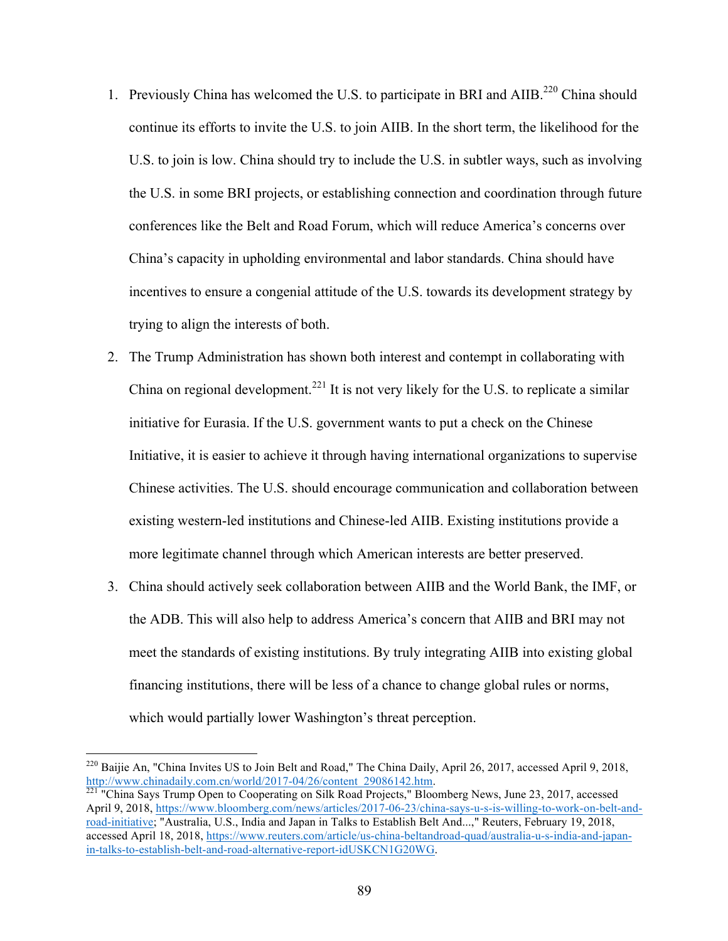- 1. Previously China has welcomed the U.S. to participate in BRI and AIIB.<sup>220</sup> China should continue its efforts to invite the U.S. to join AIIB. In the short term, the likelihood for the U.S. to join is low. China should try to include the U.S. in subtler ways, such as involving the U.S. in some BRI projects, or establishing connection and coordination through future conferences like the Belt and Road Forum, which will reduce America's concerns over China's capacity in upholding environmental and labor standards. China should have incentives to ensure a congenial attitude of the U.S. towards its development strategy by trying to align the interests of both.
- 2. The Trump Administration has shown both interest and contempt in collaborating with China on regional development.<sup>221</sup> It is not very likely for the U.S. to replicate a similar initiative for Eurasia. If the U.S. government wants to put a check on the Chinese Initiative, it is easier to achieve it through having international organizations to supervise Chinese activities. The U.S. should encourage communication and collaboration between existing western-led institutions and Chinese-led AIIB. Existing institutions provide a more legitimate channel through which American interests are better preserved.
- 3. China should actively seek collaboration between AIIB and the World Bank, the IMF, or the ADB. This will also help to address America's concern that AIIB and BRI may not meet the standards of existing institutions. By truly integrating AIIB into existing global financing institutions, there will be less of a chance to change global rules or norms, which would partially lower Washington's threat perception.

<sup>&</sup>lt;sup>220</sup> Baijie An, "China Invites US to Join Belt and Road," The China Daily, April 26, 2017, accessed April 9, 2018, http://www.chinadaily.com.cn/world/2017-04/26/content\_29086142.htm. <sup>221</sup> "China Says Trump Open to Cooperating on Silk Road Projects," Bloomberg News, June 23, 2017, accessed

April 9, 2018, https://www.bloomberg.com/news/articles/2017-06-23/china-says-u-s-is-willing-to-work-on-belt-androad-initiative; "Australia, U.S., India and Japan in Talks to Establish Belt And...," Reuters, February 19, 2018, accessed April 18, 2018, https://www.reuters.com/article/us-china-beltandroad-quad/australia-u-s-india-and-japanin-talks-to-establish-belt-and-road-alternative-report-idUSKCN1G20WG.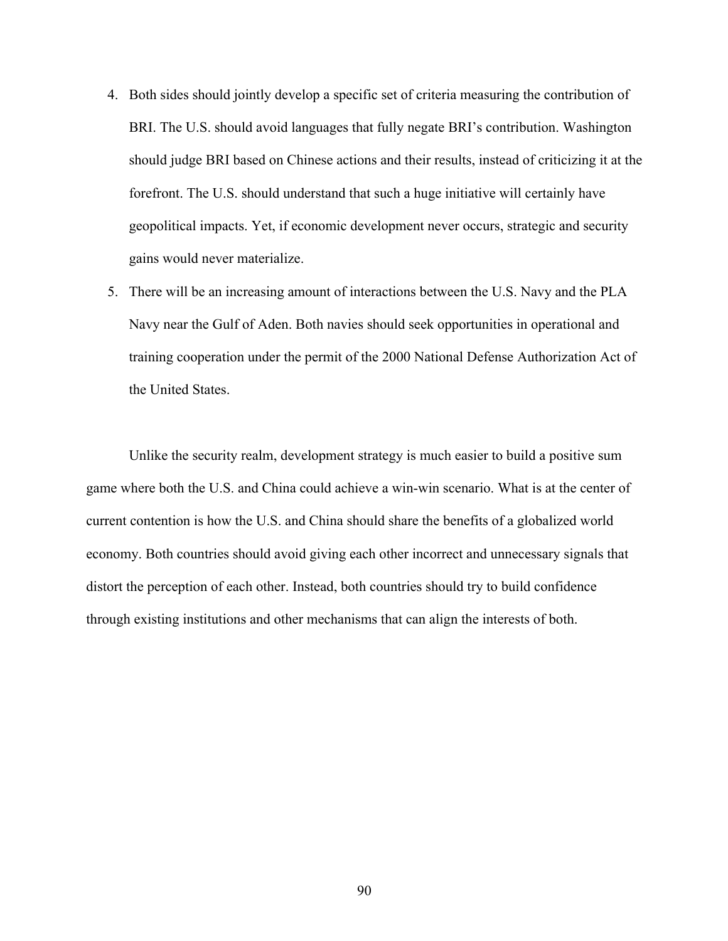- 4. Both sides should jointly develop a specific set of criteria measuring the contribution of BRI. The U.S. should avoid languages that fully negate BRI's contribution. Washington should judge BRI based on Chinese actions and their results, instead of criticizing it at the forefront. The U.S. should understand that such a huge initiative will certainly have geopolitical impacts. Yet, if economic development never occurs, strategic and security gains would never materialize.
- 5. There will be an increasing amount of interactions between the U.S. Navy and the PLA Navy near the Gulf of Aden. Both navies should seek opportunities in operational and training cooperation under the permit of the 2000 National Defense Authorization Act of the United States.

Unlike the security realm, development strategy is much easier to build a positive sum game where both the U.S. and China could achieve a win-win scenario. What is at the center of current contention is how the U.S. and China should share the benefits of a globalized world economy. Both countries should avoid giving each other incorrect and unnecessary signals that distort the perception of each other. Instead, both countries should try to build confidence through existing institutions and other mechanisms that can align the interests of both.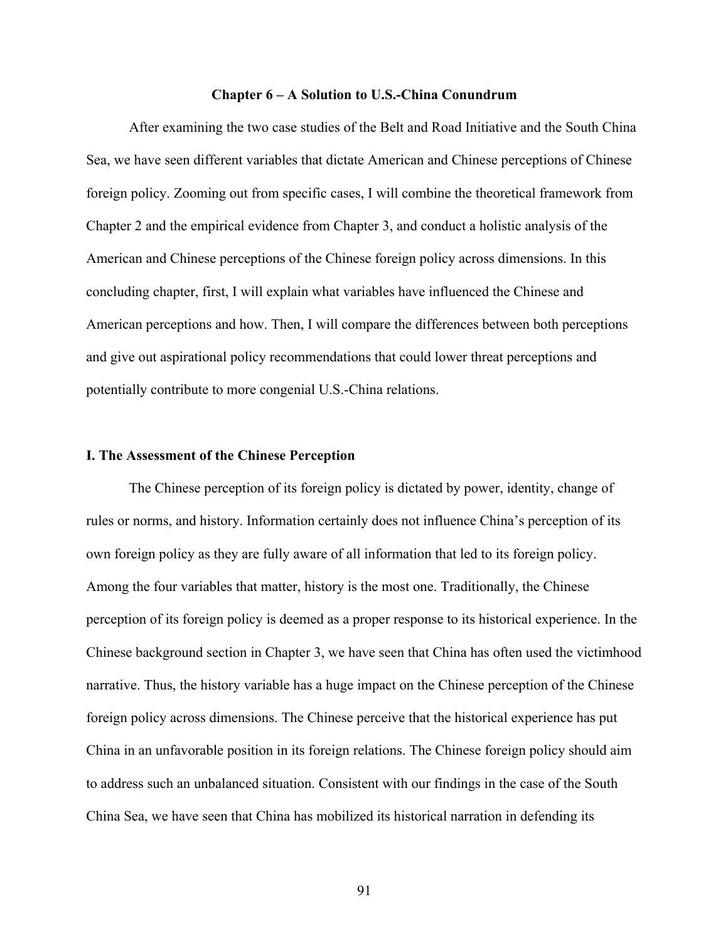#### **Chapter 6 – A Solution to U.S.-China Conundrum**

After examining the two case studies of the Belt and Road Initiative and the South China Sea, we have seen different variables that dictate American and Chinese perceptions of Chinese foreign policy. Zooming out from specific cases, I will combine the theoretical framework from Chapter 2 and the empirical evidence from Chapter 3, and conduct a holistic analysis of the American and Chinese perceptions of the Chinese foreign policy across dimensions. In this concluding chapter, first, I will explain what variables have influenced the Chinese and American perceptions and how. Then, I will compare the differences between both perceptions and give out aspirational policy recommendations that could lower threat perceptions and potentially contribute to more congenial U.S.-China relations.

#### **I. The Assessment of the Chinese Perception**

The Chinese perception of its foreign policy is dictated by power, identity, change of rules or norms, and history. Information certainly does not influence China's perception of its own foreign policy as they are fully aware of all information that led to its foreign policy. Among the four variables that matter, history is the most one. Traditionally, the Chinese perception of its foreign policy is deemed as a proper response to its historical experience. In the Chinese background section in Chapter 3, we have seen that China has often used the victimhood narrative. Thus, the history variable has a huge impact on the Chinese perception of the Chinese foreign policy across dimensions. The Chinese perceive that the historical experience has put China in an unfavorable position in its foreign relations. The Chinese foreign policy should aim to address such an unbalanced situation. Consistent with our findings in the case of the South China Sea, we have seen that China has mobilized its historical narration in defending its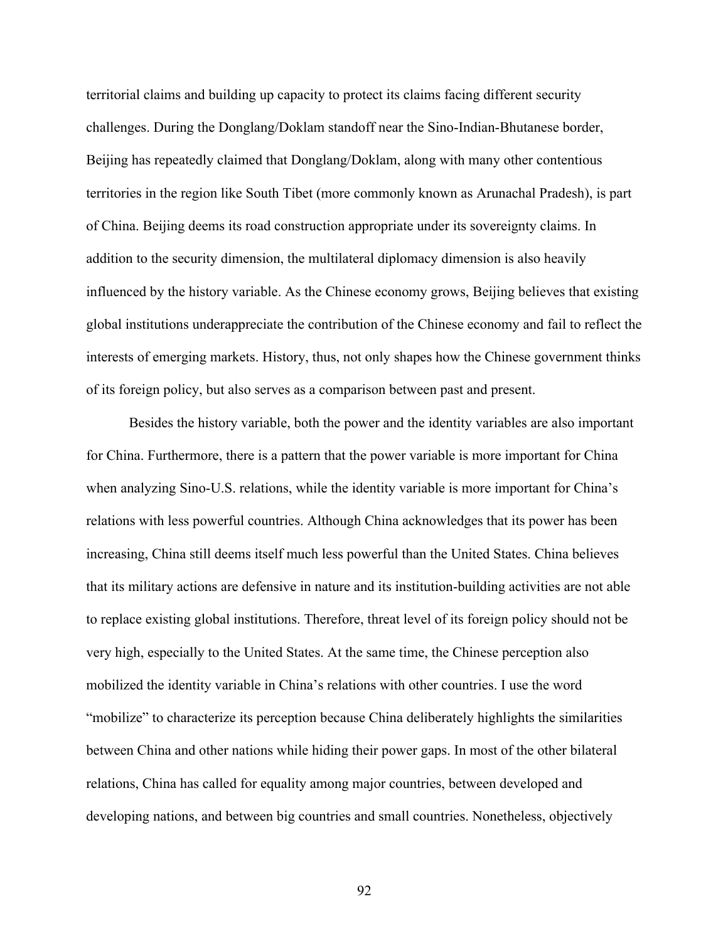territorial claims and building up capacity to protect its claims facing different security challenges. During the Donglang/Doklam standoff near the Sino-Indian-Bhutanese border, Beijing has repeatedly claimed that Donglang/Doklam, along with many other contentious territories in the region like South Tibet (more commonly known as Arunachal Pradesh), is part of China. Beijing deems its road construction appropriate under its sovereignty claims. In addition to the security dimension, the multilateral diplomacy dimension is also heavily influenced by the history variable. As the Chinese economy grows, Beijing believes that existing global institutions underappreciate the contribution of the Chinese economy and fail to reflect the interests of emerging markets. History, thus, not only shapes how the Chinese government thinks of its foreign policy, but also serves as a comparison between past and present.

Besides the history variable, both the power and the identity variables are also important for China. Furthermore, there is a pattern that the power variable is more important for China when analyzing Sino-U.S. relations, while the identity variable is more important for China's relations with less powerful countries. Although China acknowledges that its power has been increasing, China still deems itself much less powerful than the United States. China believes that its military actions are defensive in nature and its institution-building activities are not able to replace existing global institutions. Therefore, threat level of its foreign policy should not be very high, especially to the United States. At the same time, the Chinese perception also mobilized the identity variable in China's relations with other countries. I use the word "mobilize" to characterize its perception because China deliberately highlights the similarities between China and other nations while hiding their power gaps. In most of the other bilateral relations, China has called for equality among major countries, between developed and developing nations, and between big countries and small countries. Nonetheless, objectively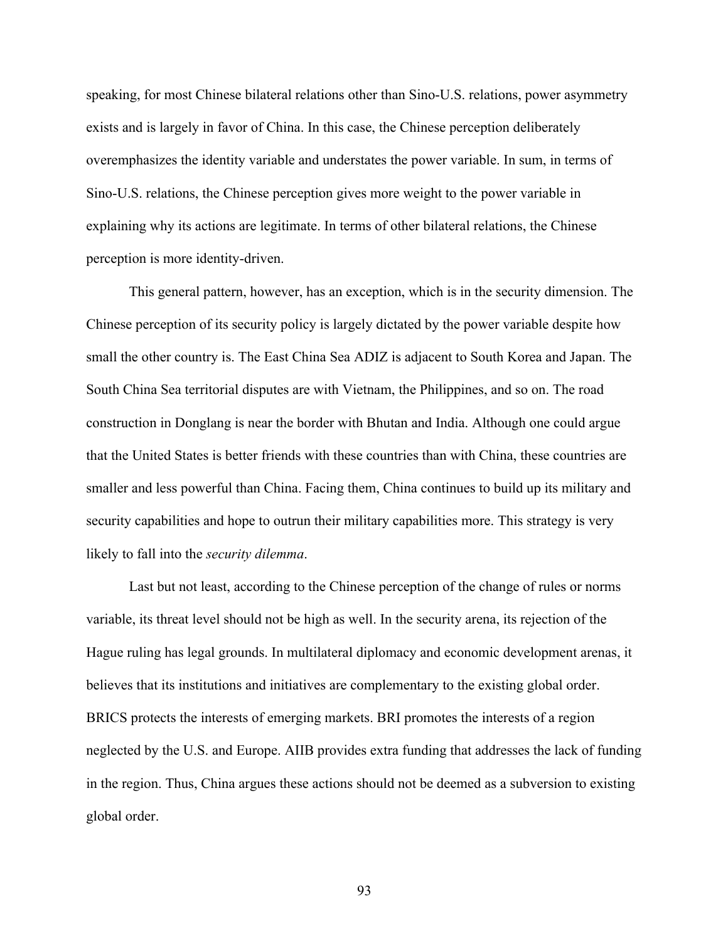speaking, for most Chinese bilateral relations other than Sino-U.S. relations, power asymmetry exists and is largely in favor of China. In this case, the Chinese perception deliberately overemphasizes the identity variable and understates the power variable. In sum, in terms of Sino-U.S. relations, the Chinese perception gives more weight to the power variable in explaining why its actions are legitimate. In terms of other bilateral relations, the Chinese perception is more identity-driven.

This general pattern, however, has an exception, which is in the security dimension. The Chinese perception of its security policy is largely dictated by the power variable despite how small the other country is. The East China Sea ADIZ is adjacent to South Korea and Japan. The South China Sea territorial disputes are with Vietnam, the Philippines, and so on. The road construction in Donglang is near the border with Bhutan and India. Although one could argue that the United States is better friends with these countries than with China, these countries are smaller and less powerful than China. Facing them, China continues to build up its military and security capabilities and hope to outrun their military capabilities more. This strategy is very likely to fall into the *security dilemma*.

Last but not least, according to the Chinese perception of the change of rules or norms variable, its threat level should not be high as well. In the security arena, its rejection of the Hague ruling has legal grounds. In multilateral diplomacy and economic development arenas, it believes that its institutions and initiatives are complementary to the existing global order. BRICS protects the interests of emerging markets. BRI promotes the interests of a region neglected by the U.S. and Europe. AIIB provides extra funding that addresses the lack of funding in the region. Thus, China argues these actions should not be deemed as a subversion to existing global order.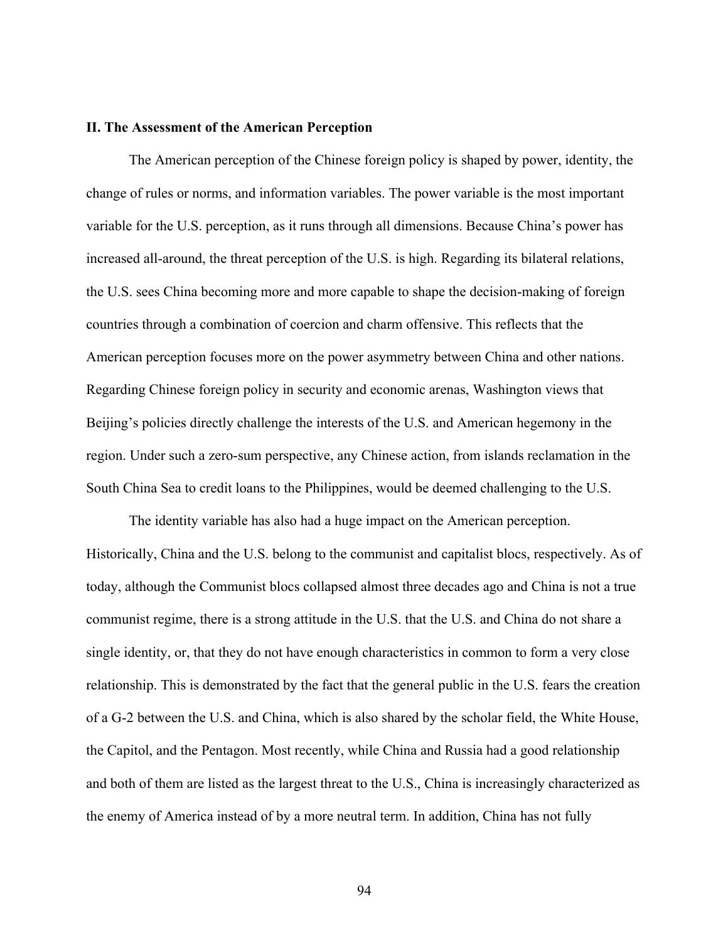## **II. The Assessment of the American Perception**

The American perception of the Chinese foreign policy is shaped by power, identity, the change of rules or norms, and information variables. The power variable is the most important variable for the U.S. perception, as it runs through all dimensions. Because China's power has increased all-around, the threat perception of the U.S. is high. Regarding its bilateral relations, the U.S. sees China becoming more and more capable to shape the decision-making of foreign countries through a combination of coercion and charm offensive. This reflects that the American perception focuses more on the power asymmetry between China and other nations. Regarding Chinese foreign policy in security and economic arenas, Washington views that Beijing's policies directly challenge the interests of the U.S. and American hegemony in the region. Under such a zero-sum perspective, any Chinese action, from islands reclamation in the South China Sea to credit loans to the Philippines, would be deemed challenging to the U.S.

The identity variable has also had a huge impact on the American perception. Historically, China and the U.S. belong to the communist and capitalist blocs, respectively. As of today, although the Communist blocs collapsed almost three decades ago and China is not a true communist regime, there is a strong attitude in the U.S. that the U.S. and China do not share a single identity, or, that they do not have enough characteristics in common to form a very close relationship. This is demonstrated by the fact that the general public in the U.S. fears the creation of a G-2 between the U.S. and China, which is also shared by the scholar field, the White House, the Capitol, and the Pentagon. Most recently, while China and Russia had a good relationship and both of them are listed as the largest threat to the U.S., China is increasingly characterized as the enemy of America instead of by a more neutral term. In addition, China has not fully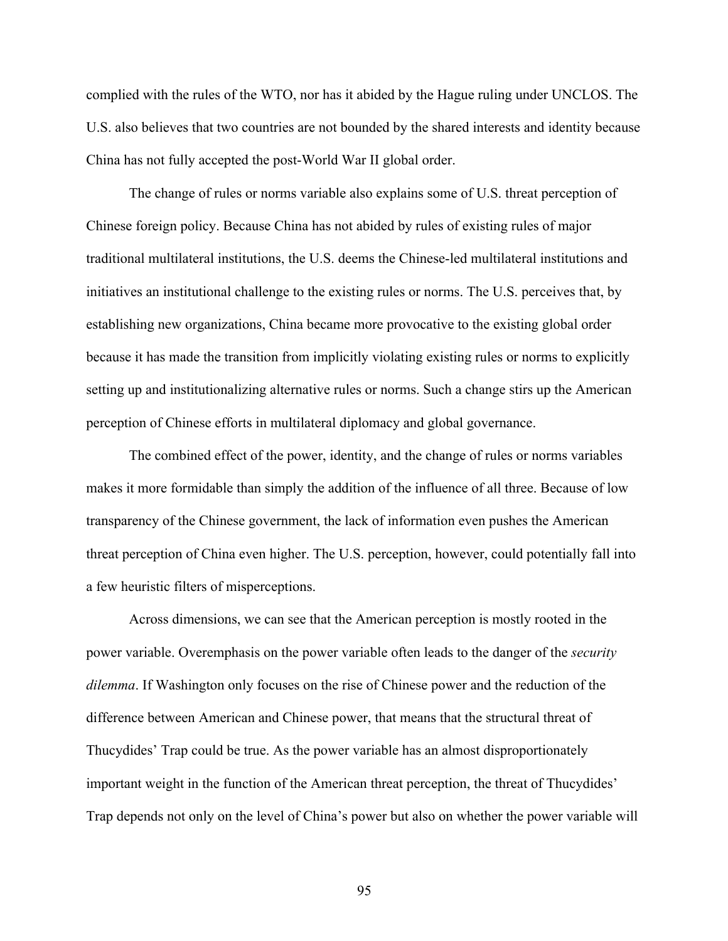complied with the rules of the WTO, nor has it abided by the Hague ruling under UNCLOS. The U.S. also believes that two countries are not bounded by the shared interests and identity because China has not fully accepted the post-World War II global order.

The change of rules or norms variable also explains some of U.S. threat perception of Chinese foreign policy. Because China has not abided by rules of existing rules of major traditional multilateral institutions, the U.S. deems the Chinese-led multilateral institutions and initiatives an institutional challenge to the existing rules or norms. The U.S. perceives that, by establishing new organizations, China became more provocative to the existing global order because it has made the transition from implicitly violating existing rules or norms to explicitly setting up and institutionalizing alternative rules or norms. Such a change stirs up the American perception of Chinese efforts in multilateral diplomacy and global governance.

The combined effect of the power, identity, and the change of rules or norms variables makes it more formidable than simply the addition of the influence of all three. Because of low transparency of the Chinese government, the lack of information even pushes the American threat perception of China even higher. The U.S. perception, however, could potentially fall into a few heuristic filters of misperceptions.

Across dimensions, we can see that the American perception is mostly rooted in the power variable. Overemphasis on the power variable often leads to the danger of the *security dilemma*. If Washington only focuses on the rise of Chinese power and the reduction of the difference between American and Chinese power, that means that the structural threat of Thucydides' Trap could be true. As the power variable has an almost disproportionately important weight in the function of the American threat perception, the threat of Thucydides' Trap depends not only on the level of China's power but also on whether the power variable will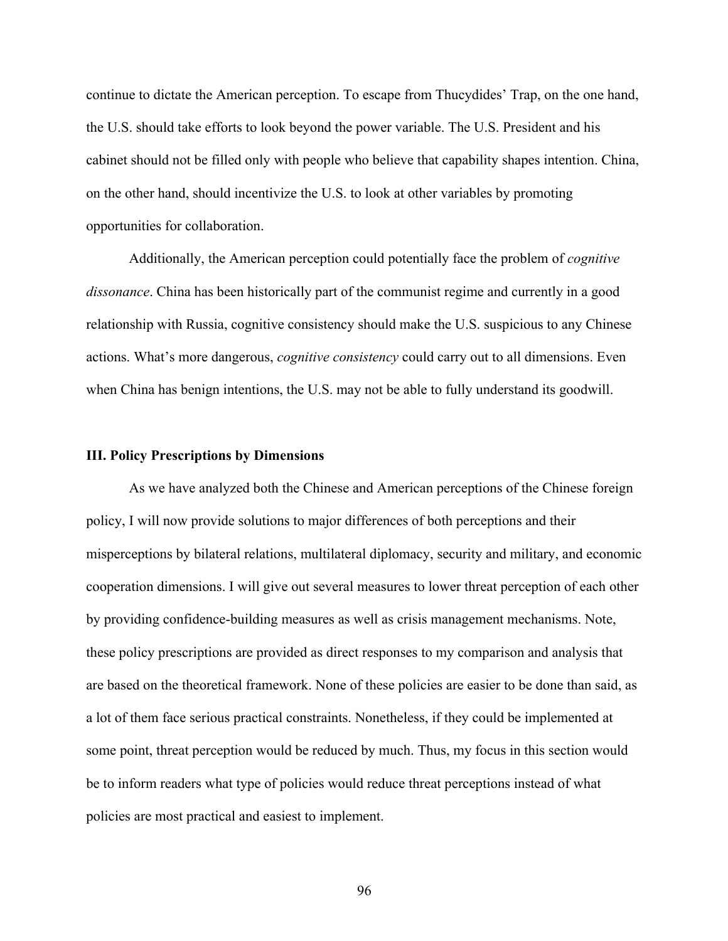continue to dictate the American perception. To escape from Thucydides' Trap, on the one hand, the U.S. should take efforts to look beyond the power variable. The U.S. President and his cabinet should not be filled only with people who believe that capability shapes intention. China, on the other hand, should incentivize the U.S. to look at other variables by promoting opportunities for collaboration.

Additionally, the American perception could potentially face the problem of *cognitive dissonance*. China has been historically part of the communist regime and currently in a good relationship with Russia, cognitive consistency should make the U.S. suspicious to any Chinese actions. What's more dangerous, *cognitive consistency* could carry out to all dimensions. Even when China has benign intentions, the U.S. may not be able to fully understand its goodwill.

#### **III. Policy Prescriptions by Dimensions**

As we have analyzed both the Chinese and American perceptions of the Chinese foreign policy, I will now provide solutions to major differences of both perceptions and their misperceptions by bilateral relations, multilateral diplomacy, security and military, and economic cooperation dimensions. I will give out several measures to lower threat perception of each other by providing confidence-building measures as well as crisis management mechanisms. Note, these policy prescriptions are provided as direct responses to my comparison and analysis that are based on the theoretical framework. None of these policies are easier to be done than said, as a lot of them face serious practical constraints. Nonetheless, if they could be implemented at some point, threat perception would be reduced by much. Thus, my focus in this section would be to inform readers what type of policies would reduce threat perceptions instead of what policies are most practical and easiest to implement.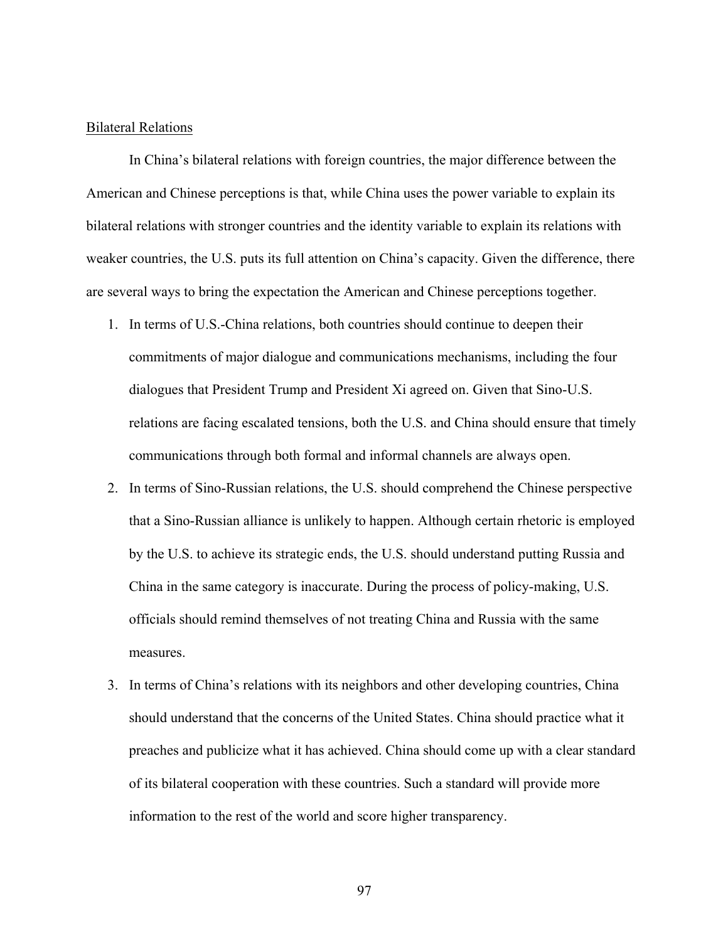# Bilateral Relations

In China's bilateral relations with foreign countries, the major difference between the American and Chinese perceptions is that, while China uses the power variable to explain its bilateral relations with stronger countries and the identity variable to explain its relations with weaker countries, the U.S. puts its full attention on China's capacity. Given the difference, there are several ways to bring the expectation the American and Chinese perceptions together.

- 1. In terms of U.S.-China relations, both countries should continue to deepen their commitments of major dialogue and communications mechanisms, including the four dialogues that President Trump and President Xi agreed on. Given that Sino-U.S. relations are facing escalated tensions, both the U.S. and China should ensure that timely communications through both formal and informal channels are always open.
- 2. In terms of Sino-Russian relations, the U.S. should comprehend the Chinese perspective that a Sino-Russian alliance is unlikely to happen. Although certain rhetoric is employed by the U.S. to achieve its strategic ends, the U.S. should understand putting Russia and China in the same category is inaccurate. During the process of policy-making, U.S. officials should remind themselves of not treating China and Russia with the same measures.
- 3. In terms of China's relations with its neighbors and other developing countries, China should understand that the concerns of the United States. China should practice what it preaches and publicize what it has achieved. China should come up with a clear standard of its bilateral cooperation with these countries. Such a standard will provide more information to the rest of the world and score higher transparency.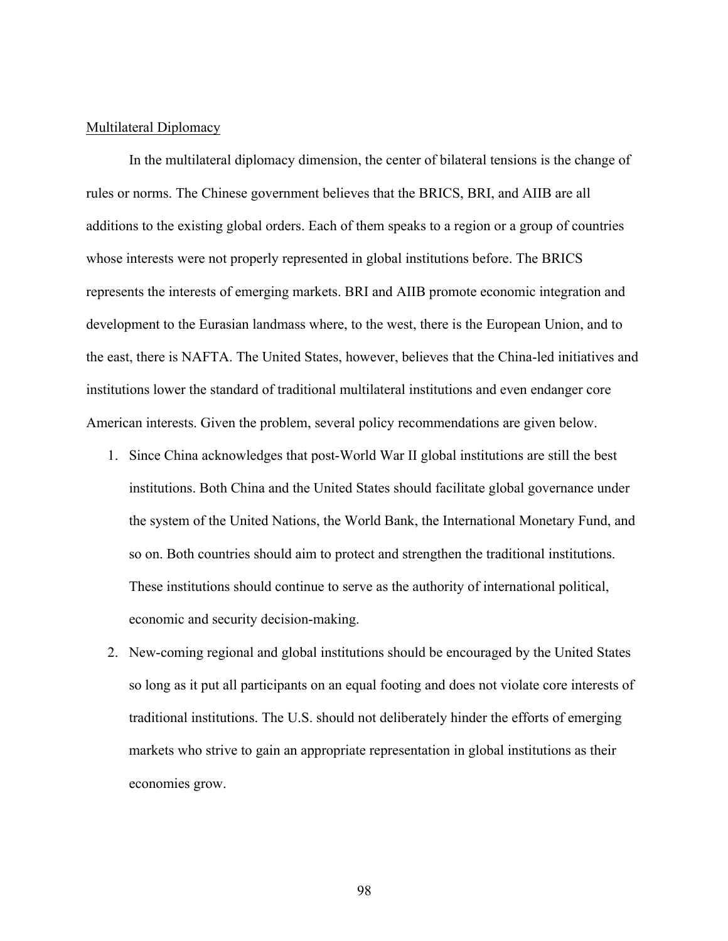# Multilateral Diplomacy

In the multilateral diplomacy dimension, the center of bilateral tensions is the change of rules or norms. The Chinese government believes that the BRICS, BRI, and AIIB are all additions to the existing global orders. Each of them speaks to a region or a group of countries whose interests were not properly represented in global institutions before. The BRICS represents the interests of emerging markets. BRI and AIIB promote economic integration and development to the Eurasian landmass where, to the west, there is the European Union, and to the east, there is NAFTA. The United States, however, believes that the China-led initiatives and institutions lower the standard of traditional multilateral institutions and even endanger core American interests. Given the problem, several policy recommendations are given below.

- 1. Since China acknowledges that post-World War II global institutions are still the best institutions. Both China and the United States should facilitate global governance under the system of the United Nations, the World Bank, the International Monetary Fund, and so on. Both countries should aim to protect and strengthen the traditional institutions. These institutions should continue to serve as the authority of international political, economic and security decision-making.
- 2. New-coming regional and global institutions should be encouraged by the United States so long as it put all participants on an equal footing and does not violate core interests of traditional institutions. The U.S. should not deliberately hinder the efforts of emerging markets who strive to gain an appropriate representation in global institutions as their economies grow.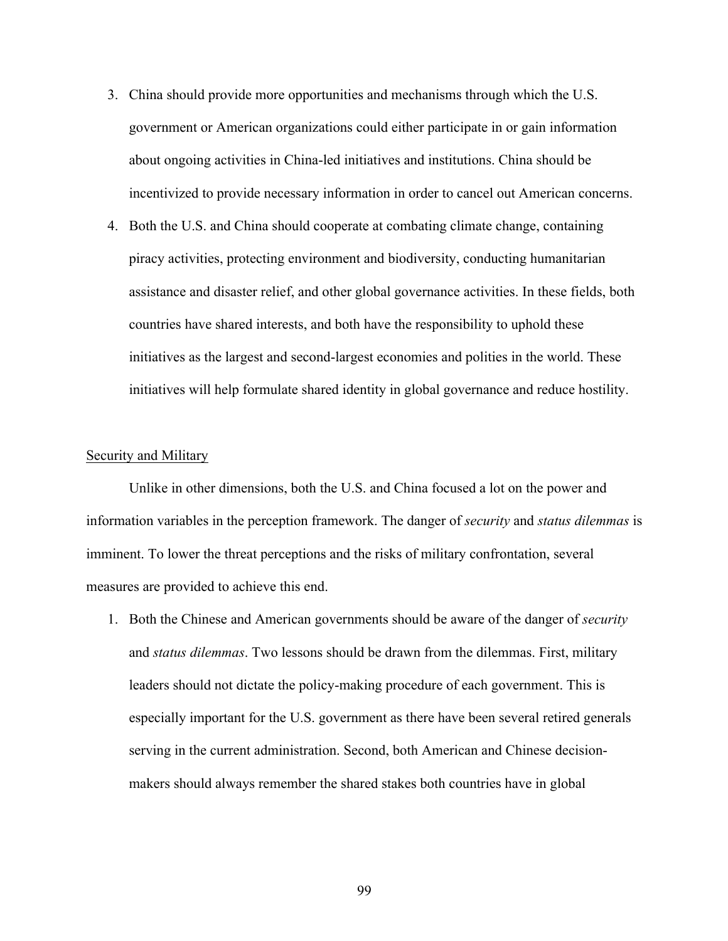- 3. China should provide more opportunities and mechanisms through which the U.S. government or American organizations could either participate in or gain information about ongoing activities in China-led initiatives and institutions. China should be incentivized to provide necessary information in order to cancel out American concerns.
- 4. Both the U.S. and China should cooperate at combating climate change, containing piracy activities, protecting environment and biodiversity, conducting humanitarian assistance and disaster relief, and other global governance activities. In these fields, both countries have shared interests, and both have the responsibility to uphold these initiatives as the largest and second-largest economies and polities in the world. These initiatives will help formulate shared identity in global governance and reduce hostility.

## Security and Military

Unlike in other dimensions, both the U.S. and China focused a lot on the power and information variables in the perception framework. The danger of *security* and *status dilemmas* is imminent. To lower the threat perceptions and the risks of military confrontation, several measures are provided to achieve this end.

1. Both the Chinese and American governments should be aware of the danger of *security*  and *status dilemmas*. Two lessons should be drawn from the dilemmas. First, military leaders should not dictate the policy-making procedure of each government. This is especially important for the U.S. government as there have been several retired generals serving in the current administration. Second, both American and Chinese decisionmakers should always remember the shared stakes both countries have in global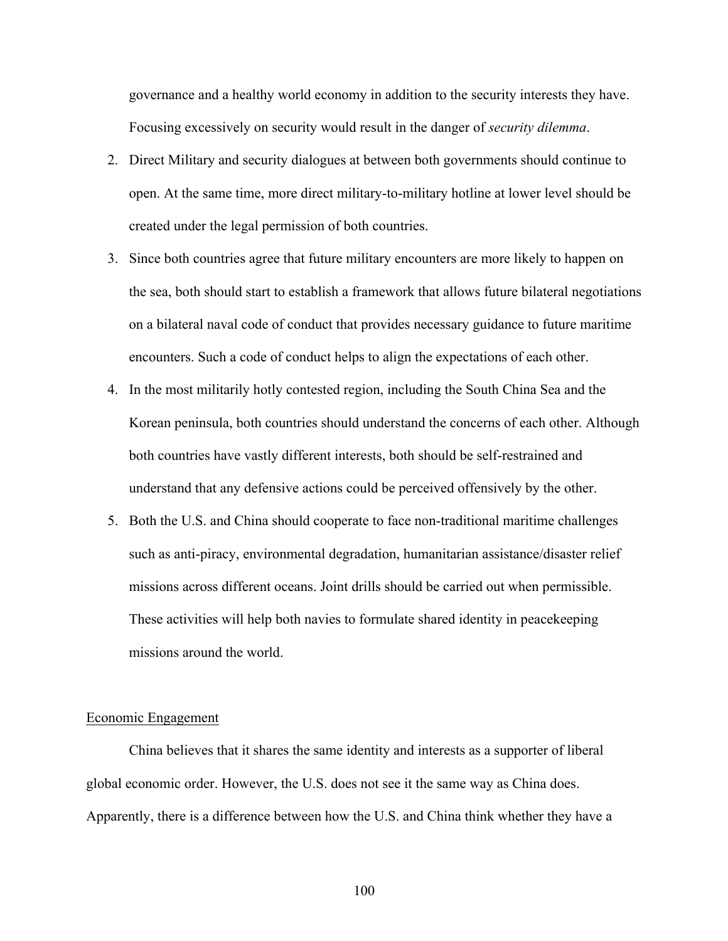governance and a healthy world economy in addition to the security interests they have. Focusing excessively on security would result in the danger of *security dilemma*.

- 2. Direct Military and security dialogues at between both governments should continue to open. At the same time, more direct military-to-military hotline at lower level should be created under the legal permission of both countries.
- 3. Since both countries agree that future military encounters are more likely to happen on the sea, both should start to establish a framework that allows future bilateral negotiations on a bilateral naval code of conduct that provides necessary guidance to future maritime encounters. Such a code of conduct helps to align the expectations of each other.
- 4. In the most militarily hotly contested region, including the South China Sea and the Korean peninsula, both countries should understand the concerns of each other. Although both countries have vastly different interests, both should be self-restrained and understand that any defensive actions could be perceived offensively by the other.
- 5. Both the U.S. and China should cooperate to face non-traditional maritime challenges such as anti-piracy, environmental degradation, humanitarian assistance/disaster relief missions across different oceans. Joint drills should be carried out when permissible. These activities will help both navies to formulate shared identity in peacekeeping missions around the world.

## Economic Engagement

China believes that it shares the same identity and interests as a supporter of liberal global economic order. However, the U.S. does not see it the same way as China does. Apparently, there is a difference between how the U.S. and China think whether they have a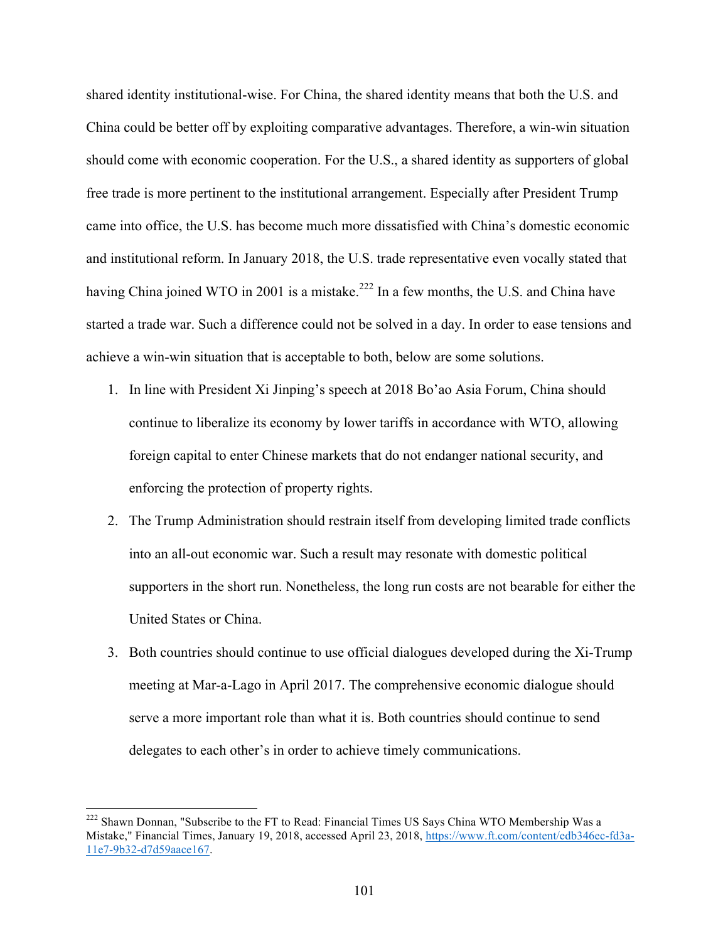shared identity institutional-wise. For China, the shared identity means that both the U.S. and China could be better off by exploiting comparative advantages. Therefore, a win-win situation should come with economic cooperation. For the U.S., a shared identity as supporters of global free trade is more pertinent to the institutional arrangement. Especially after President Trump came into office, the U.S. has become much more dissatisfied with China's domestic economic and institutional reform. In January 2018, the U.S. trade representative even vocally stated that having China joined WTO in 2001 is a mistake.<sup>222</sup> In a few months, the U.S. and China have started a trade war. Such a difference could not be solved in a day. In order to ease tensions and achieve a win-win situation that is acceptable to both, below are some solutions.

- 1. In line with President Xi Jinping's speech at 2018 Bo'ao Asia Forum, China should continue to liberalize its economy by lower tariffs in accordance with WTO, allowing foreign capital to enter Chinese markets that do not endanger national security, and enforcing the protection of property rights.
- 2. The Trump Administration should restrain itself from developing limited trade conflicts into an all-out economic war. Such a result may resonate with domestic political supporters in the short run. Nonetheless, the long run costs are not bearable for either the United States or China.
- 3. Both countries should continue to use official dialogues developed during the Xi-Trump meeting at Mar-a-Lago in April 2017. The comprehensive economic dialogue should serve a more important role than what it is. Both countries should continue to send delegates to each other's in order to achieve timely communications.

<sup>&</sup>lt;sup>222</sup> Shawn Donnan, "Subscribe to the FT to Read: Financial Times US Says China WTO Membership Was a Mistake," Financial Times, January 19, 2018, accessed April 23, 2018, https://www.ft.com/content/edb346ec-fd3a-11e7-9b32-d7d59aace167.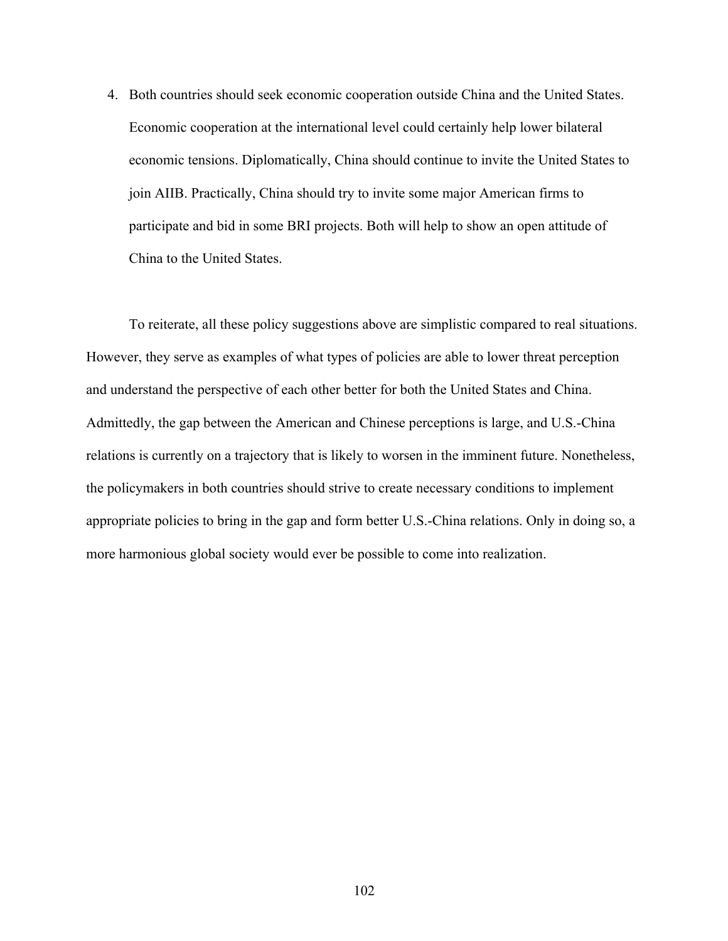4. Both countries should seek economic cooperation outside China and the United States. Economic cooperation at the international level could certainly help lower bilateral economic tensions. Diplomatically, China should continue to invite the United States to join AIIB. Practically, China should try to invite some major American firms to participate and bid in some BRI projects. Both will help to show an open attitude of China to the United States.

To reiterate, all these policy suggestions above are simplistic compared to real situations. However, they serve as examples of what types of policies are able to lower threat perception and understand the perspective of each other better for both the United States and China. Admittedly, the gap between the American and Chinese perceptions is large, and U.S.-China relations is currently on a trajectory that is likely to worsen in the imminent future. Nonetheless, the policymakers in both countries should strive to create necessary conditions to implement appropriate policies to bring in the gap and form better U.S.-China relations. Only in doing so, a more harmonious global society would ever be possible to come into realization.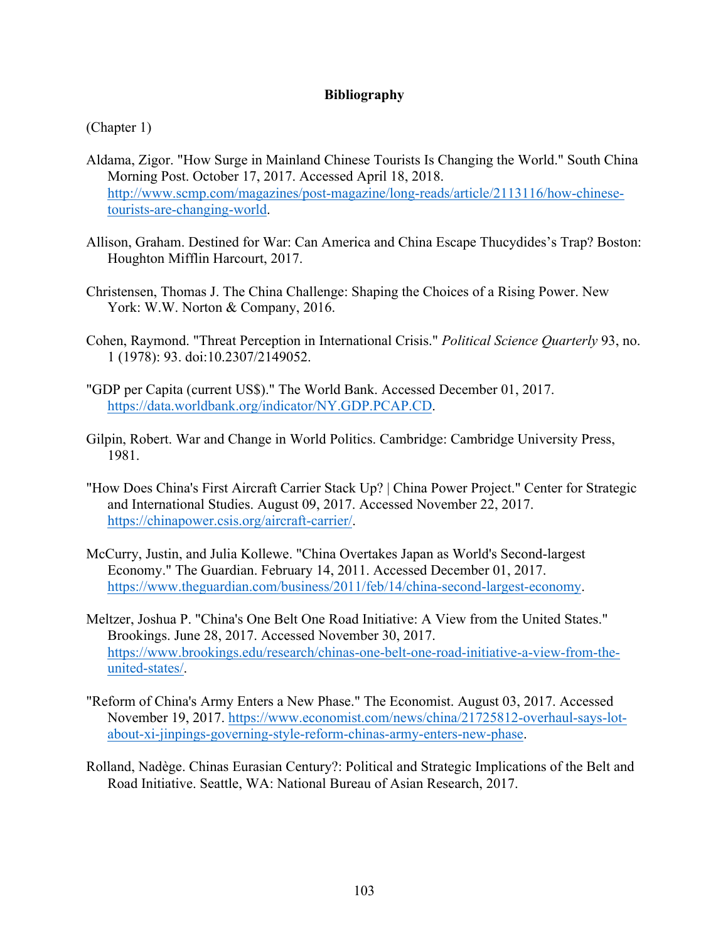# **Bibliography**

(Chapter 1)

- Aldama, Zigor. "How Surge in Mainland Chinese Tourists Is Changing the World." South China Morning Post. October 17, 2017. Accessed April 18, 2018. http://www.scmp.com/magazines/post-magazine/long-reads/article/2113116/how-chinesetourists-are-changing-world.
- Allison, Graham. Destined for War: Can America and China Escape Thucydides's Trap? Boston: Houghton Mifflin Harcourt, 2017.
- Christensen, Thomas J. The China Challenge: Shaping the Choices of a Rising Power. New York: W.W. Norton & Company, 2016.
- Cohen, Raymond. "Threat Perception in International Crisis." *Political Science Quarterly* 93, no. 1 (1978): 93. doi:10.2307/2149052.
- "GDP per Capita (current US\$)." The World Bank. Accessed December 01, 2017. https://data.worldbank.org/indicator/NY.GDP.PCAP.CD.
- Gilpin, Robert. War and Change in World Politics. Cambridge: Cambridge University Press, 1981.
- "How Does China's First Aircraft Carrier Stack Up? | China Power Project." Center for Strategic and International Studies. August 09, 2017. Accessed November 22, 2017. https://chinapower.csis.org/aircraft-carrier/.
- McCurry, Justin, and Julia Kollewe. "China Overtakes Japan as World's Second-largest Economy." The Guardian. February 14, 2011. Accessed December 01, 2017. https://www.theguardian.com/business/2011/feb/14/china-second-largest-economy.
- Meltzer, Joshua P. "China's One Belt One Road Initiative: A View from the United States." Brookings. June 28, 2017. Accessed November 30, 2017. https://www.brookings.edu/research/chinas-one-belt-one-road-initiative-a-view-from-theunited-states/.
- "Reform of China's Army Enters a New Phase." The Economist. August 03, 2017. Accessed November 19, 2017. https://www.economist.com/news/china/21725812-overhaul-says-lotabout-xi-jinpings-governing-style-reform-chinas-army-enters-new-phase.
- Rolland, Nadège. Chinas Eurasian Century?: Political and Strategic Implications of the Belt and Road Initiative. Seattle, WA: National Bureau of Asian Research, 2017.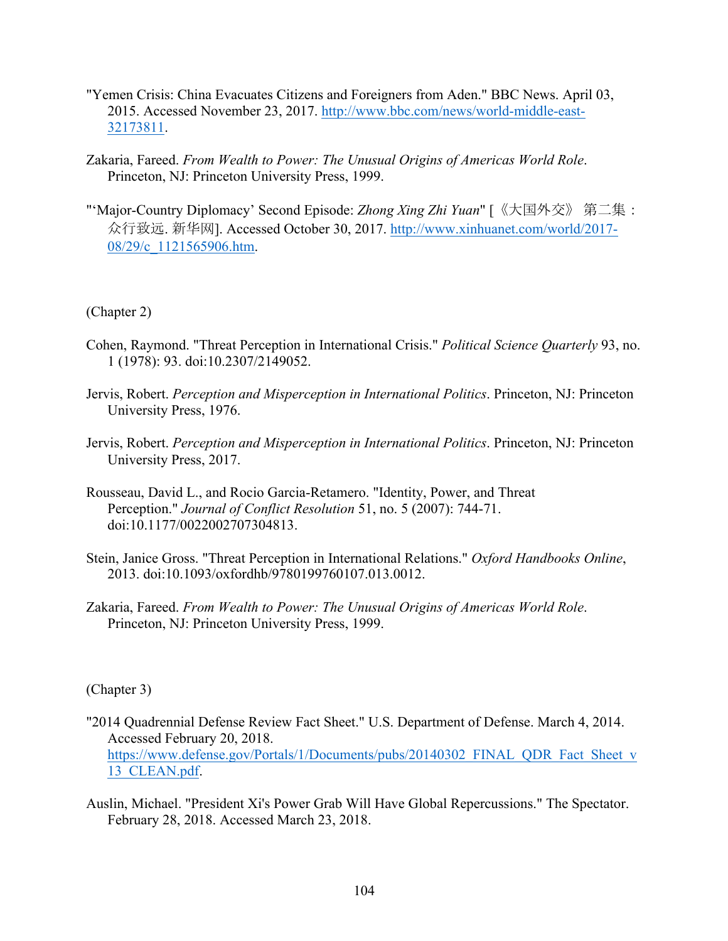- "Yemen Crisis: China Evacuates Citizens and Foreigners from Aden." BBC News. April 03, 2015. Accessed November 23, 2017. http://www.bbc.com/news/world-middle-east-32173811.
- Zakaria, Fareed. *From Wealth to Power: The Unusual Origins of Americas World Role*. Princeton, NJ: Princeton University Press, 1999.
- "'Major-Country Diplomacy' Second Episode: *Zhong Xing Zhi Yuan*" [《大国外交》 第二集: 众行致远. 新华网]. Accessed October 30, 2017. http://www.xinhuanet.com/world/2017- 08/29/c\_1121565906.htm.

(Chapter 2)

- Cohen, Raymond. "Threat Perception in International Crisis." *Political Science Quarterly* 93, no. 1 (1978): 93. doi:10.2307/2149052.
- Jervis, Robert. *Perception and Misperception in International Politics*. Princeton, NJ: Princeton University Press, 1976.
- Jervis, Robert. *Perception and Misperception in International Politics*. Princeton, NJ: Princeton University Press, 2017.
- Rousseau, David L., and Rocio Garcia-Retamero. "Identity, Power, and Threat Perception." *Journal of Conflict Resolution* 51, no. 5 (2007): 744-71. doi:10.1177/0022002707304813.
- Stein, Janice Gross. "Threat Perception in International Relations." *Oxford Handbooks Online*, 2013. doi:10.1093/oxfordhb/9780199760107.013.0012.
- Zakaria, Fareed. *From Wealth to Power: The Unusual Origins of Americas World Role*. Princeton, NJ: Princeton University Press, 1999.

(Chapter 3)

- "2014 Quadrennial Defense Review Fact Sheet." U.S. Department of Defense. March 4, 2014. Accessed February 20, 2018. https://www.defense.gov/Portals/1/Documents/pubs/20140302\_FINAL\_QDR\_Fact\_Sheet\_v 13\_CLEAN.pdf.
- Auslin, Michael. "President Xi's Power Grab Will Have Global Repercussions." The Spectator. February 28, 2018. Accessed March 23, 2018.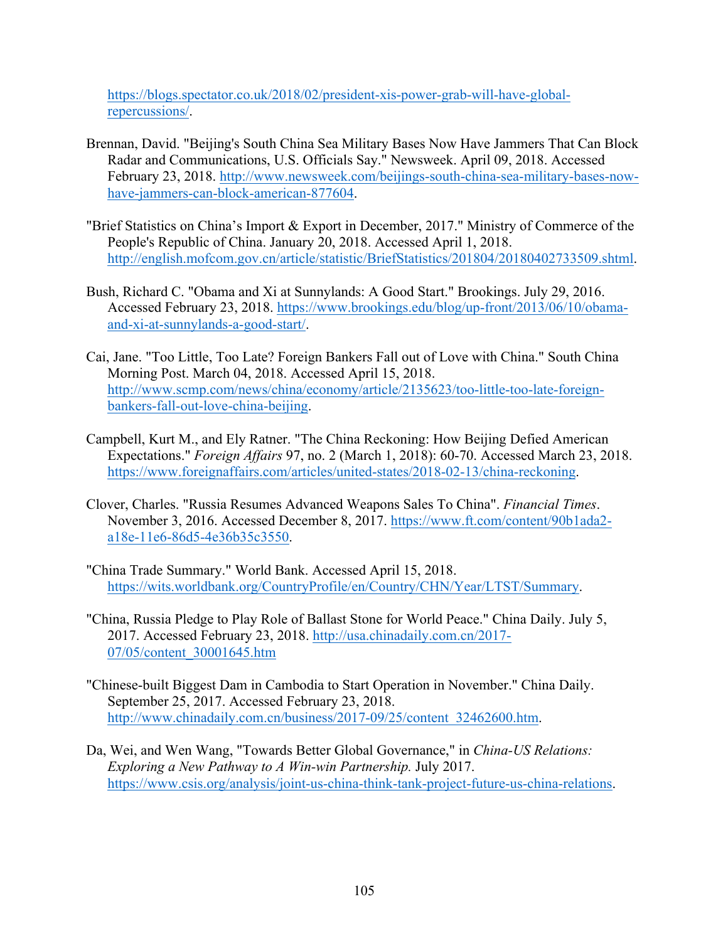https://blogs.spectator.co.uk/2018/02/president-xis-power-grab-will-have-globalrepercussions/.

- Brennan, David. "Beijing's South China Sea Military Bases Now Have Jammers That Can Block Radar and Communications, U.S. Officials Say." Newsweek. April 09, 2018. Accessed February 23, 2018. http://www.newsweek.com/beijings-south-china-sea-military-bases-nowhave-jammers-can-block-american-877604.
- "Brief Statistics on China's Import & Export in December, 2017." Ministry of Commerce of the People's Republic of China. January 20, 2018. Accessed April 1, 2018. http://english.mofcom.gov.cn/article/statistic/BriefStatistics/201804/20180402733509.shtml.
- Bush, Richard C. "Obama and Xi at Sunnylands: A Good Start." Brookings. July 29, 2016. Accessed February 23, 2018. https://www.brookings.edu/blog/up-front/2013/06/10/obamaand-xi-at-sunnylands-a-good-start/.
- Cai, Jane. "Too Little, Too Late? Foreign Bankers Fall out of Love with China." South China Morning Post. March 04, 2018. Accessed April 15, 2018. http://www.scmp.com/news/china/economy/article/2135623/too-little-too-late-foreignbankers-fall-out-love-china-beijing.
- Campbell, Kurt M., and Ely Ratner. "The China Reckoning: How Beijing Defied American Expectations." *Foreign Affairs* 97, no. 2 (March 1, 2018): 60-70. Accessed March 23, 2018. https://www.foreignaffairs.com/articles/united-states/2018-02-13/china-reckoning.
- Clover, Charles. "Russia Resumes Advanced Weapons Sales To China". *Financial Times*. November 3, 2016. Accessed December 8, 2017. https://www.ft.com/content/90b1ada2 a18e-11e6-86d5-4e36b35c3550.
- "China Trade Summary." World Bank. Accessed April 15, 2018. https://wits.worldbank.org/CountryProfile/en/Country/CHN/Year/LTST/Summary.
- "China, Russia Pledge to Play Role of Ballast Stone for World Peace." China Daily. July 5, 2017. Accessed February 23, 2018. http://usa.chinadaily.com.cn/2017- 07/05/content\_30001645.htm
- "Chinese-built Biggest Dam in Cambodia to Start Operation in November." China Daily. September 25, 2017. Accessed February 23, 2018. http://www.chinadaily.com.cn/business/2017-09/25/content\_32462600.htm.
- Da, Wei, and Wen Wang, "Towards Better Global Governance," in *China-US Relations: Exploring a New Pathway to A Win-win Partnership.* July 2017. https://www.csis.org/analysis/joint-us-china-think-tank-project-future-us-china-relations.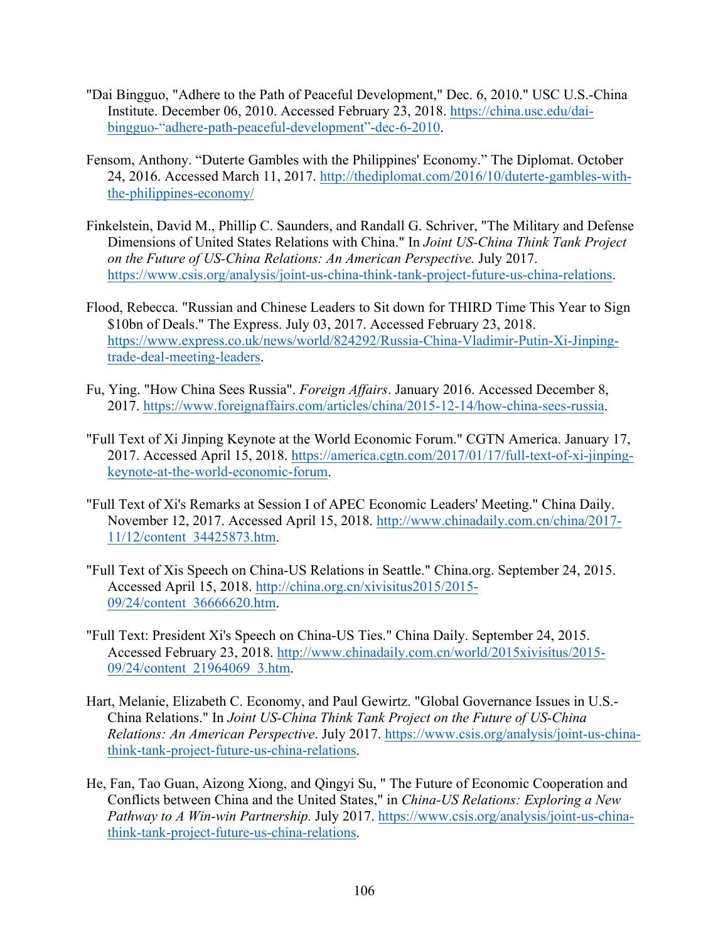- "Dai Bingguo, "Adhere to the Path of Peaceful Development," Dec. 6, 2010." USC U.S.-China Institute. December 06, 2010. Accessed February 23, 2018. https://china.usc.edu/daibingguo-"adhere-path-peaceful-development"-dec-6-2010.
- Fensom, Anthony. "Duterte Gambles with the Philippines' Economy." The Diplomat. October 24, 2016. Accessed March 11, 2017. http://thediplomat.com/2016/10/duterte-gambles-withthe-philippines-economy/
- Finkelstein, David M., Phillip C. Saunders, and Randall G. Schriver, "The Military and Defense Dimensions of United States Relations with China." In *Joint US-China Think Tank Project on the Future of US-China Relations: An American Perspective.* July 2017. https://www.csis.org/analysis/joint-us-china-think-tank-project-future-us-china-relations.
- Flood, Rebecca. "Russian and Chinese Leaders to Sit down for THIRD Time This Year to Sign \$10bn of Deals." The Express. July 03, 2017. Accessed February 23, 2018. https://www.express.co.uk/news/world/824292/Russia-China-Vladimir-Putin-Xi-Jinpingtrade-deal-meeting-leaders.
- Fu, Ying. "How China Sees Russia". *Foreign Affairs*. January 2016. Accessed December 8, 2017. https://www.foreignaffairs.com/articles/china/2015-12-14/how-china-sees-russia.
- "Full Text of Xi Jinping Keynote at the World Economic Forum." CGTN America. January 17, 2017. Accessed April 15, 2018. https://america.cgtn.com/2017/01/17/full-text-of-xi-jinpingkeynote-at-the-world-economic-forum.
- "Full Text of Xi's Remarks at Session I of APEC Economic Leaders' Meeting." China Daily. November 12, 2017. Accessed April 15, 2018. http://www.chinadaily.com.cn/china/2017- 11/12/content\_34425873.htm.
- "Full Text of Xis Speech on China-US Relations in Seattle." China.org. September 24, 2015. Accessed April 15, 2018. http://china.org.cn/xivisitus2015/2015- 09/24/content\_36666620.htm.
- "Full Text: President Xi's Speech on China-US Ties." China Daily. September 24, 2015. Accessed February 23, 2018. http://www.chinadaily.com.cn/world/2015xivisitus/2015- 09/24/content\_21964069\_3.htm.
- Hart, Melanie, Elizabeth C. Economy, and Paul Gewirtz. "Global Governance Issues in U.S.- China Relations." In *Joint US-China Think Tank Project on the Future of US-China Relations: An American Perspective*. July 2017. https://www.csis.org/analysis/joint-us-chinathink-tank-project-future-us-china-relations.
- He, Fan, Tao Guan, Aizong Xiong, and Qingyi Su, " The Future of Economic Cooperation and Conflicts between China and the United States," in *China-US Relations: Exploring a New Pathway to A Win-win Partnership.* July 2017. https://www.csis.org/analysis/joint-us-chinathink-tank-project-future-us-china-relations.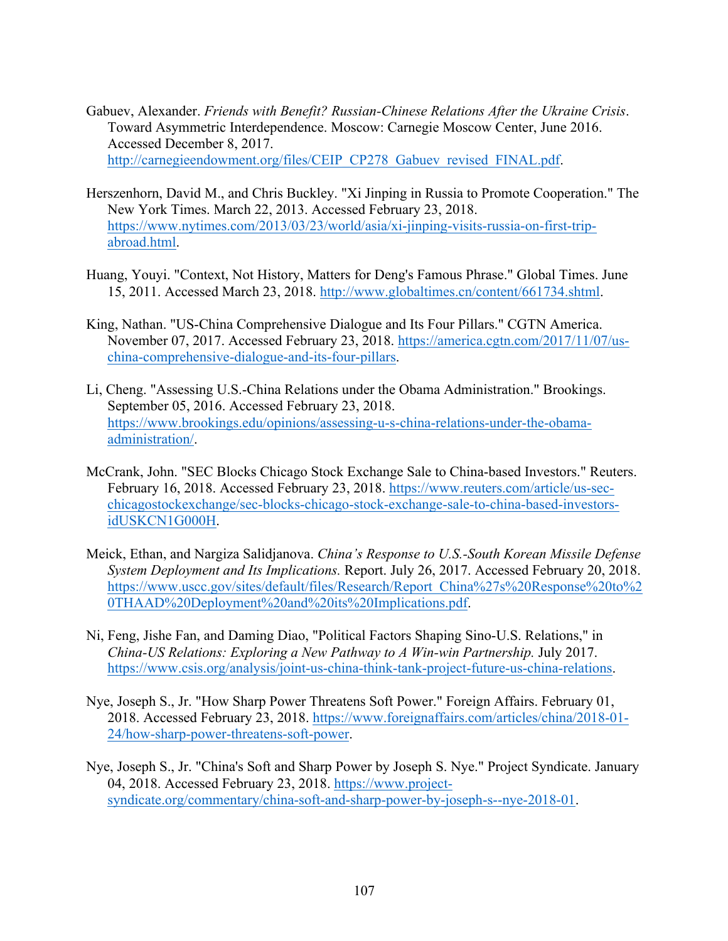- Gabuev, Alexander. *Friends with Benefit? Russian-Chinese Relations After the Ukraine Crisis*. Toward Asymmetric Interdependence. Moscow: Carnegie Moscow Center, June 2016. Accessed December 8, 2017. http://carnegieendowment.org/files/CEIP\_CP278\_Gabuev\_revised\_FINAL.pdf.
- Herszenhorn, David M., and Chris Buckley. "Xi Jinping in Russia to Promote Cooperation." The New York Times. March 22, 2013. Accessed February 23, 2018. https://www.nytimes.com/2013/03/23/world/asia/xi-jinping-visits-russia-on-first-tripabroad.html.
- Huang, Youyi. "Context, Not History, Matters for Deng's Famous Phrase." Global Times. June 15, 2011. Accessed March 23, 2018. http://www.globaltimes.cn/content/661734.shtml.
- King, Nathan. "US-China Comprehensive Dialogue and Its Four Pillars." CGTN America. November 07, 2017. Accessed February 23, 2018. https://america.cgtn.com/2017/11/07/uschina-comprehensive-dialogue-and-its-four-pillars.
- Li, Cheng. "Assessing U.S.-China Relations under the Obama Administration." Brookings. September 05, 2016. Accessed February 23, 2018. https://www.brookings.edu/opinions/assessing-u-s-china-relations-under-the-obamaadministration/.
- McCrank, John. "SEC Blocks Chicago Stock Exchange Sale to China-based Investors." Reuters. February 16, 2018. Accessed February 23, 2018. https://www.reuters.com/article/us-secchicagostockexchange/sec-blocks-chicago-stock-exchange-sale-to-china-based-investorsidUSKCN1G000H.
- Meick, Ethan, and Nargiza Salidjanova. *China's Response to U.S.-South Korean Missile Defense System Deployment and Its Implications.* Report. July 26, 2017. Accessed February 20, 2018. https://www.uscc.gov/sites/default/files/Research/Report\_China%27s%20Response%20to%2 0THAAD%20Deployment%20and%20its%20Implications.pdf.
- Ni, Feng, Jishe Fan, and Daming Diao, "Political Factors Shaping Sino-U.S. Relations," in *China-US Relations: Exploring a New Pathway to A Win-win Partnership. July 2017.* https://www.csis.org/analysis/joint-us-china-think-tank-project-future-us-china-relations.
- Nye, Joseph S., Jr. "How Sharp Power Threatens Soft Power." Foreign Affairs. February 01, 2018. Accessed February 23, 2018. https://www.foreignaffairs.com/articles/china/2018-01- 24/how-sharp-power-threatens-soft-power.
- Nye, Joseph S., Jr. "China's Soft and Sharp Power by Joseph S. Nye." Project Syndicate. January 04, 2018. Accessed February 23, 2018. https://www.projectsyndicate.org/commentary/china-soft-and-sharp-power-by-joseph-s--nye-2018-01.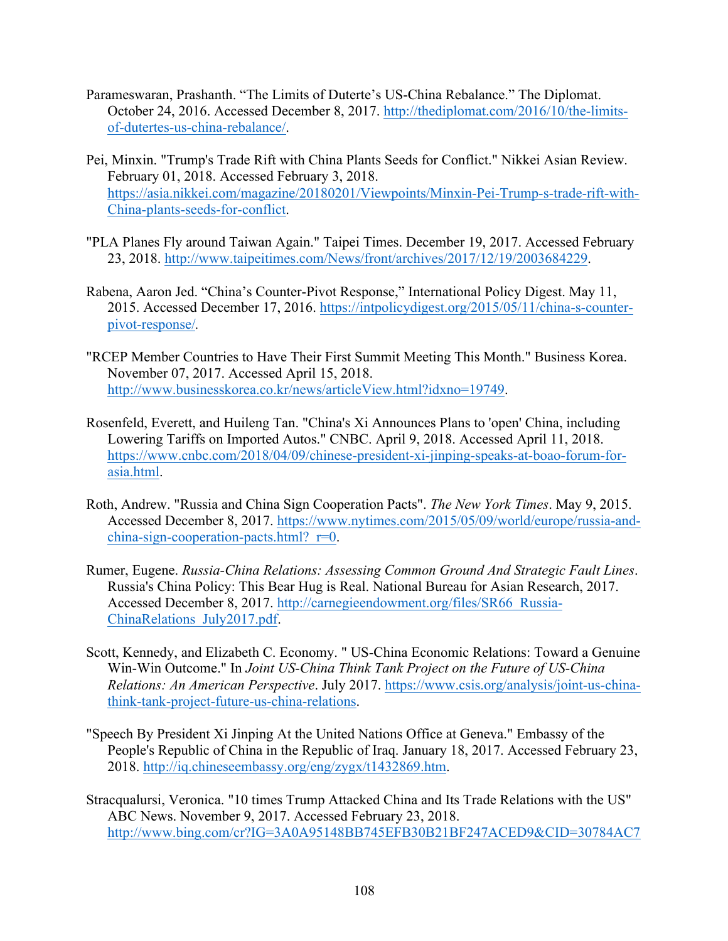- Parameswaran, Prashanth. "The Limits of Duterte's US-China Rebalance." The Diplomat. October 24, 2016. Accessed December 8, 2017. http://thediplomat.com/2016/10/the-limitsof-dutertes-us-china-rebalance/.
- Pei, Minxin. "Trump's Trade Rift with China Plants Seeds for Conflict." Nikkei Asian Review. February 01, 2018. Accessed February 3, 2018. https://asia.nikkei.com/magazine/20180201/Viewpoints/Minxin-Pei-Trump-s-trade-rift-with-China-plants-seeds-for-conflict.
- "PLA Planes Fly around Taiwan Again." Taipei Times. December 19, 2017. Accessed February 23, 2018. http://www.taipeitimes.com/News/front/archives/2017/12/19/2003684229.
- Rabena, Aaron Jed. "China's Counter-Pivot Response," International Policy Digest. May 11, 2015. Accessed December 17, 2016. https://intpolicydigest.org/2015/05/11/china-s-counterpivot-response/*.*
- "RCEP Member Countries to Have Their First Summit Meeting This Month." Business Korea. November 07, 2017. Accessed April 15, 2018. http://www.businesskorea.co.kr/news/articleView.html?idxno=19749.
- Rosenfeld, Everett, and Huileng Tan. "China's Xi Announces Plans to 'open' China, including Lowering Tariffs on Imported Autos." CNBC. April 9, 2018. Accessed April 11, 2018. https://www.cnbc.com/2018/04/09/chinese-president-xi-jinping-speaks-at-boao-forum-forasia.html.
- Roth, Andrew. "Russia and China Sign Cooperation Pacts". *The New York Times*. May 9, 2015. Accessed December 8, 2017. https://www.nytimes.com/2015/05/09/world/europe/russia-andchina-sign-cooperation-pacts.html? $r=0$ .
- Rumer, Eugene. *Russia-China Relations: Assessing Common Ground And Strategic Fault Lines*. Russia's China Policy: This Bear Hug is Real. National Bureau for Asian Research, 2017. Accessed December 8, 2017. http://carnegieendowment.org/files/SR66\_Russia-ChinaRelations\_July2017.pdf.
- Scott, Kennedy, and Elizabeth C. Economy. " US-China Economic Relations: Toward a Genuine Win-Win Outcome." In *Joint US-China Think Tank Project on the Future of US-China Relations: An American Perspective*. July 2017. https://www.csis.org/analysis/joint-us-chinathink-tank-project-future-us-china-relations.
- "Speech By President Xi Jinping At the United Nations Office at Geneva." Embassy of the People's Republic of China in the Republic of Iraq. January 18, 2017. Accessed February 23, 2018. http://iq.chineseembassy.org/eng/zygx/t1432869.htm.
- Stracqualursi, Veronica. "10 times Trump Attacked China and Its Trade Relations with the US" ABC News. November 9, 2017. Accessed February 23, 2018. http://www.bing.com/cr?IG=3A0A95148BB745EFB30B21BF247ACED9&CID=30784AC7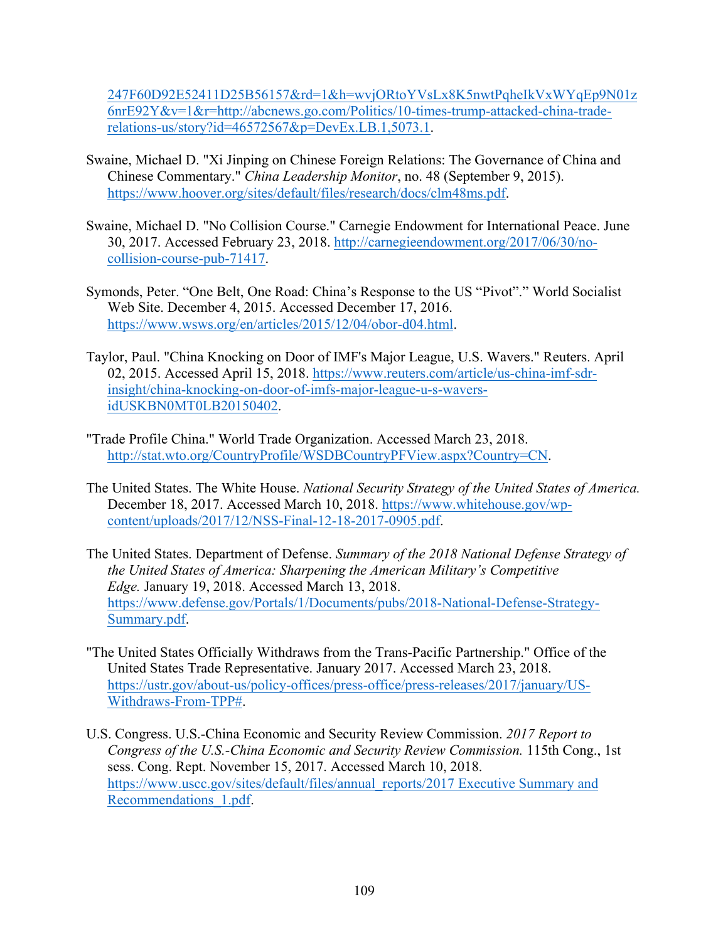247F60D92E52411D25B56157&rd=1&h=wvjORtoYVsLx8K5nwtPqheIkVxWYqEp9N01z 6nrE92Y&v=1&r=http://abcnews.go.com/Politics/10-times-trump-attacked-china-traderelations-us/story?id=46572567&p=DevEx.LB.1,5073.1.

- Swaine, Michael D. "Xi Jinping on Chinese Foreign Relations: The Governance of China and Chinese Commentary." *China Leadership Monitor*, no. 48 (September 9, 2015). https://www.hoover.org/sites/default/files/research/docs/clm48ms.pdf.
- Swaine, Michael D. "No Collision Course." Carnegie Endowment for International Peace. June 30, 2017. Accessed February 23, 2018. http://carnegieendowment.org/2017/06/30/nocollision-course-pub-71417.
- Symonds, Peter. "One Belt, One Road: China's Response to the US "Pivot"." World Socialist Web Site. December 4, 2015. Accessed December 17, 2016. https://www.wsws.org/en/articles/2015/12/04/obor-d04.html.
- Taylor, Paul. "China Knocking on Door of IMF's Major League, U.S. Wavers." Reuters. April 02, 2015. Accessed April 15, 2018. https://www.reuters.com/article/us-china-imf-sdrinsight/china-knocking-on-door-of-imfs-major-league-u-s-waversidUSKBN0MT0LB20150402.
- "Trade Profile China." World Trade Organization. Accessed March 23, 2018. http://stat.wto.org/CountryProfile/WSDBCountryPFView.aspx?Country=CN.
- The United States. The White House. *National Security Strategy of the United States of America.*  December 18, 2017. Accessed March 10, 2018. https://www.whitehouse.gov/wpcontent/uploads/2017/12/NSS-Final-12-18-2017-0905.pdf.
- The United States. Department of Defense. *Summary of the 2018 National Defense Strategy of the United States of America: Sharpening the American Military's Competitive Edge.* January 19, 2018. Accessed March 13, 2018. https://www.defense.gov/Portals/1/Documents/pubs/2018-National-Defense-Strategy-Summary.pdf.
- "The United States Officially Withdraws from the Trans-Pacific Partnership." Office of the United States Trade Representative. January 2017. Accessed March 23, 2018. https://ustr.gov/about-us/policy-offices/press-office/press-releases/2017/january/US-Withdraws-From-TPP#.
- U.S. Congress. U.S.-China Economic and Security Review Commission. *2017 Report to Congress of the U.S.-China Economic and Security Review Commission.* 115th Cong., 1st sess. Cong. Rept. November 15, 2017. Accessed March 10, 2018. https://www.uscc.gov/sites/default/files/annual\_reports/2017 Executive Summary and Recommendations\_1.pdf.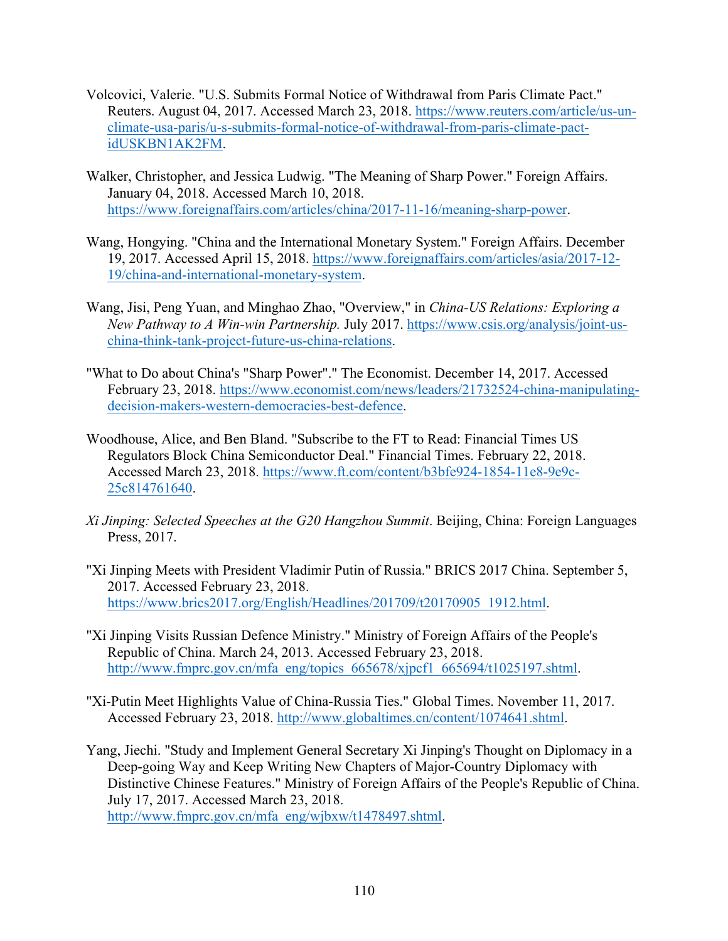- Volcovici, Valerie. "U.S. Submits Formal Notice of Withdrawal from Paris Climate Pact." Reuters. August 04, 2017. Accessed March 23, 2018. https://www.reuters.com/article/us-unclimate-usa-paris/u-s-submits-formal-notice-of-withdrawal-from-paris-climate-pactidUSKBN1AK2FM.
- Walker, Christopher, and Jessica Ludwig. "The Meaning of Sharp Power." Foreign Affairs. January 04, 2018. Accessed March 10, 2018. https://www.foreignaffairs.com/articles/china/2017-11-16/meaning-sharp-power.
- Wang, Hongying. "China and the International Monetary System." Foreign Affairs. December 19, 2017. Accessed April 15, 2018. https://www.foreignaffairs.com/articles/asia/2017-12- 19/china-and-international-monetary-system.
- Wang, Jisi, Peng Yuan, and Minghao Zhao, "Overview," in *China-US Relations: Exploring a New Pathway to A Win-win Partnership.* July 2017. https://www.csis.org/analysis/joint-uschina-think-tank-project-future-us-china-relations.
- "What to Do about China's "Sharp Power"." The Economist. December 14, 2017. Accessed February 23, 2018. https://www.economist.com/news/leaders/21732524-china-manipulatingdecision-makers-western-democracies-best-defence.
- Woodhouse, Alice, and Ben Bland. "Subscribe to the FT to Read: Financial Times US Regulators Block China Semiconductor Deal." Financial Times. February 22, 2018. Accessed March 23, 2018. https://www.ft.com/content/b3bfe924-1854-11e8-9e9c-25c814761640.
- *Xi Jinping: Selected Speeches at the G20 Hangzhou Summit*. Beijing, China: Foreign Languages Press, 2017.
- "Xi Jinping Meets with President Vladimir Putin of Russia." BRICS 2017 China. September 5, 2017. Accessed February 23, 2018. https://www.brics2017.org/English/Headlines/201709/t20170905\_1912.html.
- "Xi Jinping Visits Russian Defence Ministry." Ministry of Foreign Affairs of the People's Republic of China. March 24, 2013. Accessed February 23, 2018. http://www.fmprc.gov.cn/mfa\_eng/topics\_665678/xjpcf1\_665694/t1025197.shtml.
- "Xi-Putin Meet Highlights Value of China-Russia Ties." Global Times. November 11, 2017. Accessed February 23, 2018. http://www.globaltimes.cn/content/1074641.shtml.
- Yang, Jiechi. "Study and Implement General Secretary Xi Jinping's Thought on Diplomacy in a Deep-going Way and Keep Writing New Chapters of Major-Country Diplomacy with Distinctive Chinese Features." Ministry of Foreign Affairs of the People's Republic of China. July 17, 2017. Accessed March 23, 2018. http://www.fmprc.gov.cn/mfa\_eng/wjbxw/t1478497.shtml.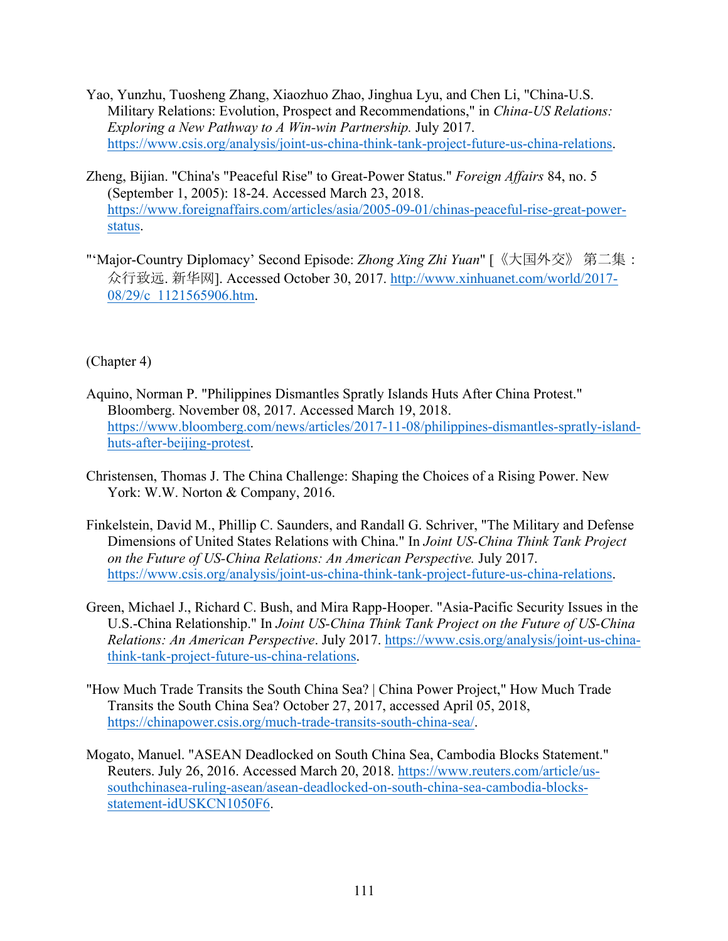- Yao, Yunzhu, Tuosheng Zhang, Xiaozhuo Zhao, Jinghua Lyu, and Chen Li, "China-U.S. Military Relations: Evolution, Prospect and Recommendations," in *China-US Relations: Exploring a New Pathway to A Win-win Partnership.* July 2017. https://www.csis.org/analysis/joint-us-china-think-tank-project-future-us-china-relations.
- Zheng, Bijian. "China's "Peaceful Rise" to Great-Power Status." *Foreign Affairs* 84, no. 5 (September 1, 2005): 18-24. Accessed March 23, 2018. https://www.foreignaffairs.com/articles/asia/2005-09-01/chinas-peaceful-rise-great-powerstatus.
- "'Major-Country Diplomacy' Second Episode: *Zhong Xing Zhi Yuan*" [《大国外交》 第二集: 众行致远. 新华网]. Accessed October 30, 2017. http://www.xinhuanet.com/world/2017- 08/29/c 1121565906.htm.

## (Chapter 4)

- Aquino, Norman P. "Philippines Dismantles Spratly Islands Huts After China Protest." Bloomberg. November 08, 2017. Accessed March 19, 2018. https://www.bloomberg.com/news/articles/2017-11-08/philippines-dismantles-spratly-islandhuts-after-beijing-protest.
- Christensen, Thomas J. The China Challenge: Shaping the Choices of a Rising Power. New York: W.W. Norton & Company, 2016.
- Finkelstein, David M., Phillip C. Saunders, and Randall G. Schriver, "The Military and Defense Dimensions of United States Relations with China." In *Joint US-China Think Tank Project on the Future of US-China Relations: An American Perspective.* July 2017. https://www.csis.org/analysis/joint-us-china-think-tank-project-future-us-china-relations.
- Green, Michael J., Richard C. Bush, and Mira Rapp-Hooper. "Asia-Pacific Security Issues in the U.S.-China Relationship." In *Joint US-China Think Tank Project on the Future of US-China Relations: An American Perspective*. July 2017. https://www.csis.org/analysis/joint-us-chinathink-tank-project-future-us-china-relations.
- "How Much Trade Transits the South China Sea? | China Power Project," How Much Trade Transits the South China Sea? October 27, 2017, accessed April 05, 2018, https://chinapower.csis.org/much-trade-transits-south-china-sea/.
- Mogato, Manuel. "ASEAN Deadlocked on South China Sea, Cambodia Blocks Statement." Reuters. July 26, 2016. Accessed March 20, 2018. https://www.reuters.com/article/ussouthchinasea-ruling-asean/asean-deadlocked-on-south-china-sea-cambodia-blocksstatement-idUSKCN1050F6.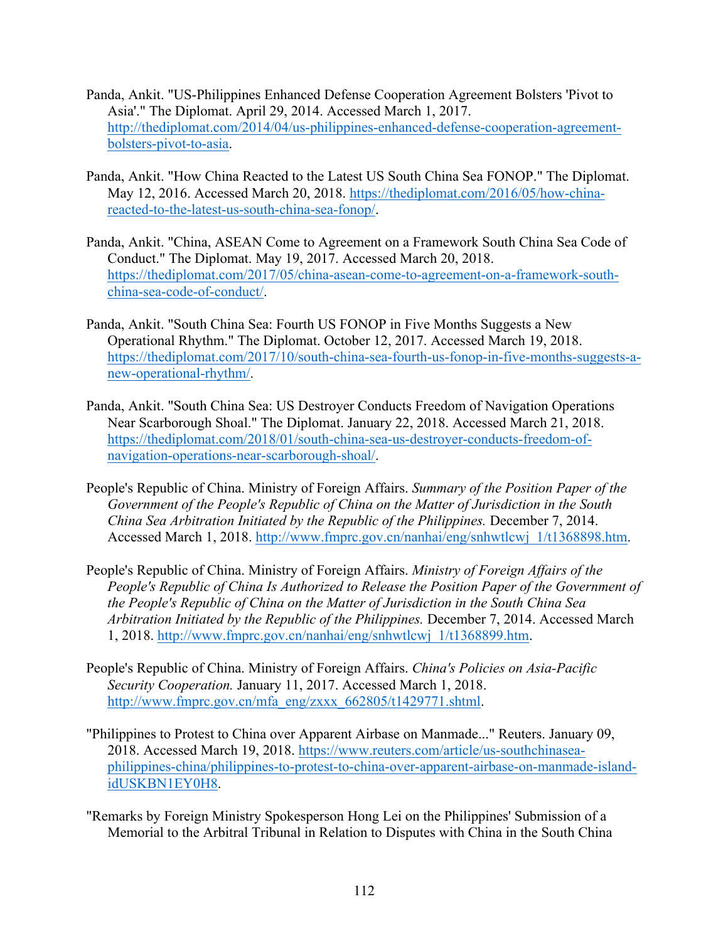- Panda, Ankit. "US-Philippines Enhanced Defense Cooperation Agreement Bolsters 'Pivot to Asia'." The Diplomat. April 29, 2014. Accessed March 1, 2017. http://thediplomat.com/2014/04/us-philippines-enhanced-defense-cooperation-agreementbolsters-pivot-to-asia.
- Panda, Ankit. "How China Reacted to the Latest US South China Sea FONOP." The Diplomat. May 12, 2016. Accessed March 20, 2018. https://thediplomat.com/2016/05/how-chinareacted-to-the-latest-us-south-china-sea-fonop/.
- Panda, Ankit. "China, ASEAN Come to Agreement on a Framework South China Sea Code of Conduct." The Diplomat. May 19, 2017. Accessed March 20, 2018. https://thediplomat.com/2017/05/china-asean-come-to-agreement-on-a-framework-southchina-sea-code-of-conduct/.
- Panda, Ankit. "South China Sea: Fourth US FONOP in Five Months Suggests a New Operational Rhythm." The Diplomat. October 12, 2017. Accessed March 19, 2018. https://thediplomat.com/2017/10/south-china-sea-fourth-us-fonop-in-five-months-suggests-anew-operational-rhythm/.
- Panda, Ankit. "South China Sea: US Destroyer Conducts Freedom of Navigation Operations Near Scarborough Shoal." The Diplomat. January 22, 2018. Accessed March 21, 2018. https://thediplomat.com/2018/01/south-china-sea-us-destroyer-conducts-freedom-ofnavigation-operations-near-scarborough-shoal/.
- People's Republic of China. Ministry of Foreign Affairs. *Summary of the Position Paper of the Government of the People's Republic of China on the Matter of Jurisdiction in the South China Sea Arbitration Initiated by the Republic of the Philippines.* December 7, 2014. Accessed March 1, 2018. http://www.fmprc.gov.cn/nanhai/eng/snhwtlcwj\_1/t1368898.htm.
- People's Republic of China. Ministry of Foreign Affairs. *Ministry of Foreign Affairs of the People's Republic of China Is Authorized to Release the Position Paper of the Government of the People's Republic of China on the Matter of Jurisdiction in the South China Sea Arbitration Initiated by the Republic of the Philippines.* December 7, 2014. Accessed March 1, 2018. http://www.fmprc.gov.cn/nanhai/eng/snhwtlcwj\_1/t1368899.htm.
- People's Republic of China. Ministry of Foreign Affairs. *China's Policies on Asia-Pacific Security Cooperation.* January 11, 2017. Accessed March 1, 2018. http://www.fmprc.gov.cn/mfa\_eng/zxxx\_662805/t1429771.shtml.
- "Philippines to Protest to China over Apparent Airbase on Manmade..." Reuters. January 09, 2018. Accessed March 19, 2018. https://www.reuters.com/article/us-southchinaseaphilippines-china/philippines-to-protest-to-china-over-apparent-airbase-on-manmade-islandidUSKBN1EY0H8.
- "Remarks by Foreign Ministry Spokesperson Hong Lei on the Philippines' Submission of a Memorial to the Arbitral Tribunal in Relation to Disputes with China in the South China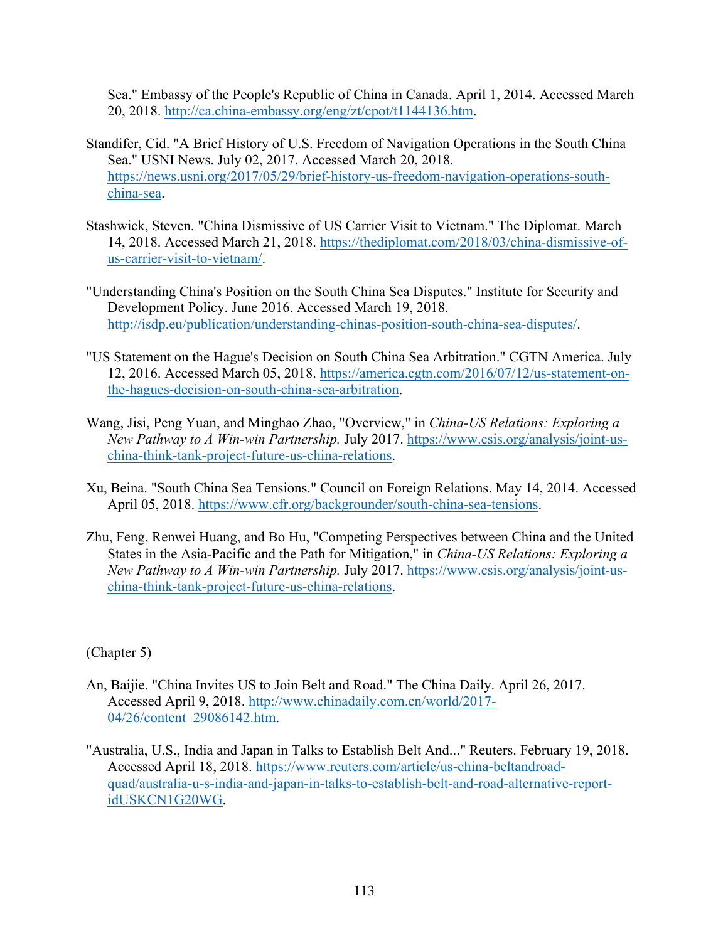Sea." Embassy of the People's Republic of China in Canada. April 1, 2014. Accessed March 20, 2018. http://ca.china-embassy.org/eng/zt/cpot/t1144136.htm.

- Standifer, Cid. "A Brief History of U.S. Freedom of Navigation Operations in the South China Sea." USNI News. July 02, 2017. Accessed March 20, 2018. https://news.usni.org/2017/05/29/brief-history-us-freedom-navigation-operations-southchina-sea.
- Stashwick, Steven. "China Dismissive of US Carrier Visit to Vietnam." The Diplomat. March 14, 2018. Accessed March 21, 2018. https://thediplomat.com/2018/03/china-dismissive-ofus-carrier-visit-to-vietnam/.
- "Understanding China's Position on the South China Sea Disputes." Institute for Security and Development Policy. June 2016. Accessed March 19, 2018. http://isdp.eu/publication/understanding-chinas-position-south-china-sea-disputes/.
- "US Statement on the Hague's Decision on South China Sea Arbitration." CGTN America. July 12, 2016. Accessed March 05, 2018. https://america.cgtn.com/2016/07/12/us-statement-onthe-hagues-decision-on-south-china-sea-arbitration.
- Wang, Jisi, Peng Yuan, and Minghao Zhao, "Overview," in *China-US Relations: Exploring a New Pathway to A Win-win Partnership.* July 2017. https://www.csis.org/analysis/joint-uschina-think-tank-project-future-us-china-relations.
- Xu, Beina. "South China Sea Tensions." Council on Foreign Relations. May 14, 2014. Accessed April 05, 2018. https://www.cfr.org/backgrounder/south-china-sea-tensions.
- Zhu, Feng, Renwei Huang, and Bo Hu, "Competing Perspectives between China and the United States in the Asia-Pacific and the Path for Mitigation," in *China-US Relations: Exploring a New Pathway to A Win-win Partnership.* July 2017. https://www.csis.org/analysis/joint-uschina-think-tank-project-future-us-china-relations.

(Chapter 5)

- An, Baijie. "China Invites US to Join Belt and Road." The China Daily. April 26, 2017. Accessed April 9, 2018. http://www.chinadaily.com.cn/world/2017- 04/26/content\_29086142.htm.
- "Australia, U.S., India and Japan in Talks to Establish Belt And..." Reuters. February 19, 2018. Accessed April 18, 2018. https://www.reuters.com/article/us-china-beltandroadquad/australia-u-s-india-and-japan-in-talks-to-establish-belt-and-road-alternative-reportidUSKCN1G20WG.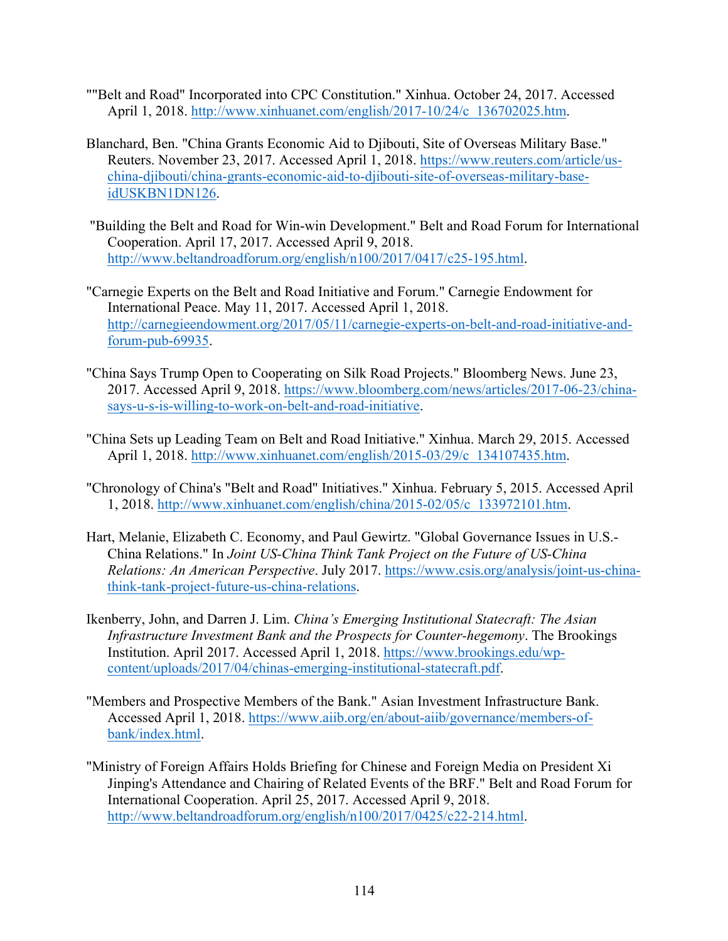- ""Belt and Road" Incorporated into CPC Constitution." Xinhua. October 24, 2017. Accessed April 1, 2018. http://www.xinhuanet.com/english/2017-10/24/c\_136702025.htm.
- Blanchard, Ben. "China Grants Economic Aid to Djibouti, Site of Overseas Military Base." Reuters. November 23, 2017. Accessed April 1, 2018. https://www.reuters.com/article/uschina-djibouti/china-grants-economic-aid-to-djibouti-site-of-overseas-military-baseidUSKBN1DN126.
- "Building the Belt and Road for Win-win Development." Belt and Road Forum for International Cooperation. April 17, 2017. Accessed April 9, 2018. http://www.beltandroadforum.org/english/n100/2017/0417/c25-195.html.
- "Carnegie Experts on the Belt and Road Initiative and Forum." Carnegie Endowment for International Peace. May 11, 2017. Accessed April 1, 2018. http://carnegieendowment.org/2017/05/11/carnegie-experts-on-belt-and-road-initiative-andforum-pub-69935.
- "China Says Trump Open to Cooperating on Silk Road Projects." Bloomberg News. June 23, 2017. Accessed April 9, 2018. https://www.bloomberg.com/news/articles/2017-06-23/chinasays-u-s-is-willing-to-work-on-belt-and-road-initiative.
- "China Sets up Leading Team on Belt and Road Initiative." Xinhua. March 29, 2015. Accessed April 1, 2018. http://www.xinhuanet.com/english/2015-03/29/c\_134107435.htm.
- "Chronology of China's "Belt and Road" Initiatives." Xinhua. February 5, 2015. Accessed April 1, 2018. http://www.xinhuanet.com/english/china/2015-02/05/c\_133972101.htm.
- Hart, Melanie, Elizabeth C. Economy, and Paul Gewirtz. "Global Governance Issues in U.S.- China Relations." In *Joint US-China Think Tank Project on the Future of US-China Relations: An American Perspective*. July 2017. https://www.csis.org/analysis/joint-us-chinathink-tank-project-future-us-china-relations.
- Ikenberry, John, and Darren J. Lim. *China's Emerging Institutional Statecraft: The Asian Infrastructure Investment Bank and the Prospects for Counter-hegemony*. The Brookings Institution. April 2017. Accessed April 1, 2018. https://www.brookings.edu/wpcontent/uploads/2017/04/chinas-emerging-institutional-statecraft.pdf.
- "Members and Prospective Members of the Bank." Asian Investment Infrastructure Bank. Accessed April 1, 2018. https://www.aiib.org/en/about-aiib/governance/members-ofbank/index.html.
- "Ministry of Foreign Affairs Holds Briefing for Chinese and Foreign Media on President Xi Jinping's Attendance and Chairing of Related Events of the BRF." Belt and Road Forum for International Cooperation. April 25, 2017. Accessed April 9, 2018. http://www.beltandroadforum.org/english/n100/2017/0425/c22-214.html.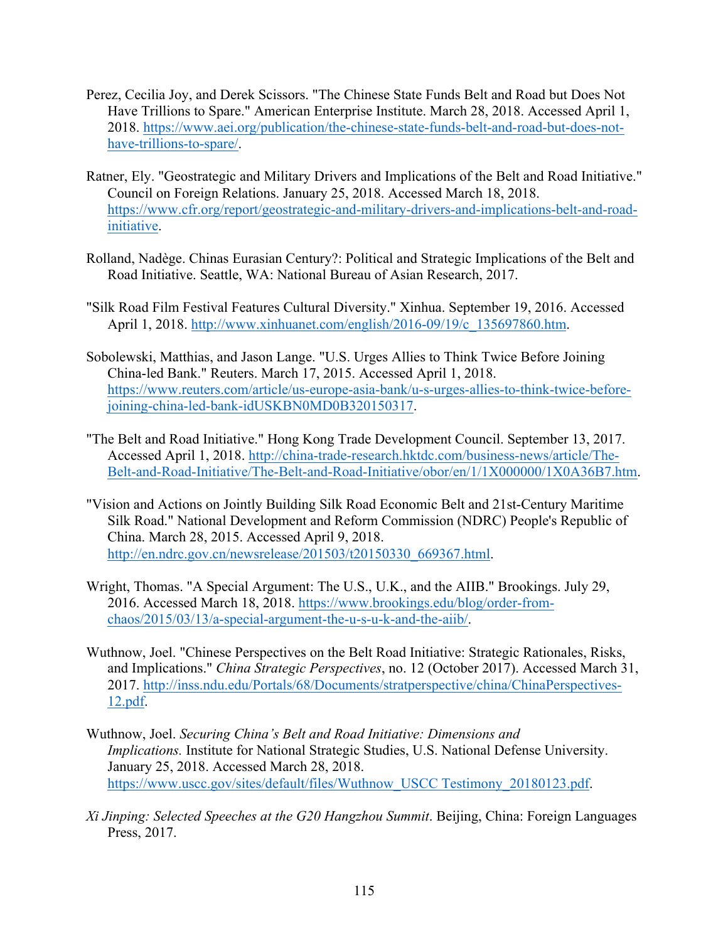- Perez, Cecilia Joy, and Derek Scissors. "The Chinese State Funds Belt and Road but Does Not Have Trillions to Spare." American Enterprise Institute. March 28, 2018. Accessed April 1, 2018. https://www.aei.org/publication/the-chinese-state-funds-belt-and-road-but-does-nothave-trillions-to-spare/.
- Ratner, Ely. "Geostrategic and Military Drivers and Implications of the Belt and Road Initiative." Council on Foreign Relations. January 25, 2018. Accessed March 18, 2018. https://www.cfr.org/report/geostrategic-and-military-drivers-and-implications-belt-and-roadinitiative.
- Rolland, Nadège. Chinas Eurasian Century?: Political and Strategic Implications of the Belt and Road Initiative. Seattle, WA: National Bureau of Asian Research, 2017.
- "Silk Road Film Festival Features Cultural Diversity." Xinhua. September 19, 2016. Accessed April 1, 2018. http://www.xinhuanet.com/english/2016-09/19/c\_135697860.htm.
- Sobolewski, Matthias, and Jason Lange. "U.S. Urges Allies to Think Twice Before Joining China-led Bank." Reuters. March 17, 2015. Accessed April 1, 2018. https://www.reuters.com/article/us-europe-asia-bank/u-s-urges-allies-to-think-twice-beforejoining-china-led-bank-idUSKBN0MD0B320150317.
- "The Belt and Road Initiative." Hong Kong Trade Development Council. September 13, 2017. Accessed April 1, 2018. http://china-trade-research.hktdc.com/business-news/article/The-Belt-and-Road-Initiative/The-Belt-and-Road-Initiative/obor/en/1/1X000000/1X0A36B7.htm.
- "Vision and Actions on Jointly Building Silk Road Economic Belt and 21st-Century Maritime Silk Road." National Development and Reform Commission (NDRC) People's Republic of China. March 28, 2015. Accessed April 9, 2018. http://en.ndrc.gov.cn/newsrelease/201503/t20150330\_669367.html.
- Wright, Thomas. "A Special Argument: The U.S., U.K., and the AIIB." Brookings. July 29, 2016. Accessed March 18, 2018. https://www.brookings.edu/blog/order-fromchaos/2015/03/13/a-special-argument-the-u-s-u-k-and-the-aiib/.
- Wuthnow, Joel. "Chinese Perspectives on the Belt Road Initiative: Strategic Rationales, Risks, and Implications." *China Strategic Perspectives*, no. 12 (October 2017). Accessed March 31, 2017. http://inss.ndu.edu/Portals/68/Documents/stratperspective/china/ChinaPerspectives-12.pdf.
- Wuthnow, Joel. *Securing China's Belt and Road Initiative: Dimensions and Implications.* Institute for National Strategic Studies, U.S. National Defense University. January 25, 2018. Accessed March 28, 2018. https://www.uscc.gov/sites/default/files/Wuthnow\_USCC Testimony\_20180123.pdf.
- *Xi Jinping: Selected Speeches at the G20 Hangzhou Summit*. Beijing, China: Foreign Languages Press, 2017.